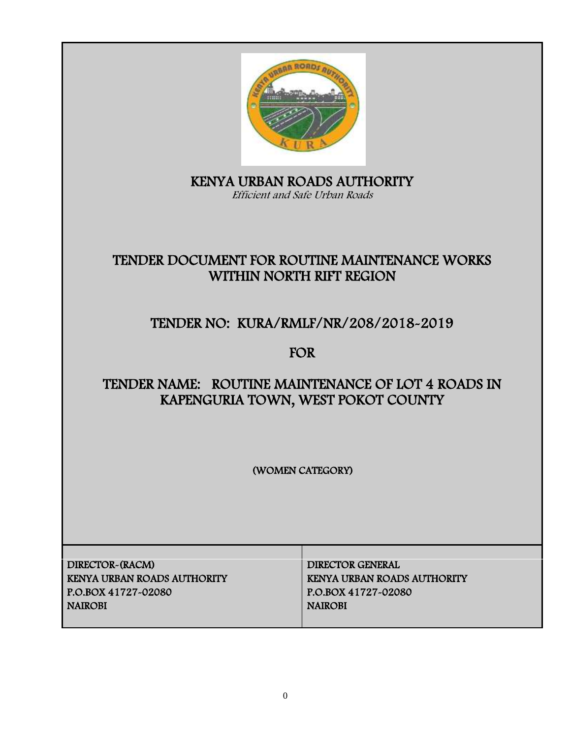

KENYA URBAN ROADS AUTHORITY Efficient and Safe Urban Roads

# TENDER DOCUMENT FOR ROUTINE MAINTENANCE WORKS WITHIN NORTH RIFT REGION

# TENDER NO: KURA/RMLF/NR/208/2018-2019

FOR

# TENDER NAME: ROUTINE MAINTENANCE OF LOT 4 ROADS IN KAPENGURIA TOWN, WEST POKOT COUNTY

(WOMEN CATEGORY)

DIRECTOR-(RACM) DIRECTOR GENERAL KENYA URBAN ROADS AUTHORITY KENYA URBAN ROADS AUTHORITY P.O.BOX 41727-02080 P.O.BOX 41727-02080 NAIROBI NAIROBI NAIROBI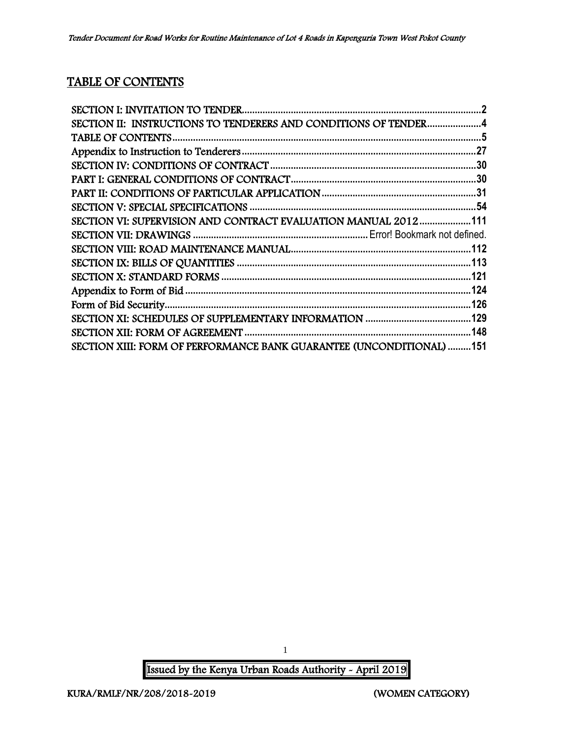# TABLE OF CONTENTS

| SECTION II: INSTRUCTIONS TO TENDERERS AND CONDITIONS OF TENDER4      |  |
|----------------------------------------------------------------------|--|
|                                                                      |  |
|                                                                      |  |
|                                                                      |  |
|                                                                      |  |
|                                                                      |  |
|                                                                      |  |
| SECTION VI: SUPERVISION AND CONTRACT EVALUATION MANUAL 2012111       |  |
|                                                                      |  |
|                                                                      |  |
|                                                                      |  |
|                                                                      |  |
|                                                                      |  |
|                                                                      |  |
|                                                                      |  |
|                                                                      |  |
| SECTION XIII: FORM OF PERFORMANCE BANK GUARANTEE (UNCONDITIONAL) 151 |  |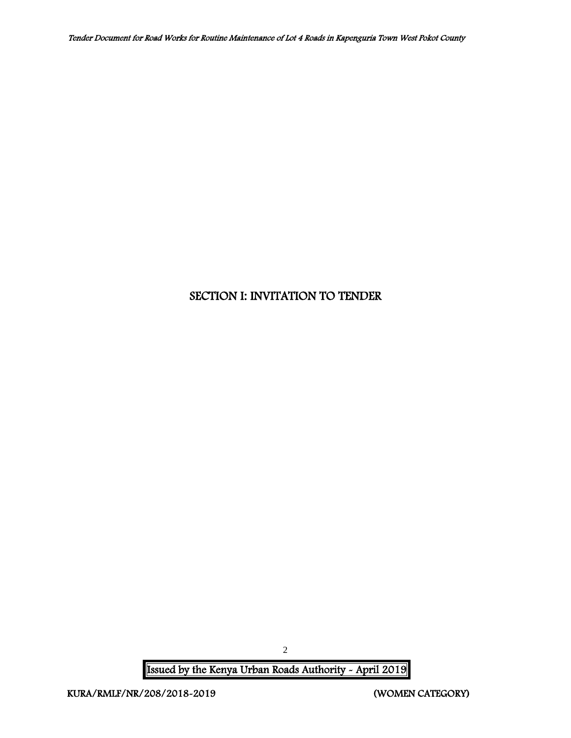# <span id="page-2-0"></span>SECTION I: INVITATION TO TENDER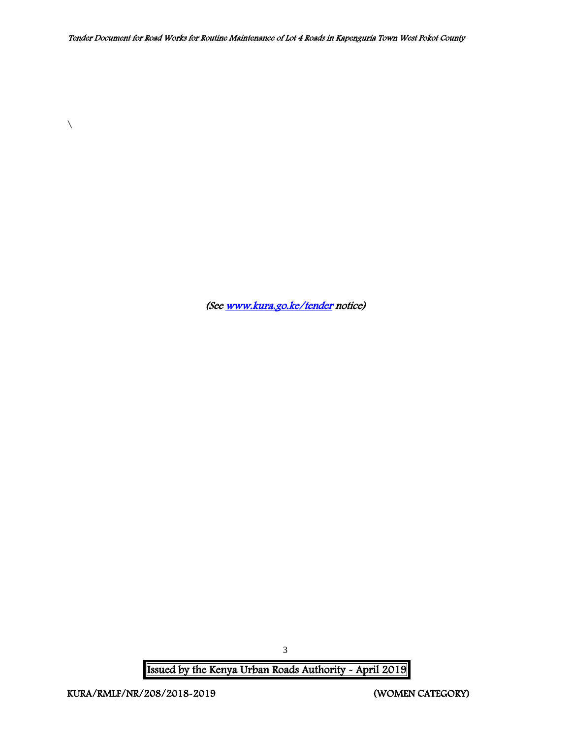(Se[e www.kura.go.ke/tender](http://www.kura.go.ke/tender) notice)

Issued by the Kenya Urban Roads Authority - April 2019

 $\setminus$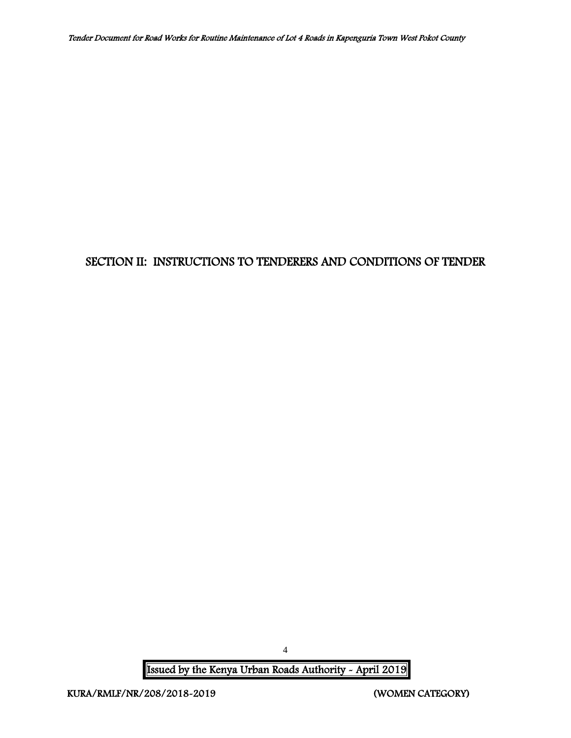## <span id="page-4-0"></span>SECTION II: INSTRUCTIONS TO TENDERERS AND CONDITIONS OF TENDER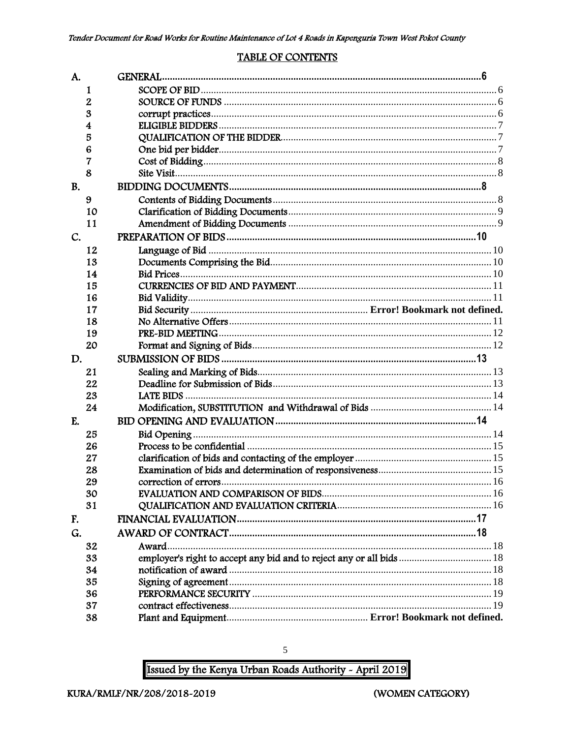#### **TABLE OF CONTENTS**

<span id="page-5-0"></span>

| A.        |    |                                                                      |  |
|-----------|----|----------------------------------------------------------------------|--|
|           | 1  |                                                                      |  |
|           | 2  |                                                                      |  |
|           | 3  |                                                                      |  |
|           | 4  |                                                                      |  |
|           | 5  |                                                                      |  |
|           | 6  |                                                                      |  |
|           | 7  |                                                                      |  |
|           | 8  |                                                                      |  |
| <b>B.</b> |    |                                                                      |  |
|           | 9  |                                                                      |  |
|           | 10 |                                                                      |  |
|           | 11 |                                                                      |  |
| C.        |    |                                                                      |  |
|           | 12 |                                                                      |  |
|           | 13 |                                                                      |  |
|           | 14 |                                                                      |  |
|           | 15 |                                                                      |  |
|           | 16 |                                                                      |  |
|           | 17 |                                                                      |  |
|           | 18 |                                                                      |  |
|           | 19 |                                                                      |  |
|           | 20 |                                                                      |  |
| D.        |    |                                                                      |  |
|           | 21 |                                                                      |  |
|           | 22 |                                                                      |  |
|           | 23 |                                                                      |  |
|           | 24 |                                                                      |  |
| E.        |    |                                                                      |  |
|           | 25 |                                                                      |  |
|           | 26 |                                                                      |  |
|           | 27 |                                                                      |  |
|           | 28 |                                                                      |  |
|           | 29 |                                                                      |  |
|           | 30 |                                                                      |  |
|           | 31 |                                                                      |  |
| F.        |    |                                                                      |  |
| G.        |    |                                                                      |  |
|           | 32 | Award                                                                |  |
|           | 33 | employer's right to accept any bid and to reject any or all bids  18 |  |
|           | 34 |                                                                      |  |
|           | 35 |                                                                      |  |
|           | 36 |                                                                      |  |
|           | 37 |                                                                      |  |
|           | 38 |                                                                      |  |

Issued by the Kenya Urban Roads Authority - April 2019

 $\sqrt{5}$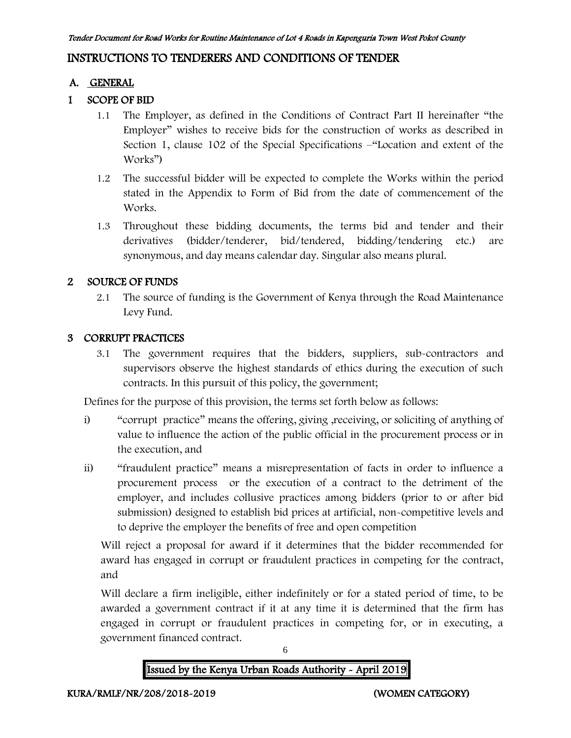## INSTRUCTIONS TO TENDERERS AND CONDITIONS OF TENDER

#### A. GENERAL

#### 1 SCOPE OF BID

- 1.1 The Employer, as defined in the Conditions of Contract Part II hereinafter "the Employer" wishes to receive bids for the construction of works as described in Section 1, clause 102 of the Special Specifications –"Location and extent of the Works")
- 1.2 The successful bidder will be expected to complete the Works within the period stated in the Appendix to Form of Bid from the date of commencement of the Works.
- 1.3 Throughout these bidding documents, the terms bid and tender and their derivatives (bidder/tenderer, bid/tendered, bidding/tendering etc.) are synonymous, and day means calendar day. Singular also means plural.

#### 2 SOURCE OF FUNDS

2.1 The source of funding is the Government of Kenya through the Road Maintenance Levy Fund.

#### 3 CORRUPT PRACTICES

3.1 The government requires that the bidders, suppliers, sub-contractors and supervisors observe the highest standards of ethics during the execution of such contracts. In this pursuit of this policy, the government;

Defines for the purpose of this provision, the terms set forth below as follows:

- i) "corrupt practice" means the offering, giving , receiving, or soliciting of anything of value to influence the action of the public official in the procurement process or in the execution, and
- ii) "fraudulent practice" means a misrepresentation of facts in order to influence a procurement process or the execution of a contract to the detriment of the employer, and includes collusive practices among bidders (prior to or after bid submission) designed to establish bid prices at artificial, non-competitive levels and to deprive the employer the benefits of free and open competition

Will reject a proposal for award if it determines that the bidder recommended for award has engaged in corrupt or fraudulent practices in competing for the contract, and

Will declare a firm ineligible, either indefinitely or for a stated period of time, to be awarded a government contract if it at any time it is determined that the firm has engaged in corrupt or fraudulent practices in competing for, or in executing, a government financed contract.



6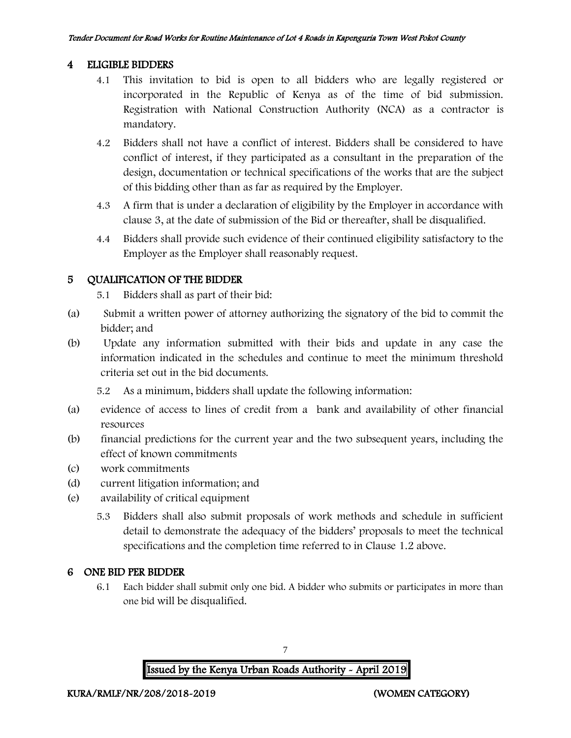#### 4 ELIGIBLE BIDDERS

- 4.1 This invitation to bid is open to all bidders who are legally registered or incorporated in the Republic of Kenya as of the time of bid submission. Registration with National Construction Authority (NCA) as a contractor is mandatory.
- 4.2 Bidders shall not have a conflict of interest. Bidders shall be considered to have conflict of interest, if they participated as a consultant in the preparation of the design, documentation or technical specifications of the works that are the subject of this bidding other than as far as required by the Employer.
- 4.3 A firm that is under a declaration of eligibility by the Employer in accordance with clause 3, at the date of submission of the Bid or thereafter, shall be disqualified.
- 4.4 Bidders shall provide such evidence of their continued eligibility satisfactory to the Employer as the Employer shall reasonably request.

#### 5 QUALIFICATION OF THE BIDDER

5.1 Bidders shall as part of their bid:

- (a) Submit a written power of attorney authorizing the signatory of the bid to commit the bidder; and
- (b) Update any information submitted with their bids and update in any case the information indicated in the schedules and continue to meet the minimum threshold criteria set out in the bid documents.

5.2 As a minimum, bidders shall update the following information:

- (a) evidence of access to lines of credit from a bank and availability of other financial resources
- (b) financial predictions for the current year and the two subsequent years, including the effect of known commitments
- (c) work commitments
- (d) current litigation information; and
- (e) availability of critical equipment
	- 5.3 Bidders shall also submit proposals of work methods and schedule in sufficient detail to demonstrate the adequacy of the bidders' proposals to meet the technical specifications and the completion time referred to in Clause 1.2 above.

#### 6 ONE BID PER BIDDER

6.1 Each bidder shall submit only one bid. A bidder who submits or participates in more than one bid will be disqualified.

7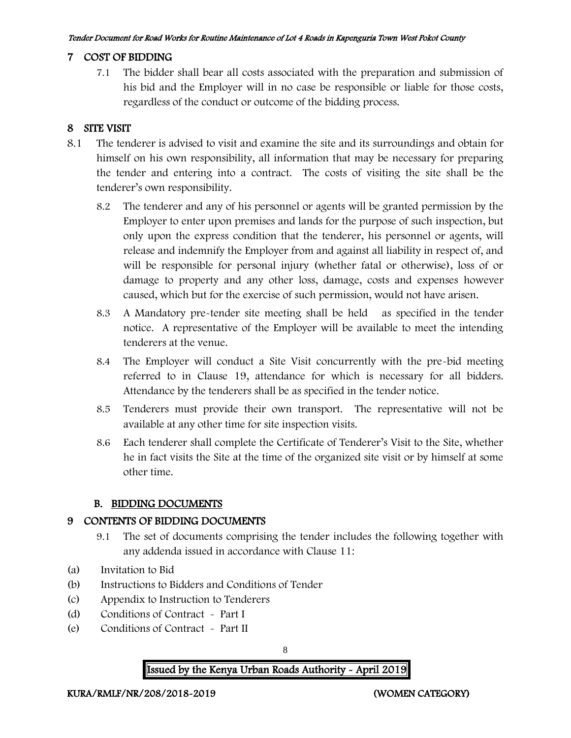#### 7 COST OF BIDDING

7.1 The bidder shall bear all costs associated with the preparation and submission of his bid and the Employer will in no case be responsible or liable for those costs, regardless of the conduct or outcome of the bidding process.

#### 8 SITE VISIT

- 8.1 The tenderer is advised to visit and examine the site and its surroundings and obtain for himself on his own responsibility, all information that may be necessary for preparing the tender and entering into a contract. The costs of visiting the site shall be the tenderer's own responsibility.
	- 8.2 The tenderer and any of his personnel or agents will be granted permission by the Employer to enter upon premises and lands for the purpose of such inspection, but only upon the express condition that the tenderer, his personnel or agents, will release and indemnify the Employer from and against all liability in respect of, and will be responsible for personal injury (whether fatal or otherwise), loss of or damage to property and any other loss, damage, costs and expenses however caused, which but for the exercise of such permission, would not have arisen.
	- 8.3 A Mandatory pre-tender site meeting shall be held as specified in the tender notice. A representative of the Employer will be available to meet the intending tenderers at the venue.
	- 8.4 The Employer will conduct a Site Visit concurrently with the pre-bid meeting referred to in Clause 19, attendance for which is necessary for all bidders. Attendance by the tenderers shall be as specified in the tender notice.
	- 8.5 Tenderers must provide their own transport. The representative will not be available at any other time for site inspection visits.
	- 8.6 Each tenderer shall complete the Certificate of Tenderer's Visit to the Site, whether he in fact visits the Site at the time of the organized site visit or by himself at some other time.

#### B. BIDDING DOCUMENTS

#### 9 CONTENTS OF BIDDING DOCUMENTS

- 9.1 The set of documents comprising the tender includes the following together with any addenda issued in accordance with Clause 11:
- (a) Invitation to Bid
- (b) Instructions to Bidders and Conditions of Tender
- (c) Appendix to Instruction to Tenderers
- (d) Conditions of Contract Part I
- (e) Conditions of Contract Part II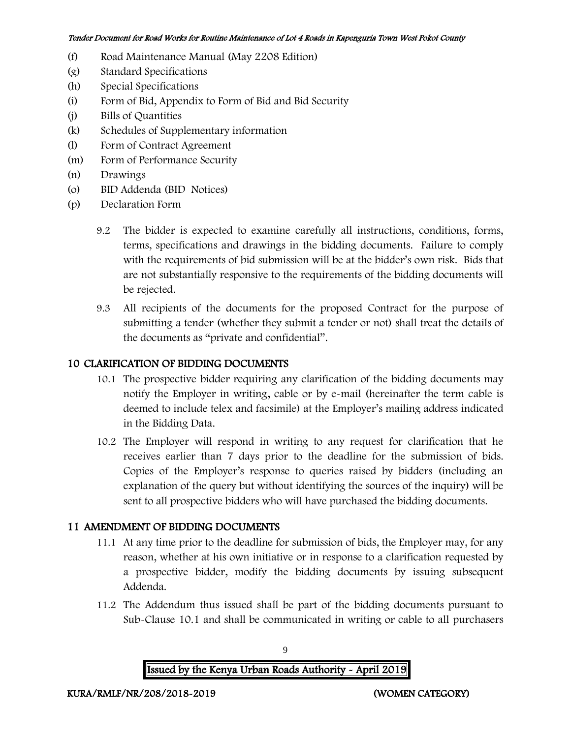- (f) Road Maintenance Manual (May 2208 Edition)
- (g) Standard Specifications
- (h) Special Specifications
- (i) Form of Bid, Appendix to Form of Bid and Bid Security
- (j) Bills of Quantities
- (k) Schedules of Supplementary information
- (l) Form of Contract Agreement
- (m) Form of Performance Security
- (n) Drawings
- (o) BID Addenda (BID Notices)
- (p) Declaration Form
	- 9.2 The bidder is expected to examine carefully all instructions, conditions, forms, terms, specifications and drawings in the bidding documents. Failure to comply with the requirements of bid submission will be at the bidder's own risk. Bids that are not substantially responsive to the requirements of the bidding documents will be rejected.
	- 9.3 All recipients of the documents for the proposed Contract for the purpose of submitting a tender (whether they submit a tender or not) shall treat the details of the documents as "private and confidential".

#### 10 CLARIFICATION OF BIDDING DOCUMENTS

- 10.1 The prospective bidder requiring any clarification of the bidding documents may notify the Employer in writing, cable or by e-mail (hereinafter the term cable is deemed to include telex and facsimile) at the Employer's mailing address indicated in the Bidding Data.
- 10.2 The Employer will respond in writing to any request for clarification that he receives earlier than 7 days prior to the deadline for the submission of bids. Copies of the Employer's response to queries raised by bidders (including an explanation of the query but without identifying the sources of the inquiry) will be sent to all prospective bidders who will have purchased the bidding documents.

#### 11 AMENDMENT OF BIDDING DOCUMENTS

- 11.1 At any time prior to the deadline for submission of bids, the Employer may, for any reason, whether at his own initiative or in response to a clarification requested by a prospective bidder, modify the bidding documents by issuing subsequent Addenda.
- 11.2 The Addendum thus issued shall be part of the bidding documents pursuant to Sub-Clause 10.1 and shall be communicated in writing or cable to all purchasers

9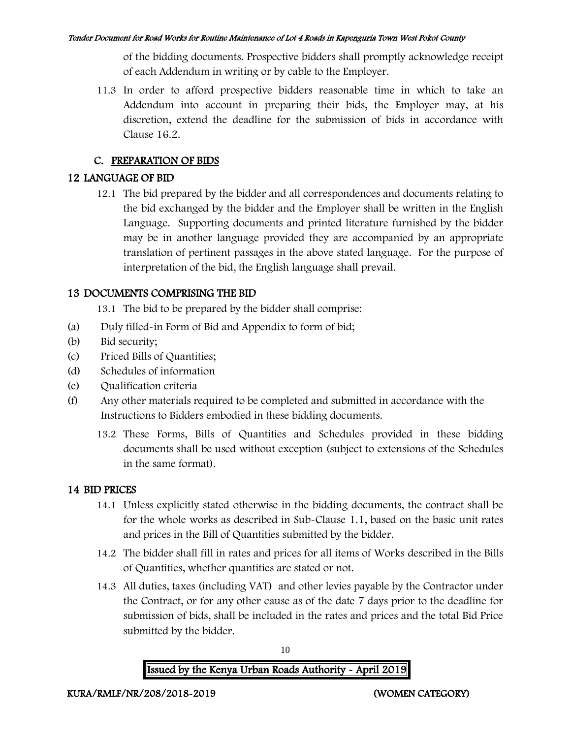of the bidding documents. Prospective bidders shall promptly acknowledge receipt of each Addendum in writing or by cable to the Employer.

11.3 In order to afford prospective bidders reasonable time in which to take an Addendum into account in preparing their bids, the Employer may, at his discretion, extend the deadline for the submission of bids in accordance with Clause 16.2.

## C. PREPARATION OF BIDS

## 12 LANGUAGE OF BID

12.1 The bid prepared by the bidder and all correspondences and documents relating to the bid exchanged by the bidder and the Employer shall be written in the English Language. Supporting documents and printed literature furnished by the bidder may be in another language provided they are accompanied by an appropriate translation of pertinent passages in the above stated language. For the purpose of interpretation of the bid, the English language shall prevail.

## 13 DOCUMENTS COMPRISING THE BID

13.1 The bid to be prepared by the bidder shall comprise:

- (a) Duly filled-in Form of Bid and Appendix to form of bid;
- (b) Bid security;
- (c) Priced Bills of Quantities;
- (d) Schedules of information
- (e) Qualification criteria
- (f) Any other materials required to be completed and submitted in accordance with the Instructions to Bidders embodied in these bidding documents.
	- 13.2 These Forms, Bills of Quantities and Schedules provided in these bidding documents shall be used without exception (subject to extensions of the Schedules in the same format).

## 14 BID PRICES

- 14.1 Unless explicitly stated otherwise in the bidding documents, the contract shall be for the whole works as described in Sub-Clause 1.1, based on the basic unit rates and prices in the Bill of Quantities submitted by the bidder.
- 14.2 The bidder shall fill in rates and prices for all items of Works described in the Bills of Quantities, whether quantities are stated or not.
- 14.3 All duties, taxes (including VAT) and other levies payable by the Contractor under the Contract, or for any other cause as of the date 7 days prior to the deadline for submission of bids, shall be included in the rates and prices and the total Bid Price submitted by the bidder.

10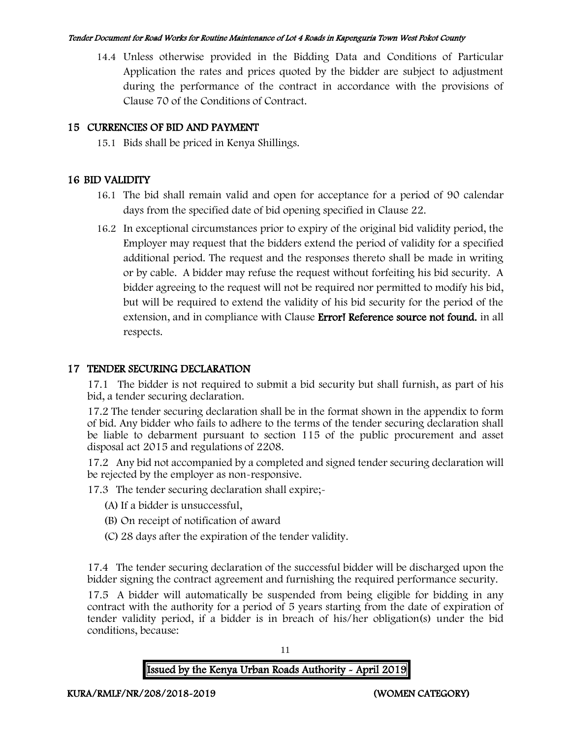14.4 Unless otherwise provided in the Bidding Data and Conditions of Particular Application the rates and prices quoted by the bidder are subject to adjustment during the performance of the contract in accordance with the provisions of Clause 70 of the Conditions of Contract.

## 15 CURRENCIES OF BID AND PAYMENT

15.1 Bids shall be priced in Kenya Shillings.

## 16 BID VALIDITY

- 16.1 The bid shall remain valid and open for acceptance for a period of 90 calendar days from the specified date of bid opening specified in Clause 22.
- 16.2 In exceptional circumstances prior to expiry of the original bid validity period, the Employer may request that the bidders extend the period of validity for a specified additional period. The request and the responses thereto shall be made in writing or by cable. A bidder may refuse the request without forfeiting his bid security. A bidder agreeing to the request will not be required nor permitted to modify his bid, but will be required to extend the validity of his bid security for the period of the extension, and in compliance with Clause **Error! Reference source not found.** in all respects.

#### 17 TENDER SECURING DECLARATION

17.1 The bidder is not required to submit a bid security but shall furnish, as part of his bid, a tender securing declaration.

17.2 The tender securing declaration shall be in the format shown in the appendix to form of bid. Any bidder who fails to adhere to the terms of the tender securing declaration shall be liable to debarment pursuant to section 115 of the public procurement and asset disposal act 2015 and regulations of 2208.

17.2 Any bid not accompanied by a completed and signed tender securing declaration will be rejected by the employer as non-responsive.

17.3 The tender securing declaration shall expire;-

- (A) If a bidder is unsuccessful,
- (B) On receipt of notification of award
- (C) 28 days after the expiration of the tender validity.

17.4 The tender securing declaration of the successful bidder will be discharged upon the bidder signing the contract agreement and furnishing the required performance security.

17.5 A bidder will automatically be suspended from being eligible for bidding in any contract with the authority for a period of 5 years starting from the date of expiration of tender validity period, if a bidder is in breach of his/her obligation(s) under the bid conditions, because: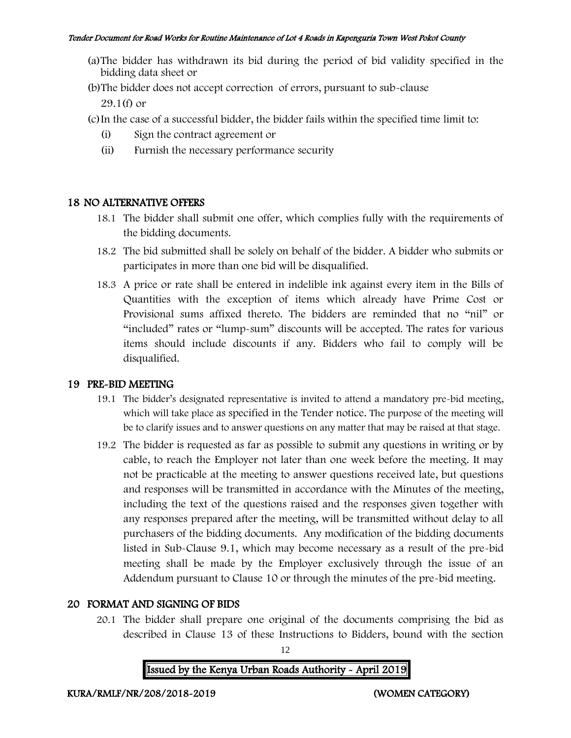- (a)The bidder has withdrawn its bid during the period of bid validity specified in the bidding data sheet or
- (b)The bidder does not accept correction of errors, pursuant to sub-clause

29.1(f) or

- (c)In the case of a successful bidder, the bidder fails within the specified time limit to:
	- (i) Sign the contract agreement or
	- (ii) Furnish the necessary performance security

#### 18 NO ALTERNATIVE OFFERS

- 18.1 The bidder shall submit one offer, which complies fully with the requirements of the bidding documents.
- 18.2 The bid submitted shall be solely on behalf of the bidder. A bidder who submits or participates in more than one bid will be disqualified.
- 18.3 A price or rate shall be entered in indelible ink against every item in the Bills of Quantities with the exception of items which already have Prime Cost or Provisional sums affixed thereto. The bidders are reminded that no "nil" or "included" rates or "lump-sum" discounts will be accepted. The rates for various items should include discounts if any. Bidders who fail to comply will be disqualified.

### 19 PRE-BID MEETING

- 19.1 The bidder's designated representative is invited to attend a mandatory pre-bid meeting, which will take place as specified in the Tender notice. The purpose of the meeting will be to clarify issues and to answer questions on any matter that may be raised at that stage.
- 19.2 The bidder is requested as far as possible to submit any questions in writing or by cable, to reach the Employer not later than one week before the meeting. It may not be practicable at the meeting to answer questions received late, but questions and responses will be transmitted in accordance with the Minutes of the meeting, including the text of the questions raised and the responses given together with any responses prepared after the meeting, will be transmitted without delay to all purchasers of the bidding documents. Any modification of the bidding documents listed in Sub-Clause 9.1, which may become necessary as a result of the pre-bid meeting shall be made by the Employer exclusively through the issue of an Addendum pursuant to Clause 10 or through the minutes of the pre-bid meeting.

### 20 FORMAT AND SIGNING OF BIDS

20.1 The bidder shall prepare one original of the documents comprising the bid as described in Clause 13 of these Instructions to Bidders, bound with the section

12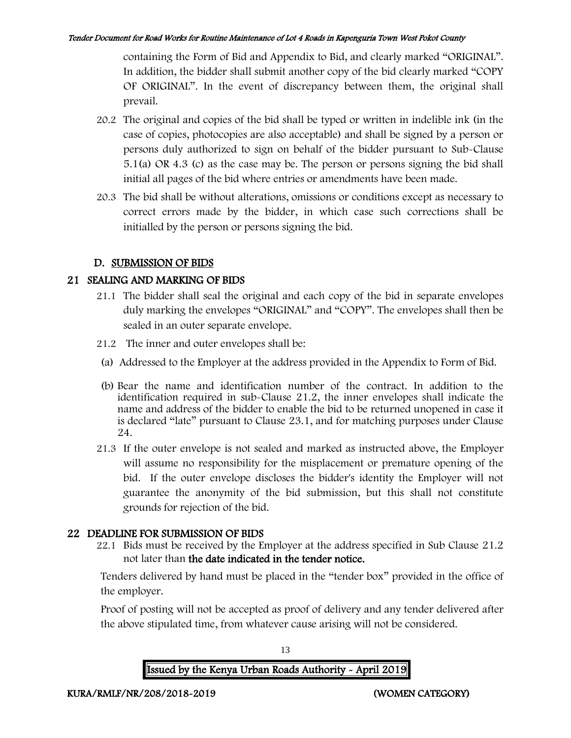containing the Form of Bid and Appendix to Bid, and clearly marked "ORIGINAL". In addition, the bidder shall submit another copy of the bid clearly marked "COPY OF ORIGINAL". In the event of discrepancy between them, the original shall prevail.

- 20.2 The original and copies of the bid shall be typed or written in indelible ink (in the case of copies, photocopies are also acceptable) and shall be signed by a person or persons duly authorized to sign on behalf of the bidder pursuant to Sub-Clause 5.1(a) OR 4.3 (c) as the case may be. The person or persons signing the bid shall initial all pages of the bid where entries or amendments have been made.
- 20.3 The bid shall be without alterations, omissions or conditions except as necessary to correct errors made by the bidder, in which case such corrections shall be initialled by the person or persons signing the bid.

### D. SUBMISSION OF BIDS

### 21 SEALING AND MARKING OF BIDS

- 21.1 The bidder shall seal the original and each copy of the bid in separate envelopes duly marking the envelopes "ORIGINAL" and "COPY". The envelopes shall then be sealed in an outer separate envelope.
- 21.2 The inner and outer envelopes shall be:
- (a) Addressed to the Employer at the address provided in the Appendix to Form of Bid.
- (b) Bear the name and identification number of the contract. In addition to the identification required in sub-Clause 21.2, the inner envelopes shall indicate the name and address of the bidder to enable the bid to be returned unopened in case it is declared "late" pursuant to Clause 23.1, and for matching purposes under Clause 24.
- 21.3 If the outer envelope is not sealed and marked as instructed above, the Employer will assume no responsibility for the misplacement or premature opening of the bid. If the outer envelope discloses the bidder's identity the Employer will not guarantee the anonymity of the bid submission, but this shall not constitute grounds for rejection of the bid.

### 22 DEADLINE FOR SUBMISSION OF BIDS

22.1 Bids must be received by the Employer at the address specified in Sub Clause 21.2 not later than the date indicated in the tender notice.

Tenders delivered by hand must be placed in the "tender box" provided in the office of the employer.

Proof of posting will not be accepted as proof of delivery and any tender delivered after the above stipulated time, from whatever cause arising will not be considered.

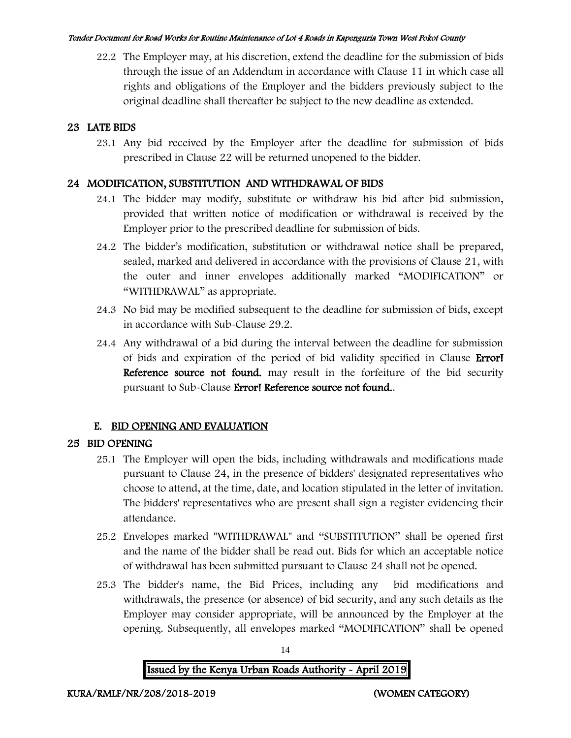22.2 The Employer may, at his discretion, extend the deadline for the submission of bids through the issue of an Addendum in accordance with Clause 11 in which case all rights and obligations of the Employer and the bidders previously subject to the original deadline shall thereafter be subject to the new deadline as extended.

## 23 LATE BIDS

23.1 Any bid received by the Employer after the deadline for submission of bids prescribed in Clause 22 will be returned unopened to the bidder.

## 24 MODIFICATION, SUBSTITUTION AND WITHDRAWAL OF BIDS

- 24.1 The bidder may modify, substitute or withdraw his bid after bid submission, provided that written notice of modification or withdrawal is received by the Employer prior to the prescribed deadline for submission of bids.
- 24.2 The bidder's modification, substitution or withdrawal notice shall be prepared, sealed, marked and delivered in accordance with the provisions of Clause 21, with the outer and inner envelopes additionally marked "MODIFICATION" or "WITHDRAWAL" as appropriate.
- 24.3 No bid may be modified subsequent to the deadline for submission of bids, except in accordance with Sub-Clause 29.2.
- 24.4 Any withdrawal of a bid during the interval between the deadline for submission of bids and expiration of the period of bid validity specified in Clause Error! Reference source not found. may result in the forfeiture of the bid security pursuant to Sub-Clause Error! Reference source not found..

## E. BID OPENING AND EVALUATION

## 25 BID OPENING

- 25.1 The Employer will open the bids, including withdrawals and modifications made pursuant to Clause 24, in the presence of bidders' designated representatives who choose to attend, at the time, date, and location stipulated in the letter of invitation. The bidders' representatives who are present shall sign a register evidencing their attendance.
- 25.2 Envelopes marked "WITHDRAWAL" and "SUBSTITUTION" shall be opened first and the name of the bidder shall be read out. Bids for which an acceptable notice of withdrawal has been submitted pursuant to Clause 24 shall not be opened.
- 25.3 The bidder's name, the Bid Prices, including any bid modifications and withdrawals, the presence (or absence) of bid security, and any such details as the Employer may consider appropriate, will be announced by the Employer at the opening. Subsequently, all envelopes marked "MODIFICATION" shall be opened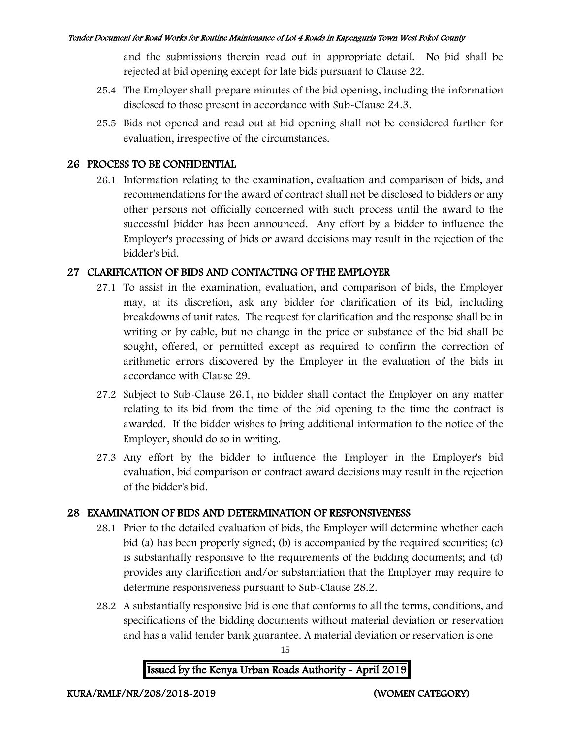and the submissions therein read out in appropriate detail. No bid shall be rejected at bid opening except for late bids pursuant to Clause 22.

- 25.4 The Employer shall prepare minutes of the bid opening, including the information disclosed to those present in accordance with Sub-Clause 24.3.
- 25.5 Bids not opened and read out at bid opening shall not be considered further for evaluation, irrespective of the circumstances.

#### 26 PROCESS TO BE CONFIDENTIAL

26.1 Information relating to the examination, evaluation and comparison of bids, and recommendations for the award of contract shall not be disclosed to bidders or any other persons not officially concerned with such process until the award to the successful bidder has been announced. Any effort by a bidder to influence the Employer's processing of bids or award decisions may result in the rejection of the bidder's bid.

### 27 CLARIFICATION OF BIDS AND CONTACTING OF THE EMPLOYER

- 27.1 To assist in the examination, evaluation, and comparison of bids, the Employer may, at its discretion, ask any bidder for clarification of its bid, including breakdowns of unit rates. The request for clarification and the response shall be in writing or by cable, but no change in the price or substance of the bid shall be sought, offered, or permitted except as required to confirm the correction of arithmetic errors discovered by the Employer in the evaluation of the bids in accordance with Clause 29.
- 27.2 Subject to Sub-Clause 26.1, no bidder shall contact the Employer on any matter relating to its bid from the time of the bid opening to the time the contract is awarded. If the bidder wishes to bring additional information to the notice of the Employer, should do so in writing.
- 27.3 Any effort by the bidder to influence the Employer in the Employer's bid evaluation, bid comparison or contract award decisions may result in the rejection of the bidder's bid.

### 28 EXAMINATION OF BIDS AND DETERMINATION OF RESPONSIVENESS

- 28.1 Prior to the detailed evaluation of bids, the Employer will determine whether each bid (a) has been properly signed; (b) is accompanied by the required securities; (c) is substantially responsive to the requirements of the bidding documents; and (d) provides any clarification and/or substantiation that the Employer may require to determine responsiveness pursuant to Sub-Clause 28.2.
- 28.2 A substantially responsive bid is one that conforms to all the terms, conditions, and specifications of the bidding documents without material deviation or reservation and has a valid tender bank guarantee. A material deviation or reservation is one



15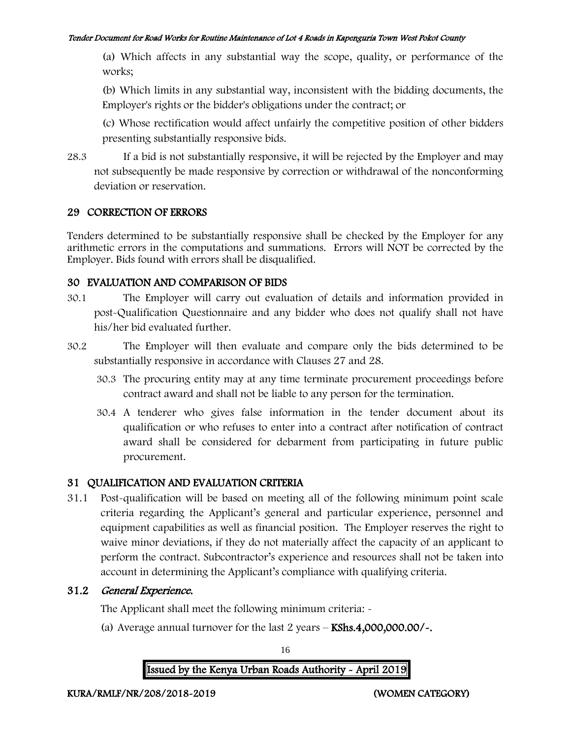(a) Which affects in any substantial way the scope, quality, or performance of the works;

(b) Which limits in any substantial way, inconsistent with the bidding documents, the Employer's rights or the bidder's obligations under the contract; or

(c) Whose rectification would affect unfairly the competitive position of other bidders presenting substantially responsive bids.

28.3 If a bid is not substantially responsive, it will be rejected by the Employer and may not subsequently be made responsive by correction or withdrawal of the nonconforming deviation or reservation.

### 29 CORRECTION OF ERRORS

Tenders determined to be substantially responsive shall be checked by the Employer for any arithmetic errors in the computations and summations. Errors will NOT be corrected by the Employer. Bids found with errors shall be disqualified.

## 30 EVALUATION AND COMPARISON OF BIDS

- 30.1 The Employer will carry out evaluation of details and information provided in post-Qualification Questionnaire and any bidder who does not qualify shall not have his/her bid evaluated further.
- 30.2 The Employer will then evaluate and compare only the bids determined to be substantially responsive in accordance with Clauses 27 and 28.
	- 30.3 The procuring entity may at any time terminate procurement proceedings before contract award and shall not be liable to any person for the termination.
	- 30.4 A tenderer who gives false information in the tender document about its qualification or who refuses to enter into a contract after notification of contract award shall be considered for debarment from participating in future public procurement.

## 31 QUALIFICATION AND EVALUATION CRITERIA

31.1 Post-qualification will be based on meeting all of the following minimum point scale criteria regarding the Applicant's general and particular experience, personnel and equipment capabilities as well as financial position. The Employer reserves the right to waive minor deviations, if they do not materially affect the capacity of an applicant to perform the contract. Subcontractor's experience and resources shall not be taken into account in determining the Applicant's compliance with qualifying criteria.

## 31.2 General Experience.

The Applicant shall meet the following minimum criteria: -

(a) Average annual turnover for the last  $2$  years  $-$  KShs.4,000,000.00/ $\sim$ .

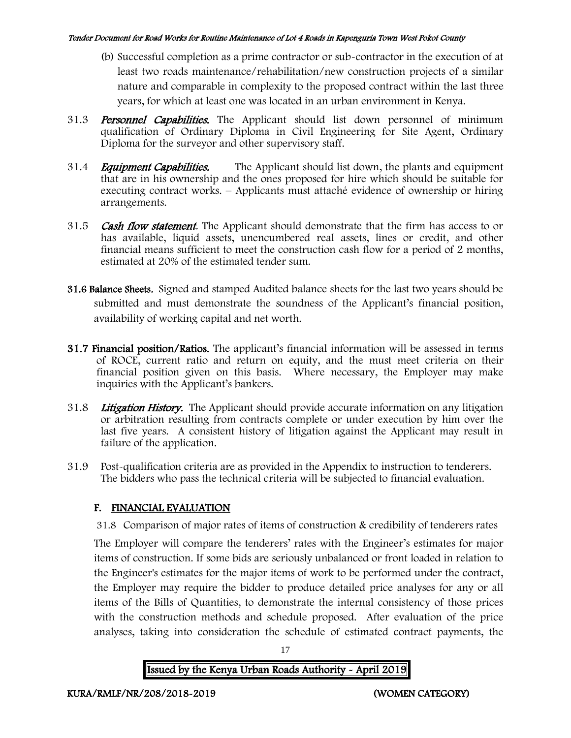- (b) Successful completion as a prime contractor or sub-contractor in the execution of at least two roads maintenance/rehabilitation/new construction projects of a similar nature and comparable in complexity to the proposed contract within the last three years, for which at least one was located in an urban environment in Kenya.
- 31.3 **Personnel Capabilities.** The Applicant should list down personnel of minimum qualification of Ordinary Diploma in Civil Engineering for Site Agent, Ordinary Diploma for the surveyor and other supervisory staff.
- 31.4 *Equipment Capabilities.* The Applicant should list down, the plants and equipment that are in his ownership and the ones proposed for hire which should be suitable for executing contract works. – Applicants must attaché evidence of ownership or hiring arrangements.
- 31.5 Cash flow statement. The Applicant should demonstrate that the firm has access to or has available, liquid assets, unencumbered real assets, lines or credit, and other financial means sufficient to meet the construction cash flow for a period of 2 months, estimated at 20% of the estimated tender sum.
- 31.6 Balance Sheets. Signed and stamped Audited balance sheets for the last two years should be submitted and must demonstrate the soundness of the Applicant's financial position, availability of working capital and net worth.
- 31.7 Financial position/Ratios. The applicant's financial information will be assessed in terms of ROCE, current ratio and return on equity, and the must meet criteria on their financial position given on this basis. Where necessary, the Employer may make inquiries with the Applicant's bankers.
- 31.8 Litigation History. The Applicant should provide accurate information on any litigation or arbitration resulting from contracts complete or under execution by him over the last five years. A consistent history of litigation against the Applicant may result in failure of the application.
- 31.9 Post-qualification criteria are as provided in the Appendix to instruction to tenderers. The bidders who pass the technical criteria will be subjected to financial evaluation.

## F. FINANCIAL EVALUATION

31.8 Comparison of major rates of items of construction & credibility of tenderers rates

The Employer will compare the tenderers' rates with the Engineer's estimates for major items of construction. If some bids are seriously unbalanced or front loaded in relation to the Engineer's estimates for the major items of work to be performed under the contract, the Employer may require the bidder to produce detailed price analyses for any or all items of the Bills of Quantities, to demonstrate the internal consistency of those prices with the construction methods and schedule proposed. After evaluation of the price analyses, taking into consideration the schedule of estimated contract payments, the



17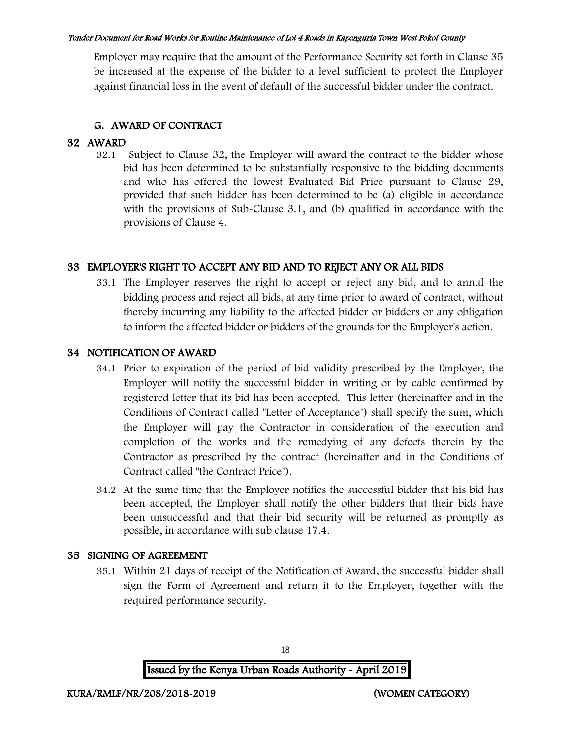Employer may require that the amount of the Performance Security set forth in Clause 35 be increased at the expense of the bidder to a level sufficient to protect the Employer against financial loss in the event of default of the successful bidder under the contract.

## G. AWARD OF CONTRACT

# **32.1**<br>32.1

Subject to Clause 32, the Employer will award the contract to the bidder whose bid has been determined to be substantially responsive to the bidding documents and who has offered the lowest Evaluated Bid Price pursuant to Clause 29, provided that such bidder has been determined to be (a) eligible in accordance with the provisions of Sub-Clause 3.1, and (b) qualified in accordance with the provisions of Clause 4.

## 33 EMPLOYER'S RIGHT TO ACCEPT ANY BID AND TO REJECT ANY OR ALL BIDS

33.1 The Employer reserves the right to accept or reject any bid, and to annul the bidding process and reject all bids, at any time prior to award of contract, without thereby incurring any liability to the affected bidder or bidders or any obligation to inform the affected bidder or bidders of the grounds for the Employer's action.

#### 34 NOTIFICATION OF AWARD

- 34.1 Prior to expiration of the period of bid validity prescribed by the Employer, the Employer will notify the successful bidder in writing or by cable confirmed by registered letter that its bid has been accepted. This letter (hereinafter and in the Conditions of Contract called "Letter of Acceptance") shall specify the sum, which the Employer will pay the Contractor in consideration of the execution and completion of the works and the remedying of any defects therein by the Contractor as prescribed by the contract (hereinafter and in the Conditions of Contract called "the Contract Price").
- 34.2 At the same time that the Employer notifies the successful bidder that his bid has been accepted, the Employer shall notify the other bidders that their bids have been unsuccessful and that their bid security will be returned as promptly as possible, in accordance with sub clause 17.4.

### 35 SIGNING OF AGREEMENT

35.1 Within 21 days of receipt of the Notification of Award, the successful bidder shall sign the Form of Agreement and return it to the Employer, together with the required performance security.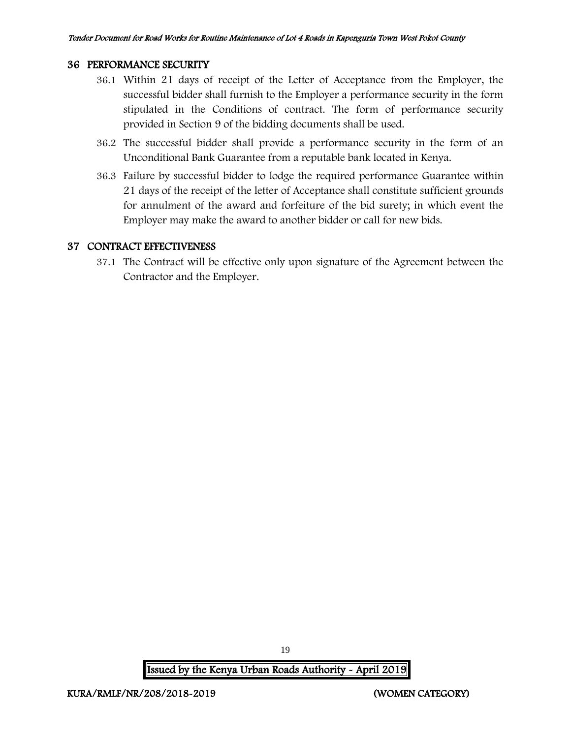#### 36 PERFORMANCE SECURITY

- 36.1 Within 21 days of receipt of the Letter of Acceptance from the Employer, the successful bidder shall furnish to the Employer a performance security in the form stipulated in the Conditions of contract. The form of performance security provided in Section 9 of the bidding documents shall be used.
- 36.2 The successful bidder shall provide a performance security in the form of an Unconditional Bank Guarantee from a reputable bank located in Kenya.
- 36.3 Failure by successful bidder to lodge the required performance Guarantee within 21 days of the receipt of the letter of Acceptance shall constitute sufficient grounds for annulment of the award and forfeiture of the bid surety; in which event the Employer may make the award to another bidder or call for new bids.

#### 37 CONTRACT EFFECTIVENESS

37.1 The Contract will be effective only upon signature of the Agreement between the Contractor and the Employer.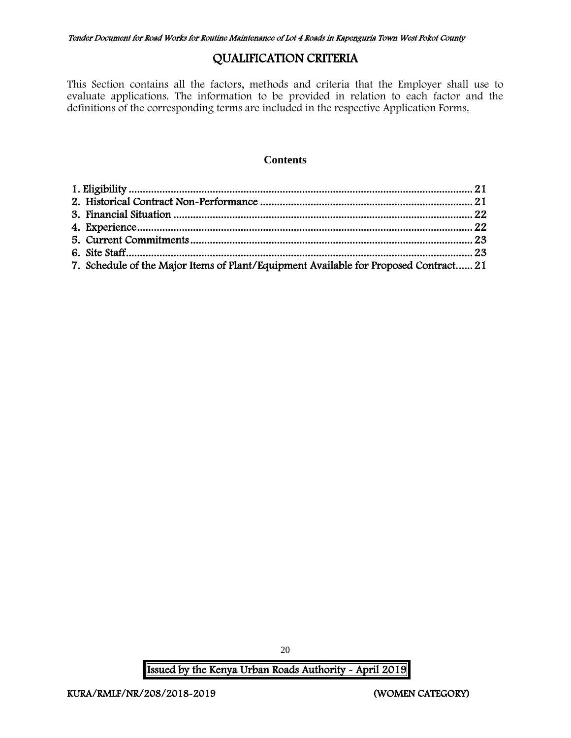# QUALIFICATION CRITERIA

This Section contains all the factors, methods and criteria that the Employer shall use to evaluate applications. The information to be provided in relation to each factor and the definitions of the corresponding terms are included in the respective Application Forms.

#### **Contents**

| 7. Schedule of the Major Items of Plant/Equipment Available for Proposed Contract 21 |  |
|--------------------------------------------------------------------------------------|--|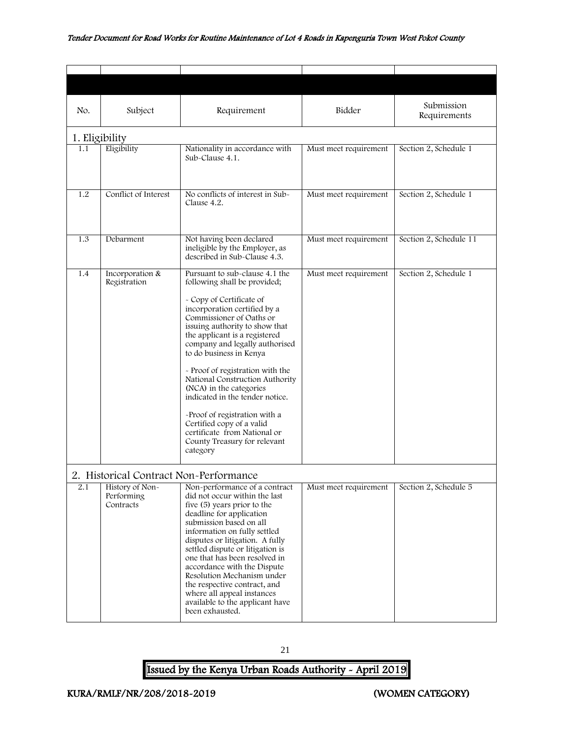<span id="page-21-2"></span><span id="page-21-1"></span><span id="page-21-0"></span>

| No. | Subject                                    | Requirement                                                                                                                                                                                                                                                                                                                                                                                                                                                                                                                                                           | Bidder                | Submission<br>Requirements |
|-----|--------------------------------------------|-----------------------------------------------------------------------------------------------------------------------------------------------------------------------------------------------------------------------------------------------------------------------------------------------------------------------------------------------------------------------------------------------------------------------------------------------------------------------------------------------------------------------------------------------------------------------|-----------------------|----------------------------|
|     | 1. Eligibility                             |                                                                                                                                                                                                                                                                                                                                                                                                                                                                                                                                                                       |                       |                            |
| 1.1 | Eligibility                                | Nationality in accordance with<br>Sub-Clause 4.1.                                                                                                                                                                                                                                                                                                                                                                                                                                                                                                                     | Must meet requirement | Section 2, Schedule 1      |
| 1.2 | Conflict of Interest                       | No conflicts of interest in Sub-<br>Clause 4.2.                                                                                                                                                                                                                                                                                                                                                                                                                                                                                                                       | Must meet requirement | Section 2, Schedule 1      |
| 1.3 | Debarment                                  | Not having been declared<br>ineligible by the Employer, as<br>described in Sub-Clause 4.3.                                                                                                                                                                                                                                                                                                                                                                                                                                                                            | Must meet requirement | Section 2, Schedule 11     |
| 1.4 | Incorporation &<br>Registration            | Pursuant to sub-clause 4.1 the<br>following shall be provided;<br>- Copy of Certificate of<br>incorporation certified by a<br>Commissioner of Oaths or<br>issuing authority to show that<br>the applicant is a registered<br>company and legally authorised<br>to do business in Kenya<br>- Proof of registration with the<br>National Construction Authority<br>(NCA) in the categories<br>indicated in the tender notice.<br>-Proof of registration with a<br>Certified copy of a valid<br>certificate from National or<br>County Treasury for relevant<br>category | Must meet requirement | Section 2, Schedule 1      |
|     | 2. Historical Contract Non-Performance     |                                                                                                                                                                                                                                                                                                                                                                                                                                                                                                                                                                       |                       |                            |
| 2.1 | History of Non-<br>Performing<br>Contracts | Non-performance of a contract<br>did not occur within the last<br>five (5) years prior to the<br>deadline for application<br>submission based on all<br>information on fully settled<br>disputes or litigation. A fully<br>settled dispute or litigation is<br>one that has been resolved in<br>accordance with the Dispute<br>Resolution Mechanism under<br>the respective contract, and<br>where all appeal instances<br>available to the applicant have<br>been exhausted.                                                                                         | Must meet requirement | Section 2, Schedule 5      |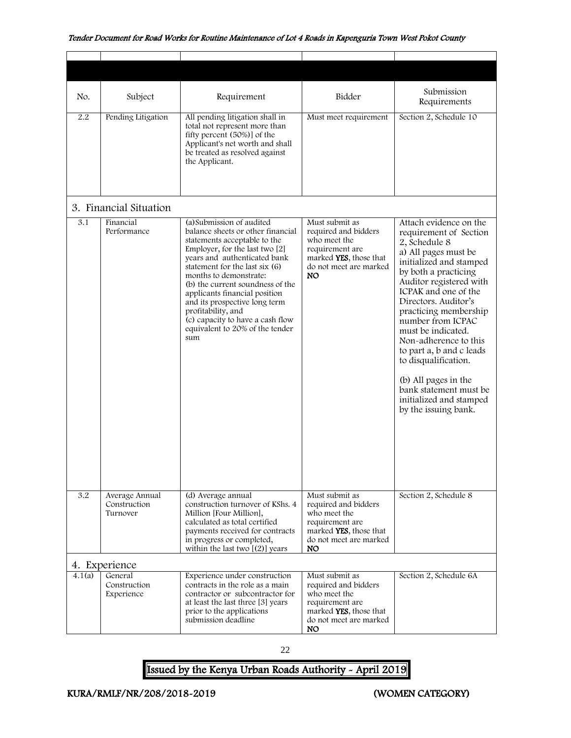<span id="page-22-0"></span>

| No.    | Subject                                    | Requirement                                                                                                                                                                                                                                                                                                                                                                                                                            | Bidder                                                                                                                               | Submission<br>Requirements                                                                                                                                                                                                                                                                                                                                                                                                                                                    |
|--------|--------------------------------------------|----------------------------------------------------------------------------------------------------------------------------------------------------------------------------------------------------------------------------------------------------------------------------------------------------------------------------------------------------------------------------------------------------------------------------------------|--------------------------------------------------------------------------------------------------------------------------------------|-------------------------------------------------------------------------------------------------------------------------------------------------------------------------------------------------------------------------------------------------------------------------------------------------------------------------------------------------------------------------------------------------------------------------------------------------------------------------------|
| 2.2    | Pending Litigation                         | All pending litigation shall in<br>total not represent more than<br>fifty percent (50%)] of the<br>Applicant's net worth and shall<br>be treated as resolved against<br>the Applicant.                                                                                                                                                                                                                                                 | Must meet requirement                                                                                                                | Section 2, Schedule 10                                                                                                                                                                                                                                                                                                                                                                                                                                                        |
|        | 3. Financial Situation                     |                                                                                                                                                                                                                                                                                                                                                                                                                                        |                                                                                                                                      |                                                                                                                                                                                                                                                                                                                                                                                                                                                                               |
| 3.1    | Financial<br>Performance                   | (a) Submission of audited<br>balance sheets or other financial<br>statements acceptable to the<br>Employer, for the last two [2]<br>years and authenticated bank<br>statement for the last six (6)<br>months to demonstrate:<br>(b) the current soundness of the<br>applicants financial position<br>and its prospective long term<br>profitability, and<br>(c) capacity to have a cash flow<br>equivalent to 20% of the tender<br>sum | Must submit as<br>required and bidders<br>who meet the<br>requirement are<br>marked YES, those that<br>do not meet are marked<br>NO. | Attach evidence on the<br>requirement of Section<br>2, Schedule 8<br>a) All pages must be<br>initialized and stamped<br>by both a practicing<br>Auditor registered with<br>ICPAK and one of the<br>Directors. Auditor's<br>practicing membership<br>number from ICPAC<br>must be indicated.<br>Non-adherence to this<br>to part a, b and c leads<br>to disqualification.<br>(b) All pages in the<br>bank statement must be<br>initialized and stamped<br>by the issuing bank. |
| 3.2    | Average Annual<br>Construction<br>Turnover | (d) Average annual<br>construction turnover of KShs. 4<br>Million [Four Million],<br>calculated as total certified<br>payments received for contracts<br>in progress or completed,<br>within the last two $[(2)]$ years                                                                                                                                                                                                                | Must submit as<br>required and bidders<br>who meet the<br>requirement are<br>marked YES, those that<br>do not meet are marked<br>NO. | Section 2, Schedule 8                                                                                                                                                                                                                                                                                                                                                                                                                                                         |
|        | 4. Experience                              |                                                                                                                                                                                                                                                                                                                                                                                                                                        |                                                                                                                                      |                                                                                                                                                                                                                                                                                                                                                                                                                                                                               |
| 4.1(a) | General<br>Construction<br>Experience      | Experience under construction<br>contracts in the role as a main<br>contractor or subcontractor for<br>at least the last three [3] years<br>prior to the applications<br>submission deadline                                                                                                                                                                                                                                           | Must submit as<br>required and bidders<br>who meet the<br>requirement are<br>marked YES, those that<br>do not meet are marked<br>NO. | Section 2, Schedule 6A                                                                                                                                                                                                                                                                                                                                                                                                                                                        |

<span id="page-22-1"></span>22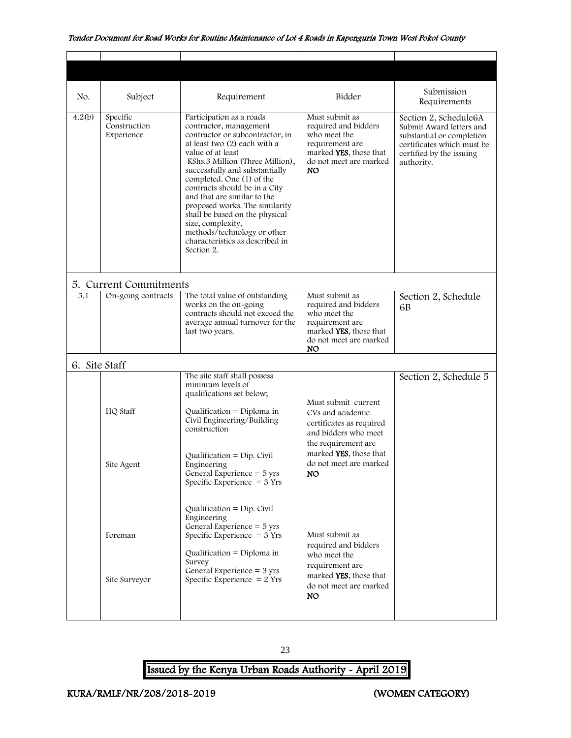<span id="page-23-1"></span><span id="page-23-0"></span>

| No.           | Subject                                | Requirement                                                                                                                                                                                                                                                                                                                                                                                                                                                                           | Bidder                                                                                                                                                                 | Submission<br>Requirements                                                                                                                             |
|---------------|----------------------------------------|---------------------------------------------------------------------------------------------------------------------------------------------------------------------------------------------------------------------------------------------------------------------------------------------------------------------------------------------------------------------------------------------------------------------------------------------------------------------------------------|------------------------------------------------------------------------------------------------------------------------------------------------------------------------|--------------------------------------------------------------------------------------------------------------------------------------------------------|
| 4.2(b)        | Specific<br>Construction<br>Experience | Participation as a roads<br>contractor, management<br>contractor or subcontractor, in<br>at least two (2) each with a<br>value of at least<br>KShs.3 Million (Three Million),<br>successfully and substantially<br>completed. One (1) of the<br>contracts should be in a City<br>and that are similar to the<br>proposed works. The similarity<br>shall be based on the physical<br>size, complexity,<br>methods/technology or other<br>characteristics as described in<br>Section 2. | Must submit as<br>required and bidders<br>who meet the<br>requirement are<br>marked YES, those that<br>do not meet are marked<br>NO.                                   | Section 2, Schedule6A<br>Submit Award letters and<br>substantial or completion<br>certificates which must be<br>certified by the issuing<br>authority. |
|               | 5. Current Commitments                 |                                                                                                                                                                                                                                                                                                                                                                                                                                                                                       |                                                                                                                                                                        |                                                                                                                                                        |
| 5.1           | On-going contracts                     | The total value of outstanding<br>works on the on-going<br>contracts should not exceed the<br>average annual turnover for the<br>last two years.                                                                                                                                                                                                                                                                                                                                      | Must submit as<br>required and bidders<br>who meet the<br>requirement are<br>marked YES, those that<br>do not meet are marked<br>NO.                                   | Section 2, Schedule<br>6B                                                                                                                              |
| 6. Site Staff |                                        |                                                                                                                                                                                                                                                                                                                                                                                                                                                                                       |                                                                                                                                                                        |                                                                                                                                                        |
|               | HQ Staff<br>Site Agent                 | The site staff shall possess<br>minimum levels of<br>qualifications set below;<br>Qualification = Diploma in<br>Civil Engineering/Building<br>construction<br>Qualification $=$ Dip. Civil<br>Engineering                                                                                                                                                                                                                                                                             | Must submit current<br>CVs and academic<br>certificates as required<br>and bidders who meet<br>the requirement are<br>marked YES, those that<br>do not meet are marked | Section 2, Schedule 5                                                                                                                                  |
|               |                                        | General Experience $=$ 5 yrs<br>Specific Experience $=$ 3 Yrs<br>Qualification = $Dip$ . Civil<br>Engineering<br>General Experience $=$ 5 yrs                                                                                                                                                                                                                                                                                                                                         | NO.                                                                                                                                                                    |                                                                                                                                                        |
|               | Foreman                                | Specific Experience $= 3$ Yrs<br>Qualification = Diploma in<br>Survey<br>General Experience $=$ 3 yrs                                                                                                                                                                                                                                                                                                                                                                                 | Must submit as<br>required and bidders<br>who meet the<br>requirement are<br>marked YES, those that                                                                    |                                                                                                                                                        |
|               | Site Surveyor                          | Specific Experience $= 2$ Yrs                                                                                                                                                                                                                                                                                                                                                                                                                                                         | do not meet are marked<br>NO.                                                                                                                                          |                                                                                                                                                        |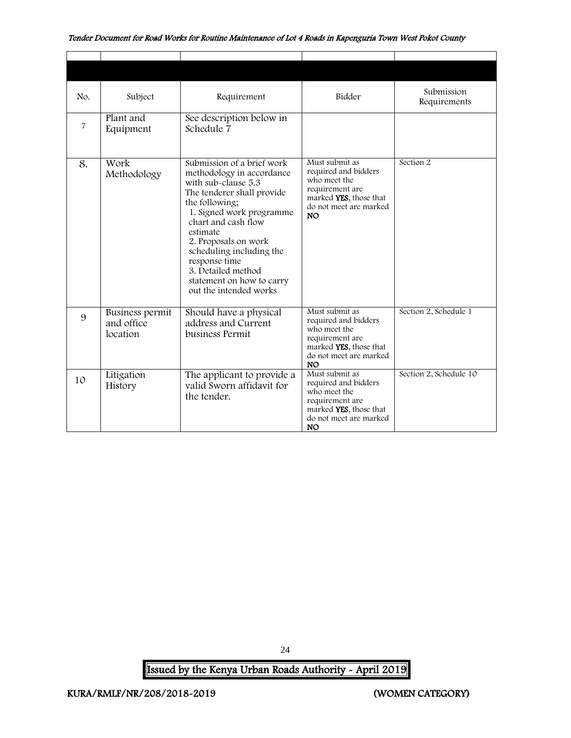| No.            | Subject                                   | Requirement                                                                                                                                                                                                                                                                                                                                     | Bidder                                                                                                                                     | Submission<br>Requirements |
|----------------|-------------------------------------------|-------------------------------------------------------------------------------------------------------------------------------------------------------------------------------------------------------------------------------------------------------------------------------------------------------------------------------------------------|--------------------------------------------------------------------------------------------------------------------------------------------|----------------------------|
| $\overline{7}$ | Plant and<br>Equipment                    | See description below in<br>Schedule 7                                                                                                                                                                                                                                                                                                          |                                                                                                                                            |                            |
| 8.             | Work<br>Methodology                       | Submission of a brief work<br>methodology in accordance<br>with sub-clause 5.3<br>The tenderer shall provide<br>the following;<br>1. Signed work programme<br>chart and cash flow<br>estimate<br>2. Proposals on work<br>scheduling including the<br>response time<br>3. Detailed method<br>statement on how to carry<br>out the intended works | Must submit as<br>required and bidders<br>who meet the<br>requirement are<br>marked YES, those that<br>do not meet are marked<br><b>NO</b> | Section 2                  |
| 9              | Business permit<br>and office<br>location | Should have a physical<br>address and Current<br>business Permit                                                                                                                                                                                                                                                                                | Must submit as<br>required and bidders<br>who meet the<br>requirement are<br>marked YES, those that<br>do not meet are marked<br>NO.       | Section 2, Schedule 1      |
| 10             | Litigation<br>History                     | The applicant to provide a<br>valid Sworn affidavit for<br>the tender.                                                                                                                                                                                                                                                                          | Must submit as<br>required and bidders<br>who meet the<br>requirement are<br>marked YES, those that<br>do not meet are marked<br><b>NO</b> | Section 2, Schedule 10     |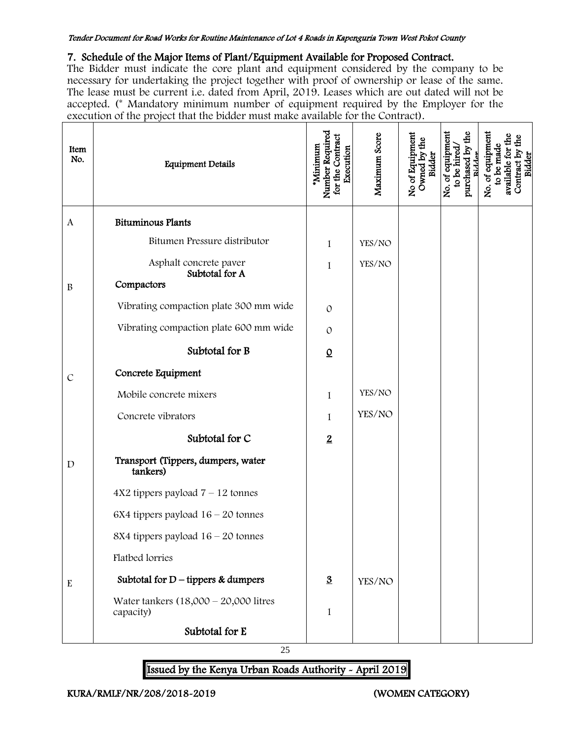#### 7. Schedule of the Major Items of Plant/Equipment Available for Proposed Contract.

The Bidder must indicate the core plant and equipment considered by the company to be necessary for undertaking the project together with proof of ownership or lease of the same. The lease must be current i.e. dated from April, 2019. Leases which are out dated will not be accepted. (\* Mandatory minimum number of equipment required by the Employer for the execution of the project that the bidder must make available for the Contract).

| Item<br>No.      | <b>Equipment Details</b>                              | Number Required<br>for the Contract<br>*Minimum<br>Execution | Maximum Score | No of Equipment<br>Owned by the<br>Bidder | No. of equipment<br>purchased by the<br>to be hired<br>Ridde | No. of equipment<br>to be made<br>available for<br>Contract by the Bidder |
|------------------|-------------------------------------------------------|--------------------------------------------------------------|---------------|-------------------------------------------|--------------------------------------------------------------|---------------------------------------------------------------------------|
| $\boldsymbol{A}$ | <b>Bituminous Plants</b>                              |                                                              |               |                                           |                                                              |                                                                           |
|                  | Bitumen Pressure distributor                          | 1                                                            | YES/NO        |                                           |                                                              |                                                                           |
|                  | Asphalt concrete paver<br>Subtotal for A              | 1                                                            | YES/NO        |                                           |                                                              |                                                                           |
| $\, {\bf B}$     | Compactors                                            |                                                              |               |                                           |                                                              |                                                                           |
|                  | Vibrating compaction plate 300 mm wide                | $\mathcal{O}$                                                |               |                                           |                                                              |                                                                           |
|                  | Vibrating compaction plate 600 mm wide                | $\mathcal{O}$                                                |               |                                           |                                                              |                                                                           |
|                  | Subtotal for B                                        | $\Omega$                                                     |               |                                           |                                                              |                                                                           |
| $\mathcal{C}$    | Concrete Equipment                                    |                                                              |               |                                           |                                                              |                                                                           |
|                  | Mobile concrete mixers                                | 1                                                            | YES/NO        |                                           |                                                              |                                                                           |
|                  | Concrete vibrators                                    | 1                                                            | YES/NO        |                                           |                                                              |                                                                           |
|                  | Subtotal for C                                        | $\overline{2}$                                               |               |                                           |                                                              |                                                                           |
| $\mathbf D$      | Transport (Tippers, dumpers, water<br>tankers)        |                                                              |               |                                           |                                                              |                                                                           |
|                  | $4X2$ tippers payload $7 - 12$ tonnes                 |                                                              |               |                                           |                                                              |                                                                           |
|                  | $6X4$ tippers payload $16 - 20$ tonnes                |                                                              |               |                                           |                                                              |                                                                           |
|                  | 8X4 tippers payload $16 - 20$ tonnes                  |                                                              |               |                                           |                                                              |                                                                           |
|                  | <b>Flatbed</b> lorries                                |                                                              |               |                                           |                                                              |                                                                           |
| ${\bf E}$        | Subtotal for $D$ – tippers & dumpers                  | $\underline{3}$                                              | YES/NO        |                                           |                                                              |                                                                           |
|                  | Water tankers $(18,000 - 20,000)$ litres<br>capacity) | 1                                                            |               |                                           |                                                              |                                                                           |
|                  | Subtotal for E                                        |                                                              |               |                                           |                                                              |                                                                           |

25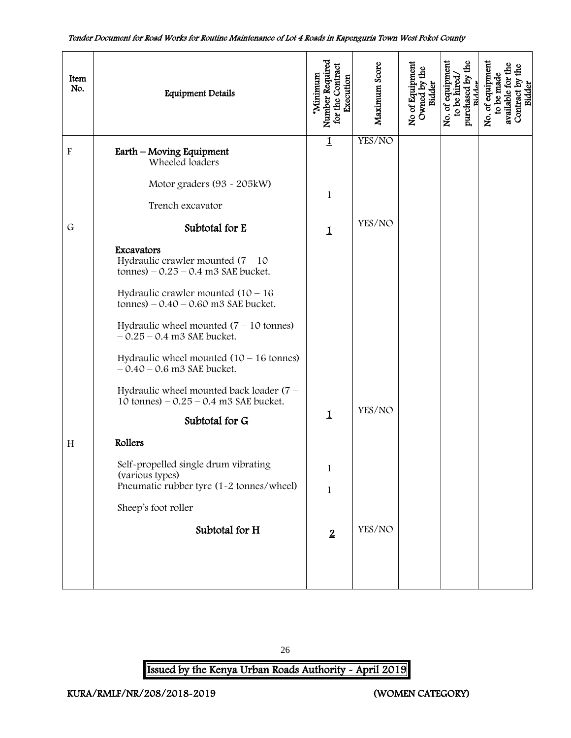| Item<br>No.               | <b>Equipment Details</b>                                                                                                                                                                                                                                                                                                                                                                                                                                           | Number Required<br>for the Contract<br>*Minimum<br>Execution | Maximum Score    | No of Equipment<br>Owned by the<br>Bidder | No. of equipment<br>purchased by the<br>to be hired<br>Ridder | No. of equipment<br>Contract by the<br>available for th<br>to be made<br>Bidder |
|---------------------------|--------------------------------------------------------------------------------------------------------------------------------------------------------------------------------------------------------------------------------------------------------------------------------------------------------------------------------------------------------------------------------------------------------------------------------------------------------------------|--------------------------------------------------------------|------------------|-------------------------------------------|---------------------------------------------------------------|---------------------------------------------------------------------------------|
| $\boldsymbol{\mathrm{F}}$ | Earth – Moving Equipment<br>Wheeled loaders<br>Motor graders (93 - 205kW)<br>Trench excavator                                                                                                                                                                                                                                                                                                                                                                      | $\mathbf{1}$<br>1                                            | YES/NO           |                                           |                                                               |                                                                                 |
| $\mathsf G$               | Subtotal for E<br>Excavators<br>Hydraulic crawler mounted $(7 - 10)$<br>tonnes) $-0.25 - 0.4$ m3 SAE bucket.<br>Hydraulic crawler mounted $(10 - 16)$<br>tonnes) $-0.40 - 0.60$ m3 SAE bucket.<br>Hydraulic wheel mounted $(7 - 10$ tonnes)<br>$-0.25 - 0.4$ m3 SAE bucket.<br>Hydraulic wheel mounted $(10 - 16$ tonnes)<br>$-0.40 - 0.6$ m3 SAE bucket.<br>Hydraulic wheel mounted back loader (7 -<br>10 tonnes) $-0.25 - 0.4$ m3 SAE bucket.<br>Subtotal for G | $\mathbf 1$<br>$\mathbf 1$                                   | YES/NO<br>YES/NO |                                           |                                                               |                                                                                 |
| H                         | Rollers<br>Self-propelled single drum vibrating<br>(various types)<br>Pneumatic rubber tyre (1-2 tonnes/wheel)<br>Sheep's foot roller<br>Subtotal for H                                                                                                                                                                                                                                                                                                            | $\mathbf{I}$<br>$\mathbf{1}$<br>$\overline{2}$               | YES/NO           |                                           |                                                               |                                                                                 |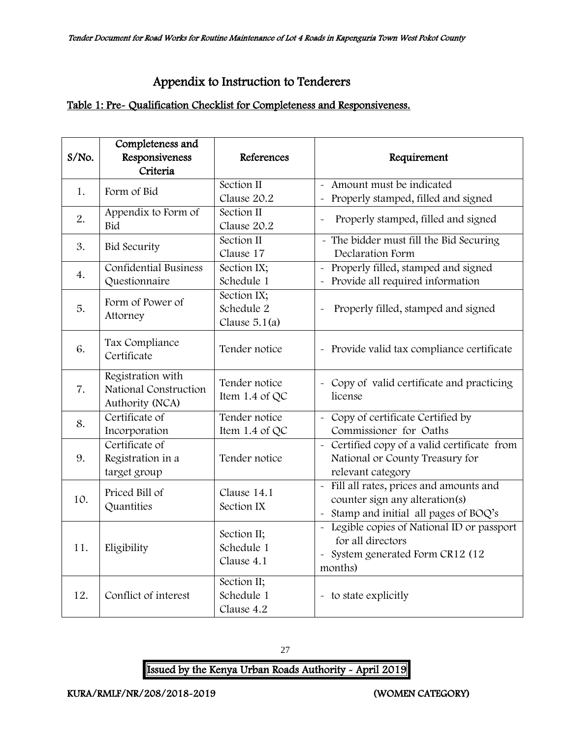# Appendix to Instruction to Tenderers

#### <span id="page-27-0"></span>Table 1: Pre- Qualification Checklist for Completeness and Responsiveness.

| S/No. | Completeness and<br>Responsiveness<br>Criteria                | References                                   | Requirement                                                                                                                |
|-------|---------------------------------------------------------------|----------------------------------------------|----------------------------------------------------------------------------------------------------------------------------|
| 1.    | Form of Bid                                                   | Section II<br>Clause 20.2                    | - Amount must be indicated<br>Properly stamped, filled and signed                                                          |
| 2.    | Appendix to Form of<br>Bid                                    | Section II<br>Clause 20.2                    | Properly stamped, filled and signed<br>$\tilde{\phantom{a}}$                                                               |
| 3.    | <b>Bid Security</b>                                           | Section II<br>Clause 17                      | - The bidder must fill the Bid Securing<br>Declaration Form                                                                |
| 4.    | <b>Confidential Business</b><br>Questionnaire                 | Section IX;<br>Schedule 1                    | - Properly filled, stamped and signed<br>Provide all required information                                                  |
| 5.    | Form of Power of<br>Attorney                                  | Section IX;<br>Schedule 2<br>Clause $5.1(a)$ | Properly filled, stamped and signed                                                                                        |
| 6.    | Tax Compliance<br>Certificate                                 | Tender notice                                | - Provide valid tax compliance certificate                                                                                 |
| 7.    | Registration with<br>National Construction<br>Authority (NCA) | Tender notice<br>Item 1.4 of QC              | - Copy of valid certificate and practicing<br>license                                                                      |
| 8.    | Certificate of<br>Incorporation                               | Tender notice<br>Item 1.4 of QC              | - Copy of certificate Certified by<br>Commissioner for Oaths                                                               |
| 9.    | Certificate of<br>Registration in a<br>target group           | Tender notice                                | - Certified copy of a valid certificate from<br>National or County Treasury for<br>relevant category                       |
| 10.   | Priced Bill of<br>Quantities                                  | Clause 14.1<br>Section IX                    | Fill all rates, prices and amounts and<br>$\sim$<br>counter sign any alteration(s)<br>Stamp and initial all pages of BOQ's |
| 11.   | Eligibility                                                   | Section II;<br>Schedule 1<br>Clause 4.1      | - Legible copies of National ID or passport<br>for all directors<br>- System generated Form CR12 (12<br>months)            |
| 12.   | Conflict of interest                                          | Section II;<br>Schedule 1<br>Clause 4.2      | - to state explicitly                                                                                                      |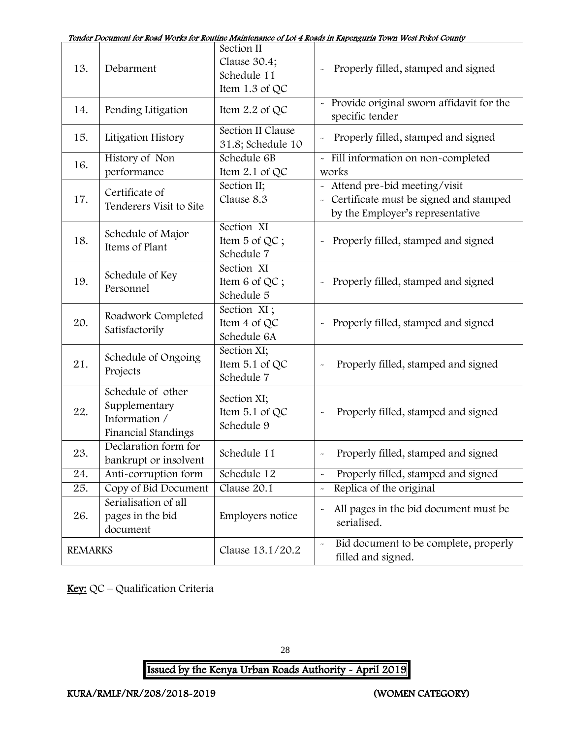| Tender Document for Road Works for Routine Maintenance of Lot 4 Roads in Kapenguria Town West Pokot County |
|------------------------------------------------------------------------------------------------------------|
|------------------------------------------------------------------------------------------------------------|

|                | Doomnan ici nami waxa ici nc                                               |                                                             | anchance of the 4 hours in happing and form work count                                                         |
|----------------|----------------------------------------------------------------------------|-------------------------------------------------------------|----------------------------------------------------------------------------------------------------------------|
| 13.            | Debarment                                                                  | Section II<br>Clause 30.4;<br>Schedule 11<br>Item 1.3 of QC | Properly filled, stamped and signed                                                                            |
| 14.            | Pending Litigation                                                         | Item $2.2$ of QC                                            | - Provide original sworn affidavit for the<br>specific tender                                                  |
| 15.            | Litigation History                                                         | Section II Clause<br>31.8; Schedule 10                      | Properly filled, stamped and signed                                                                            |
| 16.            | History of Non<br>performance                                              | Schedule 6B<br>Item 2.1 of QC                               | - Fill information on non-completed<br>works                                                                   |
| 17.            | Certificate of<br>Tenderers Visit to Site                                  | Section II;<br>Clause 8.3                                   | - Attend pre-bid meeting/visit<br>- Certificate must be signed and stamped<br>by the Employer's representative |
| 18.            | Schedule of Major<br>Items of Plant                                        | Section XI<br>Item 5 of QC;<br>Schedule 7                   | Properly filled, stamped and signed                                                                            |
| 19.            | Schedule of Key<br>Personnel                                               | Section XI<br>Item 6 of QC;<br>Schedule 5                   | Properly filled, stamped and signed                                                                            |
| 20.            | Roadwork Completed<br>Satisfactorily                                       | Section XI;<br>Item 4 of QC<br>Schedule 6A                  | Properly filled, stamped and signed                                                                            |
| 21.            | Schedule of Ongoing<br>Projects                                            | Section XI;<br>Item 5.1 of QC<br>Schedule 7                 | Properly filled, stamped and signed                                                                            |
| 22.            | Schedule of other<br>Supplementary<br>Information /<br>Financial Standings | Section XI;<br>Item 5.1 of QC<br>Schedule 9                 | Properly filled, stamped and signed                                                                            |
| 23.            | Declaration form for<br>bankrupt or insolvent                              | Schedule 11                                                 | Properly filled, stamped and signed                                                                            |
| 24.            | Anti-corruption form                                                       | Schedule 12                                                 | Properly filled, stamped and signed<br>$\tilde{}$                                                              |
| 25.            | Copy of Bid Document                                                       | Clause 20.1                                                 | Replica of the original<br>$\tilde{}$                                                                          |
| 26.            | Serialisation of all<br>pages in the bid<br>document                       | Employers notice                                            | All pages in the bid document must be<br>$\tilde{}$<br>serialised.                                             |
| <b>REMARKS</b> |                                                                            | Clause 13.1/20.2                                            | Bid document to be complete, properly<br>$\tilde{}$<br>filled and signed.                                      |

Key: QC – Qualification Criteria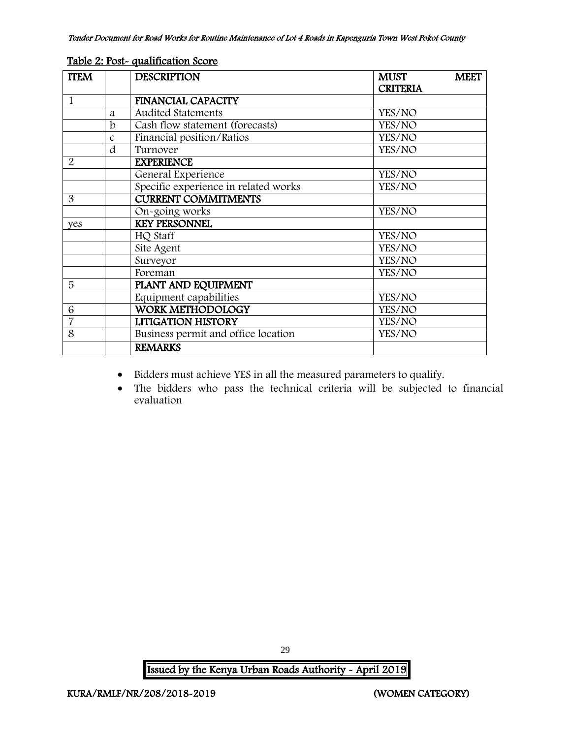| <b>ITEM</b>    |               | <b>DESCRIPTION</b>                   | <b>MUST</b><br><b>CRITERIA</b> | <b>MEET</b> |
|----------------|---------------|--------------------------------------|--------------------------------|-------------|
| $\mathbf{1}$   |               | <b>FINANCIAL CAPACITY</b>            |                                |             |
|                | a             | <b>Audited Statements</b>            | YES/NO                         |             |
|                | b             | Cash flow statement (forecasts)      | YES/NO                         |             |
|                | $\mathcal{C}$ | Financial position/Ratios            | YES/NO                         |             |
|                | d             | Turnover                             | YES/NO                         |             |
| $\overline{2}$ |               | <b>EXPERIENCE</b>                    |                                |             |
|                |               | General Experience                   | YES/NO                         |             |
|                |               | Specific experience in related works | YES/NO                         |             |
| 3              |               | <b>CURRENT COMMITMENTS</b>           |                                |             |
|                |               | On-going works                       | YES/NO                         |             |
| yes            |               | <b>KEY PERSONNEL</b>                 |                                |             |
|                |               | HQ Staff                             | YES/NO                         |             |
|                |               | Site Agent                           | YES/NO                         |             |
|                |               | Surveyor                             | YES/NO                         |             |
|                |               | Foreman                              | YES/NO                         |             |
| 5              |               | PLANT AND EQUIPMENT                  |                                |             |
|                |               | Equipment capabilities               | YES/NO                         |             |
| 6              |               | WORK METHODOLOGY                     | YES/NO                         |             |
| $\overline{7}$ |               | <b>LITIGATION HISTORY</b>            | YES/NO                         |             |
| 8              |               | Business permit and office location  | YES/NO                         |             |
|                |               | <b>REMARKS</b>                       |                                |             |

#### Table 2: Post- qualification Score

- Bidders must achieve YES in all the measured parameters to qualify.
- The bidders who pass the technical criteria will be subjected to financial evaluation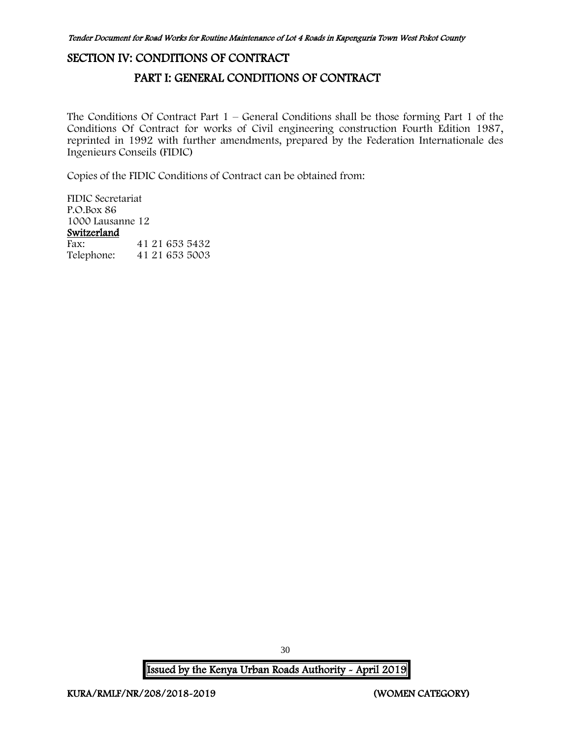# <span id="page-30-1"></span><span id="page-30-0"></span>SECTION IV: CONDITIONS OF CONTRACT

## PART I: GENERAL CONDITIONS OF CONTRACT

The Conditions Of Contract Part  $1$  – General Conditions shall be those forming Part 1 of the Conditions Of Contract for works of Civil engineering construction Fourth Edition 1987, reprinted in 1992 with further amendments, prepared by the Federation Internationale des Ingenieurs Conseils (FIDIC)

Copies of the FIDIC Conditions of Contract can be obtained from:

FIDIC Secretariat P.O.Box 86 1000 Lausanne 12 Switzerland Fax: 41 21 653 5432 Telephone: 41 21 653 5003

30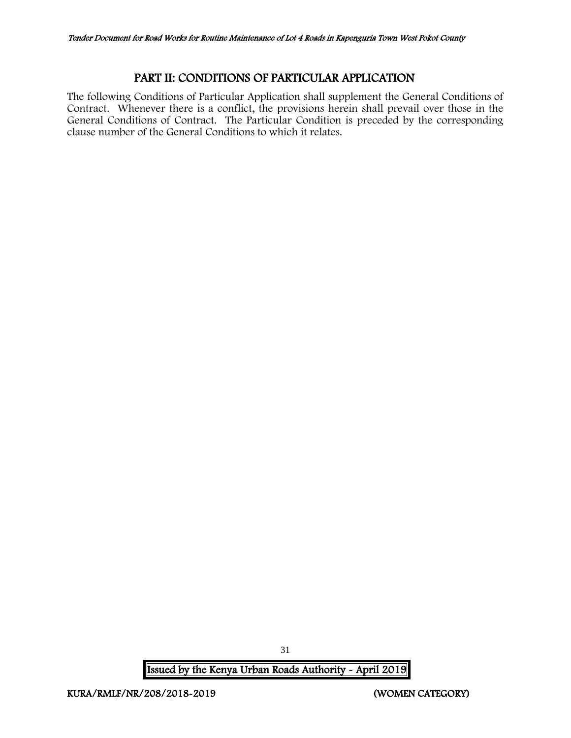## PART II: CONDITIONS OF PARTICULAR APPLICATION

<span id="page-31-0"></span>The following Conditions of Particular Application shall supplement the General Conditions of Contract. Whenever there is a conflict, the provisions herein shall prevail over those in the General Conditions of Contract. The Particular Condition is preceded by the corresponding clause number of the General Conditions to which it relates.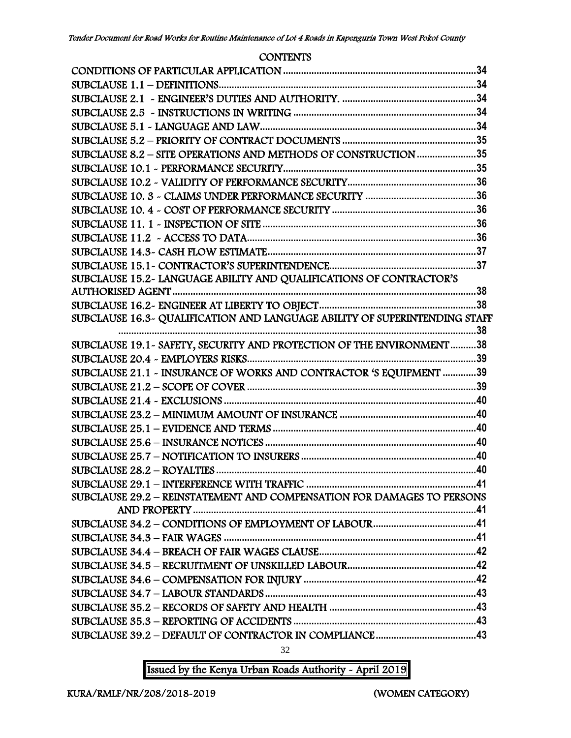#### **CONTENTS**

| SUBCLAUSE 8.2 - SITE OPERATIONS AND METHODS OF CONSTRUCTION 35         |     |
|------------------------------------------------------------------------|-----|
|                                                                        |     |
|                                                                        |     |
|                                                                        |     |
|                                                                        |     |
|                                                                        |     |
|                                                                        |     |
|                                                                        |     |
|                                                                        |     |
| SUBCLAUSE 15.2- LANGUAGE ABILITY AND QUALIFICATIONS OF CONTRACTOR'S    |     |
|                                                                        |     |
|                                                                        |     |
|                                                                        |     |
| SUBCLAUSE 19.1 - SAFETY, SECURITY AND PROTECTION OF THE ENVIRONMENT38  | .38 |
|                                                                        |     |
| SUBCLAUSE 21.1 - INSURANCE OF WORKS AND CONTRACTOR 'S EQUIPMENT 39     |     |
|                                                                        |     |
|                                                                        |     |
|                                                                        |     |
|                                                                        |     |
|                                                                        |     |
|                                                                        |     |
|                                                                        |     |
|                                                                        |     |
| SUBCLAUSE 29.2 - REINSTATEMENT AND COMPENSATION FOR DAMAGES TO PERSONS |     |
|                                                                        |     |
|                                                                        |     |
|                                                                        |     |
|                                                                        |     |
|                                                                        |     |
|                                                                        |     |
|                                                                        |     |
|                                                                        |     |
|                                                                        |     |
|                                                                        |     |
|                                                                        |     |

32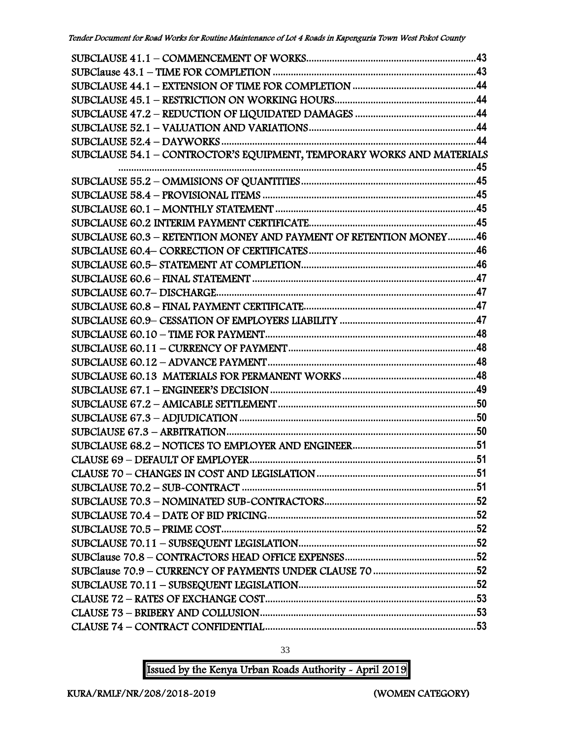| SUBCLAUSE 54.1 - CONTROCTOR'S EQUIPMENT, TEMPORARY WORKS AND MATERIALS |  |
|------------------------------------------------------------------------|--|
|                                                                        |  |
|                                                                        |  |
|                                                                        |  |
|                                                                        |  |
|                                                                        |  |
| SUBCLAUSE 60.3 - RETENTION MONEY AND PAYMENT OF RETENTION MONEY46      |  |
|                                                                        |  |
|                                                                        |  |
|                                                                        |  |
|                                                                        |  |
|                                                                        |  |
|                                                                        |  |
|                                                                        |  |
|                                                                        |  |
|                                                                        |  |
|                                                                        |  |
|                                                                        |  |
|                                                                        |  |
|                                                                        |  |
|                                                                        |  |
|                                                                        |  |
|                                                                        |  |
|                                                                        |  |
|                                                                        |  |
|                                                                        |  |
|                                                                        |  |
|                                                                        |  |
|                                                                        |  |
|                                                                        |  |
|                                                                        |  |
|                                                                        |  |
|                                                                        |  |
|                                                                        |  |
|                                                                        |  |

33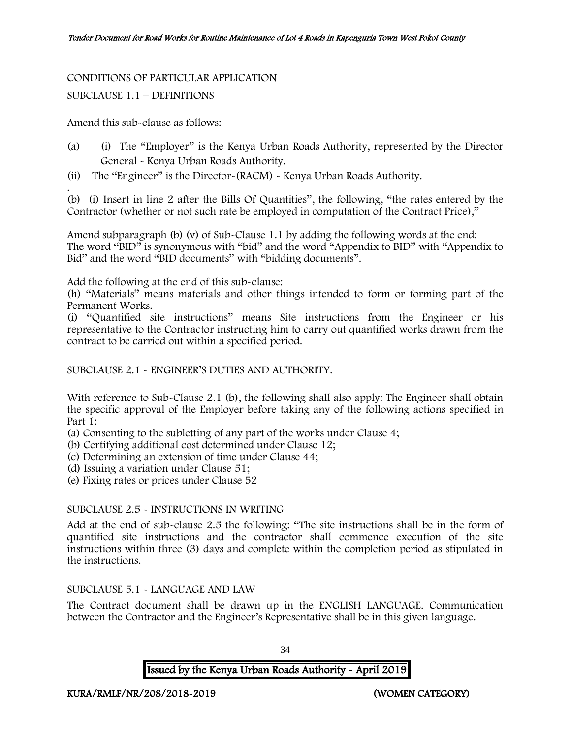#### CONDITIONS OF PARTICULAR APPLICATION

#### SUBCLAUSE 1.1 – DEFINITIONS

Amend this sub-clause as follows:

- (a) (i) The "Employer" is the Kenya Urban Roads Authority, represented by the Director General - Kenya Urban Roads Authority.
- (ii) The "Engineer" is the Director-(RACM) Kenya Urban Roads Authority.

. (b) (i) Insert in line 2 after the Bills Of Quantities", the following, "the rates entered by the Contractor (whether or not such rate be employed in computation of the Contract Price),"

Amend subparagraph (b) (v) of Sub-Clause 1.1 by adding the following words at the end: The word "BID" is synonymous with "bid" and the word "Appendix to BID" with "Appendix to Bid" and the word "BID documents" with "bidding documents".

Add the following at the end of this sub-clause:

(h) "Materials" means materials and other things intended to form or forming part of the Permanent Works.

(i) "Quantified site instructions" means Site instructions from the Engineer or his representative to the Contractor instructing him to carry out quantified works drawn from the contract to be carried out within a specified period.

#### SUBCLAUSE 2.1 - ENGINEER'S DUTIES AND AUTHORITY.

With reference to Sub-Clause 2.1 (b), the following shall also apply: The Engineer shall obtain the specific approval of the Employer before taking any of the following actions specified in Part 1:

(a) Consenting to the subletting of any part of the works under Clause 4;

(b) Certifying additional cost determined under Clause 12;

(c) Determining an extension of time under Clause 44;

(d) Issuing a variation under Clause 51;

(e) Fixing rates or prices under Clause 52

#### SUBCLAUSE 2.5 - INSTRUCTIONS IN WRITING

Add at the end of sub-clause 2.5 the following: "The site instructions shall be in the form of quantified site instructions and the contractor shall commence execution of the site instructions within three (3) days and complete within the completion period as stipulated in the instructions.

#### SUBCLAUSE 5.1 - LANGUAGE AND LAW

The Contract document shall be drawn up in the ENGLISH LANGUAGE. Communication between the Contractor and the Engineer's Representative shall be in this given language.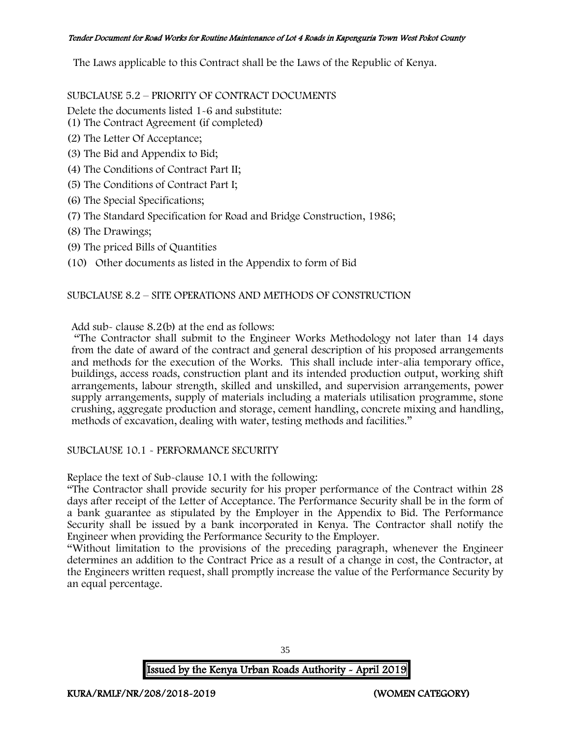The Laws applicable to this Contract shall be the Laws of the Republic of Kenya.

SUBCLAUSE 5.2 – PRIORITY OF CONTRACT DOCUMENTS

Delete the documents listed 1-6 and substitute:

- (1) The Contract Agreement (if completed)
- (2) The Letter Of Acceptance;
- (3) The Bid and Appendix to Bid;
- (4) The Conditions of Contract Part II;
- (5) The Conditions of Contract Part I;
- (6) The Special Specifications;
- (7) The Standard Specification for Road and Bridge Construction, 1986;
- (8) The Drawings;
- (9) The priced Bills of Quantities
- (10) Other documents as listed in the Appendix to form of Bid

#### SUBCLAUSE 8.2 – SITE OPERATIONS AND METHODS OF CONSTRUCTION

Add sub- clause 8.2(b) at the end as follows:

"The Contractor shall submit to the Engineer Works Methodology not later than 14 days from the date of award of the contract and general description of his proposed arrangements and methods for the execution of the Works. This shall include inter-alia temporary office, buildings, access roads, construction plant and its intended production output, working shift arrangements, labour strength, skilled and unskilled, and supervision arrangements, power supply arrangements, supply of materials including a materials utilisation programme, stone crushing, aggregate production and storage, cement handling, concrete mixing and handling, methods of excavation, dealing with water, testing methods and facilities."

#### SUBCLAUSE 10.1 - PERFORMANCE SECURITY

Replace the text of Sub-clause 10.1 with the following:

"The Contractor shall provide security for his proper performance of the Contract within 28 days after receipt of the Letter of Acceptance. The Performance Security shall be in the form of a bank guarantee as stipulated by the Employer in the Appendix to Bid. The Performance Security shall be issued by a bank incorporated in Kenya. The Contractor shall notify the Engineer when providing the Performance Security to the Employer.

"Without limitation to the provisions of the preceding paragraph, whenever the Engineer determines an addition to the Contract Price as a result of a change in cost, the Contractor, at the Engineers written request, shall promptly increase the value of the Performance Security by an equal percentage.

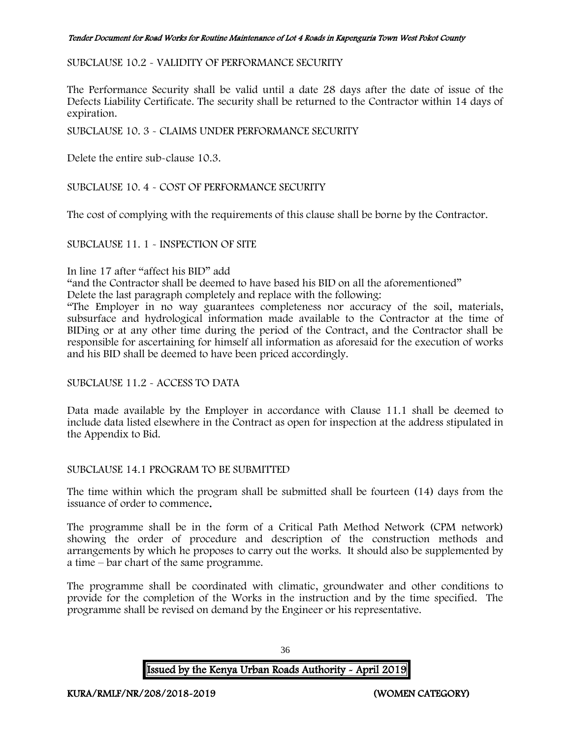## SUBCLAUSE 10.2 - VALIDITY OF PERFORMANCE SECURITY

The Performance Security shall be valid until a date 28 days after the date of issue of the Defects Liability Certificate. The security shall be returned to the Contractor within 14 days of expiration.

SUBCLAUSE 10. 3 - CLAIMS UNDER PERFORMANCE SECURITY

Delete the entire sub-clause 10.3.

SUBCLAUSE 10. 4 - COST OF PERFORMANCE SECURITY

The cost of complying with the requirements of this clause shall be borne by the Contractor.

### SUBCLAUSE 11. 1 - INSPECTION OF SITE

### In line 17 after "affect his BID" add

"and the Contractor shall be deemed to have based his BID on all the aforementioned"

Delete the last paragraph completely and replace with the following:

"The Employer in no way guarantees completeness nor accuracy of the soil, materials, subsurface and hydrological information made available to the Contractor at the time of BIDing or at any other time during the period of the Contract, and the Contractor shall be responsible for ascertaining for himself all information as aforesaid for the execution of works and his BID shall be deemed to have been priced accordingly.

### SUBCLAUSE 11.2 - ACCESS TO DATA

Data made available by the Employer in accordance with Clause 11.1 shall be deemed to include data listed elsewhere in the Contract as open for inspection at the address stipulated in the Appendix to Bid.

### SUBCLAUSE 14.1 PROGRAM TO BE SUBMITTED

The time within which the program shall be submitted shall be fourteen (14) days from the issuance of order to commence.

The programme shall be in the form of a Critical Path Method Network (CPM network) showing the order of procedure and description of the construction methods and arrangements by which he proposes to carry out the works. It should also be supplemented by a time – bar chart of the same programme.

The programme shall be coordinated with climatic, groundwater and other conditions to provide for the completion of the Works in the instruction and by the time specified. The programme shall be revised on demand by the Engineer or his representative.

Issued by the Kenya Urban Roads Authority - April 2019

36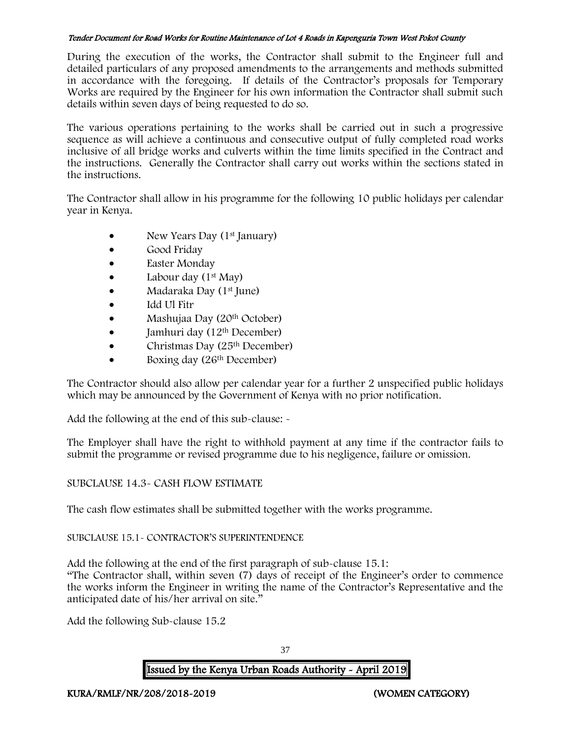During the execution of the works, the Contractor shall submit to the Engineer full and detailed particulars of any proposed amendments to the arrangements and methods submitted in accordance with the foregoing. If details of the Contractor's proposals for Temporary Works are required by the Engineer for his own information the Contractor shall submit such details within seven days of being requested to do so.

The various operations pertaining to the works shall be carried out in such a progressive sequence as will achieve a continuous and consecutive output of fully completed road works inclusive of all bridge works and culverts within the time limits specified in the Contract and the instructions. Generally the Contractor shall carry out works within the sections stated in the instructions.

The Contractor shall allow in his programme for the following 10 public holidays per calendar year in Kenya.

- New Years Day (1<sup>st</sup> January)
- Good Friday
- Easter Monday
- Labour day  $(1^{st}$  May)
- Madaraka Day (1<sup>st</sup> June)
- Idd Ul Fitr
- Mashujaa Day (20<sup>th</sup> October)
- $\bullet$  Jamhuri day (12<sup>th</sup> December)
- Christmas Day  $(25<sup>th</sup> December)$
- Boxing day (26<sup>th</sup> December)

The Contractor should also allow per calendar year for a further 2 unspecified public holidays which may be announced by the Government of Kenya with no prior notification.

Add the following at the end of this sub-clause: -

The Employer shall have the right to withhold payment at any time if the contractor fails to submit the programme or revised programme due to his negligence, failure or omission.

# SUBCLAUSE 14.3- CASH FLOW ESTIMATE

The cash flow estimates shall be submitted together with the works programme.

# SUBCLAUSE 15.1- CONTRACTOR'S SUPERINTENDENCE

Add the following at the end of the first paragraph of sub-clause 15.1: "The Contractor shall, within seven (7) days of receipt of the Engineer's order to commence the works inform the Engineer in writing the name of the Contractor's Representative and the anticipated date of his/her arrival on site."

Add the following Sub-clause 15.2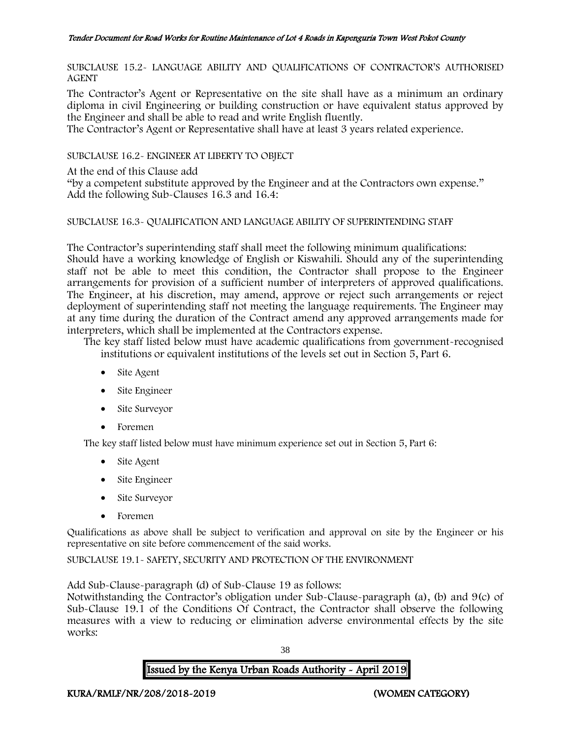SUBCLAUSE 15.2- LANGUAGE ABILITY AND QUALIFICATIONS OF CONTRACTOR'S AUTHORISED AGENT

The Contractor's Agent or Representative on the site shall have as a minimum an ordinary diploma in civil Engineering or building construction or have equivalent status approved by the Engineer and shall be able to read and write English fluently.

The Contractor's Agent or Representative shall have at least 3 years related experience.

SUBCLAUSE 16.2- ENGINEER AT LIBERTY TO OBJECT

At the end of this Clause add

"by a competent substitute approved by the Engineer and at the Contractors own expense." Add the following Sub-Clauses 16.3 and 16.4:

## SUBCLAUSE 16.3- QUALIFICATION AND LANGUAGE ABILITY OF SUPERINTENDING STAFF

The Contractor's superintending staff shall meet the following minimum qualifications: Should have a working knowledge of English or Kiswahili. Should any of the superintending staff not be able to meet this condition, the Contractor shall propose to the Engineer arrangements for provision of a sufficient number of interpreters of approved qualifications. The Engineer, at his discretion, may amend, approve or reject such arrangements or reject deployment of superintending staff not meeting the language requirements. The Engineer may at any time during the duration of the Contract amend any approved arrangements made for interpreters, which shall be implemented at the Contractors expense.

The key staff listed below must have academic qualifications from government-recognised institutions or equivalent institutions of the levels set out in Section 5, Part 6.

- Site Agent
- Site Engineer
- Site Surveyor
- Foremen

The key staff listed below must have minimum experience set out in Section 5, Part 6:

- Site Agent
- Site Engineer
- Site Surveyor
- Foremen

Qualifications as above shall be subject to verification and approval on site by the Engineer or his representative on site before commencement of the said works.

SUBCLAUSE 19.1- SAFETY, SECURITY AND PROTECTION OF THE ENVIRONMENT

Add Sub-Clause-paragraph (d) of Sub-Clause 19 as follows:

Notwithstanding the Contractor's obligation under Sub-Clause-paragraph (a), (b) and 9(c) of Sub-Clause 19.1 of the Conditions Of Contract, the Contractor shall observe the following measures with a view to reducing or elimination adverse environmental effects by the site works:

38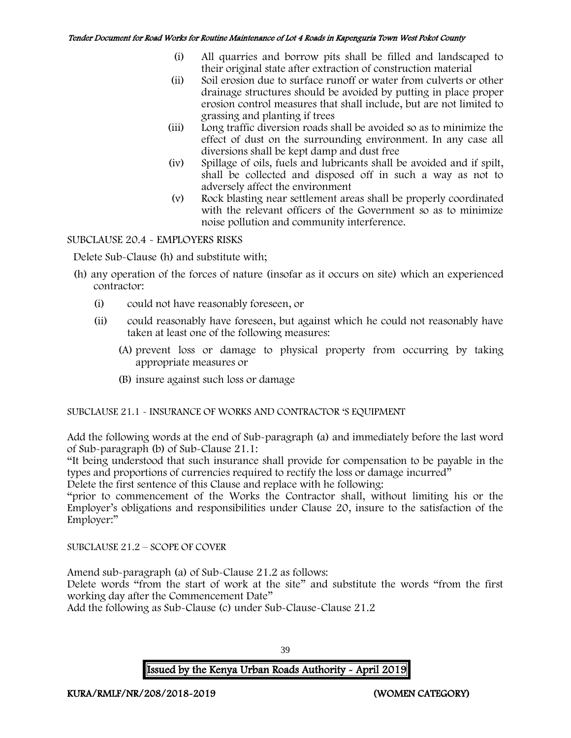- (i) All quarries and borrow pits shall be filled and landscaped to their original state after extraction of construction material
- (ii) Soil erosion due to surface runoff or water from culverts or other drainage structures should be avoided by putting in place proper erosion control measures that shall include, but are not limited to grassing and planting if trees
- (iii) Long traffic diversion roads shall be avoided so as to minimize the effect of dust on the surrounding environment. In any case all diversions shall be kept damp and dust free
- (iv) Spillage of oils, fuels and lubricants shall be avoided and if spilt, shall be collected and disposed off in such a way as not to adversely affect the environment
- (v) Rock blasting near settlement areas shall be properly coordinated with the relevant officers of the Government so as to minimize noise pollution and community interference.

## SUBCLAUSE 20.4 - EMPLOYERS RISKS

Delete Sub-Clause (h) and substitute with;

- (h) any operation of the forces of nature (insofar as it occurs on site) which an experienced contractor:
	- (i) could not have reasonably foreseen, or
	- (ii) could reasonably have foreseen, but against which he could not reasonably have taken at least one of the following measures:
		- (A) prevent loss or damage to physical property from occurring by taking appropriate measures or
		- (B) insure against such loss or damage

# SUBCLAUSE 21.1 - INSURANCE OF WORKS AND CONTRACTOR 'S EQUIPMENT

Add the following words at the end of Sub-paragraph (a) and immediately before the last word of Sub-paragraph (b) of Sub-Clause 21.1:

"It being understood that such insurance shall provide for compensation to be payable in the types and proportions of currencies required to rectify the loss or damage incurred"

Delete the first sentence of this Clause and replace with he following:

"prior to commencement of the Works the Contractor shall, without limiting his or the Employer's obligations and responsibilities under Clause 20, insure to the satisfaction of the Employer:"

SUBCLAUSE 21.2 – SCOPE OF COVER

Amend sub-paragraph (a) of Sub-Clause 21.2 as follows:

Delete words "from the start of work at the site" and substitute the words "from the first working day after the Commencement Date"

Add the following as Sub-Clause (c) under Sub-Clause-Clause 21.2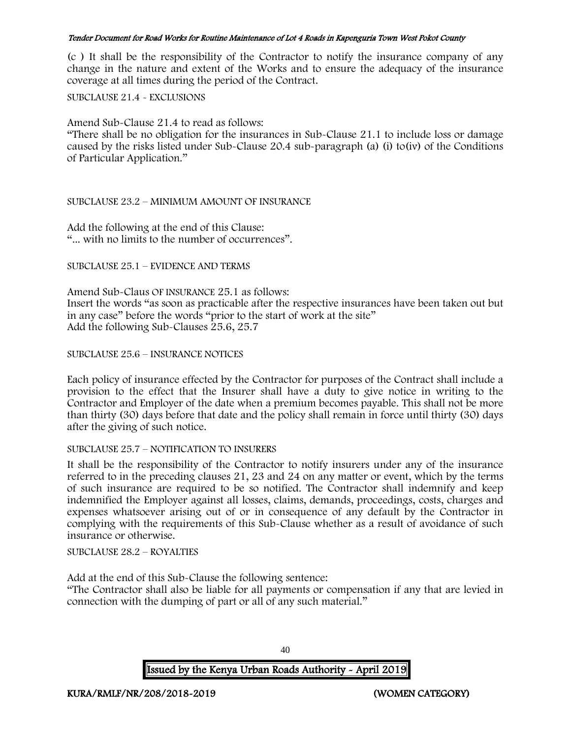(c ) It shall be the responsibility of the Contractor to notify the insurance company of any change in the nature and extent of the Works and to ensure the adequacy of the insurance coverage at all times during the period of the Contract.

SUBCLAUSE 21.4 - EXCLUSIONS

Amend Sub-Clause 21.4 to read as follows:

"There shall be no obligation for the insurances in Sub-Clause 21.1 to include loss or damage caused by the risks listed under Sub-Clause 20.4 sub-paragraph (a) (i) to(iv) of the Conditions of Particular Application."

### SUBCLAUSE 23.2 – MINIMUM AMOUNT OF INSURANCE

Add the following at the end of this Clause: "... with no limits to the number of occurrences".

### SUBCLAUSE 25.1 – EVIDENCE AND TERMS

Amend Sub-Claus OF INSURANCE 25.1 as follows: Insert the words "as soon as practicable after the respective insurances have been taken out but in any case" before the words "prior to the start of work at the site" Add the following Sub-Clauses 25.6, 25.7

## SUBCLAUSE 25.6 – INSURANCE NOTICES

Each policy of insurance effected by the Contractor for purposes of the Contract shall include a provision to the effect that the Insurer shall have a duty to give notice in writing to the Contractor and Employer of the date when a premium becomes payable. This shall not be more than thirty (30) days before that date and the policy shall remain in force until thirty (30) days after the giving of such notice.

### SUBCLAUSE 25.7 – NOTIFICATION TO INSURERS

It shall be the responsibility of the Contractor to notify insurers under any of the insurance referred to in the preceding clauses 21, 23 and 24 on any matter or event, which by the terms of such insurance are required to be so notified. The Contractor shall indemnify and keep indemnified the Employer against all losses, claims, demands, proceedings, costs, charges and expenses whatsoever arising out of or in consequence of any default by the Contractor in complying with the requirements of this Sub-Clause whether as a result of avoidance of such insurance or otherwise.

SUBCLAUSE 28.2 – ROYALTIES

Add at the end of this Sub-Clause the following sentence:

"The Contractor shall also be liable for all payments or compensation if any that are levied in connection with the dumping of part or all of any such material."

Issued by the Kenya Urban Roads Authority - April 2019

40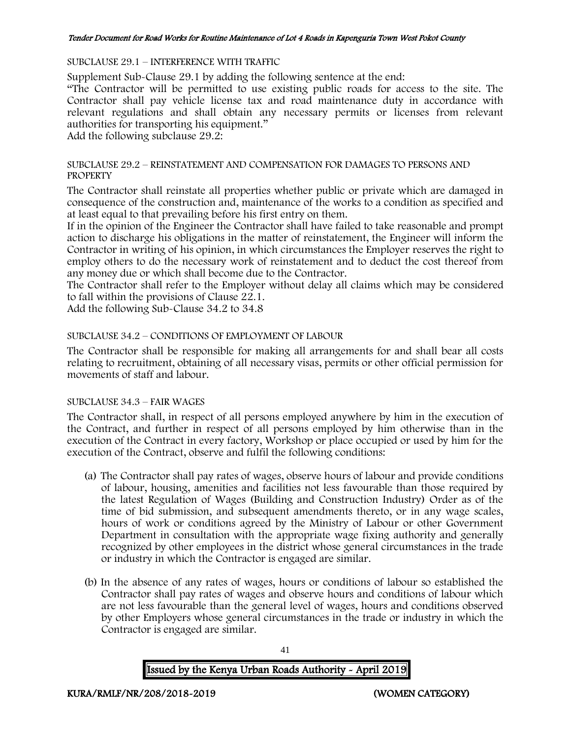#### SUBCLAUSE 29.1 – INTERFERENCE WITH TRAFFIC

Supplement Sub-Clause 29.1 by adding the following sentence at the end:

"The Contractor will be permitted to use existing public roads for access to the site. The Contractor shall pay vehicle license tax and road maintenance duty in accordance with relevant regulations and shall obtain any necessary permits or licenses from relevant authorities for transporting his equipment."

Add the following subclause 29.2:

#### SUBCLAUSE 29.2 – REINSTATEMENT AND COMPENSATION FOR DAMAGES TO PERSONS AND **PROPERTY**

The Contractor shall reinstate all properties whether public or private which are damaged in consequence of the construction and, maintenance of the works to a condition as specified and at least equal to that prevailing before his first entry on them.

If in the opinion of the Engineer the Contractor shall have failed to take reasonable and prompt action to discharge his obligations in the matter of reinstatement, the Engineer will inform the Contractor in writing of his opinion, in which circumstances the Employer reserves the right to employ others to do the necessary work of reinstatement and to deduct the cost thereof from any money due or which shall become due to the Contractor.

The Contractor shall refer to the Employer without delay all claims which may be considered to fall within the provisions of Clause 22.1.

Add the following Sub-Clause 34.2 to 34.8

## SUBCLAUSE 34.2 – CONDITIONS OF EMPLOYMENT OF LABOUR

The Contractor shall be responsible for making all arrangements for and shall bear all costs relating to recruitment, obtaining of all necessary visas, permits or other official permission for movements of staff and labour.

### SUBCLAUSE 34.3 – FAIR WAGES

The Contractor shall, in respect of all persons employed anywhere by him in the execution of the Contract, and further in respect of all persons employed by him otherwise than in the execution of the Contract in every factory, Workshop or place occupied or used by him for the execution of the Contract, observe and fulfil the following conditions:

- (a) The Contractor shall pay rates of wages, observe hours of labour and provide conditions of labour, housing, amenities and facilities not less favourable than those required by the latest Regulation of Wages (Building and Construction Industry) Order as of the time of bid submission, and subsequent amendments thereto, or in any wage scales, hours of work or conditions agreed by the Ministry of Labour or other Government Department in consultation with the appropriate wage fixing authority and generally recognized by other employees in the district whose general circumstances in the trade or industry in which the Contractor is engaged are similar.
- (b) In the absence of any rates of wages, hours or conditions of labour so established the Contractor shall pay rates of wages and observe hours and conditions of labour which are not less favourable than the general level of wages, hours and conditions observed by other Employers whose general circumstances in the trade or industry in which the Contractor is engaged are similar.

41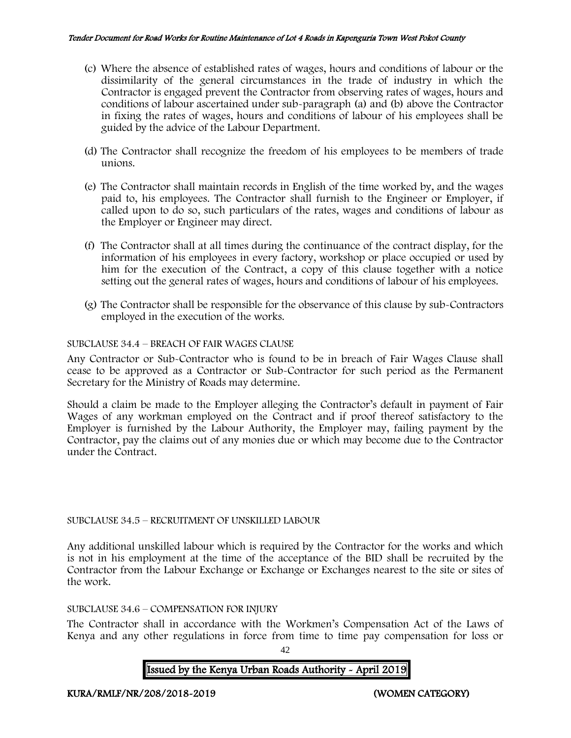- (c) Where the absence of established rates of wages, hours and conditions of labour or the dissimilarity of the general circumstances in the trade of industry in which the Contractor is engaged prevent the Contractor from observing rates of wages, hours and conditions of labour ascertained under sub-paragraph (a) and (b) above the Contractor in fixing the rates of wages, hours and conditions of labour of his employees shall be guided by the advice of the Labour Department.
- (d) The Contractor shall recognize the freedom of his employees to be members of trade unions.
- (e) The Contractor shall maintain records in English of the time worked by, and the wages paid to, his employees. The Contractor shall furnish to the Engineer or Employer, if called upon to do so, such particulars of the rates, wages and conditions of labour as the Employer or Engineer may direct.
- (f) The Contractor shall at all times during the continuance of the contract display, for the information of his employees in every factory, workshop or place occupied or used by him for the execution of the Contract, a copy of this clause together with a notice setting out the general rates of wages, hours and conditions of labour of his employees.
- (g) The Contractor shall be responsible for the observance of this clause by sub-Contractors employed in the execution of the works.

## SUBCLAUSE 34.4 – BREACH OF FAIR WAGES CLAUSE

Any Contractor or Sub-Contractor who is found to be in breach of Fair Wages Clause shall cease to be approved as a Contractor or Sub-Contractor for such period as the Permanent Secretary for the Ministry of Roads may determine.

Should a claim be made to the Employer alleging the Contractor's default in payment of Fair Wages of any workman employed on the Contract and if proof thereof satisfactory to the Employer is furnished by the Labour Authority, the Employer may, failing payment by the Contractor, pay the claims out of any monies due or which may become due to the Contractor under the Contract.

### SUBCLAUSE 34.5 – RECRUITMENT OF UNSKILLED LABOUR

Any additional unskilled labour which is required by the Contractor for the works and which is not in his employment at the time of the acceptance of the BID shall be recruited by the Contractor from the Labour Exchange or Exchange or Exchanges nearest to the site or sites of the work.

### SUBCLAUSE 34.6 – COMPENSATION FOR INJURY

The Contractor shall in accordance with the Workmen's Compensation Act of the Laws of Kenya and any other regulations in force from time to time pay compensation for loss or

42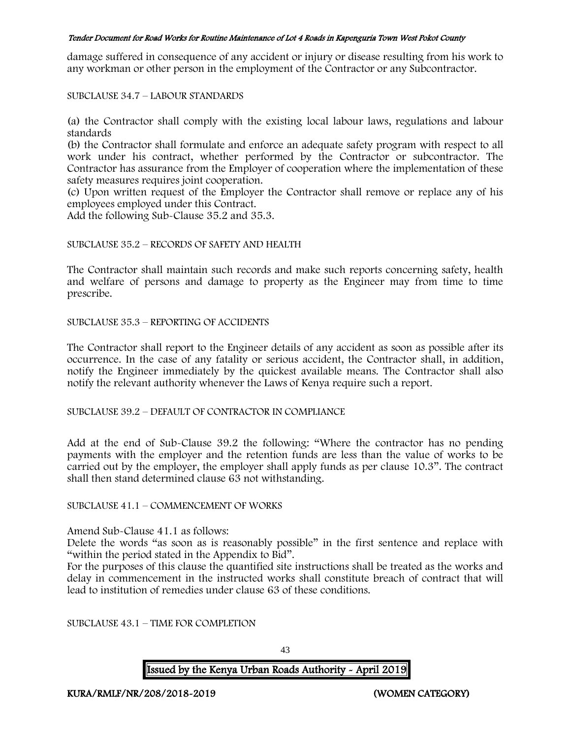damage suffered in consequence of any accident or injury or disease resulting from his work to any workman or other person in the employment of the Contractor or any Subcontractor.

SUBCLAUSE 34.7 – LABOUR STANDARDS

(a) the Contractor shall comply with the existing local labour laws, regulations and labour standards

(b) the Contractor shall formulate and enforce an adequate safety program with respect to all work under his contract, whether performed by the Contractor or subcontractor. The Contractor has assurance from the Employer of cooperation where the implementation of these safety measures requires joint cooperation.

(c) Upon written request of the Employer the Contractor shall remove or replace any of his employees employed under this Contract.

Add the following Sub-Clause 35.2 and 35.3.

#### SUBCLAUSE 35.2 – RECORDS OF SAFETY AND HEALTH

The Contractor shall maintain such records and make such reports concerning safety, health and welfare of persons and damage to property as the Engineer may from time to time prescribe.

SUBCLAUSE 35.3 – REPORTING OF ACCIDENTS

The Contractor shall report to the Engineer details of any accident as soon as possible after its occurrence. In the case of any fatality or serious accident, the Contractor shall, in addition, notify the Engineer immediately by the quickest available means. The Contractor shall also notify the relevant authority whenever the Laws of Kenya require such a report.

SUBCLAUSE 39.2 – DEFAULT OF CONTRACTOR IN COMPLIANCE

Add at the end of Sub-Clause 39.2 the following: "Where the contractor has no pending payments with the employer and the retention funds are less than the value of works to be carried out by the employer, the employer shall apply funds as per clause 10.3". The contract shall then stand determined clause 63 not withstanding.

#### SUBCLAUSE 41.1 – COMMENCEMENT OF WORKS

Amend Sub-Clause 41.1 as follows:

Delete the words "as soon as is reasonably possible" in the first sentence and replace with "within the period stated in the Appendix to Bid".

For the purposes of this clause the quantified site instructions shall be treated as the works and delay in commencement in the instructed works shall constitute breach of contract that will lead to institution of remedies under clause 63 of these conditions.

SUBCLAUSE 43.1 – TIME FOR COMPLETION

43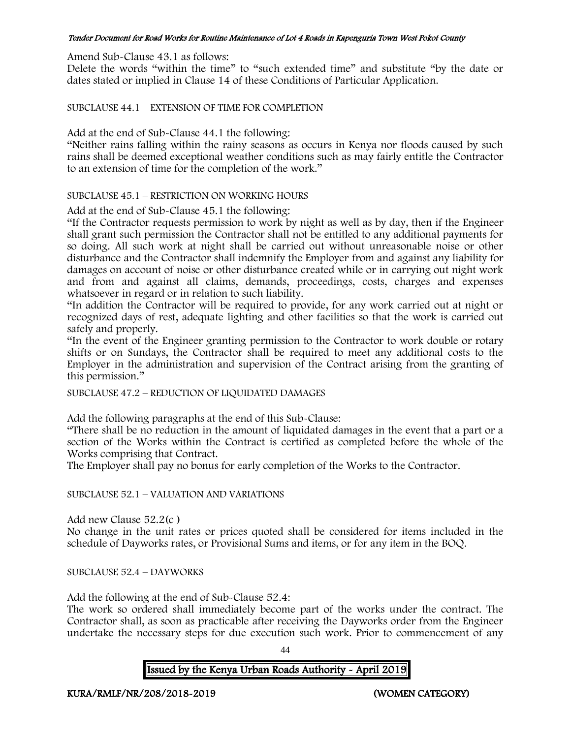Amend Sub-Clause 43.1 as follows:

Delete the words "within the time" to "such extended time" and substitute "by the date or dates stated or implied in Clause 14 of these Conditions of Particular Application.

SUBCLAUSE 44.1 – EXTENSION OF TIME FOR COMPLETION

Add at the end of Sub-Clause 44.1 the following:

"Neither rains falling within the rainy seasons as occurs in Kenya nor floods caused by such rains shall be deemed exceptional weather conditions such as may fairly entitle the Contractor to an extension of time for the completion of the work."

SUBCLAUSE 45.1 – RESTRICTION ON WORKING HOURS

Add at the end of Sub-Clause 45.1 the following:

"If the Contractor requests permission to work by night as well as by day, then if the Engineer shall grant such permission the Contractor shall not be entitled to any additional payments for so doing. All such work at night shall be carried out without unreasonable noise or other disturbance and the Contractor shall indemnify the Employer from and against any liability for damages on account of noise or other disturbance created while or in carrying out night work and from and against all claims, demands, proceedings, costs, charges and expenses whatsoever in regard or in relation to such liability.

"In addition the Contractor will be required to provide, for any work carried out at night or recognized days of rest, adequate lighting and other facilities so that the work is carried out safely and properly.

"In the event of the Engineer granting permission to the Contractor to work double or rotary shifts or on Sundays, the Contractor shall be required to meet any additional costs to the Employer in the administration and supervision of the Contract arising from the granting of this permission."

SUBCLAUSE 47.2 – REDUCTION OF LIQUIDATED DAMAGES

Add the following paragraphs at the end of this Sub-Clause:

"There shall be no reduction in the amount of liquidated damages in the event that a part or a section of the Works within the Contract is certified as completed before the whole of the Works comprising that Contract.

The Employer shall pay no bonus for early completion of the Works to the Contractor.

### SUBCLAUSE 52.1 – VALUATION AND VARIATIONS

Add new Clause 52.2(c )

No change in the unit rates or prices quoted shall be considered for items included in the schedule of Dayworks rates, or Provisional Sums and items, or for any item in the BOQ.

SUBCLAUSE 52.4 – DAYWORKS

Add the following at the end of Sub-Clause 52.4:

The work so ordered shall immediately become part of the works under the contract. The Contractor shall, as soon as practicable after receiving the Dayworks order from the Engineer undertake the necessary steps for due execution such work. Prior to commencement of any

 $\overline{A}A$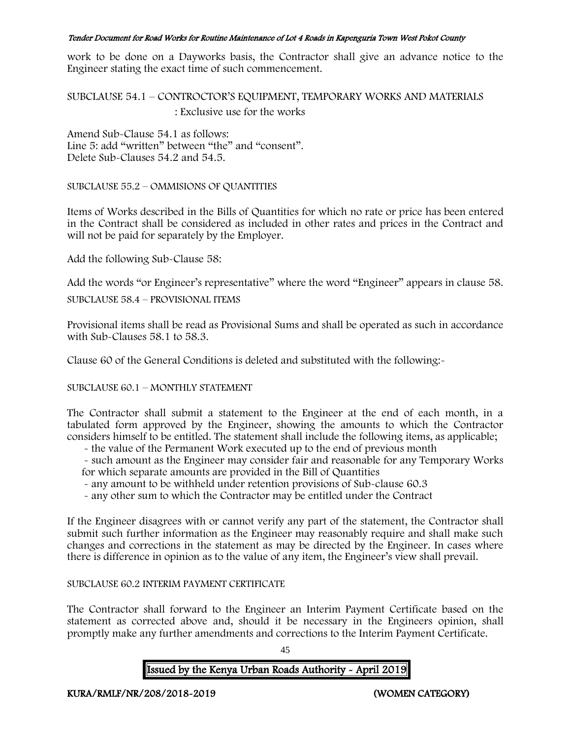work to be done on a Dayworks basis, the Contractor shall give an advance notice to the Engineer stating the exact time of such commencement.

SUBCLAUSE 54.1 – CONTROCTOR'S EQUIPMENT, TEMPORARY WORKS AND MATERIALS : Exclusive use for the works

Amend Sub-Clause 54.1 as follows: Line 5: add "written" between "the" and "consent". Delete Sub-Clauses 54.2 and 54.5.

SUBCLAUSE 55.2 – OMMISIONS OF QUANTITIES

Items of Works described in the Bills of Quantities for which no rate or price has been entered in the Contract shall be considered as included in other rates and prices in the Contract and will not be paid for separately by the Employer.

Add the following Sub-Clause 58:

Add the words "or Engineer's representative" where the word "Engineer" appears in clause 58.

SUBCLAUSE 58.4 – PROVISIONAL ITEMS

Provisional items shall be read as Provisional Sums and shall be operated as such in accordance with Sub-Clauses 58.1 to 58.3.

Clause 60 of the General Conditions is deleted and substituted with the following:-

SUBCLAUSE 60.1 – MONTHLY STATEMENT

The Contractor shall submit a statement to the Engineer at the end of each month, in a tabulated form approved by the Engineer, showing the amounts to which the Contractor considers himself to be entitled. The statement shall include the following items, as applicable;

- the value of the Permanent Work executed up to the end of previous month

- such amount as the Engineer may consider fair and reasonable for any Temporary Works for which separate amounts are provided in the Bill of Quantities

- any amount to be withheld under retention provisions of Sub-clause 60.3
- any other sum to which the Contractor may be entitled under the Contract

If the Engineer disagrees with or cannot verify any part of the statement, the Contractor shall submit such further information as the Engineer may reasonably require and shall make such changes and corrections in the statement as may be directed by the Engineer. In cases where there is difference in opinion as to the value of any item, the Engineer's view shall prevail.

## SUBCLAUSE 60.2 INTERIM PAYMENT CERTIFICATE

The Contractor shall forward to the Engineer an Interim Payment Certificate based on the statement as corrected above and, should it be necessary in the Engineers opinion, shall promptly make any further amendments and corrections to the Interim Payment Certificate.

45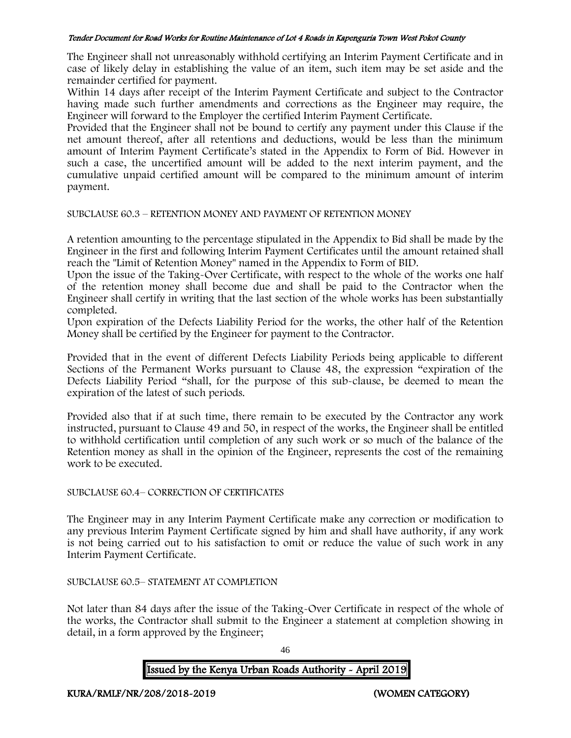The Engineer shall not unreasonably withhold certifying an Interim Payment Certificate and in case of likely delay in establishing the value of an item, such item may be set aside and the remainder certified for payment.

Within 14 days after receipt of the Interim Payment Certificate and subject to the Contractor having made such further amendments and corrections as the Engineer may require, the Engineer will forward to the Employer the certified Interim Payment Certificate.

Provided that the Engineer shall not be bound to certify any payment under this Clause if the net amount thereof, after all retentions and deductions, would be less than the minimum amount of Interim Payment Certificate's stated in the Appendix to Form of Bid. However in such a case, the uncertified amount will be added to the next interim payment, and the cumulative unpaid certified amount will be compared to the minimum amount of interim payment.

## SUBCLAUSE 60.3 – RETENTION MONEY AND PAYMENT OF RETENTION MONEY

A retention amounting to the percentage stipulated in the Appendix to Bid shall be made by the Engineer in the first and following Interim Payment Certificates until the amount retained shall reach the "Limit of Retention Money" named in the Appendix to Form of BID.

Upon the issue of the Taking-Over Certificate, with respect to the whole of the works one half of the retention money shall become due and shall be paid to the Contractor when the Engineer shall certify in writing that the last section of the whole works has been substantially completed.

Upon expiration of the Defects Liability Period for the works, the other half of the Retention Money shall be certified by the Engineer for payment to the Contractor.

Provided that in the event of different Defects Liability Periods being applicable to different Sections of the Permanent Works pursuant to Clause 48, the expression "expiration of the Defects Liability Period "shall, for the purpose of this sub-clause, be deemed to mean the expiration of the latest of such periods.

Provided also that if at such time, there remain to be executed by the Contractor any work instructed, pursuant to Clause 49 and 50, in respect of the works, the Engineer shall be entitled to withhold certification until completion of any such work or so much of the balance of the Retention money as shall in the opinion of the Engineer, represents the cost of the remaining work to be executed.

### SUBCLAUSE 60.4– CORRECTION OF CERTIFICATES

The Engineer may in any Interim Payment Certificate make any correction or modification to any previous Interim Payment Certificate signed by him and shall have authority, if any work is not being carried out to his satisfaction to omit or reduce the value of such work in any Interim Payment Certificate.

# SUBCLAUSE 60.5– STATEMENT AT COMPLETION

Not later than 84 days after the issue of the Taking-Over Certificate in respect of the whole of the works, the Contractor shall submit to the Engineer a statement at completion showing in detail, in a form approved by the Engineer;

46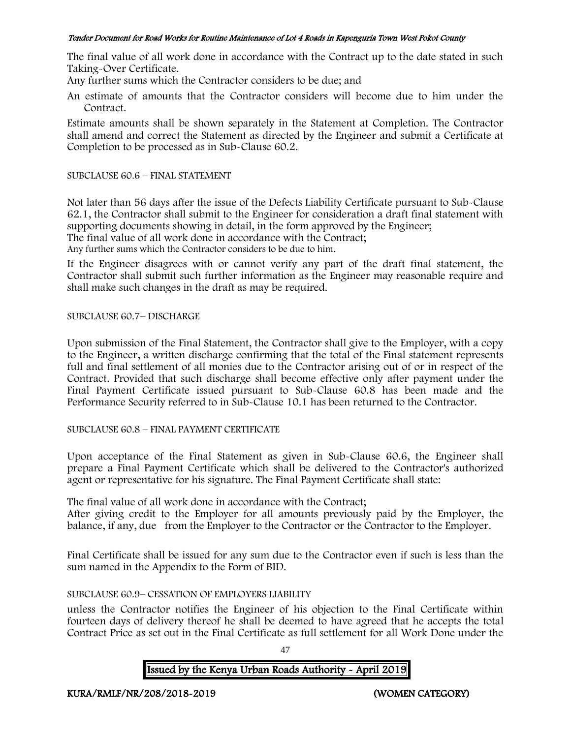The final value of all work done in accordance with the Contract up to the date stated in such Taking-Over Certificate.

Any further sums which the Contractor considers to be due; and

An estimate of amounts that the Contractor considers will become due to him under the Contract.

Estimate amounts shall be shown separately in the Statement at Completion. The Contractor shall amend and correct the Statement as directed by the Engineer and submit a Certificate at Completion to be processed as in Sub-Clause 60.2.

## SUBCLAUSE 60.6 – FINAL STATEMENT

Not later than 56 days after the issue of the Defects Liability Certificate pursuant to Sub-Clause 62.1, the Contractor shall submit to the Engineer for consideration a draft final statement with supporting documents showing in detail, in the form approved by the Engineer; The final value of all work done in accordance with the Contract; Any further sums which the Contractor considers to be due to him.

If the Engineer disagrees with or cannot verify any part of the draft final statement, the Contractor shall submit such further information as the Engineer may reasonable require and shall make such changes in the draft as may be required.

# SUBCLAUSE 60.7– DISCHARGE

Upon submission of the Final Statement, the Contractor shall give to the Employer, with a copy to the Engineer, a written discharge confirming that the total of the Final statement represents full and final settlement of all monies due to the Contractor arising out of or in respect of the Contract. Provided that such discharge shall become effective only after payment under the Final Payment Certificate issued pursuant to Sub-Clause 60.8 has been made and the Performance Security referred to in Sub-Clause 10.1 has been returned to the Contractor.

# SUBCLAUSE 60.8 – FINAL PAYMENT CERTIFICATE

Upon acceptance of the Final Statement as given in Sub-Clause 60.6, the Engineer shall prepare a Final Payment Certificate which shall be delivered to the Contractor's authorized agent or representative for his signature. The Final Payment Certificate shall state:

The final value of all work done in accordance with the Contract;

After giving credit to the Employer for all amounts previously paid by the Employer, the balance, if any, due from the Employer to the Contractor or the Contractor to the Employer.

Final Certificate shall be issued for any sum due to the Contractor even if such is less than the sum named in the Appendix to the Form of BID.

# SUBCLAUSE 60.9– CESSATION OF EMPLOYERS LIABILITY

unless the Contractor notifies the Engineer of his objection to the Final Certificate within fourteen days of delivery thereof he shall be deemed to have agreed that he accepts the total Contract Price as set out in the Final Certificate as full settlement for all Work Done under the

47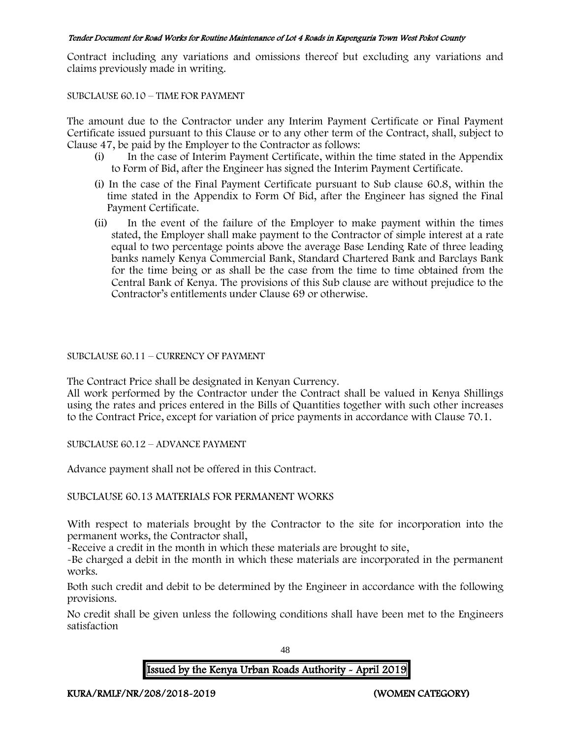Contract including any variations and omissions thereof but excluding any variations and claims previously made in writing.

### SUBCLAUSE 60.10 – TIME FOR PAYMENT

The amount due to the Contractor under any Interim Payment Certificate or Final Payment Certificate issued pursuant to this Clause or to any other term of the Contract, shall, subject to Clause 47, be paid by the Employer to the Contractor as follows:

- (i) In the case of Interim Payment Certificate, within the time stated in the Appendix to Form of Bid, after the Engineer has signed the Interim Payment Certificate.
- (i) In the case of the Final Payment Certificate pursuant to Sub clause 60.8, within the time stated in the Appendix to Form Of Bid, after the Engineer has signed the Final Payment Certificate.
- (ii) In the event of the failure of the Employer to make payment within the times stated, the Employer shall make payment to the Contractor of simple interest at a rate equal to two percentage points above the average Base Lending Rate of three leading banks namely Kenya Commercial Bank, Standard Chartered Bank and Barclays Bank for the time being or as shall be the case from the time to time obtained from the Central Bank of Kenya. The provisions of this Sub clause are without prejudice to the Contractor's entitlements under Clause 69 or otherwise.

# SUBCLAUSE 60.11 – CURRENCY OF PAYMENT

The Contract Price shall be designated in Kenyan Currency.

All work performed by the Contractor under the Contract shall be valued in Kenya Shillings using the rates and prices entered in the Bills of Quantities together with such other increases to the Contract Price, except for variation of price payments in accordance with Clause 70.1.

SUBCLAUSE 60.12 – ADVANCE PAYMENT

Advance payment shall not be offered in this Contract.

# SUBCLAUSE 60.13 MATERIALS FOR PERMANENT WORKS

With respect to materials brought by the Contractor to the site for incorporation into the permanent works, the Contractor shall,

-Receive a credit in the month in which these materials are brought to site,

-Be charged a debit in the month in which these materials are incorporated in the permanent works.

Both such credit and debit to be determined by the Engineer in accordance with the following provisions.

No credit shall be given unless the following conditions shall have been met to the Engineers satisfaction

48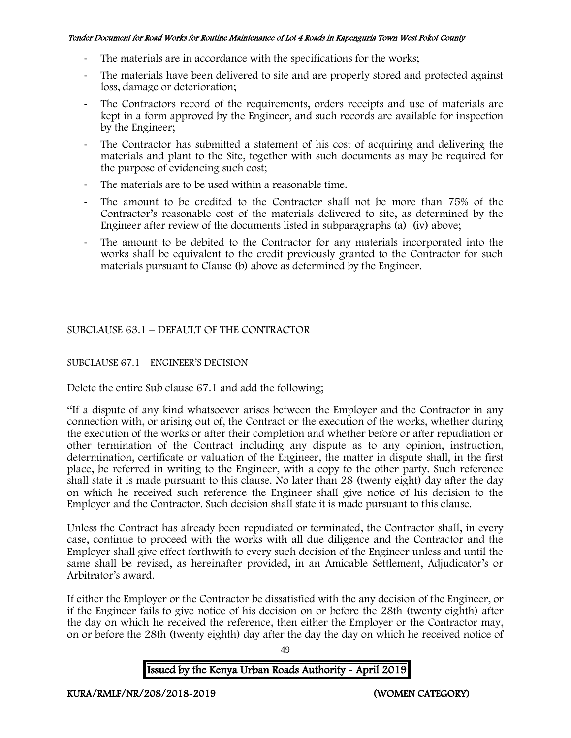- The materials are in accordance with the specifications for the works;
- The materials have been delivered to site and are properly stored and protected against loss, damage or deterioration;
- The Contractors record of the requirements, orders receipts and use of materials are kept in a form approved by the Engineer, and such records are available for inspection by the Engineer;
- The Contractor has submitted a statement of his cost of acquiring and delivering the materials and plant to the Site, together with such documents as may be required for the purpose of evidencing such cost;
- The materials are to be used within a reasonable time.
- The amount to be credited to the Contractor shall not be more than 75% of the Contractor's reasonable cost of the materials delivered to site, as determined by the Engineer after review of the documents listed in subparagraphs (a) (iv) above;
- The amount to be debited to the Contractor for any materials incorporated into the works shall be equivalent to the credit previously granted to the Contractor for such materials pursuant to Clause (b) above as determined by the Engineer.

# SUBCLAUSE 63.1 – DEFAULT OF THE CONTRACTOR

## SUBCLAUSE 67.1 – ENGINEER'S DECISION

Delete the entire Sub clause 67.1 and add the following;

"If a dispute of any kind whatsoever arises between the Employer and the Contractor in any connection with, or arising out of, the Contract or the execution of the works, whether during the execution of the works or after their completion and whether before or after repudiation or other termination of the Contract including any dispute as to any opinion, instruction, determination, certificate or valuation of the Engineer, the matter in dispute shall, in the first place, be referred in writing to the Engineer, with a copy to the other party. Such reference shall state it is made pursuant to this clause. No later than 28 (twenty eight) day after the day on which he received such reference the Engineer shall give notice of his decision to the Employer and the Contractor. Such decision shall state it is made pursuant to this clause.

Unless the Contract has already been repudiated or terminated, the Contractor shall, in every case, continue to proceed with the works with all due diligence and the Contractor and the Employer shall give effect forthwith to every such decision of the Engineer unless and until the same shall be revised, as hereinafter provided, in an Amicable Settlement, Adjudicator's or Arbitrator's award.

If either the Employer or the Contractor be dissatisfied with the any decision of the Engineer, or if the Engineer fails to give notice of his decision on or before the 28th (twenty eighth) after the day on which he received the reference, then either the Employer or the Contractor may, on or before the 28th (twenty eighth) day after the day the day on which he received notice of

49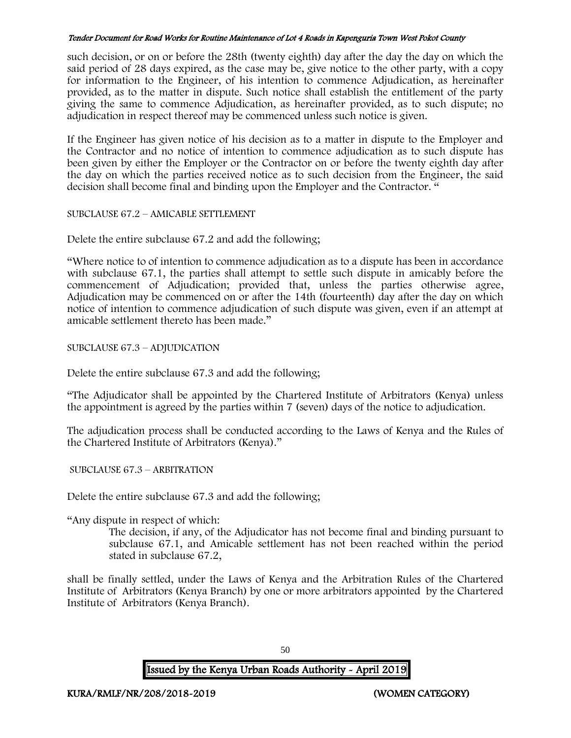such decision, or on or before the 28th (twenty eighth) day after the day the day on which the said period of 28 days expired, as the case may be, give notice to the other party, with a copy for information to the Engineer, of his intention to commence Adjudication, as hereinafter provided, as to the matter in dispute. Such notice shall establish the entitlement of the party giving the same to commence Adjudication, as hereinafter provided, as to such dispute; no adjudication in respect thereof may be commenced unless such notice is given.

If the Engineer has given notice of his decision as to a matter in dispute to the Employer and the Contractor and no notice of intention to commence adjudication as to such dispute has been given by either the Employer or the Contractor on or before the twenty eighth day after the day on which the parties received notice as to such decision from the Engineer, the said decision shall become final and binding upon the Employer and the Contractor. "

SUBCLAUSE 67.2 – AMICABLE SETTLEMENT

Delete the entire subclause 67.2 and add the following;

"Where notice to of intention to commence adjudication as to a dispute has been in accordance with subclause 67.1, the parties shall attempt to settle such dispute in amicably before the commencement of Adjudication; provided that, unless the parties otherwise agree, Adjudication may be commenced on or after the 14th (fourteenth) day after the day on which notice of intention to commence adjudication of such dispute was given, even if an attempt at amicable settlement thereto has been made."

SUBCLAUSE 67.3 – ADJUDICATION

Delete the entire subclause 67.3 and add the following;

"The Adjudicator shall be appointed by the Chartered Institute of Arbitrators (Kenya) unless the appointment is agreed by the parties within 7 (seven) days of the notice to adjudication.

The adjudication process shall be conducted according to the Laws of Kenya and the Rules of the Chartered Institute of Arbitrators (Kenya)."

SUBCLAUSE 67.3 – ARBITRATION

Delete the entire subclause 67.3 and add the following;

"Any dispute in respect of which:

The decision, if any, of the Adjudicator has not become final and binding pursuant to subclause 67.1, and Amicable settlement has not been reached within the period stated in subclause 67.2,

shall be finally settled, under the Laws of Kenya and the Arbitration Rules of the Chartered Institute of Arbitrators (Kenya Branch) by one or more arbitrators appointed by the Chartered Institute of Arbitrators (Kenya Branch).

Issued by the Kenya Urban Roads Authority - April 2019

50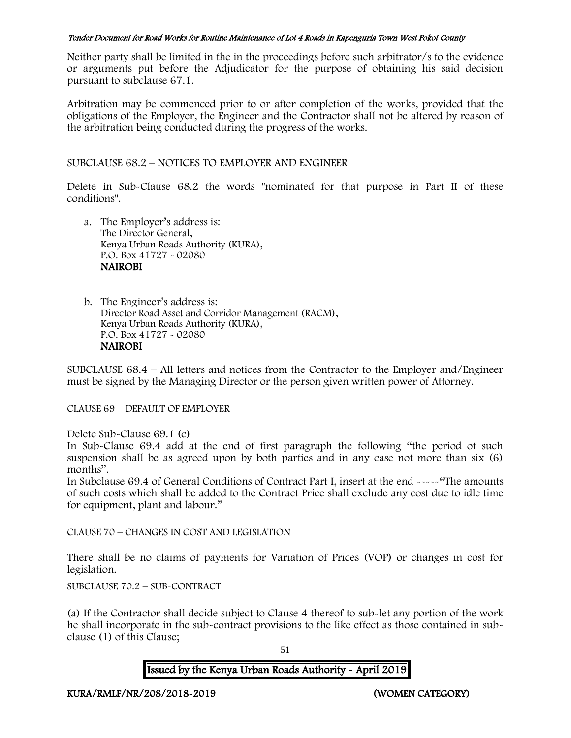Neither party shall be limited in the in the proceedings before such arbitrator/s to the evidence or arguments put before the Adjudicator for the purpose of obtaining his said decision pursuant to subclause 67.1.

Arbitration may be commenced prior to or after completion of the works, provided that the obligations of the Employer, the Engineer and the Contractor shall not be altered by reason of the arbitration being conducted during the progress of the works.

SUBCLAUSE 68.2 – NOTICES TO EMPLOYER AND ENGINEER

Delete in Sub-Clause 68.2 the words "nominated for that purpose in Part II of these conditions".

- a. The Employer's address is: The Director General, Kenya Urban Roads Authority (KURA), P.O. Box 41727 - 02080 **NAIROBI**
- b. The Engineer's address is: Director Road Asset and Corridor Management (RACM), Kenya Urban Roads Authority (KURA), P.O. Box 41727 - 02080 NAIROBI

SUBCLAUSE 68.4 – All letters and notices from the Contractor to the Employer and/Engineer must be signed by the Managing Director or the person given written power of Attorney.

CLAUSE 69 – DEFAULT OF EMPLOYER

Delete Sub-Clause 69.1 (c)

In Sub-Clause 69.4 add at the end of first paragraph the following "the period of such suspension shall be as agreed upon by both parties and in any case not more than six (6) months".

In Subclause 69.4 of General Conditions of Contract Part I, insert at the end -----"The amounts of such costs which shall be added to the Contract Price shall exclude any cost due to idle time for equipment, plant and labour."

CLAUSE 70 – CHANGES IN COST AND LEGISLATION

There shall be no claims of payments for Variation of Prices (VOP) or changes in cost for legislation.

SUBCLAUSE 70.2 – SUB-CONTRACT

(a) If the Contractor shall decide subject to Clause 4 thereof to sub-let any portion of the work he shall incorporate in the sub-contract provisions to the like effect as those contained in subclause (1) of this Clause;

51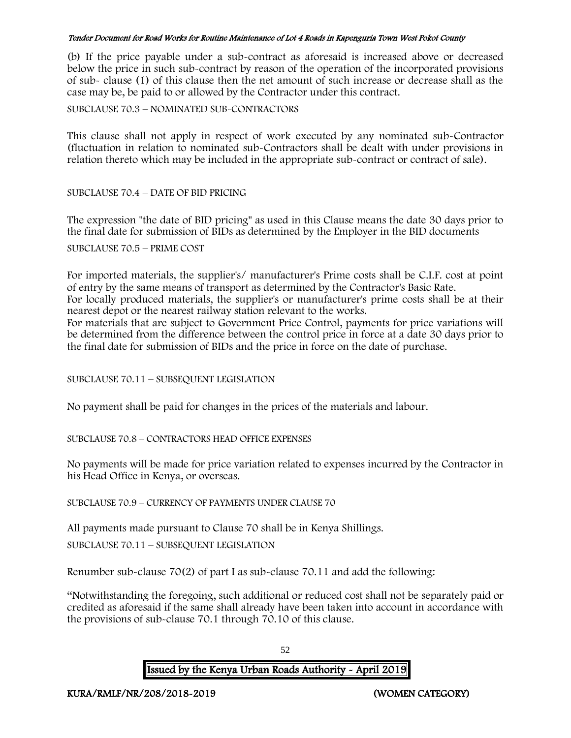(b) If the price payable under a sub-contract as aforesaid is increased above or decreased below the price in such sub-contract by reason of the operation of the incorporated provisions of sub- clause (1) of this clause then the net amount of such increase or decrease shall as the case may be, be paid to or allowed by the Contractor under this contract.

SUBCLAUSE 70.3 – NOMINATED SUB-CONTRACTORS

This clause shall not apply in respect of work executed by any nominated sub-Contractor (fluctuation in relation to nominated sub-Contractors shall be dealt with under provisions in relation thereto which may be included in the appropriate sub-contract or contract of sale).

SUBCLAUSE 70.4 – DATE OF BID PRICING

The expression "the date of BID pricing" as used in this Clause means the date 30 days prior to the final date for submission of BIDs as determined by the Employer in the BID documents SUBCLAUSE 70.5 – PRIME COST

For imported materials, the supplier's/ manufacturer's Prime costs shall be C.I.F. cost at point of entry by the same means of transport as determined by the Contractor's Basic Rate.

For locally produced materials, the supplier's or manufacturer's prime costs shall be at their nearest depot or the nearest railway station relevant to the works.

For materials that are subject to Government Price Control, payments for price variations will be determined from the difference between the control price in force at a date 30 days prior to the final date for submission of BIDs and the price in force on the date of purchase.

SUBCLAUSE 70.11 – SUBSEQUENT LEGISLATION

No payment shall be paid for changes in the prices of the materials and labour.

SUBCLAUSE 70.8 – CONTRACTORS HEAD OFFICE EXPENSES

No payments will be made for price variation related to expenses incurred by the Contractor in his Head Office in Kenya, or overseas.

SUBCLAUSE 70.9 – CURRENCY OF PAYMENTS UNDER CLAUSE 70

All payments made pursuant to Clause 70 shall be in Kenya Shillings. SUBCLAUSE 70.11 – SUBSEQUENT LEGISLATION

Renumber sub-clause 70(2) of part I as sub-clause 70.11 and add the following:

"Notwithstanding the foregoing, such additional or reduced cost shall not be separately paid or credited as aforesaid if the same shall already have been taken into account in accordance with the provisions of sub-clause 70.1 through 70.10 of this clause.

52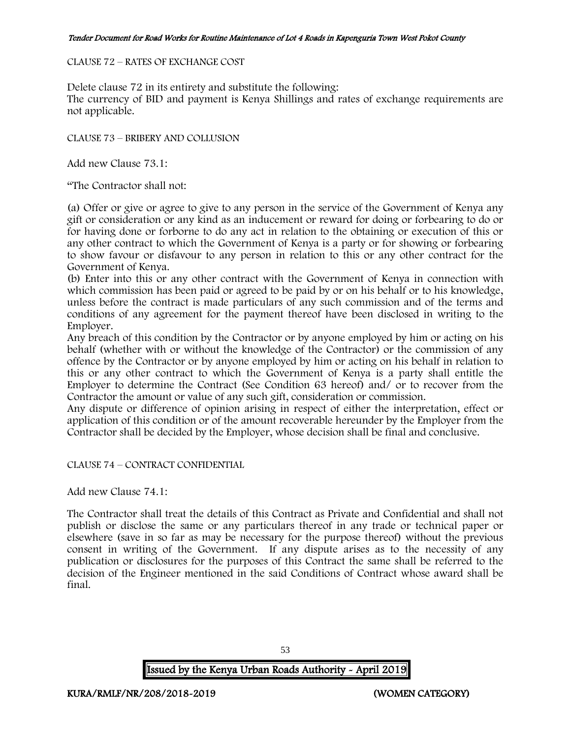#### CLAUSE 72 – RATES OF EXCHANGE COST

Delete clause 72 in its entirety and substitute the following:

The currency of BID and payment is Kenya Shillings and rates of exchange requirements are not applicable.

CLAUSE 73 – BRIBERY AND COLLUSION

Add new Clause 73.1:

"The Contractor shall not:

(a) Offer or give or agree to give to any person in the service of the Government of Kenya any gift or consideration or any kind as an inducement or reward for doing or forbearing to do or for having done or forborne to do any act in relation to the obtaining or execution of this or any other contract to which the Government of Kenya is a party or for showing or forbearing to show favour or disfavour to any person in relation to this or any other contract for the Government of Kenya.

(b) Enter into this or any other contract with the Government of Kenya in connection with which commission has been paid or agreed to be paid by or on his behalf or to his knowledge, unless before the contract is made particulars of any such commission and of the terms and conditions of any agreement for the payment thereof have been disclosed in writing to the Employer.

Any breach of this condition by the Contractor or by anyone employed by him or acting on his behalf (whether with or without the knowledge of the Contractor) or the commission of any offence by the Contractor or by anyone employed by him or acting on his behalf in relation to this or any other contract to which the Government of Kenya is a party shall entitle the Employer to determine the Contract (See Condition 63 hereof) and/ or to recover from the Contractor the amount or value of any such gift, consideration or commission.

Any dispute or difference of opinion arising in respect of either the interpretation, effect or application of this condition or of the amount recoverable hereunder by the Employer from the Contractor shall be decided by the Employer, whose decision shall be final and conclusive.

CLAUSE 74 – CONTRACT CONFIDENTIAL

Add new Clause 74.1:

The Contractor shall treat the details of this Contract as Private and Confidential and shall not publish or disclose the same or any particulars thereof in any trade or technical paper or elsewhere (save in so far as may be necessary for the purpose thereof) without the previous consent in writing of the Government. If any dispute arises as to the necessity of any publication or disclosures for the purposes of this Contract the same shall be referred to the decision of the Engineer mentioned in the said Conditions of Contract whose award shall be final.

53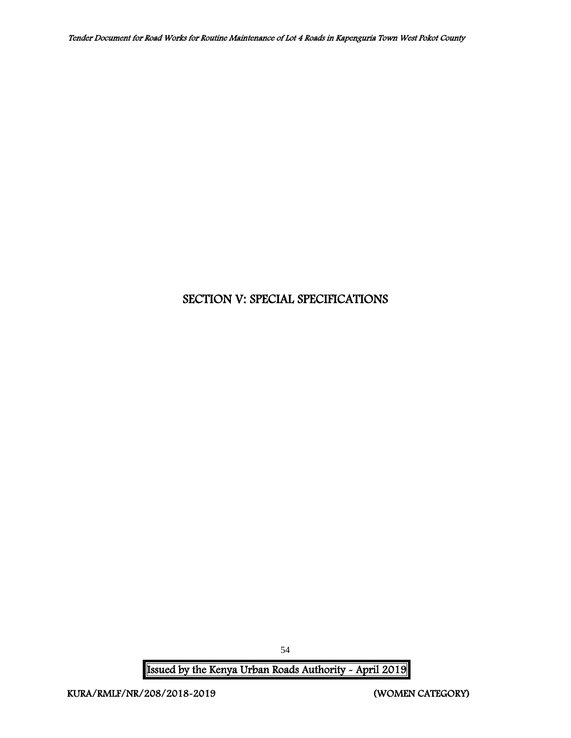# SECTION V: SPECIAL SPECIFICATIONS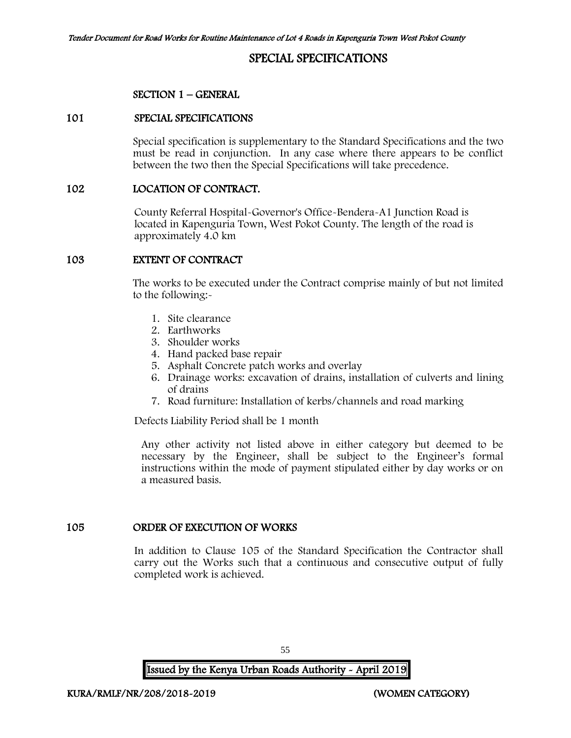# SPECIAL SPECIFICATIONS

### SECTION 1 – GENERAL

#### 101 SPECIAL SPECIFICATIONS

Special specification is supplementary to the Standard Specifications and the two must be read in conjunction. In any case where there appears to be conflict between the two then the Special Specifications will take precedence.

#### 102 LOCATION OF CONTRACT.

County Referral Hospital-Governor's Office-Bendera-A1 Junction Road is located in Kapenguria Town, West Pokot County. The length of the road is approximately 4.0 km

#### 103 EXTENT OF CONTRACT

The works to be executed under the Contract comprise mainly of but not limited to the following:-

- 1. Site clearance
- 2. Earthworks
- 3. Shoulder works
- 4. Hand packed base repair
- 5. Asphalt Concrete patch works and overlay
- 6. Drainage works: excavation of drains, installation of culverts and lining of drains
- 7. Road furniture: Installation of kerbs/channels and road marking

Defects Liability Period shall be 1 month

Any other activity not listed above in either category but deemed to be necessary by the Engineer, shall be subject to the Engineer's formal instructions within the mode of payment stipulated either by day works or on a measured basis.

#### 105 ORDER OF EXECUTION OF WORKS

In addition to Clause 105 of the Standard Specification the Contractor shall carry out the Works such that a continuous and consecutive output of fully completed work is achieved.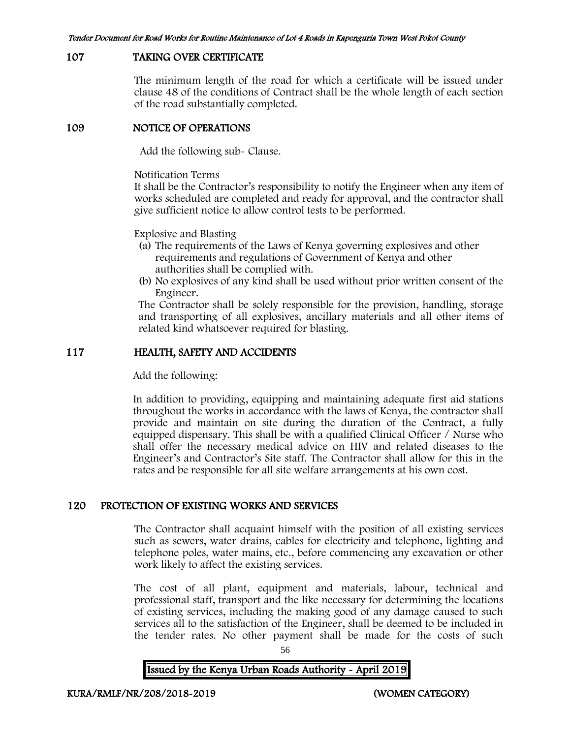### 107 TAKING OVER CERTIFICATE

The minimum length of the road for which a certificate will be issued under clause 48 of the conditions of Contract shall be the whole length of each section of the road substantially completed.

#### 109 NOTICE OF OPERATIONS

Add the following sub- Clause.

Notification Terms

It shall be the Contractor's responsibility to notify the Engineer when any item of works scheduled are completed and ready for approval, and the contractor shall give sufficient notice to allow control tests to be performed.

Explosive and Blasting

- (a) The requirements of the Laws of Kenya governing explosives and other requirements and regulations of Government of Kenya and other authorities shall be complied with.
- (b) No explosives of any kind shall be used without prior written consent of the Engineer.

The Contractor shall be solely responsible for the provision, handling, storage and transporting of all explosives, ancillary materials and all other items of related kind whatsoever required for blasting.

### 117 HEALTH, SAFETY AND ACCIDENTS

Add the following:

In addition to providing, equipping and maintaining adequate first aid stations throughout the works in accordance with the laws of Kenya, the contractor shall provide and maintain on site during the duration of the Contract, a fully equipped dispensary. This shall be with a qualified Clinical Officer / Nurse who shall offer the necessary medical advice on HIV and related diseases to the Engineer's and Contractor's Site staff. The Contractor shall allow for this in the rates and be responsible for all site welfare arrangements at his own cost.

### 120 PROTECTION OF EXISTING WORKS AND SERVICES

The Contractor shall acquaint himself with the position of all existing services such as sewers, water drains, cables for electricity and telephone, lighting and telephone poles, water mains, etc., before commencing any excavation or other work likely to affect the existing services.

The cost of all plant, equipment and materials, labour, technical and professional staff, transport and the like necessary for determining the locations of existing services, including the making good of any damage caused to such services all to the satisfaction of the Engineer, shall be deemed to be included in the tender rates. No other payment shall be made for the costs of such

56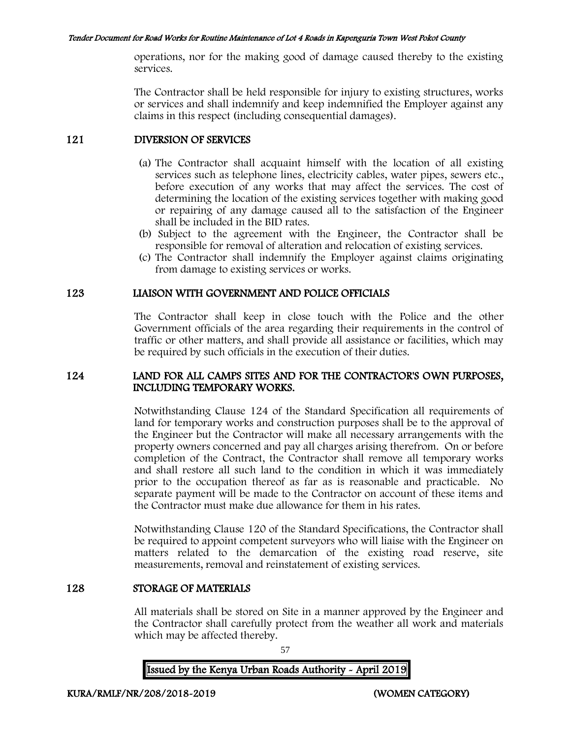operations, nor for the making good of damage caused thereby to the existing services.

The Contractor shall be held responsible for injury to existing structures, works or services and shall indemnify and keep indemnified the Employer against any claims in this respect (including consequential damages).

# 121 DIVERSION OF SERVICES

- (a) The Contractor shall acquaint himself with the location of all existing services such as telephone lines, electricity cables, water pipes, sewers etc., before execution of any works that may affect the services. The cost of determining the location of the existing services together with making good or repairing of any damage caused all to the satisfaction of the Engineer shall be included in the BID rates.
- (b) Subject to the agreement with the Engineer, the Contractor shall be responsible for removal of alteration and relocation of existing services.
- (c) The Contractor shall indemnify the Employer against claims originating from damage to existing services or works.

# 123 LIAISON WITH GOVERNMENT AND POLICE OFFICIALS

The Contractor shall keep in close touch with the Police and the other Government officials of the area regarding their requirements in the control of traffic or other matters, and shall provide all assistance or facilities, which may be required by such officials in the execution of their duties.

## 124 LAND FOR ALL CAMPS SITES AND FOR THE CONTRACTOR'S OWN PURPOSES, INCLUDING TEMPORARY WORKS.

Notwithstanding Clause 124 of the Standard Specification all requirements of land for temporary works and construction purposes shall be to the approval of the Engineer but the Contractor will make all necessary arrangements with the property owners concerned and pay all charges arising therefrom. On or before completion of the Contract, the Contractor shall remove all temporary works and shall restore all such land to the condition in which it was immediately prior to the occupation thereof as far as is reasonable and practicable. No separate payment will be made to the Contractor on account of these items and the Contractor must make due allowance for them in his rates.

Notwithstanding Clause 120 of the Standard Specifications, the Contractor shall be required to appoint competent surveyors who will liaise with the Engineer on matters related to the demarcation of the existing road reserve, site measurements, removal and reinstatement of existing services.

# 128 STORAGE OF MATERIALS

All materials shall be stored on Site in a manner approved by the Engineer and the Contractor shall carefully protect from the weather all work and materials which may be affected thereby.

57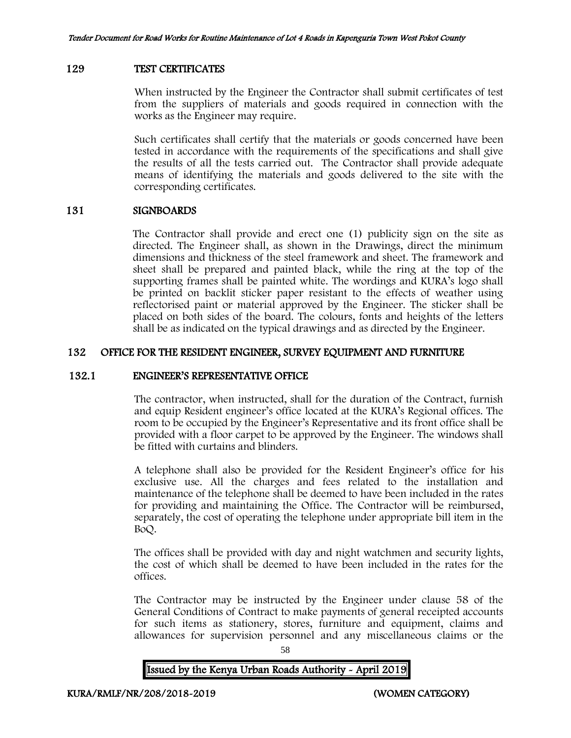### 129 TEST CERTIFICATES

When instructed by the Engineer the Contractor shall submit certificates of test from the suppliers of materials and goods required in connection with the works as the Engineer may require.

Such certificates shall certify that the materials or goods concerned have been tested in accordance with the requirements of the specifications and shall give the results of all the tests carried out. The Contractor shall provide adequate means of identifying the materials and goods delivered to the site with the corresponding certificates.

### 131 SIGNBOARDS

The Contractor shall provide and erect one (1) publicity sign on the site as directed. The Engineer shall, as shown in the Drawings, direct the minimum dimensions and thickness of the steel framework and sheet. The framework and sheet shall be prepared and painted black, while the ring at the top of the supporting frames shall be painted white. The wordings and KURA's logo shall be printed on backlit sticker paper resistant to the effects of weather using reflectorised paint or material approved by the Engineer. The sticker shall be placed on both sides of the board. The colours, fonts and heights of the letters shall be as indicated on the typical drawings and as directed by the Engineer.

## 132 OFFICE FOR THE RESIDENT ENGINEER, SURVEY EQUIPMENT AND FURNITURE

### 132.1 ENGINEER'S REPRESENTATIVE OFFICE

The contractor, when instructed, shall for the duration of the Contract, furnish and equip Resident engineer's office located at the KURA's Regional offices. The room to be occupied by the Engineer's Representative and its front office shall be provided with a floor carpet to be approved by the Engineer. The windows shall be fitted with curtains and blinders.

A telephone shall also be provided for the Resident Engineer's office for his exclusive use. All the charges and fees related to the installation and maintenance of the telephone shall be deemed to have been included in the rates for providing and maintaining the Office. The Contractor will be reimbursed, separately, the cost of operating the telephone under appropriate bill item in the BoQ.

The offices shall be provided with day and night watchmen and security lights, the cost of which shall be deemed to have been included in the rates for the offices.

The Contractor may be instructed by the Engineer under clause 58 of the General Conditions of Contract to make payments of general receipted accounts for such items as stationery, stores, furniture and equipment, claims and allowances for supervision personnel and any miscellaneous claims or the

58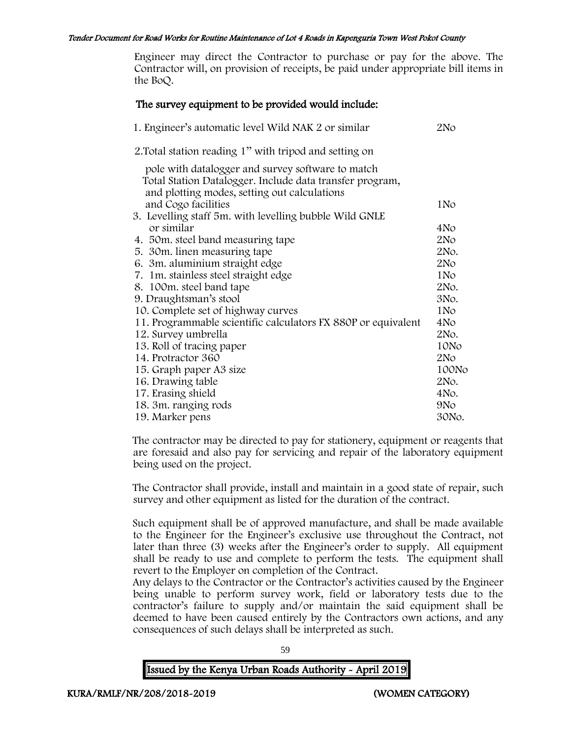Engineer may direct the Contractor to purchase or pay for the above. The Contractor will, on provision of receipts, be paid under appropriate bill items in the BoQ.

## The survey equipment to be provided would include:

| 1. Engineer's automatic level Wild NAK 2 or similar                                                                                                           | 2No             |
|---------------------------------------------------------------------------------------------------------------------------------------------------------------|-----------------|
| 2. Total station reading 1" with tripod and setting on                                                                                                        |                 |
| pole with datalogger and survey software to match<br>Total Station Datalogger. Include data transfer program,<br>and plotting modes, setting out calculations |                 |
| and Cogo facilities                                                                                                                                           | 1N <sub>o</sub> |
| 3. Levelling staff 5m. with levelling bubble Wild GNLE                                                                                                        |                 |
| or similar                                                                                                                                                    | 4No             |
| 4. 50 m. steel band measuring tape                                                                                                                            | 2N <sub>O</sub> |
| 5. 30m. linen measuring tape                                                                                                                                  | 2No.            |
| 6. 3m. aluminium straight edge                                                                                                                                | 2N <sub>O</sub> |
| 7. 1m. stainless steel straight edge                                                                                                                          | 1N <sub>o</sub> |
| 8. 100m. steel band tape                                                                                                                                      | 2No.            |
| 9. Draughtsman's stool                                                                                                                                        | 3No.            |
| 10. Complete set of highway curves                                                                                                                            | 1N <sub>o</sub> |
| 11. Programmable scientific calculators FX 880P or equivalent                                                                                                 | 4No             |
| 12. Survey umbrella                                                                                                                                           | 2No.            |
| 13. Roll of tracing paper                                                                                                                                     | 10No            |
| 14. Protractor 360                                                                                                                                            | 2N <sub>O</sub> |
| 15. Graph paper A3 size                                                                                                                                       | 100No           |
| 16. Drawing table                                                                                                                                             | 2No.            |
| 17. Erasing shield                                                                                                                                            | 4No.            |
| 18. 3m. ranging rods                                                                                                                                          | 9N <sub>o</sub> |
| 19. Marker pens                                                                                                                                               | 30No.           |

The contractor may be directed to pay for stationery, equipment or reagents that are foresaid and also pay for servicing and repair of the laboratory equipment being used on the project.

The Contractor shall provide, install and maintain in a good state of repair, such survey and other equipment as listed for the duration of the contract.

Such equipment shall be of approved manufacture, and shall be made available to the Engineer for the Engineer's exclusive use throughout the Contract, not later than three (3) weeks after the Engineer's order to supply. All equipment shall be ready to use and complete to perform the tests. The equipment shall revert to the Employer on completion of the Contract.

Any delays to the Contractor or the Contractor's activities caused by the Engineer being unable to perform survey work, field or laboratory tests due to the contractor's failure to supply and/or maintain the said equipment shall be deemed to have been caused entirely by the Contractors own actions, and any consequences of such delays shall be interpreted as such.

59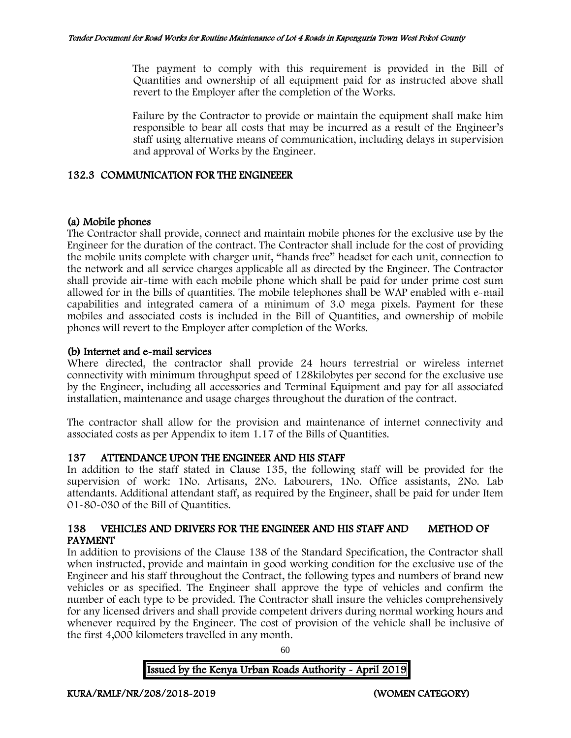The payment to comply with this requirement is provided in the Bill of Quantities and ownership of all equipment paid for as instructed above shall revert to the Employer after the completion of the Works.

Failure by the Contractor to provide or maintain the equipment shall make him responsible to bear all costs that may be incurred as a result of the Engineer's staff using alternative means of communication, including delays in supervision and approval of Works by the Engineer.

### 132.3 COMMUNICATION FOR THE ENGINEEER

## (a) Mobile phones

The Contractor shall provide, connect and maintain mobile phones for the exclusive use by the Engineer for the duration of the contract. The Contractor shall include for the cost of providing the mobile units complete with charger unit, "hands free" headset for each unit, connection to the network and all service charges applicable all as directed by the Engineer. The Contractor shall provide air-time with each mobile phone which shall be paid for under prime cost sum allowed for in the bills of quantities. The mobile telephones shall be WAP enabled with e-mail capabilities and integrated camera of a minimum of 3.0 mega pixels. Payment for these mobiles and associated costs is included in the Bill of Quantities, and ownership of mobile phones will revert to the Employer after completion of the Works.

## (b) Internet and e-mail services

Where directed, the contractor shall provide 24 hours terrestrial or wireless internet connectivity with minimum throughput speed of 128kilobytes per second for the exclusive use by the Engineer, including all accessories and Terminal Equipment and pay for all associated installation, maintenance and usage charges throughout the duration of the contract.

The contractor shall allow for the provision and maintenance of internet connectivity and associated costs as per Appendix to item 1.17 of the Bills of Quantities.

### 137 ATTENDANCE UPON THE ENGINEER AND HIS STAFF

In addition to the staff stated in Clause 135, the following staff will be provided for the supervision of work: 1No. Artisans, 2No. Labourers, 1No. Office assistants, 2No. Lab attendants. Additional attendant staff, as required by the Engineer, shall be paid for under Item 01-80-030 of the Bill of Quantities.

## 138 VEHICLES AND DRIVERS FOR THE ENGINEER AND HIS STAFF AND METHOD OF PAYMENT

In addition to provisions of the Clause 138 of the Standard Specification, the Contractor shall when instructed, provide and maintain in good working condition for the exclusive use of the Engineer and his staff throughout the Contract, the following types and numbers of brand new vehicles or as specified. The Engineer shall approve the type of vehicles and confirm the number of each type to be provided. The Contractor shall insure the vehicles comprehensively for any licensed drivers and shall provide competent drivers during normal working hours and whenever required by the Engineer. The cost of provision of the vehicle shall be inclusive of the first 4,000 kilometers travelled in any month.

60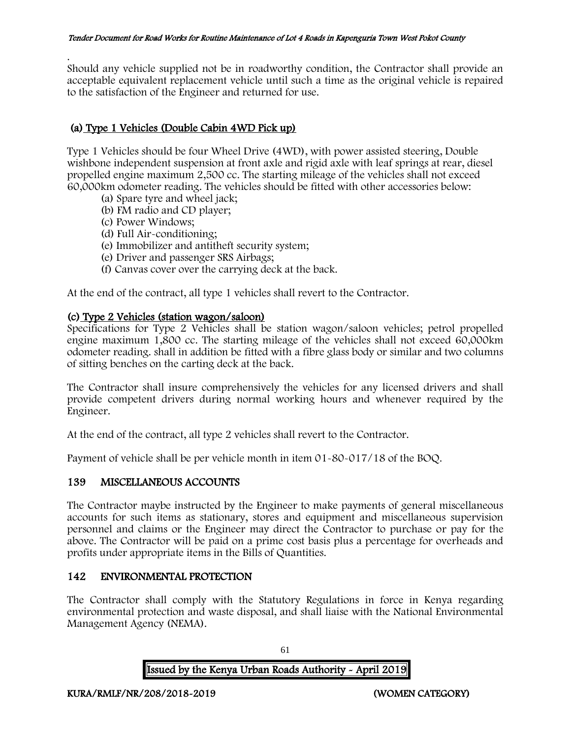. Should any vehicle supplied not be in roadworthy condition, the Contractor shall provide an acceptable equivalent replacement vehicle until such a time as the original vehicle is repaired to the satisfaction of the Engineer and returned for use.

# (a) Type 1 Vehicles (Double Cabin 4WD Pick up)

Type 1 Vehicles should be four Wheel Drive (4WD), with power assisted steering, Double wishbone independent suspension at front axle and rigid axle with leaf springs at rear, diesel propelled engine maximum 2,500 cc. The starting mileage of the vehicles shall not exceed 60,000km odometer reading. The vehicles should be fitted with other accessories below:

- (a) Spare tyre and wheel jack;
- (b) FM radio and CD player;
- (c) Power Windows;
- (d) Full Air-conditioning;
- (e) Immobilizer and antitheft security system;
- (e) Driver and passenger SRS Airbags;
- (f) Canvas cover over the carrying deck at the back.

At the end of the contract, all type 1 vehicles shall revert to the Contractor.

## (c) Type 2 Vehicles (station wagon/saloon)

Specifications for Type 2 Vehicles shall be station wagon/saloon vehicles; petrol propelled engine maximum 1,800 cc. The starting mileage of the vehicles shall not exceed 60,000km odometer reading. shall in addition be fitted with a fibre glass body or similar and two columns of sitting benches on the carting deck at the back.

The Contractor shall insure comprehensively the vehicles for any licensed drivers and shall provide competent drivers during normal working hours and whenever required by the Engineer.

At the end of the contract, all type 2 vehicles shall revert to the Contractor.

Payment of vehicle shall be per vehicle month in item 01-80-017/18 of the BOQ.

# 139 MISCELLANEOUS ACCOUNTS

The Contractor maybe instructed by the Engineer to make payments of general miscellaneous accounts for such items as stationary, stores and equipment and miscellaneous supervision personnel and claims or the Engineer may direct the Contractor to purchase or pay for the above. The Contractor will be paid on a prime cost basis plus a percentage for overheads and profits under appropriate items in the Bills of Quantities.

# 142 ENVIRONMENTAL PROTECTION

The Contractor shall comply with the Statutory Regulations in force in Kenya regarding environmental protection and waste disposal, and shall liaise with the National Environmental Management Agency (NEMA).

Issued by the Kenya Urban Roads Authority - April 2019

61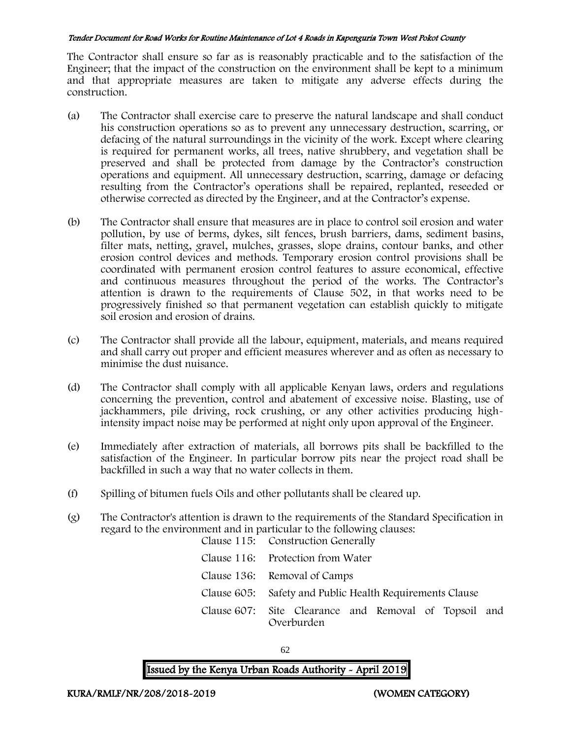The Contractor shall ensure so far as is reasonably practicable and to the satisfaction of the Engineer; that the impact of the construction on the environment shall be kept to a minimum and that appropriate measures are taken to mitigate any adverse effects during the construction.

- (a) The Contractor shall exercise care to preserve the natural landscape and shall conduct his construction operations so as to prevent any unnecessary destruction, scarring, or defacing of the natural surroundings in the vicinity of the work. Except where clearing is required for permanent works, all trees, native shrubbery, and vegetation shall be preserved and shall be protected from damage by the Contractor's construction operations and equipment. All unnecessary destruction, scarring, damage or defacing resulting from the Contractor's operations shall be repaired, replanted, reseeded or otherwise corrected as directed by the Engineer, and at the Contractor's expense.
- (b) The Contractor shall ensure that measures are in place to control soil erosion and water pollution, by use of berms, dykes, silt fences, brush barriers, dams, sediment basins, filter mats, netting, gravel, mulches, grasses, slope drains, contour banks, and other erosion control devices and methods. Temporary erosion control provisions shall be coordinated with permanent erosion control features to assure economical, effective and continuous measures throughout the period of the works. The Contractor's attention is drawn to the requirements of Clause 502, in that works need to be progressively finished so that permanent vegetation can establish quickly to mitigate soil erosion and erosion of drains.
- (c) The Contractor shall provide all the labour, equipment, materials, and means required and shall carry out proper and efficient measures wherever and as often as necessary to minimise the dust nuisance.
- (d) The Contractor shall comply with all applicable Kenyan laws, orders and regulations concerning the prevention, control and abatement of excessive noise. Blasting, use of jackhammers, pile driving, rock crushing, or any other activities producing highintensity impact noise may be performed at night only upon approval of the Engineer.
- (e) Immediately after extraction of materials, all borrows pits shall be backfilled to the satisfaction of the Engineer. In particular borrow pits near the project road shall be backfilled in such a way that no water collects in them.
- (f) Spilling of bitumen fuels Oils and other pollutants shall be cleared up.
- (g) The Contractor's attention is drawn to the requirements of the Standard Specification in regard to the environment and in particular to the following clauses: Clause 115: Construction Generally

| Clause 119. Construction Generally                                  |
|---------------------------------------------------------------------|
| Clause 116: Protection from Water                                   |
| Clause 136: Removal of Camps                                        |
| Clause 605: Safety and Public Health Requirements Clause            |
| Clause 607: Site Clearance and Removal of Topsoil and<br>Overburden |

62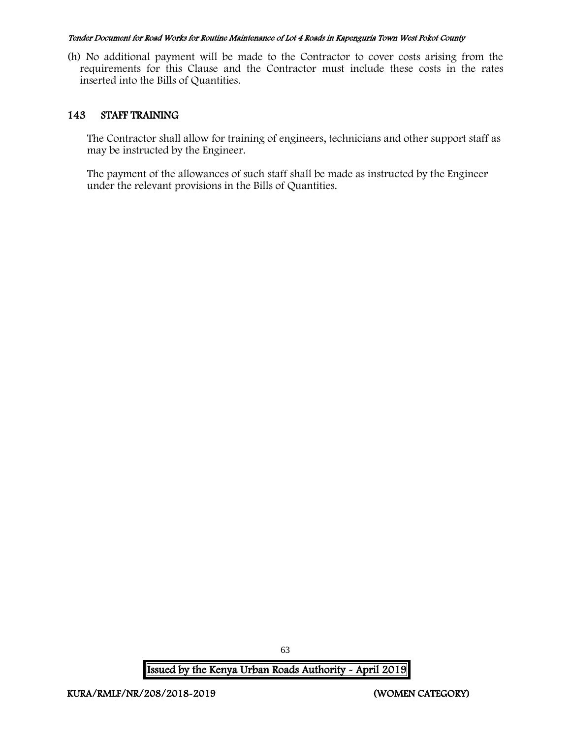(h) No additional payment will be made to the Contractor to cover costs arising from the requirements for this Clause and the Contractor must include these costs in the rates inserted into the Bills of Quantities.

## 143 STAFF TRAINING

The Contractor shall allow for training of engineers, technicians and other support staff as may be instructed by the Engineer.

The payment of the allowances of such staff shall be made as instructed by the Engineer under the relevant provisions in the Bills of Quantities.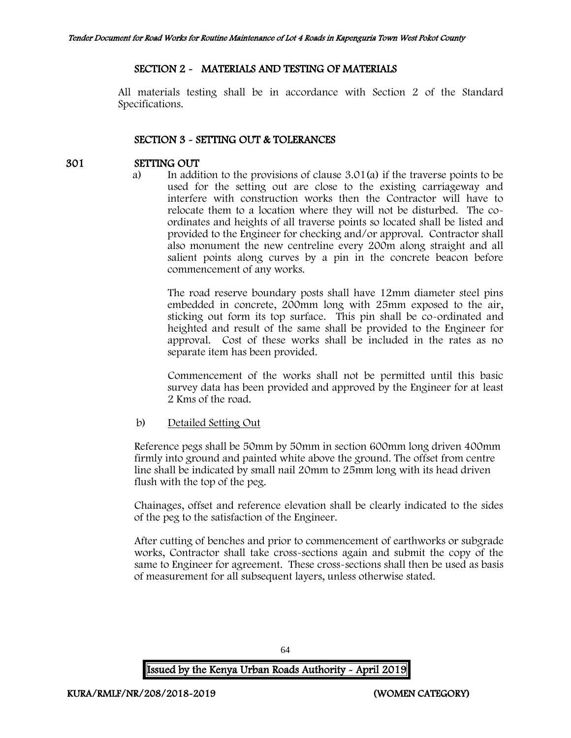## SECTION 2 - MATERIALS AND TESTING OF MATERIALS

All materials testing shall be in accordance with Section 2 of the Standard Specifications.

## SECTION 3 - SETTING OUT & TOLERANCES

## 301 SETTING OUT

a) In addition to the provisions of clause 3.01(a) if the traverse points to be used for the setting out are close to the existing carriageway and interfere with construction works then the Contractor will have to relocate them to a location where they will not be disturbed. The coordinates and heights of all traverse points so located shall be listed and provided to the Engineer for checking and/or approval. Contractor shall also monument the new centreline every 200m along straight and all salient points along curves by a pin in the concrete beacon before commencement of any works.

The road reserve boundary posts shall have 12mm diameter steel pins embedded in concrete, 200mm long with 25mm exposed to the air, sticking out form its top surface. This pin shall be co-ordinated and heighted and result of the same shall be provided to the Engineer for approval. Cost of these works shall be included in the rates as no separate item has been provided.

Commencement of the works shall not be permitted until this basic survey data has been provided and approved by the Engineer for at least 2 Kms of the road.

### b) Detailed Setting Out

Reference pegs shall be 50mm by 50mm in section 600mm long driven 400mm firmly into ground and painted white above the ground. The offset from centre line shall be indicated by small nail 20mm to 25mm long with its head driven flush with the top of the peg.

Chainages, offset and reference elevation shall be clearly indicated to the sides of the peg to the satisfaction of the Engineer.

After cutting of benches and prior to commencement of earthworks or subgrade works, Contractor shall take cross-sections again and submit the copy of the same to Engineer for agreement. These cross-sections shall then be used as basis of measurement for all subsequent layers, unless otherwise stated.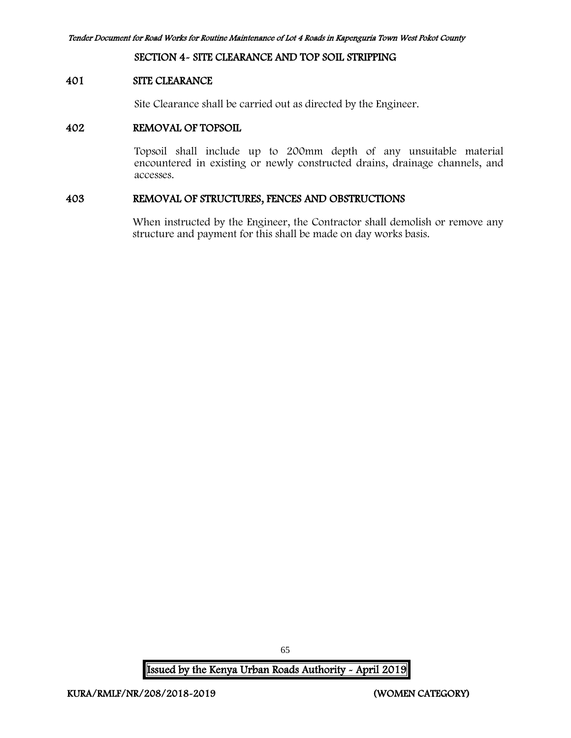#### SECTION 4- SITE CLEARANCE AND TOP SOIL STRIPPING

#### 401 SITE CLEARANCE

Site Clearance shall be carried out as directed by the Engineer.

#### 402 REMOVAL OF TOPSOIL

Topsoil shall include up to 200mm depth of any unsuitable material encountered in existing or newly constructed drains, drainage channels, and accesses.

## 403 REMOVAL OF STRUCTURES, FENCES AND OBSTRUCTIONS

When instructed by the Engineer, the Contractor shall demolish or remove any structure and payment for this shall be made on day works basis.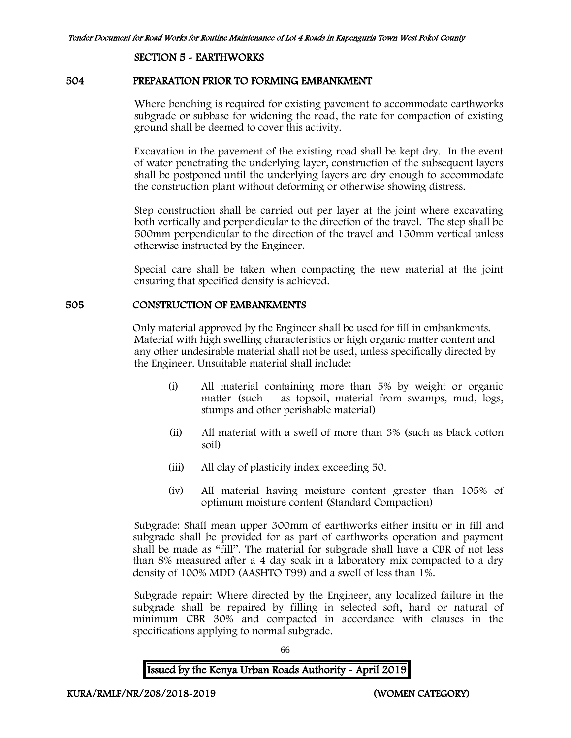#### SECTION 5 - EARTHWORKS

#### 504 PREPARATION PRIOR TO FORMING EMBANKMENT

Where benching is required for existing pavement to accommodate earthworks subgrade or subbase for widening the road, the rate for compaction of existing ground shall be deemed to cover this activity.

Excavation in the pavement of the existing road shall be kept dry. In the event of water penetrating the underlying layer, construction of the subsequent layers shall be postponed until the underlying layers are dry enough to accommodate the construction plant without deforming or otherwise showing distress.

Step construction shall be carried out per layer at the joint where excavating both vertically and perpendicular to the direction of the travel. The step shall be 500mm perpendicular to the direction of the travel and 150mm vertical unless otherwise instructed by the Engineer.

Special care shall be taken when compacting the new material at the joint ensuring that specified density is achieved.

## 505 CONSTRUCTION OF EMBANKMENTS

Only material approved by the Engineer shall be used for fill in embankments. Material with high swelling characteristics or high organic matter content and any other undesirable material shall not be used, unless specifically directed by the Engineer. Unsuitable material shall include:

- (i) All material containing more than 5% by weight or organic matter (such as topsoil, material from swamps, mud, logs, stumps and other perishable material)
- (ii) All material with a swell of more than 3% (such as black cotton soil)
- (iii) All clay of plasticity index exceeding 50.
- (iv) All material having moisture content greater than 105% of optimum moisture content (Standard Compaction)

Subgrade: Shall mean upper 300mm of earthworks either insitu or in fill and subgrade shall be provided for as part of earthworks operation and payment shall be made as "fill". The material for subgrade shall have a CBR of not less than 8% measured after a 4 day soak in a laboratory mix compacted to a dry density of 100% MDD (AASHTO T99) and a swell of less than 1%.

Subgrade repair: Where directed by the Engineer, any localized failure in the subgrade shall be repaired by filling in selected soft, hard or natural of minimum CBR 30% and compacted in accordance with clauses in the specifications applying to normal subgrade.

66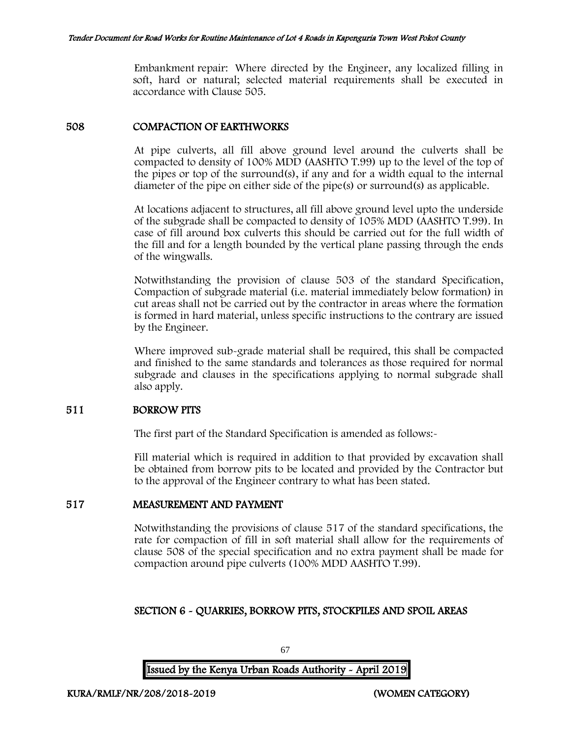Embankment repair: Where directed by the Engineer, any localized filling in soft, hard or natural; selected material requirements shall be executed in accordance with Clause 505.

## 508 COMPACTION OF EARTHWORKS

At pipe culverts, all fill above ground level around the culverts shall be compacted to density of 100% MDD (AASHTO T.99) up to the level of the top of the pipes or top of the surround(s), if any and for a width equal to the internal diameter of the pipe on either side of the pipe(s) or surround(s) as applicable.

At locations adjacent to structures, all fill above ground level upto the underside of the subgrade shall be compacted to density of 105% MDD (AASHTO T.99). In case of fill around box culverts this should be carried out for the full width of the fill and for a length bounded by the vertical plane passing through the ends of the wingwalls.

Notwithstanding the provision of clause 503 of the standard Specification, Compaction of subgrade material (i.e. material immediately below formation) in cut areas shall not be carried out by the contractor in areas where the formation is formed in hard material, unless specific instructions to the contrary are issued by the Engineer.

Where improved sub-grade material shall be required, this shall be compacted and finished to the same standards and tolerances as those required for normal subgrade and clauses in the specifications applying to normal subgrade shall also apply.

## 511 BORROW PITS

The first part of the Standard Specification is amended as follows:

Fill material which is required in addition to that provided by excavation shall be obtained from borrow pits to be located and provided by the Contractor but to the approval of the Engineer contrary to what has been stated.

# 517 MEASUREMENT AND PAYMENT

Notwithstanding the provisions of clause 517 of the standard specifications, the rate for compaction of fill in soft material shall allow for the requirements of clause 508 of the special specification and no extra payment shall be made for compaction around pipe culverts (100% MDD AASHTO T.99).

# SECTION 6 - QUARRIES, BORROW PITS, STOCKPILES AND SPOIL AREAS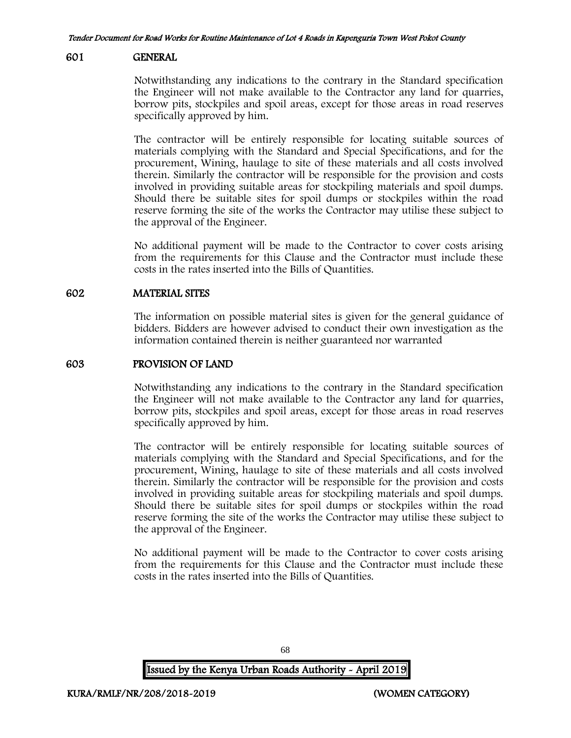#### 601 GENERAL

Notwithstanding any indications to the contrary in the Standard specification the Engineer will not make available to the Contractor any land for quarries, borrow pits, stockpiles and spoil areas, except for those areas in road reserves specifically approved by him.

The contractor will be entirely responsible for locating suitable sources of materials complying with the Standard and Special Specifications, and for the procurement, Wining, haulage to site of these materials and all costs involved therein. Similarly the contractor will be responsible for the provision and costs involved in providing suitable areas for stockpiling materials and spoil dumps. Should there be suitable sites for spoil dumps or stockpiles within the road reserve forming the site of the works the Contractor may utilise these subject to the approval of the Engineer.

No additional payment will be made to the Contractor to cover costs arising from the requirements for this Clause and the Contractor must include these costs in the rates inserted into the Bills of Quantities.

### 602 MATERIAL SITES

The information on possible material sites is given for the general guidance of bidders. Bidders are however advised to conduct their own investigation as the information contained therein is neither guaranteed nor warranted

### 603 PROVISION OF LAND

Notwithstanding any indications to the contrary in the Standard specification the Engineer will not make available to the Contractor any land for quarries, borrow pits, stockpiles and spoil areas, except for those areas in road reserves specifically approved by him.

The contractor will be entirely responsible for locating suitable sources of materials complying with the Standard and Special Specifications, and for the procurement, Wining, haulage to site of these materials and all costs involved therein. Similarly the contractor will be responsible for the provision and costs involved in providing suitable areas for stockpiling materials and spoil dumps. Should there be suitable sites for spoil dumps or stockpiles within the road reserve forming the site of the works the Contractor may utilise these subject to the approval of the Engineer.

No additional payment will be made to the Contractor to cover costs arising from the requirements for this Clause and the Contractor must include these costs in the rates inserted into the Bills of Quantities.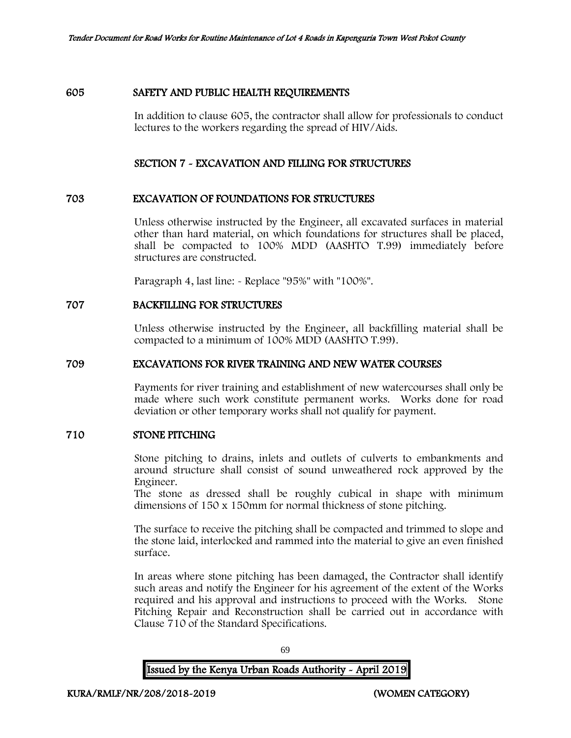#### 605 SAFETY AND PUBLIC HEALTH REQUIREMENTS

In addition to clause 605, the contractor shall allow for professionals to conduct lectures to the workers regarding the spread of HIV/Aids.

#### SECTION 7 - EXCAVATION AND FILLING FOR STRUCTURES

#### 703 EXCAVATION OF FOUNDATIONS FOR STRUCTURES

Unless otherwise instructed by the Engineer, all excavated surfaces in material other than hard material, on which foundations for structures shall be placed, shall be compacted to 100% MDD (AASHTO T.99) immediately before structures are constructed.

Paragraph 4, last line: - Replace "95%" with "100%".

## 707 BACKFILLING FOR STRUCTURES

Unless otherwise instructed by the Engineer, all backfilling material shall be compacted to a minimum of 100% MDD (AASHTO T.99).

### 709 EXCAVATIONS FOR RIVER TRAINING AND NEW WATER COURSES

Payments for river training and establishment of new watercourses shall only be made where such work constitute permanent works. Works done for road deviation or other temporary works shall not qualify for payment.

## 710 STONE PITCHING

Stone pitching to drains, inlets and outlets of culverts to embankments and around structure shall consist of sound unweathered rock approved by the Engineer.

The stone as dressed shall be roughly cubical in shape with minimum dimensions of 150 x 150mm for normal thickness of stone pitching.

The surface to receive the pitching shall be compacted and trimmed to slope and the stone laid, interlocked and rammed into the material to give an even finished surface.

In areas where stone pitching has been damaged, the Contractor shall identify such areas and notify the Engineer for his agreement of the extent of the Works required and his approval and instructions to proceed with the Works. Stone Pitching Repair and Reconstruction shall be carried out in accordance with Clause 710 of the Standard Specifications.

69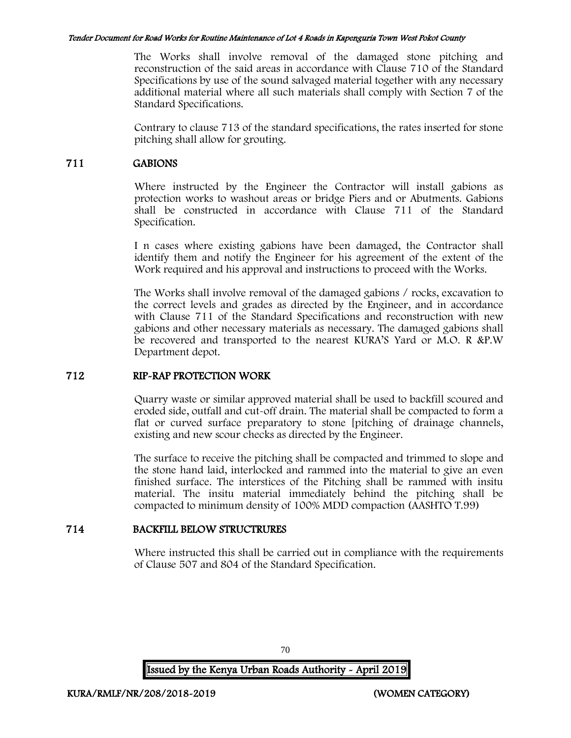The Works shall involve removal of the damaged stone pitching and reconstruction of the said areas in accordance with Clause 710 of the Standard Specifications by use of the sound salvaged material together with any necessary additional material where all such materials shall comply with Section 7 of the Standard Specifications.

Contrary to clause 713 of the standard specifications, the rates inserted for stone pitching shall allow for grouting.

## 711 GABIONS

Where instructed by the Engineer the Contractor will install gabions as protection works to washout areas or bridge Piers and or Abutments. Gabions shall be constructed in accordance with Clause 711 of the Standard Specification.

I n cases where existing gabions have been damaged, the Contractor shall identify them and notify the Engineer for his agreement of the extent of the Work required and his approval and instructions to proceed with the Works.

The Works shall involve removal of the damaged gabions / rocks, excavation to the correct levels and grades as directed by the Engineer, and in accordance with Clause 711 of the Standard Specifications and reconstruction with new gabions and other necessary materials as necessary. The damaged gabions shall be recovered and transported to the nearest KURA'S Yard or M.O. R &P.W Department depot.

## 712 RIP-RAP PROTECTION WORK

Quarry waste or similar approved material shall be used to backfill scoured and eroded side, outfall and cut-off drain. The material shall be compacted to form a flat or curved surface preparatory to stone [pitching of drainage channels, existing and new scour checks as directed by the Engineer.

The surface to receive the pitching shall be compacted and trimmed to slope and the stone hand laid, interlocked and rammed into the material to give an even finished surface. The interstices of the Pitching shall be rammed with insitu material. The insitu material immediately behind the pitching shall be compacted to minimum density of 100% MDD compaction (AASHTO T.99)

# 714 BACKFILL BELOW STRUCTRURES

Where instructed this shall be carried out in compliance with the requirements of Clause 507 and 804 of the Standard Specification.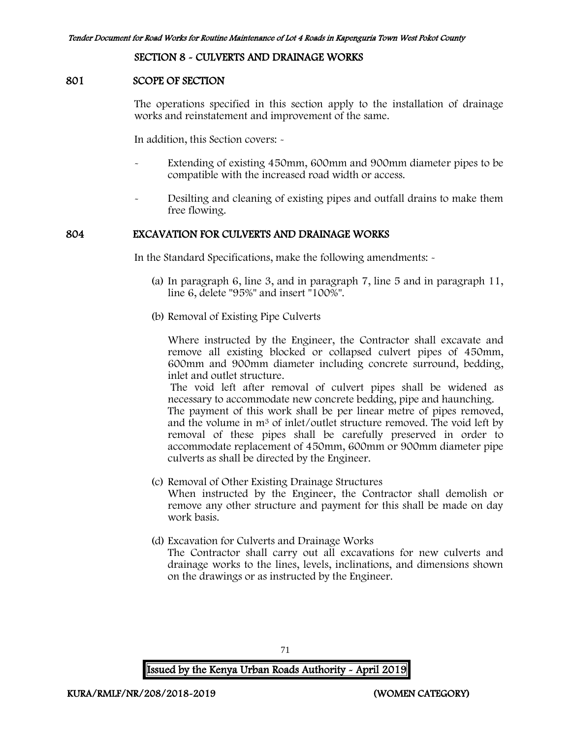### SECTION 8 - CULVERTS AND DRAINAGE WORKS

#### 801 SCOPE OF SECTION

The operations specified in this section apply to the installation of drainage works and reinstatement and improvement of the same.

In addition, this Section covers: -

- Extending of existing 450mm, 600mm and 900mm diameter pipes to be compatible with the increased road width or access.
- Desilting and cleaning of existing pipes and outfall drains to make them free flowing.

### 804 EXCAVATION FOR CULVERTS AND DRAINAGE WORKS

In the Standard Specifications, make the following amendments: -

- (a) In paragraph 6, line 3, and in paragraph 7, line 5 and in paragraph 11, line 6, delete "95%" and insert "100%".
- (b) Removal of Existing Pipe Culverts

Where instructed by the Engineer, the Contractor shall excavate and remove all existing blocked or collapsed culvert pipes of 450mm, 600mm and 900mm diameter including concrete surround, bedding, inlet and outlet structure.

The void left after removal of culvert pipes shall be widened as necessary to accommodate new concrete bedding, pipe and haunching.

The payment of this work shall be per linear metre of pipes removed, and the volume in m<sup>3</sup> of inlet/outlet structure removed. The void left by removal of these pipes shall be carefully preserved in order to accommodate replacement of 450mm, 600mm or 900mm diameter pipe culverts as shall be directed by the Engineer.

- (c) Removal of Other Existing Drainage Structures When instructed by the Engineer, the Contractor shall demolish or remove any other structure and payment for this shall be made on day work basis.
- (d) Excavation for Culverts and Drainage Works The Contractor shall carry out all excavations for new culverts and drainage works to the lines, levels, inclinations, and dimensions shown on the drawings or as instructed by the Engineer.

71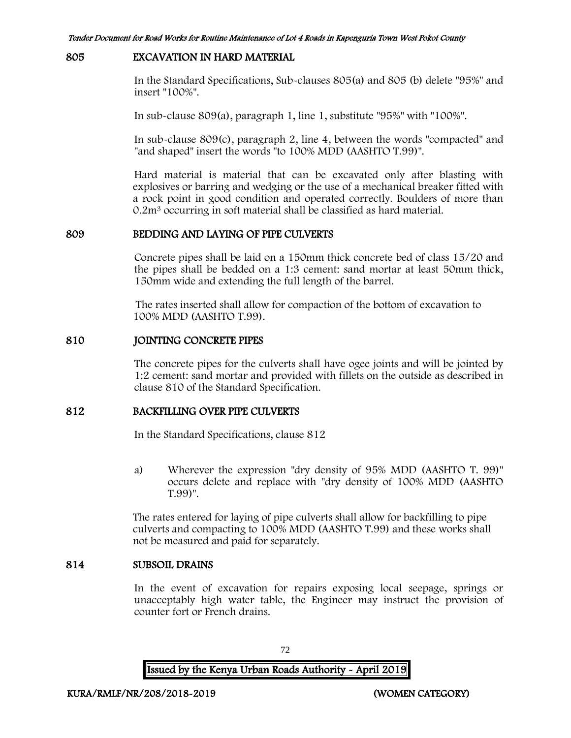#### 805 EXCAVATION IN HARD MATERIAL

In the Standard Specifications, Sub-clauses 805(a) and 805 (b) delete "95%" and insert "100%".

In sub-clause 809(a), paragraph 1, line 1, substitute "95%" with "100%".

In sub-clause 809(c), paragraph 2, line 4, between the words "compacted" and "and shaped" insert the words "to 100% MDD (AASHTO T.99)".

Hard material is material that can be excavated only after blasting with explosives or barring and wedging or the use of a mechanical breaker fitted with a rock point in good condition and operated correctly. Boulders of more than 0.2m<sup>3</sup> occurring in soft material shall be classified as hard material.

#### 809 BEDDING AND LAYING OF PIPE CULVERTS

Concrete pipes shall be laid on a 150mm thick concrete bed of class 15/20 and the pipes shall be bedded on a 1:3 cement: sand mortar at least 50mm thick, 150mm wide and extending the full length of the barrel.

The rates inserted shall allow for compaction of the bottom of excavation to 100% MDD (AASHTO T.99).

#### 810 JOINTING CONCRETE PIPES

The concrete pipes for the culverts shall have ogee joints and will be jointed by 1:2 cement: sand mortar and provided with fillets on the outside as described in clause 810 of the Standard Specification.

#### 812 BACKFILLING OVER PIPE CULVERTS

In the Standard Specifications, clause 812

a) Wherever the expression "dry density of 95% MDD (AASHTO T. 99)" occurs delete and replace with "dry density of 100% MDD (AASHTO T.99)".

The rates entered for laying of pipe culverts shall allow for backfilling to pipe culverts and compacting to 100% MDD (AASHTO T.99) and these works shall not be measured and paid for separately.

### 814 SUBSOIL DRAINS

In the event of excavation for repairs exposing local seepage, springs or unacceptably high water table, the Engineer may instruct the provision of counter fort or French drains.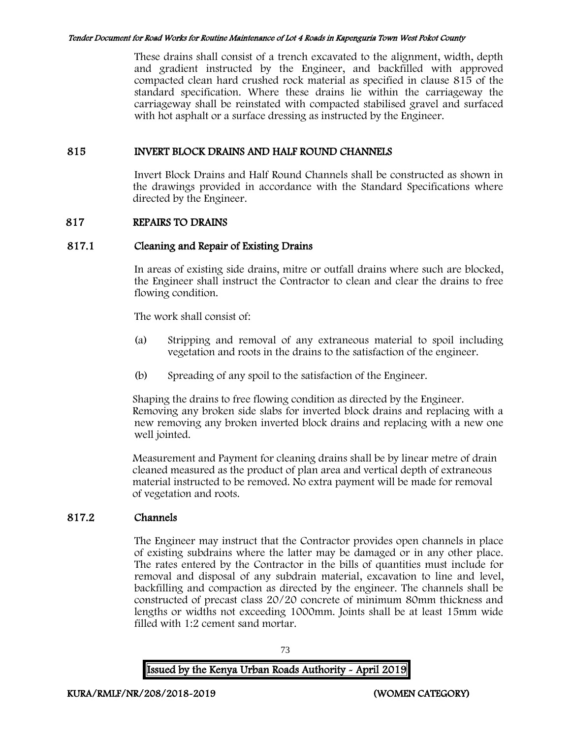These drains shall consist of a trench excavated to the alignment, width, depth and gradient instructed by the Engineer, and backfilled with approved compacted clean hard crushed rock material as specified in clause 815 of the standard specification. Where these drains lie within the carriageway the carriageway shall be reinstated with compacted stabilised gravel and surfaced with hot asphalt or a surface dressing as instructed by the Engineer.

### 815 INVERT BLOCK DRAINS AND HALF ROUND CHANNELS

Invert Block Drains and Half Round Channels shall be constructed as shown in the drawings provided in accordance with the Standard Specifications where directed by the Engineer.

### 817 REPAIRS TO DRAINS

### 817.1 Cleaning and Repair of Existing Drains

In areas of existing side drains, mitre or outfall drains where such are blocked, the Engineer shall instruct the Contractor to clean and clear the drains to free flowing condition.

The work shall consist of:

- (a) Stripping and removal of any extraneous material to spoil including vegetation and roots in the drains to the satisfaction of the engineer.
- (b) Spreading of any spoil to the satisfaction of the Engineer.

Shaping the drains to free flowing condition as directed by the Engineer. Removing any broken side slabs for inverted block drains and replacing with a new removing any broken inverted block drains and replacing with a new one well jointed.

Measurement and Payment for cleaning drains shall be by linear metre of drain cleaned measured as the product of plan area and vertical depth of extraneous material instructed to be removed. No extra payment will be made for removal of vegetation and roots.

## 817.2 Channels

The Engineer may instruct that the Contractor provides open channels in place of existing subdrains where the latter may be damaged or in any other place. The rates entered by the Contractor in the bills of quantities must include for removal and disposal of any subdrain material, excavation to line and level, backfilling and compaction as directed by the engineer. The channels shall be constructed of precast class 20/20 concrete of minimum 80mm thickness and lengths or widths not exceeding 1000mm. Joints shall be at least 15mm wide filled with 1:2 cement sand mortar.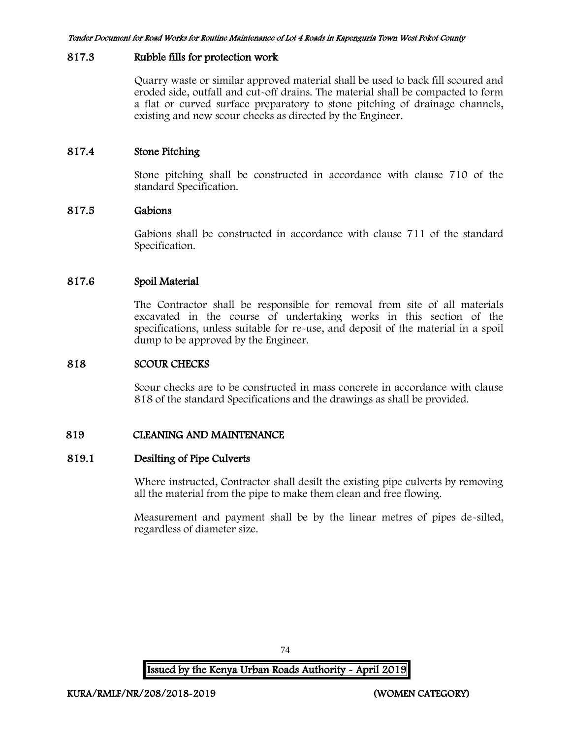#### 817.3 Rubble fills for protection work

Quarry waste or similar approved material shall be used to back fill scoured and eroded side, outfall and cut-off drains. The material shall be compacted to form a flat or curved surface preparatory to stone pitching of drainage channels, existing and new scour checks as directed by the Engineer.

## 817.4 Stone Pitching

Stone pitching shall be constructed in accordance with clause 710 of the standard Specification.

### 817.5 Gabions

Gabions shall be constructed in accordance with clause 711 of the standard Specification.

### 817.6 Spoil Material

The Contractor shall be responsible for removal from site of all materials excavated in the course of undertaking works in this section of the specifications, unless suitable for re-use, and deposit of the material in a spoil dump to be approved by the Engineer.

#### 818 SCOUR CHECKS

Scour checks are to be constructed in mass concrete in accordance with clause 818 of the standard Specifications and the drawings as shall be provided.

## 819 CLEANING AND MAINTENANCE

#### 819.1 Desilting of Pipe Culverts

Where instructed, Contractor shall desilt the existing pipe culverts by removing all the material from the pipe to make them clean and free flowing.

Measurement and payment shall be by the linear metres of pipes de-silted, regardless of diameter size.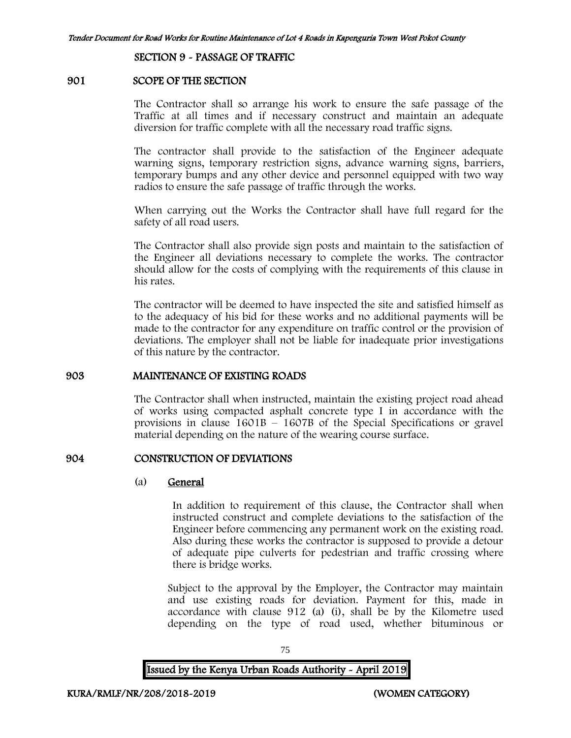SECTION 9 - PASSAGE OF TRAFFIC

#### 901 SCOPE OF THE SECTION

The Contractor shall so arrange his work to ensure the safe passage of the Traffic at all times and if necessary construct and maintain an adequate diversion for traffic complete with all the necessary road traffic signs.

The contractor shall provide to the satisfaction of the Engineer adequate warning signs, temporary restriction signs, advance warning signs, barriers, temporary bumps and any other device and personnel equipped with two way radios to ensure the safe passage of traffic through the works.

When carrying out the Works the Contractor shall have full regard for the safety of all road users.

The Contractor shall also provide sign posts and maintain to the satisfaction of the Engineer all deviations necessary to complete the works. The contractor should allow for the costs of complying with the requirements of this clause in his rates.

The contractor will be deemed to have inspected the site and satisfied himself as to the adequacy of his bid for these works and no additional payments will be made to the contractor for any expenditure on traffic control or the provision of deviations. The employer shall not be liable for inadequate prior investigations of this nature by the contractor.

#### 903 MAINTENANCE OF EXISTING ROADS

The Contractor shall when instructed, maintain the existing project road ahead of works using compacted asphalt concrete type I in accordance with the provisions in clause 1601B – 1607B of the Special Specifications or gravel material depending on the nature of the wearing course surface.

#### 904 CONSTRUCTION OF DEVIATIONS

#### (a) General

In addition to requirement of this clause, the Contractor shall when instructed construct and complete deviations to the satisfaction of the Engineer before commencing any permanent work on the existing road. Also during these works the contractor is supposed to provide a detour of adequate pipe culverts for pedestrian and traffic crossing where there is bridge works.

Subject to the approval by the Employer, the Contractor may maintain and use existing roads for deviation. Payment for this, made in accordance with clause 912 (a) (i), shall be by the Kilometre used depending on the type of road used, whether bituminous or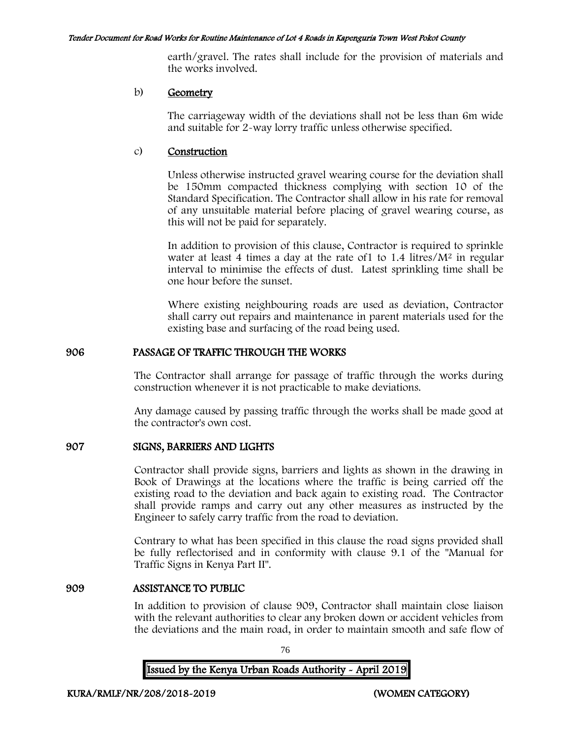earth/gravel. The rates shall include for the provision of materials and the works involved.

#### b) Geometry

The carriageway width of the deviations shall not be less than 6m wide and suitable for 2-way lorry traffic unless otherwise specified.

#### c) Construction

Unless otherwise instructed gravel wearing course for the deviation shall be 150mm compacted thickness complying with section 10 of the Standard Specification. The Contractor shall allow in his rate for removal of any unsuitable material before placing of gravel wearing course, as this will not be paid for separately.

In addition to provision of this clause, Contractor is required to sprinkle water at least 4 times a day at the rate of  $1$  to  $1.4$  litres/ $M<sup>2</sup>$  in regular interval to minimise the effects of dust. Latest sprinkling time shall be one hour before the sunset.

Where existing neighbouring roads are used as deviation, Contractor shall carry out repairs and maintenance in parent materials used for the existing base and surfacing of the road being used.

### 906 PASSAGE OF TRAFFIC THROUGH THE WORKS

The Contractor shall arrange for passage of traffic through the works during construction whenever it is not practicable to make deviations.

Any damage caused by passing traffic through the works shall be made good at the contractor's own cost.

## 907 SIGNS, BARRIERS AND LIGHTS

Contractor shall provide signs, barriers and lights as shown in the drawing in Book of Drawings at the locations where the traffic is being carried off the existing road to the deviation and back again to existing road. The Contractor shall provide ramps and carry out any other measures as instructed by the Engineer to safely carry traffic from the road to deviation.

Contrary to what has been specified in this clause the road signs provided shall be fully reflectorised and in conformity with clause 9.1 of the "Manual for Traffic Signs in Kenya Part II".

#### 909 ASSISTANCE TO PUBLIC

In addition to provision of clause 909, Contractor shall maintain close liaison with the relevant authorities to clear any broken down or accident vehicles from the deviations and the main road, in order to maintain smooth and safe flow of

76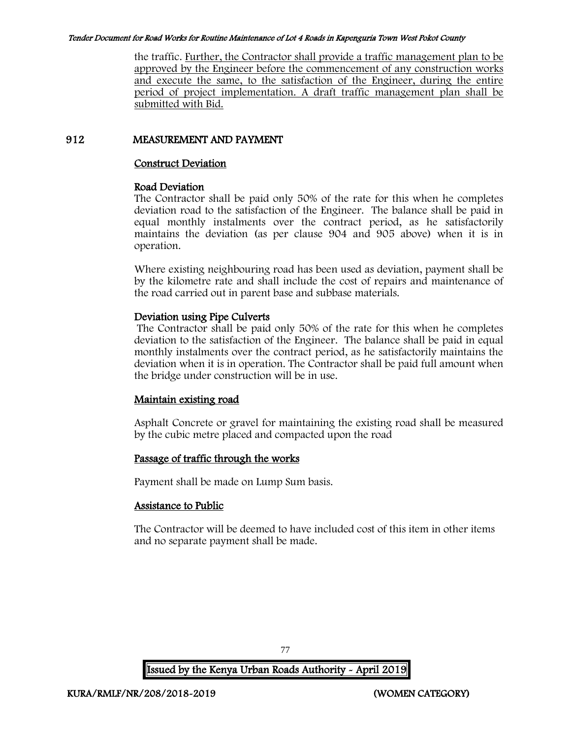the traffic. Further, the Contractor shall provide a traffic management plan to be approved by the Engineer before the commencement of any construction works and execute the same, to the satisfaction of the Engineer, during the entire period of project implementation. A draft traffic management plan shall be submitted with Bid.

### 912 MEASUREMENT AND PAYMENT

#### Construct Deviation

#### Road Deviation

The Contractor shall be paid only 50% of the rate for this when he completes deviation road to the satisfaction of the Engineer. The balance shall be paid in equal monthly instalments over the contract period, as he satisfactorily maintains the deviation (as per clause 904 and 905 above) when it is in operation.

Where existing neighbouring road has been used as deviation, payment shall be by the kilometre rate and shall include the cost of repairs and maintenance of the road carried out in parent base and subbase materials.

### Deviation using Pipe Culverts

The Contractor shall be paid only 50% of the rate for this when he completes deviation to the satisfaction of the Engineer. The balance shall be paid in equal monthly instalments over the contract period, as he satisfactorily maintains the deviation when it is in operation. The Contractor shall be paid full amount when the bridge under construction will be in use.

## Maintain existing road

Asphalt Concrete or gravel for maintaining the existing road shall be measured by the cubic metre placed and compacted upon the road

## Passage of traffic through the works

Payment shall be made on Lump Sum basis.

## Assistance to Public

The Contractor will be deemed to have included cost of this item in other items and no separate payment shall be made.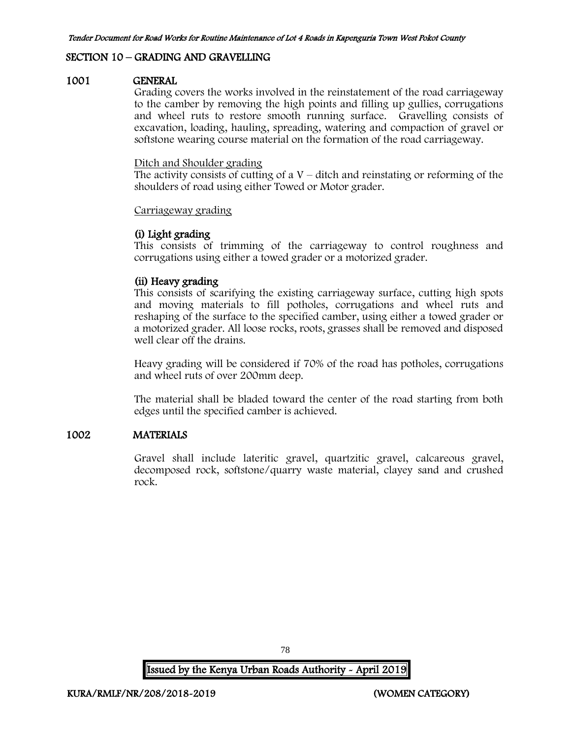### SECTION 10 – GRADING AND GRAVELLING

#### 1001 GENERAL

Grading covers the works involved in the reinstatement of the road carriageway to the camber by removing the high points and filling up gullies, corrugations and wheel ruts to restore smooth running surface. Gravelling consists of excavation, loading, hauling, spreading, watering and compaction of gravel or softstone wearing course material on the formation of the road carriageway.

#### Ditch and Shoulder grading

The activity consists of cutting of a  $V$  – ditch and reinstating or reforming of the shoulders of road using either Towed or Motor grader.

#### Carriageway grading

#### (i) Light grading

This consists of trimming of the carriageway to control roughness and corrugations using either a towed grader or a motorized grader.

### (ii) Heavy grading

This consists of scarifying the existing carriageway surface, cutting high spots and moving materials to fill potholes, corrugations and wheel ruts and reshaping of the surface to the specified camber, using either a towed grader or a motorized grader. All loose rocks, roots, grasses shall be removed and disposed well clear off the drains.

Heavy grading will be considered if 70% of the road has potholes, corrugations and wheel ruts of over 200mm deep.

The material shall be bladed toward the center of the road starting from both edges until the specified camber is achieved.

#### 1002 MATERIALS

Gravel shall include lateritic gravel, quartzitic gravel, calcareous gravel, decomposed rock, softstone/quarry waste material, clayey sand and crushed rock.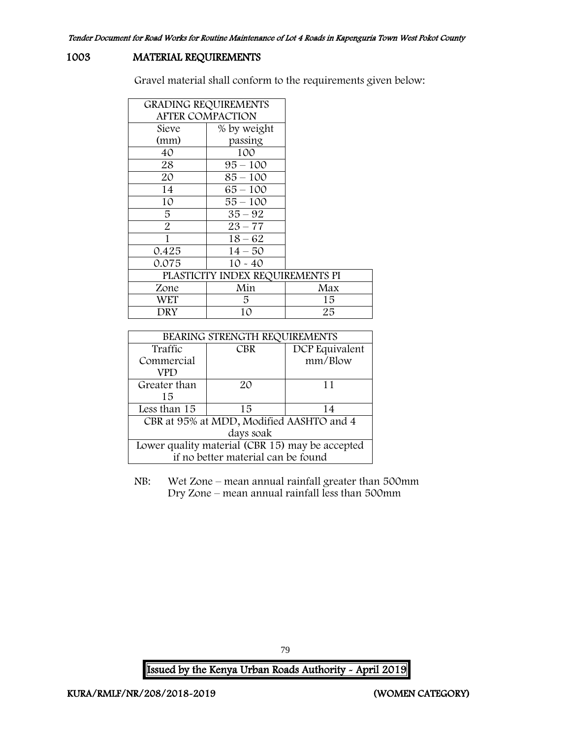### 1003 MATERIAL REQUIREMENTS

Gravel material shall conform to the requirements given below:

| <b>GRADING REQUIREMENTS</b> |                                  |     |
|-----------------------------|----------------------------------|-----|
| <b>AFTER COMPACTION</b>     |                                  |     |
| Sieve                       | % by weight                      |     |
| (mm)                        | passing                          |     |
| 40                          | 100                              |     |
| 28                          | $95 - 100$                       |     |
| 20                          | 85 – 100                         |     |
| 14                          | 65 – 100                         |     |
| 10                          | $55 - 100$                       |     |
| 5                           | $35 - 92$                        |     |
| 2                           | $23 - 77$                        |     |
| 1                           | $18 - 62$                        |     |
| 0.425                       | $14 - 50$                        |     |
| 0.075                       | $10 - 40$                        |     |
|                             | PLASTICITY INDEX REQUIREMENTS PI |     |
| Zone                        | Min                              | Max |
| WET                         | 5                                | 15  |
| DRY                         | 10                               | 25  |

| BEARING STRENGTH REQUIREMENTS                   |            |                |  |  |
|-------------------------------------------------|------------|----------------|--|--|
| Traffic                                         | <b>CBR</b> | DCP Equivalent |  |  |
| Commercial                                      |            | mm/Blow        |  |  |
| VPD                                             |            |                |  |  |
| Greater than                                    | 20         | 11             |  |  |
| 15                                              |            |                |  |  |
| Less than 15                                    | 15         | 14             |  |  |
| CBR at 95% at MDD, Modified AASHTO and 4        |            |                |  |  |
| days soak                                       |            |                |  |  |
| Lower quality material (CBR 15) may be accepted |            |                |  |  |
| if no better material can be found              |            |                |  |  |

NB: Wet Zone – mean annual rainfall greater than 500mm Dry Zone – mean annual rainfall less than 500mm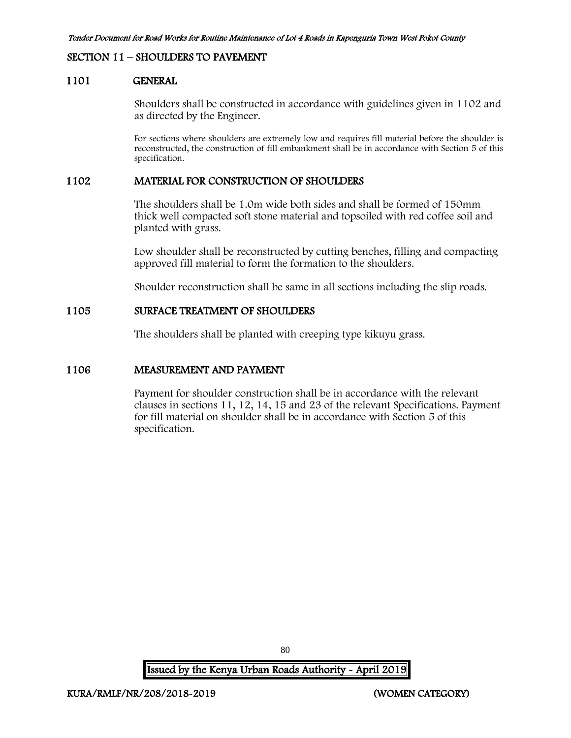#### SECTION 11 – SHOULDERS TO PAVEMENT

#### 1101 GENERAL

Shoulders shall be constructed in accordance with guidelines given in 1102 and as directed by the Engineer.

For sections where shoulders are extremely low and requires fill material before the shoulder is reconstructed, the construction of fill embankment shall be in accordance with Section 5 of this specification.

#### 1102 MATERIAL FOR CONSTRUCTION OF SHOULDERS

The shoulders shall be 1.0m wide both sides and shall be formed of 150mm thick well compacted soft stone material and topsoiled with red coffee soil and planted with grass.

Low shoulder shall be reconstructed by cutting benches, filling and compacting approved fill material to form the formation to the shoulders.

Shoulder reconstruction shall be same in all sections including the slip roads.

#### 1105 SURFACE TREATMENT OF SHOULDERS

The shoulders shall be planted with creeping type kikuyu grass.

#### 1106 MEASUREMENT AND PAYMENT

Payment for shoulder construction shall be in accordance with the relevant clauses in sections 11, 12, 14, 15 and 23 of the relevant Specifications. Payment for fill material on shoulder shall be in accordance with Section 5 of this specification.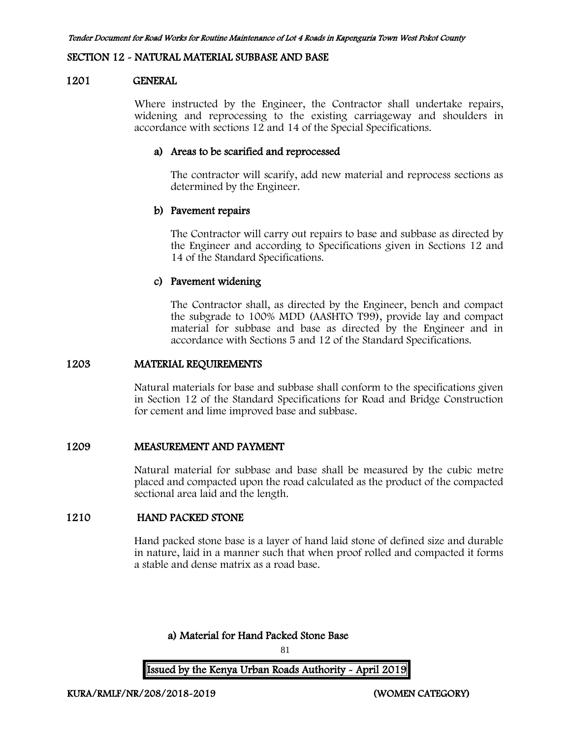#### SECTION 12 - NATURAL MATERIAL SUBBASE AND BASE

#### 1201 GENERAL

Where instructed by the Engineer, the Contractor shall undertake repairs, widening and reprocessing to the existing carriageway and shoulders in accordance with sections 12 and 14 of the Special Specifications.

#### a) Areas to be scarified and reprocessed

The contractor will scarify, add new material and reprocess sections as determined by the Engineer.

#### b) Pavement repairs

The Contractor will carry out repairs to base and subbase as directed by the Engineer and according to Specifications given in Sections 12 and 14 of the Standard Specifications.

#### c) Pavement widening

The Contractor shall, as directed by the Engineer, bench and compact the subgrade to 100% MDD (AASHTO T99), provide lay and compact material for subbase and base as directed by the Engineer and in accordance with Sections 5 and 12 of the Standard Specifications.

#### 1203 MATERIAL REQUIREMENTS

Natural materials for base and subbase shall conform to the specifications given in Section 12 of the Standard Specifications for Road and Bridge Construction for cement and lime improved base and subbase.

#### 1209 MEASUREMENT AND PAYMENT

Natural material for subbase and base shall be measured by the cubic metre placed and compacted upon the road calculated as the product of the compacted sectional area laid and the length.

### 1210 HAND PACKED STONE

Hand packed stone base is a layer of hand laid stone of defined size and durable in nature, laid in a manner such that when proof rolled and compacted it forms a stable and dense matrix as a road base.

### a) Material for Hand Packed Stone Base

81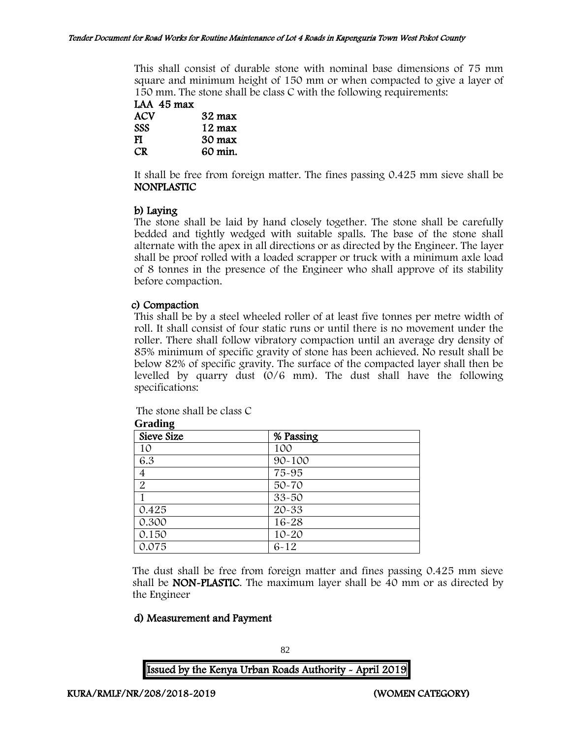This shall consist of durable stone with nominal base dimensions of 75 mm square and minimum height of 150 mm or when compacted to give a layer of 150 mm. The stone shall be class C with the following requirements:

LAA 45 max ACV 32 max SSS 12 max FI 30 max CR 60 min.

It shall be free from foreign matter. The fines passing 0.425 mm sieve shall be NONPLASTIC

### b) Laying

The stone shall be laid by hand closely together. The stone shall be carefully bedded and tightly wedged with suitable spalls. The base of the stone shall alternate with the apex in all directions or as directed by the Engineer. The layer shall be proof rolled with a loaded scrapper or truck with a minimum axle load of 8 tonnes in the presence of the Engineer who shall approve of its stability before compaction.

#### c) Compaction

This shall be by a steel wheeled roller of at least five tonnes per metre width of roll. It shall consist of four static runs or until there is no movement under the roller. There shall follow vibratory compaction until an average dry density of 85% minimum of specific gravity of stone has been achieved. No result shall be below 82% of specific gravity. The surface of the compacted layer shall then be levelled by quarry dust (0/6 mm). The dust shall have the following specifications:

The stone shall be class C

| —— <del>o</del><br>Sieve Size | % Passing  |  |
|-------------------------------|------------|--|
| 10                            | 100        |  |
| 6.3                           | $90 - 100$ |  |
| 4                             | 75-95      |  |
| $\overline{2}$                | 50-70      |  |
|                               | 33-50      |  |
| 0.425                         | 20-33      |  |
| 0.300                         | 16-28      |  |
| 0.150                         | $10 - 20$  |  |
| 0.075                         | $6 - 12$   |  |

**Grading**

The dust shall be free from foreign matter and fines passing 0.425 mm sieve shall be NON-PLASTIC. The maximum layer shall be 40 mm or as directed by the Engineer

#### d) Measurement and Payment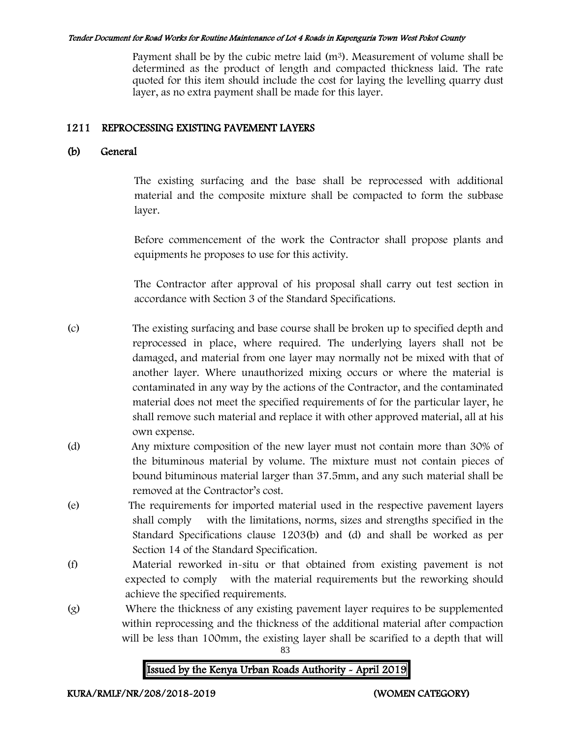Payment shall be by the cubic metre laid  $(m<sup>3</sup>)$ . Measurement of volume shall be determined as the product of length and compacted thickness laid. The rate quoted for this item should include the cost for laying the levelling quarry dust layer, as no extra payment shall be made for this layer.

## 1211 REPROCESSING EXISTING PAVEMENT LAYERS

## (b) General

The existing surfacing and the base shall be reprocessed with additional material and the composite mixture shall be compacted to form the subbase layer.

Before commencement of the work the Contractor shall propose plants and equipments he proposes to use for this activity.

The Contractor after approval of his proposal shall carry out test section in accordance with Section 3 of the Standard Specifications.

(c) The existing surfacing and base course shall be broken up to specified depth and reprocessed in place, where required. The underlying layers shall not be damaged, and material from one layer may normally not be mixed with that of another layer. Where unauthorized mixing occurs or where the material is contaminated in any way by the actions of the Contractor, and the contaminated material does not meet the specified requirements of for the particular layer, he shall remove such material and replace it with other approved material, all at his own expense.

- (d) Any mixture composition of the new layer must not contain more than 30% of the bituminous material by volume. The mixture must not contain pieces of bound bituminous material larger than 37.5mm, and any such material shall be removed at the Contractor's cost.
- (e) The requirements for imported material used in the respective pavement layers shall comply with the limitations, norms, sizes and strengths specified in the Standard Specifications clause 1203(b) and (d) and shall be worked as per Section 14 of the Standard Specification.
- (f) Material reworked in-situ or that obtained from existing pavement is not expected to comply with the material requirements but the reworking should achieve the specified requirements.
- (g) Where the thickness of any existing pavement layer requires to be supplemented within reprocessing and the thickness of the additional material after compaction will be less than 100mm, the existing layer shall be scarified to a depth that will

83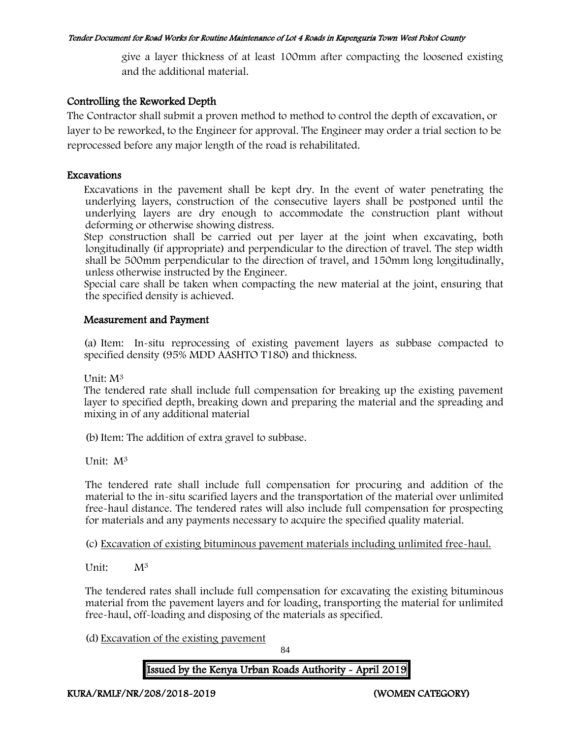give a layer thickness of at least 100mm after compacting the loosened existing and the additional material.

### Controlling the Reworked Depth

The Contractor shall submit a proven method to method to control the depth of excavation, or layer to be reworked, to the Engineer for approval. The Engineer may order a trial section to be reprocessed before any major length of the road is rehabilitated.

#### Excavations

Excavations in the pavement shall be kept dry. In the event of water penetrating the underlying layers, construction of the consecutive layers shall be postponed until the underlying layers are dry enough to accommodate the construction plant without deforming or otherwise showing distress.

Step construction shall be carried out per layer at the joint when excavating, both longitudinally (if appropriate) and perpendicular to the direction of travel. The step width shall be 500mm perpendicular to the direction of travel, and 150mm long longitudinally, unless otherwise instructed by the Engineer.

Special care shall be taken when compacting the new material at the joint, ensuring that the specified density is achieved.

### Measurement and Payment

(a) Item: In-situ reprocessing of existing pavement layers as subbase compacted to specified density (95% MDD AASHTO T180) and thickness.

Unit: M<sup>3</sup>

The tendered rate shall include full compensation for breaking up the existing pavement layer to specified depth, breaking down and preparing the material and the spreading and mixing in of any additional material

(b)Item: The addition of extra gravel to subbase.

Unit: M<sup>3</sup>

The tendered rate shall include full compensation for procuring and addition of the material to the in-situ scarified layers and the transportation of the material over unlimited free-haul distance. The tendered rates will also include full compensation for prospecting for materials and any payments necessary to acquire the specified quality material.

(c) Excavation of existing bituminous pavement materials including unlimited free-haul.

Unit: M<sup>3</sup>

The tendered rates shall include full compensation for excavating the existing bituminous material from the pavement layers and for loading, transporting the material for unlimited free-haul, off-loading and disposing of the materials as specified.

(d) Excavation of the existing pavement

84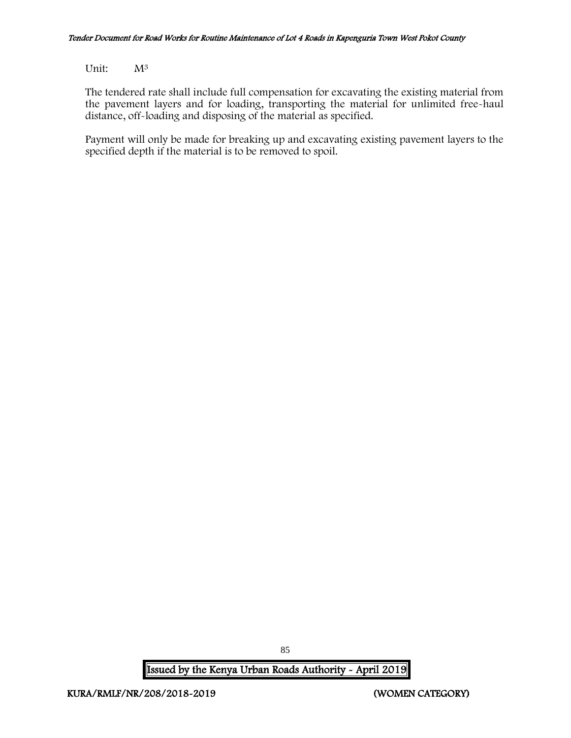Unit: M<sup>3</sup>

The tendered rate shall include full compensation for excavating the existing material from the pavement layers and for loading, transporting the material for unlimited free-haul distance, off-loading and disposing of the material as specified.

Payment will only be made for breaking up and excavating existing pavement layers to the specified depth if the material is to be removed to spoil.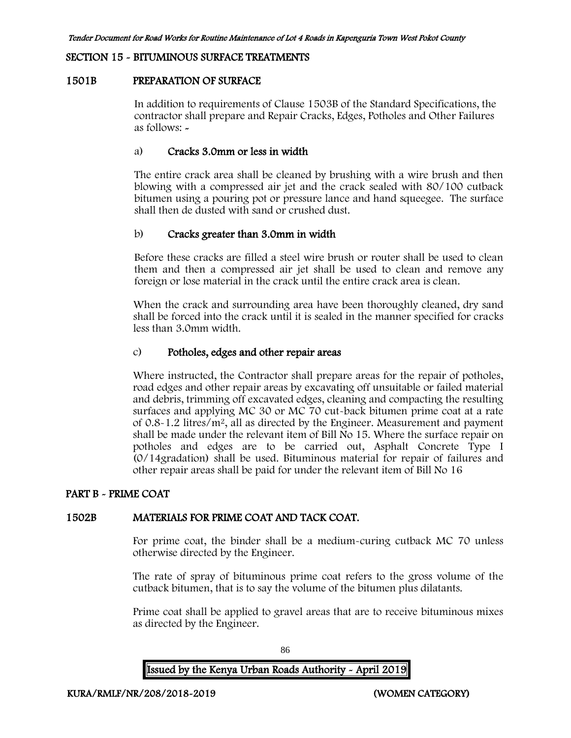### SECTION 15 - BITUMINOUS SURFACE TREATMENTS

#### 1501B PREPARATION OF SURFACE

In addition to requirements of Clause 1503B of the Standard Specifications, the contractor shall prepare and Repair Cracks, Edges, Potholes and Other Failures as follows: -

#### a) Cracks 3.0mm or less in width

The entire crack area shall be cleaned by brushing with a wire brush and then blowing with a compressed air jet and the crack sealed with 80/100 cutback bitumen using a pouring pot or pressure lance and hand squeegee. The surface shall then de dusted with sand or crushed dust.

#### b) Cracks greater than 3.0mm in width

Before these cracks are filled a steel wire brush or router shall be used to clean them and then a compressed air jet shall be used to clean and remove any foreign or lose material in the crack until the entire crack area is clean.

When the crack and surrounding area have been thoroughly cleaned, dry sand shall be forced into the crack until it is sealed in the manner specified for cracks less than 3.0mm width.

### c) Potholes, edges and other repair areas

Where instructed, the Contractor shall prepare areas for the repair of potholes, road edges and other repair areas by excavating off unsuitable or failed material and debris, trimming off excavated edges, cleaning and compacting the resulting surfaces and applying MC 30 or MC 70 cut-back bitumen prime coat at a rate of 0.8-1.2 litres/m<sup>2</sup>, all as directed by the Engineer. Measurement and payment shall be made under the relevant item of Bill No 15. Where the surface repair on potholes and edges are to be carried out, Asphalt Concrete Type I (0/14gradation) shall be used. Bituminous material for repair of failures and other repair areas shall be paid for under the relevant item of Bill No 16

#### PART B - PRIME COAT

#### 1502B MATERIALS FOR PRIME COAT AND TACK COAT.

For prime coat, the binder shall be a medium-curing cutback MC 70 unless otherwise directed by the Engineer.

The rate of spray of bituminous prime coat refers to the gross volume of the cutback bitumen, that is to say the volume of the bitumen plus dilatants.

Prime coat shall be applied to gravel areas that are to receive bituminous mixes as directed by the Engineer.

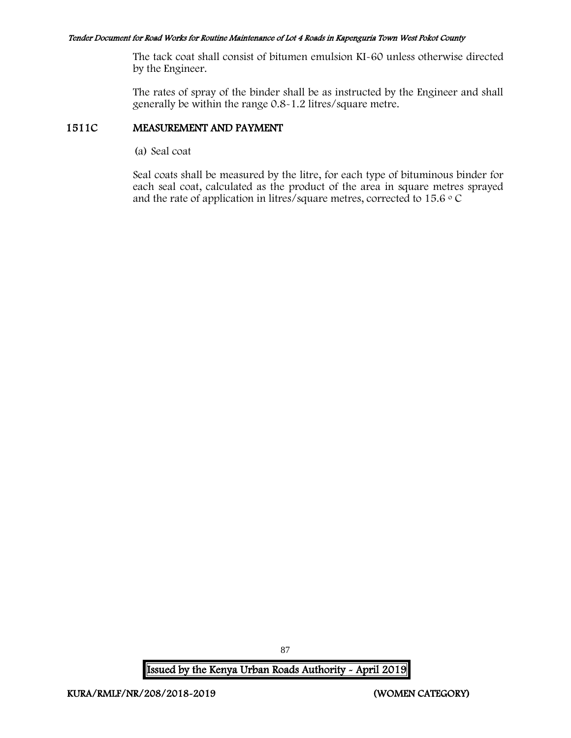The tack coat shall consist of bitumen emulsion KI-60 unless otherwise directed by the Engineer.

The rates of spray of the binder shall be as instructed by the Engineer and shall generally be within the range 0.8-1.2 litres/square metre.

#### 1511C MEASUREMENT AND PAYMENT

(a) Seal coat

Seal coats shall be measured by the litre, for each type of bituminous binder for each seal coat, calculated as the product of the area in square metres sprayed and the rate of application in litres/square metres, corrected to 15.6  $\circ$  C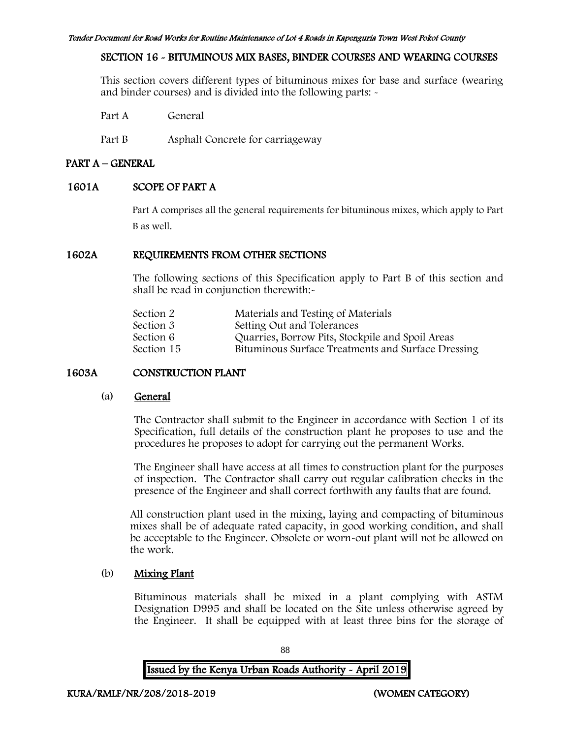### SECTION 16 - BITUMINOUS MIX BASES, BINDER COURSES AND WEARING COURSES

This section covers different types of bituminous mixes for base and surface (wearing and binder courses) and is divided into the following parts: -

Part A General

Part B Asphalt Concrete for carriageway

## PART A – GENERAL

### 1601A SCOPE OF PART A

Part A comprises all the general requirements for bituminous mixes, which apply to Part B as well.

#### 1602A REQUIREMENTS FROM OTHER SECTIONS

The following sections of this Specification apply to Part B of this section and shall be read in conjunction therewith:-

| Section 2  | Materials and Testing of Materials                 |
|------------|----------------------------------------------------|
| Section 3  | Setting Out and Tolerances                         |
| Section 6  | Quarries, Borrow Pits, Stockpile and Spoil Areas   |
| Section 15 | Bituminous Surface Treatments and Surface Dressing |

## 1603A CONSTRUCTION PLANT

#### (a) General

The Contractor shall submit to the Engineer in accordance with Section 1 of its Specification, full details of the construction plant he proposes to use and the procedures he proposes to adopt for carrying out the permanent Works.

The Engineer shall have access at all times to construction plant for the purposes of inspection. The Contractor shall carry out regular calibration checks in the presence of the Engineer and shall correct forthwith any faults that are found.

All construction plant used in the mixing, laying and compacting of bituminous mixes shall be of adequate rated capacity, in good working condition, and shall be acceptable to the Engineer. Obsolete or worn-out plant will not be allowed on the work.

## (b) Mixing Plant

Bituminous materials shall be mixed in a plant complying with ASTM Designation D995 and shall be located on the Site unless otherwise agreed by the Engineer. It shall be equipped with at least three bins for the storage of

88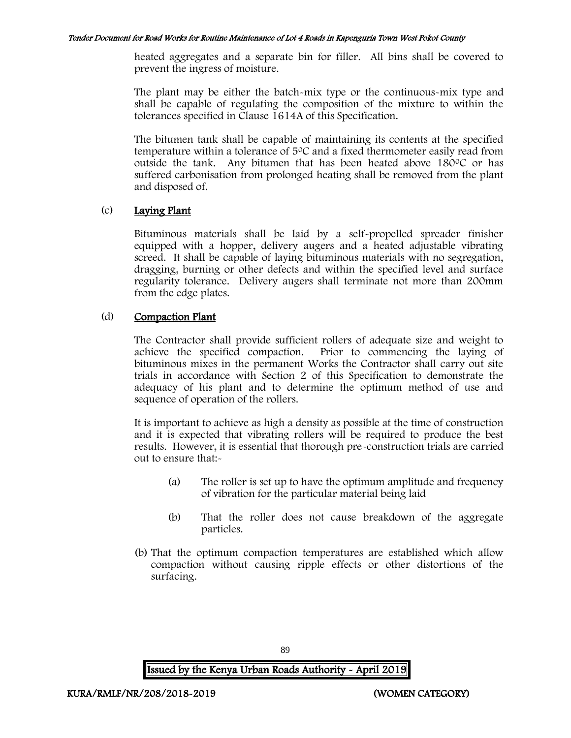heated aggregates and a separate bin for filler. All bins shall be covered to prevent the ingress of moisture.

The plant may be either the batch-mix type or the continuous-mix type and shall be capable of regulating the composition of the mixture to within the tolerances specified in Clause 1614A of this Specification.

The bitumen tank shall be capable of maintaining its contents at the specified temperature within a tolerance of  $5^{\circ}$ C and a fixed thermometer easily read from outside the tank. Any bitumen that has been heated above  $180^{\circ}$ C or has suffered carbonisation from prolonged heating shall be removed from the plant and disposed of.

### (c) Laying Plant

Bituminous materials shall be laid by a self-propelled spreader finisher equipped with a hopper, delivery augers and a heated adjustable vibrating screed. It shall be capable of laying bituminous materials with no segregation, dragging, burning or other defects and within the specified level and surface regularity tolerance. Delivery augers shall terminate not more than 200mm from the edge plates.

### (d) Compaction Plant

The Contractor shall provide sufficient rollers of adequate size and weight to achieve the specified compaction. Prior to commencing the laying of bituminous mixes in the permanent Works the Contractor shall carry out site trials in accordance with Section 2 of this Specification to demonstrate the adequacy of his plant and to determine the optimum method of use and sequence of operation of the rollers.

It is important to achieve as high a density as possible at the time of construction and it is expected that vibrating rollers will be required to produce the best results. However, it is essential that thorough pre-construction trials are carried out to ensure that:-

- (a) The roller is set up to have the optimum amplitude and frequency of vibration for the particular material being laid
- (b) That the roller does not cause breakdown of the aggregate particles.
- (b) That the optimum compaction temperatures are established which allow compaction without causing ripple effects or other distortions of the surfacing.

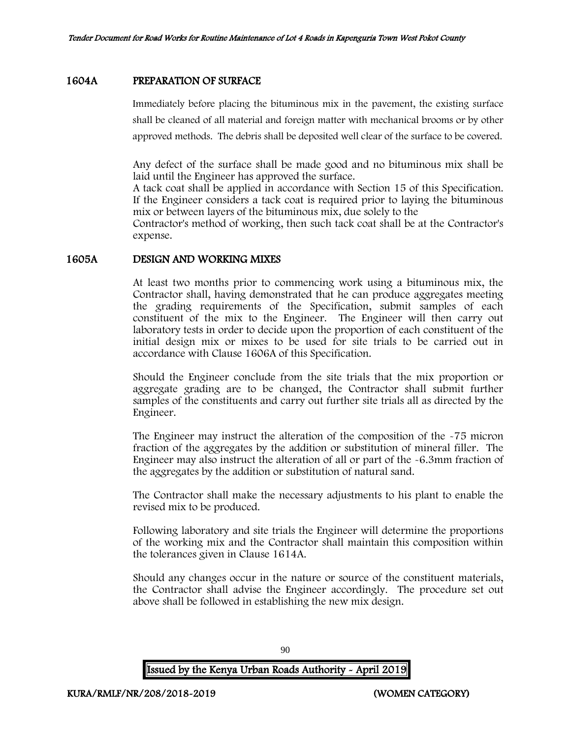#### 1604A PREPARATION OF SURFACE

Immediately before placing the bituminous mix in the pavement, the existing surface shall be cleaned of all material and foreign matter with mechanical brooms or by other approved methods. The debris shall be deposited well clear of the surface to be covered.

Any defect of the surface shall be made good and no bituminous mix shall be laid until the Engineer has approved the surface.

A tack coat shall be applied in accordance with Section 15 of this Specification. If the Engineer considers a tack coat is required prior to laying the bituminous mix or between layers of the bituminous mix, due solely to the

Contractor's method of working, then such tack coat shall be at the Contractor's expense.

### 1605A DESIGN AND WORKING MIXES

At least two months prior to commencing work using a bituminous mix, the Contractor shall, having demonstrated that he can produce aggregates meeting the grading requirements of the Specification, submit samples of each constituent of the mix to the Engineer. The Engineer will then carry out laboratory tests in order to decide upon the proportion of each constituent of the initial design mix or mixes to be used for site trials to be carried out in accordance with Clause 1606A of this Specification.

Should the Engineer conclude from the site trials that the mix proportion or aggregate grading are to be changed, the Contractor shall submit further samples of the constituents and carry out further site trials all as directed by the Engineer.

The Engineer may instruct the alteration of the composition of the -75 micron fraction of the aggregates by the addition or substitution of mineral filler. The Engineer may also instruct the alteration of all or part of the -6.3mm fraction of the aggregates by the addition or substitution of natural sand.

The Contractor shall make the necessary adjustments to his plant to enable the revised mix to be produced.

Following laboratory and site trials the Engineer will determine the proportions of the working mix and the Contractor shall maintain this composition within the tolerances given in Clause 1614A.

Should any changes occur in the nature or source of the constituent materials, the Contractor shall advise the Engineer accordingly. The procedure set out above shall be followed in establishing the new mix design.

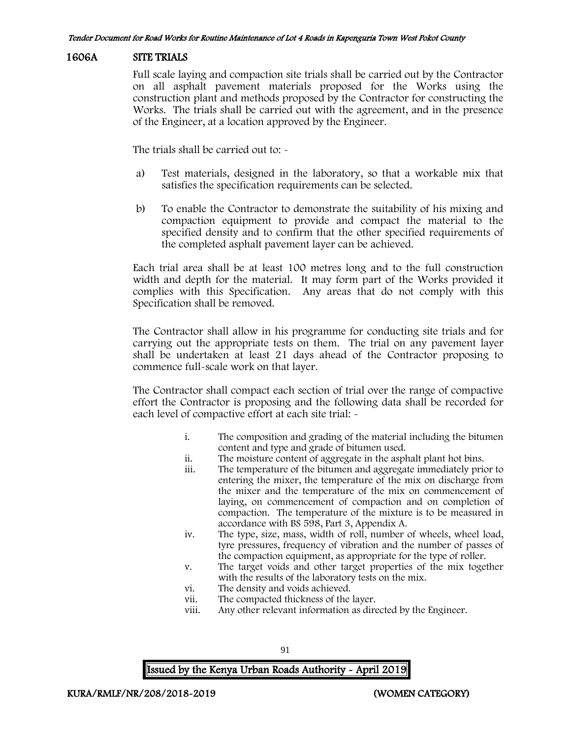#### 1606A SITE TRIALS

Full scale laying and compaction site trials shall be carried out by the Contractor on all asphalt pavement materials proposed for the Works using the construction plant and methods proposed by the Contractor for constructing the Works. The trials shall be carried out with the agreement, and in the presence of the Engineer, at a location approved by the Engineer.

The trials shall be carried out to: -

- a) Test materials, designed in the laboratory, so that a workable mix that satisfies the specification requirements can be selected.
- b) To enable the Contractor to demonstrate the suitability of his mixing and compaction equipment to provide and compact the material to the specified density and to confirm that the other specified requirements of the completed asphalt pavement layer can be achieved.

Each trial area shall be at least 100 metres long and to the full construction width and depth for the material. It may form part of the Works provided it complies with this Specification. Any areas that do not comply with this Specification shall be removed.

The Contractor shall allow in his programme for conducting site trials and for carrying out the appropriate tests on them. The trial on any pavement layer shall be undertaken at least 21 days ahead of the Contractor proposing to commence full-scale work on that layer.

The Contractor shall compact each section of trial over the range of compactive effort the Contractor is proposing and the following data shall be recorded for each level of compactive effort at each site trial: -

- i. The composition and grading of the material including the bitumen content and type and grade of bitumen used.
- ii. The moisture content of aggregate in the asphalt plant hot bins.
- iii. The temperature of the bitumen and aggregate immediately prior to entering the mixer, the temperature of the mix on discharge from the mixer and the temperature of the mix on commencement of laying, on commencement of compaction and on completion of compaction. The temperature of the mixture is to be measured in accordance with BS 598, Part 3, Appendix A.
- iv. The type, size, mass, width of roll, number of wheels, wheel load, tyre pressures, frequency of vibration and the number of passes of the compaction equipment, as appropriate for the type of roller.
- v. The target voids and other target properties of the mix together with the results of the laboratory tests on the mix.
- vi. The density and voids achieved.
- vii. The compacted thickness of the layer.
- viii. Any other relevant information as directed by the Engineer.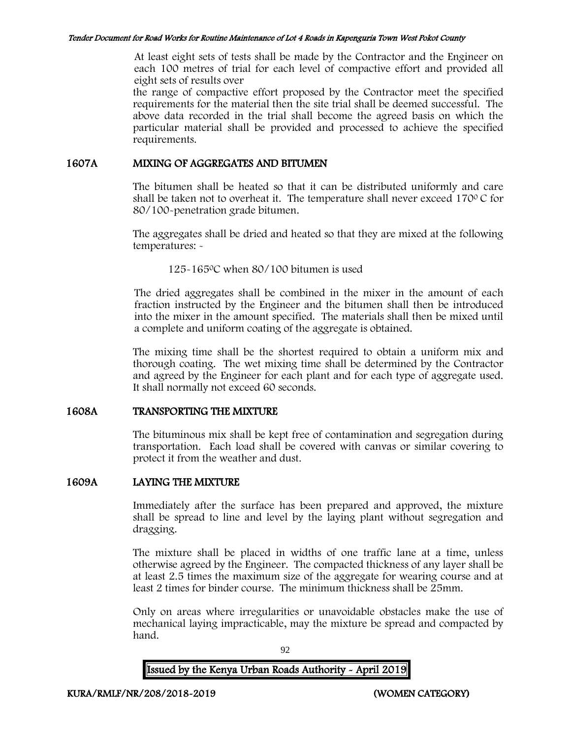At least eight sets of tests shall be made by the Contractor and the Engineer on each 100 metres of trial for each level of compactive effort and provided all eight sets of results over

the range of compactive effort proposed by the Contractor meet the specified requirements for the material then the site trial shall be deemed successful. The above data recorded in the trial shall become the agreed basis on which the particular material shall be provided and processed to achieve the specified requirements.

### 1607A MIXING OF AGGREGATES AND BITUMEN

The bitumen shall be heated so that it can be distributed uniformly and care shall be taken not to overheat it. The temperature shall never exceed 170 $\degree$ C for 80/100-penetration grade bitumen.

The aggregates shall be dried and heated so that they are mixed at the following temperatures: -

125-165<sup>0</sup>C when 80/100 bitumen is used

The dried aggregates shall be combined in the mixer in the amount of each fraction instructed by the Engineer and the bitumen shall then be introduced into the mixer in the amount specified. The materials shall then be mixed until a complete and uniform coating of the aggregate is obtained.

The mixing time shall be the shortest required to obtain a uniform mix and thorough coating. The wet mixing time shall be determined by the Contractor and agreed by the Engineer for each plant and for each type of aggregate used. It shall normally not exceed 60 seconds.

## 1608A TRANSPORTING THE MIXTURE

The bituminous mix shall be kept free of contamination and segregation during transportation. Each load shall be covered with canvas or similar covering to protect it from the weather and dust.

## 1609A LAYING THE MIXTURE

Immediately after the surface has been prepared and approved, the mixture shall be spread to line and level by the laying plant without segregation and dragging.

The mixture shall be placed in widths of one traffic lane at a time, unless otherwise agreed by the Engineer. The compacted thickness of any layer shall be at least 2.5 times the maximum size of the aggregate for wearing course and at least 2 times for binder course. The minimum thickness shall be 25mm.

Only on areas where irregularities or unavoidable obstacles make the use of mechanical laying impracticable, may the mixture be spread and compacted by hand.

92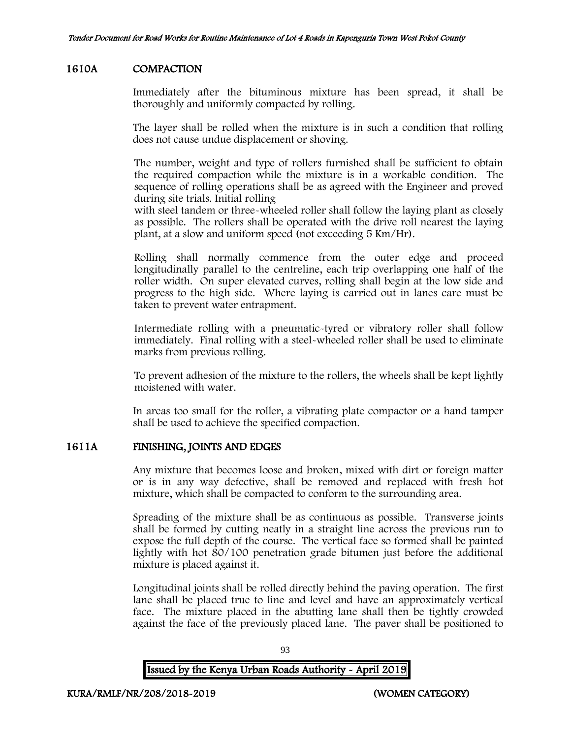### 1610A COMPACTION

Immediately after the bituminous mixture has been spread, it shall be thoroughly and uniformly compacted by rolling.

The layer shall be rolled when the mixture is in such a condition that rolling does not cause undue displacement or shoving.

The number, weight and type of rollers furnished shall be sufficient to obtain the required compaction while the mixture is in a workable condition. The sequence of rolling operations shall be as agreed with the Engineer and proved during site trials. Initial rolling

with steel tandem or three-wheeled roller shall follow the laying plant as closely as possible. The rollers shall be operated with the drive roll nearest the laying plant, at a slow and uniform speed (not exceeding 5 Km/Hr).

Rolling shall normally commence from the outer edge and proceed longitudinally parallel to the centreline, each trip overlapping one half of the roller width. On super elevated curves, rolling shall begin at the low side and progress to the high side. Where laying is carried out in lanes care must be taken to prevent water entrapment.

Intermediate rolling with a pneumatic-tyred or vibratory roller shall follow immediately. Final rolling with a steel-wheeled roller shall be used to eliminate marks from previous rolling.

To prevent adhesion of the mixture to the rollers, the wheels shall be kept lightly moistened with water.

In areas too small for the roller, a vibrating plate compactor or a hand tamper shall be used to achieve the specified compaction.

## 1611A FINISHING, JOINTS AND EDGES

Any mixture that becomes loose and broken, mixed with dirt or foreign matter or is in any way defective, shall be removed and replaced with fresh hot mixture, which shall be compacted to conform to the surrounding area.

Spreading of the mixture shall be as continuous as possible. Transverse joints shall be formed by cutting neatly in a straight line across the previous run to expose the full depth of the course. The vertical face so formed shall be painted lightly with hot 80/100 penetration grade bitumen just before the additional mixture is placed against it.

Longitudinal joints shall be rolled directly behind the paving operation. The first lane shall be placed true to line and level and have an approximately vertical face. The mixture placed in the abutting lane shall then be tightly crowded against the face of the previously placed lane. The paver shall be positioned to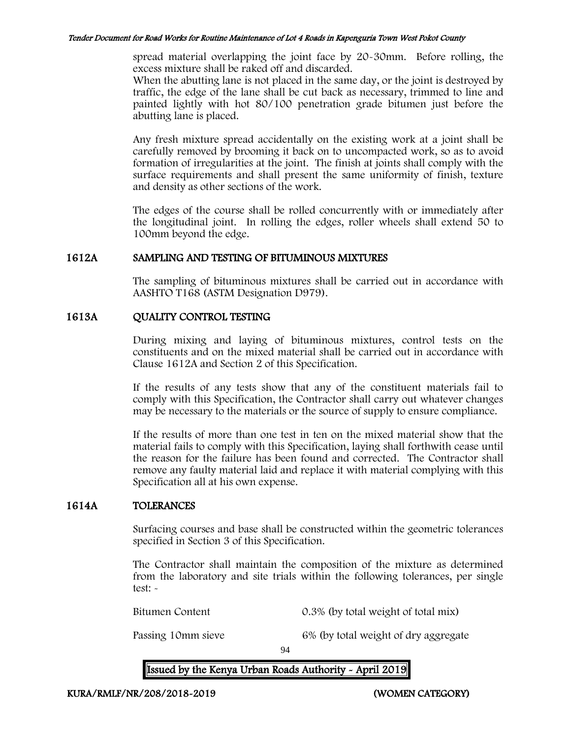spread material overlapping the joint face by 20-30mm. Before rolling, the excess mixture shall be raked off and discarded.

When the abutting lane is not placed in the same day, or the joint is destroyed by traffic, the edge of the lane shall be cut back as necessary, trimmed to line and painted lightly with hot 80/100 penetration grade bitumen just before the abutting lane is placed.

Any fresh mixture spread accidentally on the existing work at a joint shall be carefully removed by brooming it back on to uncompacted work, so as to avoid formation of irregularities at the joint. The finish at joints shall comply with the surface requirements and shall present the same uniformity of finish, texture and density as other sections of the work.

The edges of the course shall be rolled concurrently with or immediately after the longitudinal joint. In rolling the edges, roller wheels shall extend 50 to 100mm beyond the edge.

### 1612A SAMPLING AND TESTING OF BITUMINOUS MIXTURES

The sampling of bituminous mixtures shall be carried out in accordance with AASHTO T168 (ASTM Designation D979).

## 1613A QUALITY CONTROL TESTING

During mixing and laying of bituminous mixtures, control tests on the constituents and on the mixed material shall be carried out in accordance with Clause 1612A and Section 2 of this Specification.

If the results of any tests show that any of the constituent materials fail to comply with this Specification, the Contractor shall carry out whatever changes may be necessary to the materials or the source of supply to ensure compliance.

If the results of more than one test in ten on the mixed material show that the material fails to comply with this Specification, laying shall forthwith cease until the reason for the failure has been found and corrected. The Contractor shall remove any faulty material laid and replace it with material complying with this Specification all at his own expense.

## 1614A TOLERANCES

Surfacing courses and base shall be constructed within the geometric tolerances specified in Section 3 of this Specification.

The Contractor shall maintain the composition of the mixture as determined from the laboratory and site trials within the following tolerances, per single test: -

Bitumen Content 0.3% (by total weight of total mix)

Passing 10mm sieve 6% (by total weight of dry aggregate

94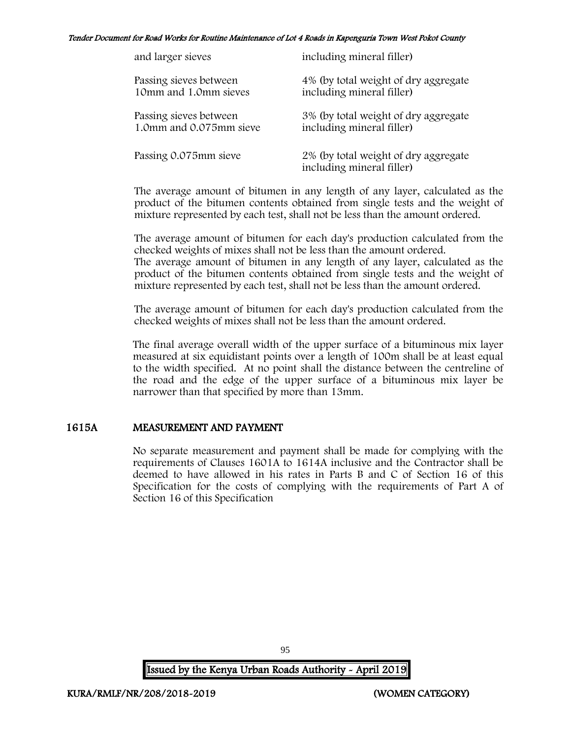| and larger sieves       | including mineral filler)                                         |
|-------------------------|-------------------------------------------------------------------|
| Passing sieves between  | 4% (by total weight of dry aggregate                              |
| 10mm and 1.0mm sieves   | including mineral filler)                                         |
| Passing sieves between  | 3% (by total weight of dry aggregate                              |
| 1.0mm and 0.075mm sieve | including mineral filler)                                         |
| Passing 0.075mm sieve   | 2% (by total weight of dry aggregate<br>including mineral filler) |

The average amount of bitumen in any length of any layer, calculated as the product of the bitumen contents obtained from single tests and the weight of mixture represented by each test, shall not be less than the amount ordered.

The average amount of bitumen for each day's production calculated from the checked weights of mixes shall not be less than the amount ordered. The average amount of bitumen in any length of any layer, calculated as the product of the bitumen contents obtained from single tests and the weight of

The average amount of bitumen for each day's production calculated from the checked weights of mixes shall not be less than the amount ordered.

mixture represented by each test, shall not be less than the amount ordered.

The final average overall width of the upper surface of a bituminous mix layer measured at six equidistant points over a length of 100m shall be at least equal to the width specified. At no point shall the distance between the centreline of the road and the edge of the upper surface of a bituminous mix layer be narrower than that specified by more than 13mm.

## 1615A MEASUREMENT AND PAYMENT

No separate measurement and payment shall be made for complying with the requirements of Clauses 1601A to 1614A inclusive and the Contractor shall be deemed to have allowed in his rates in Parts B and C of Section 16 of this Specification for the costs of complying with the requirements of Part A of Section 16 of this Specification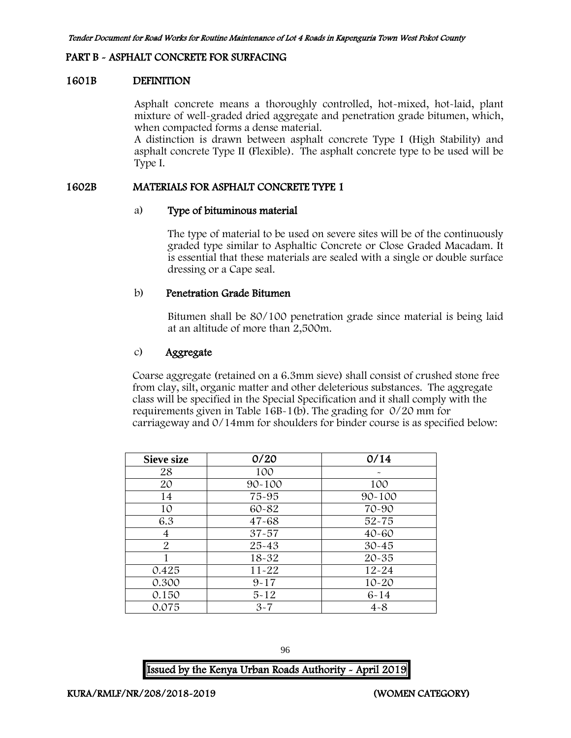#### PART B - ASPHALT CONCRETE FOR SURFACING

#### 1601B DEFINITION

Asphalt concrete means a thoroughly controlled, hot-mixed, hot-laid, plant mixture of well-graded dried aggregate and penetration grade bitumen, which, when compacted forms a dense material.

A distinction is drawn between asphalt concrete Type I (High Stability) and asphalt concrete Type II (Flexible). The asphalt concrete type to be used will be Type I.

#### 1602B MATERIALS FOR ASPHALT CONCRETE TYPE 1

#### a) Type of bituminous material

The type of material to be used on severe sites will be of the continuously graded type similar to Asphaltic Concrete or Close Graded Macadam. It is essential that these materials are sealed with a single or double surface dressing or a Cape seal.

#### b) Penetration Grade Bitumen

Bitumen shall be 80/100 penetration grade since material is being laid at an altitude of more than 2,500m.

### c) Aggregate

Coarse aggregate (retained on a 6.3mm sieve) shall consist of crushed stone free from clay, silt, organic matter and other deleterious substances. The aggregate class will be specified in the Special Specification and it shall comply with the requirements given in Table 16B-1(b). The grading for 0/20 mm for carriageway and 0/14mm for shoulders for binder course is as specified below:

| <b>Sieve size</b> | 0/20       | 0/14       |
|-------------------|------------|------------|
| 28                | 100        | $\tilde{}$ |
| 20                | $90 - 100$ | 100        |
| 14                | 75-95      | $90 - 100$ |
| 10                | 60-82      | 70-90      |
| 6.3               | $47 - 68$  | $52 - 75$  |
| 4                 | $37 - 57$  | $40 - 60$  |
| $\overline{2}$    | $25 - 43$  | $30 - 45$  |
|                   | $18 - 32$  | $20 - 35$  |
| 0.425             | $11 - 22$  | $12 - 24$  |
| 0.300             | $9 - 17$   | $10 - 20$  |
| 0.150             | $5 - 12$   | $6 - 14$   |
| 0.075             | $3 - 7$    | $4 - 8$    |

96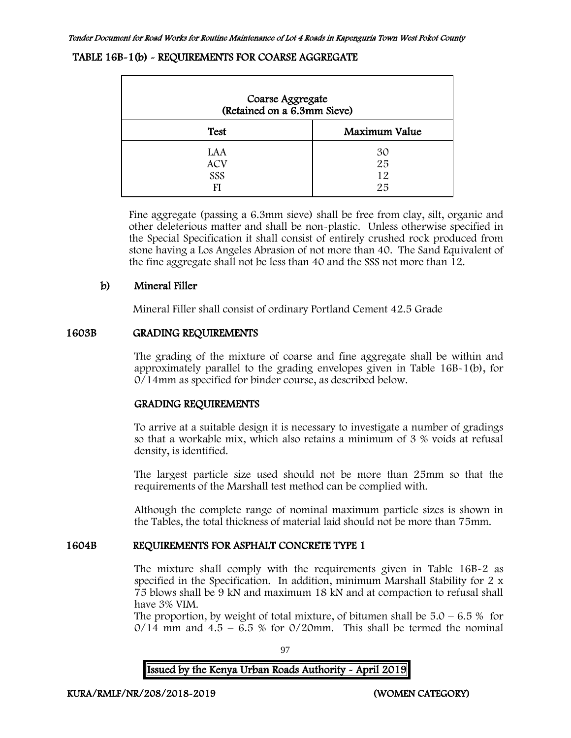#### TABLE 16B-1(b) - REQUIREMENTS FOR COARSE AGGREGATE

| Coarse Aggregate<br>(Retained on a 6.3mm Sieve) |                      |  |  |  |
|-------------------------------------------------|----------------------|--|--|--|
| <b>Test</b>                                     | Maximum Value        |  |  |  |
| LAA<br><b>ACV</b><br>SSS<br>FI                  | 30<br>25<br>12<br>25 |  |  |  |

Fine aggregate (passing a 6.3mm sieve) shall be free from clay, silt, organic and other deleterious matter and shall be non-plastic. Unless otherwise specified in the Special Specification it shall consist of entirely crushed rock produced from stone having a Los Angeles Abrasion of not more than 40. The Sand Equivalent of the fine aggregate shall not be less than 40 and the SSS not more than 12.

### b) Mineral Filler

Mineral Filler shall consist of ordinary Portland Cement 42.5 Grade

#### 1603B GRADING REQUIREMENTS

The grading of the mixture of coarse and fine aggregate shall be within and approximately parallel to the grading envelopes given in Table 16B-1(b), for 0/14mm as specified for binder course, as described below.

#### GRADING REQUIREMENTS

To arrive at a suitable design it is necessary to investigate a number of gradings so that a workable mix, which also retains a minimum of 3 % voids at refusal density, is identified.

The largest particle size used should not be more than 25mm so that the requirements of the Marshall test method can be complied with.

Although the complete range of nominal maximum particle sizes is shown in the Tables, the total thickness of material laid should not be more than 75mm.

## 1604B REQUIREMENTS FOR ASPHALT CONCRETE TYPE 1

The mixture shall comply with the requirements given in Table 16B-2 as specified in the Specification. In addition, minimum Marshall Stability for 2 x 75 blows shall be 9 kN and maximum 18 kN and at compaction to refusal shall have 3% VIM.

The proportion, by weight of total mixture, of bitumen shall be  $5.0 - 6.5\%$  for  $0/14$  mm and  $4.5 - 6.5$  % for  $0/20$ mm. This shall be termed the nominal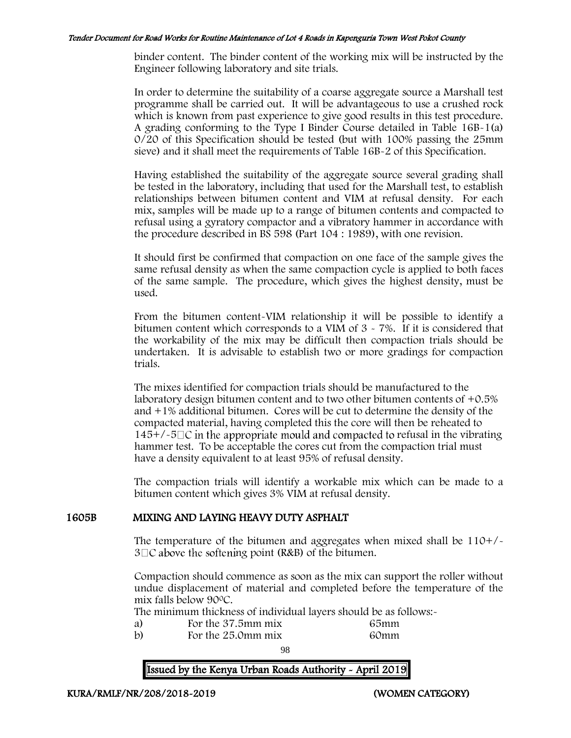binder content. The binder content of the working mix will be instructed by the Engineer following laboratory and site trials.

In order to determine the suitability of a coarse aggregate source a Marshall test programme shall be carried out. It will be advantageous to use a crushed rock which is known from past experience to give good results in this test procedure. A grading conforming to the Type I Binder Course detailed in Table 16B-1(a) 0/20 of this Specification should be tested (but with 100% passing the 25mm sieve) and it shall meet the requirements of Table 16B-2 of this Specification.

Having established the suitability of the aggregate source several grading shall be tested in the laboratory, including that used for the Marshall test, to establish relationships between bitumen content and VIM at refusal density. For each mix, samples will be made up to a range of bitumen contents and compacted to refusal using a gyratory compactor and a vibratory hammer in accordance with the procedure described in BS 598 (Part 104 : 1989), with one revision.

It should first be confirmed that compaction on one face of the sample gives the same refusal density as when the same compaction cycle is applied to both faces of the same sample. The procedure, which gives the highest density, must be used.

From the bitumen content-VIM relationship it will be possible to identify a bitumen content which corresponds to a VIM of 3 - 7%. If it is considered that the workability of the mix may be difficult then compaction trials should be undertaken. It is advisable to establish two or more gradings for compaction trials.

The mixes identified for compaction trials should be manufactured to the laboratory design bitumen content and to two other bitumen contents of  $+0.5\%$ and +1% additional bitumen. Cores will be cut to determine the density of the compacted material, having completed this the core will then be reheated to  $145+/-5\degree$  in the appropriate mould and compacted to refusal in the vibrating hammer test. To be acceptable the cores cut from the compaction trial must have a density equivalent to at least 95% of refusal density.

The compaction trials will identify a workable mix which can be made to a bitumen content which gives 3% VIM at refusal density.

#### 1605B MIXING AND LAYING HEAVY DUTY ASPHALT

The temperature of the bitumen and aggregates when mixed shall be  $110+/$  $3 \square C$  above the softening point (R&B) of the bitumen.

Compaction should commence as soon as the mix can support the roller without undue displacement of material and completed before the temperature of the mix falls below 90<sup>0</sup>C.

The minimum thickness of individual layers should be as follows:-

- 
- a) For the 37.5mm mix 65mm<br>b) For the 25.0mm mix 60mm For the  $25.0$  mm mix

98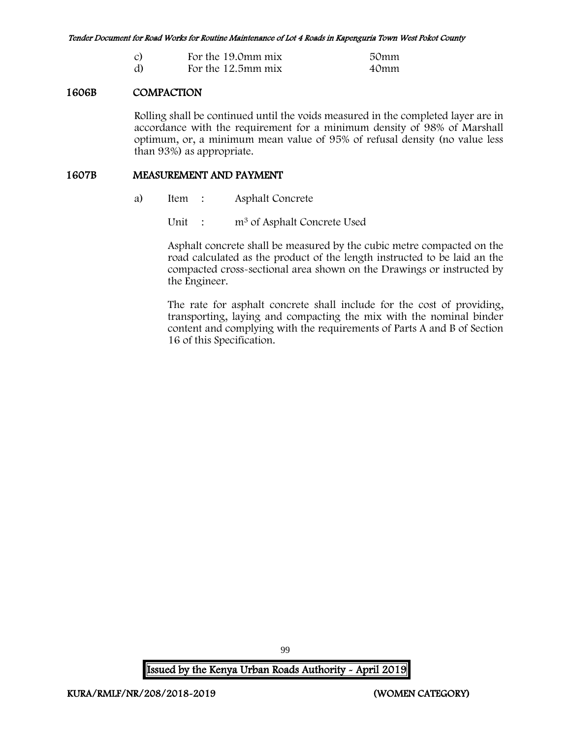| $\overline{c}$ | For the 19.0mm mix | 50mm |
|----------------|--------------------|------|
| d)             | For the 12.5mm mix | 40mm |

### 1606B COMPACTION

Rolling shall be continued until the voids measured in the completed layer are in accordance with the requirement for a minimum density of 98% of Marshall optimum, or, a minimum mean value of 95% of refusal density (no value less than 93%) as appropriate.

#### 1607B MEASUREMENT AND PAYMENT

a) Item : Asphalt Concrete

Unit : m<sup>3</sup> of Asphalt Concrete Used

Asphalt concrete shall be measured by the cubic metre compacted on the road calculated as the product of the length instructed to be laid an the compacted cross-sectional area shown on the Drawings or instructed by the Engineer.

The rate for asphalt concrete shall include for the cost of providing, transporting, laying and compacting the mix with the nominal binder content and complying with the requirements of Parts A and B of Section 16 of this Specification.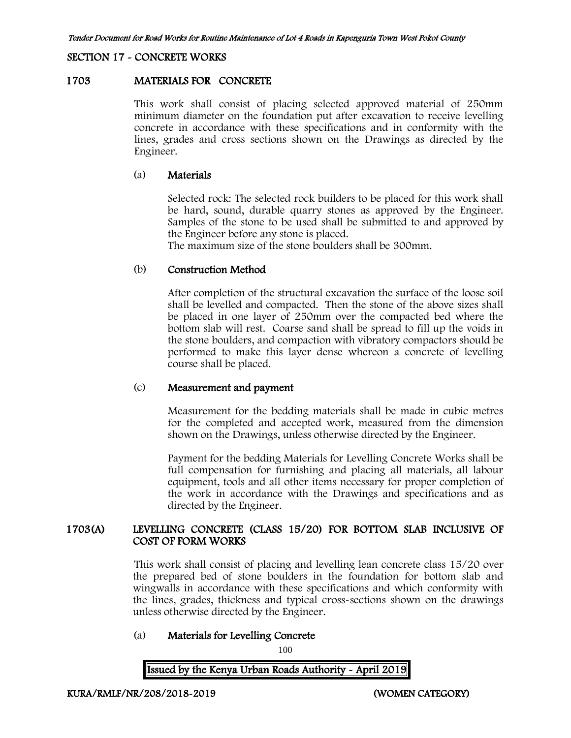#### SECTION 17 - CONCRETE WORKS

#### 1703 MATERIALS FOR CONCRETE

This work shall consist of placing selected approved material of 250mm minimum diameter on the foundation put after excavation to receive levelling concrete in accordance with these specifications and in conformity with the lines, grades and cross sections shown on the Drawings as directed by the Engineer.

#### (a) Materials

Selected rock: The selected rock builders to be placed for this work shall be hard, sound, durable quarry stones as approved by the Engineer. Samples of the stone to be used shall be submitted to and approved by the Engineer before any stone is placed.

The maximum size of the stone boulders shall be 300mm.

#### (b) Construction Method

After completion of the structural excavation the surface of the loose soil shall be levelled and compacted. Then the stone of the above sizes shall be placed in one layer of 250mm over the compacted bed where the bottom slab will rest. Coarse sand shall be spread to fill up the voids in the stone boulders, and compaction with vibratory compactors should be performed to make this layer dense whereon a concrete of levelling course shall be placed.

#### (c) Measurement and payment

Measurement for the bedding materials shall be made in cubic metres for the completed and accepted work, measured from the dimension shown on the Drawings, unless otherwise directed by the Engineer.

Payment for the bedding Materials for Levelling Concrete Works shall be full compensation for furnishing and placing all materials, all labour equipment, tools and all other items necessary for proper completion of the work in accordance with the Drawings and specifications and as directed by the Engineer.

### 1703(A) LEVELLING CONCRETE (CLASS 15/20) FOR BOTTOM SLAB INCLUSIVE OF COST OF FORM WORKS

This work shall consist of placing and levelling lean concrete class 15/20 over the prepared bed of stone boulders in the foundation for bottom slab and wingwalls in accordance with these specifications and which conformity with the lines, grades, thickness and typical cross-sections shown on the drawings unless otherwise directed by the Engineer.

### (a) Materials for Levelling Concrete

100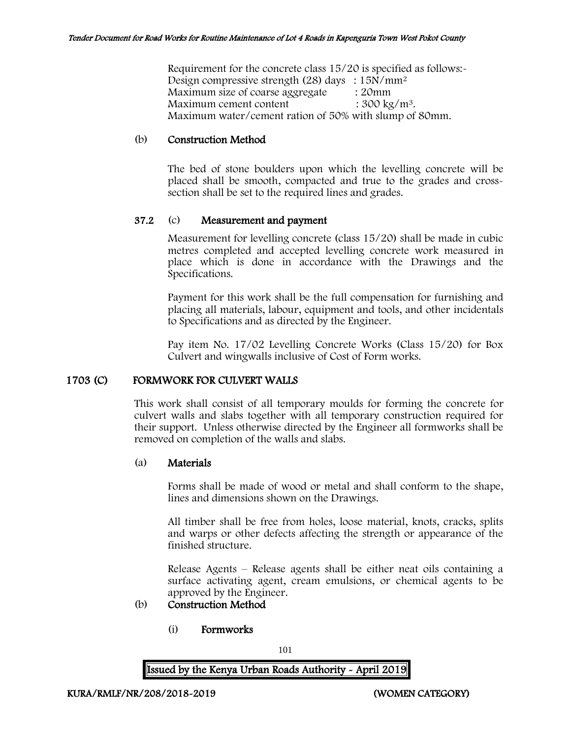Requirement for the concrete class 15/20 is specified as follows:-Design compressive strength (28) days :  $15N/mm^2$ Maximum size of coarse aggregate : 20mm Maximum cement content  $: 300 \text{ kg/m}^3$ . Maximum water/cement ration of 50% with slump of 80mm.

#### (b) Construction Method

The bed of stone boulders upon which the levelling concrete will be placed shall be smooth, compacted and true to the grades and crosssection shall be set to the required lines and grades.

#### 37.2 (c) Measurement and payment

Measurement for levelling concrete (class 15/20) shall be made in cubic metres completed and accepted levelling concrete work measured in place which is done in accordance with the Drawings and the Specifications.

Payment for this work shall be the full compensation for furnishing and placing all materials, labour, equipment and tools, and other incidentals to Specifications and as directed by the Engineer.

Pay item No. 17/02 Levelling Concrete Works (Class 15/20) for Box Culvert and wingwalls inclusive of Cost of Form works.

#### 1703 (C) FORMWORK FOR CULVERT WALLS

This work shall consist of all temporary moulds for forming the concrete for culvert walls and slabs together with all temporary construction required for their support. Unless otherwise directed by the Engineer all formworks shall be removed on completion of the walls and slabs.

#### (a) Materials

Forms shall be made of wood or metal and shall conform to the shape, lines and dimensions shown on the Drawings.

All timber shall be free from holes, loose material, knots, cracks, splits and warps or other defects affecting the strength or appearance of the finished structure.

Release Agents – Release agents shall be either neat oils containing a surface activating agent, cream emulsions, or chemical agents to be approved by the Engineer.

## (b) Construction Method

(i) Formworks

101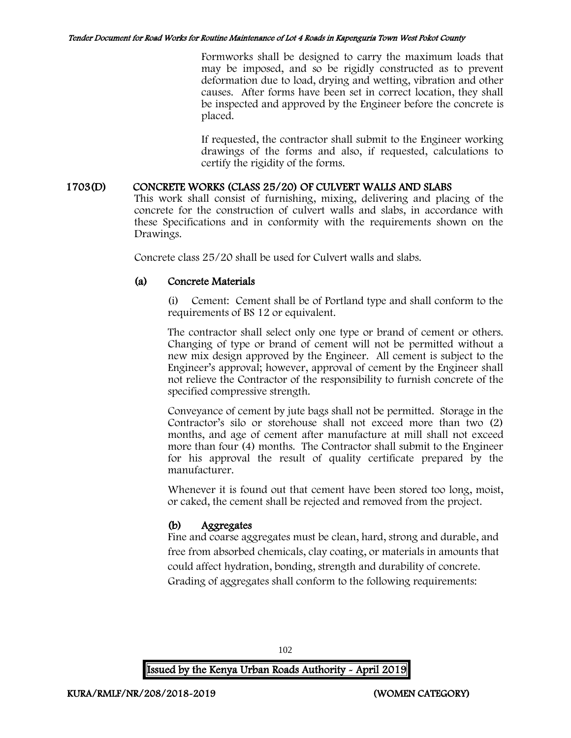Formworks shall be designed to carry the maximum loads that may be imposed, and so be rigidly constructed as to prevent deformation due to load, drying and wetting, vibration and other causes. After forms have been set in correct location, they shall be inspected and approved by the Engineer before the concrete is placed.

If requested, the contractor shall submit to the Engineer working drawings of the forms and also, if requested, calculations to certify the rigidity of the forms.

## 1703(D) CONCRETE WORKS (CLASS 25/20) OF CULVERT WALLS AND SLABS

This work shall consist of furnishing, mixing, delivering and placing of the concrete for the construction of culvert walls and slabs, in accordance with these Specifications and in conformity with the requirements shown on the Drawings.

Concrete class 25/20 shall be used for Culvert walls and slabs.

### (a) Concrete Materials

(i) Cement: Cement shall be of Portland type and shall conform to the requirements of BS 12 or equivalent.

The contractor shall select only one type or brand of cement or others. Changing of type or brand of cement will not be permitted without a new mix design approved by the Engineer. All cement is subject to the Engineer's approval; however, approval of cement by the Engineer shall not relieve the Contractor of the responsibility to furnish concrete of the specified compressive strength.

Conveyance of cement by jute bags shall not be permitted. Storage in the Contractor's silo or storehouse shall not exceed more than two (2) months, and age of cement after manufacture at mill shall not exceed more than four (4) months. The Contractor shall submit to the Engineer for his approval the result of quality certificate prepared by the manufacturer.

Whenever it is found out that cement have been stored too long, moist, or caked, the cement shall be rejected and removed from the project.

## (b) Aggregates

Fine and coarse aggregates must be clean, hard, strong and durable, and free from absorbed chemicals, clay coating, or materials in amounts that could affect hydration, bonding, strength and durability of concrete. Grading of aggregates shall conform to the following requirements:

102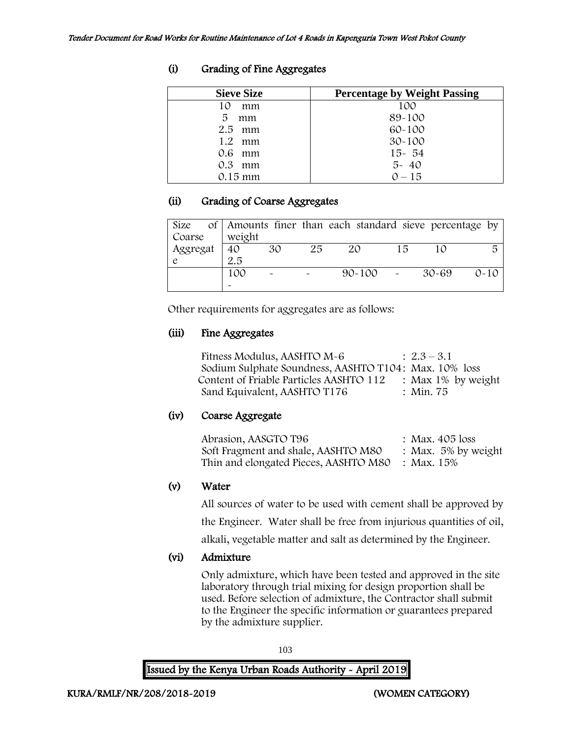| <b>Sieve Size</b> | <b>Percentage by Weight Passing</b> |
|-------------------|-------------------------------------|
| mm                | 100                                 |
| 5<br>mm           | 89-100                              |
| $2.5$ mm          | $60 - 100$                          |
| $1.2 \cdot mm$    | $30 - 100$                          |
| $0.6$ mm          | $15 - 54$                           |
| $0.3$ mm          | $5 - 40$                            |
| $0.15 \text{ mm}$ | $0 - 15$                            |

# (i) Grading of Fine Aggregates

### (ii) Grading of Coarse Aggregates

| Size     |        |    |    | of Amounts finer than each standard sieve percentage by |    |       |          |
|----------|--------|----|----|---------------------------------------------------------|----|-------|----------|
| Coarse   | weight |    |    |                                                         |    |       |          |
| Aggregat | 40     | 30 | 25 | 20                                                      | 15 |       | 局        |
|          | 2.5    |    |    |                                                         |    |       |          |
|          | 100    |    |    | $90 - 100$                                              |    | 30-69 | $0 - 10$ |
|          |        |    |    |                                                         |    |       |          |

Other requirements for aggregates are as follows:

## (iii) Fine Aggregates

Fitness Modulus, AASHTO  $M-6$  :  $2.3-3.1$ Sodium Sulphate Soundness, AASHTO T104: Max. 10% loss Content of Friable Particles AASHTO 112 : Max 1% by weight<br>Sand Equivalent, AASHTO T176 : Min. 75 Sand Equivalent, AASHTO T176

# (iv) Coarse Aggregate

| Abrasion, AASGTO T96                             | : Max. 405 loss        |
|--------------------------------------------------|------------------------|
| Soft Fragment and shale, AASHTO M80              | : Max. $5\%$ by weight |
| Thin and elongated Pieces, AASHTO M80 : Max. 15% |                        |

# (v) Water

All sources of water to be used with cement shall be approved by the Engineer. Water shall be free from injurious quantities of oil,

alkali, vegetable matter and salt as determined by the Engineer.

# (vi) Admixture

Only admixture, which have been tested and approved in the site laboratory through trial mixing for design proportion shall be used. Before selection of admixture, the Contractor shall submit to the Engineer the specific information or guarantees prepared by the admixture supplier.

103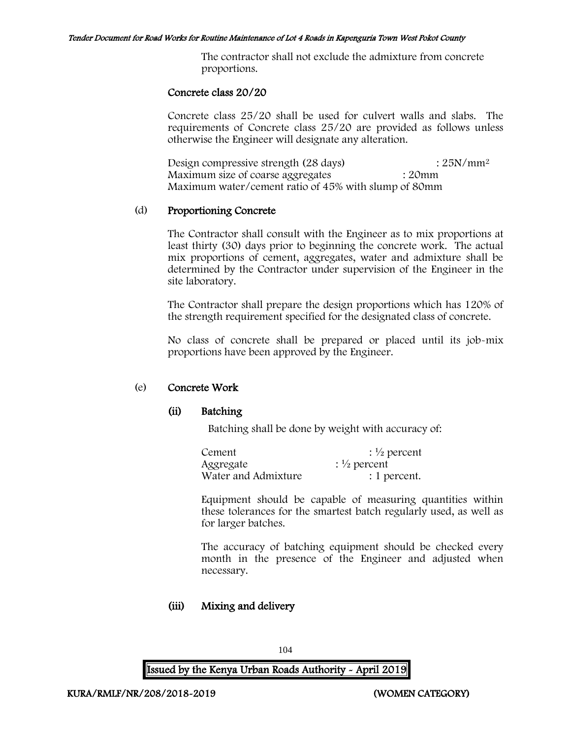The contractor shall not exclude the admixture from concrete proportions.

#### Concrete class 20/20

Concrete class 25/20 shall be used for culvert walls and slabs. The requirements of Concrete class 25/20 are provided as follows unless otherwise the Engineer will designate any alteration.

Design compressive strength (28 days) : 25N/mm<sup>2</sup> Maximum size of coarse aggregates : 20mm Maximum water/cement ratio of 45% with slump of 80mm

#### (d) Proportioning Concrete

The Contractor shall consult with the Engineer as to mix proportions at least thirty (30) days prior to beginning the concrete work. The actual mix proportions of cement, aggregates, water and admixture shall be determined by the Contractor under supervision of the Engineer in the site laboratory.

The Contractor shall prepare the design proportions which has 120% of the strength requirement specified for the designated class of concrete.

No class of concrete shall be prepared or placed until its job-mix proportions have been approved by the Engineer.

#### (e) Concrete Work

#### (ii) Batching

Batching shall be done by weight with accuracy of:

| Cement              | $\frac{1}{2}$ percent |
|---------------------|-----------------------|
| Aggregate           | $\frac{1}{2}$ percent |
| Water and Admixture | : 1 percent.          |

Equipment should be capable of measuring quantities within these tolerances for the smartest batch regularly used, as well as for larger batches.

The accuracy of batching equipment should be checked every month in the presence of the Engineer and adjusted when necessary.

## (iii) Mixing and delivery

104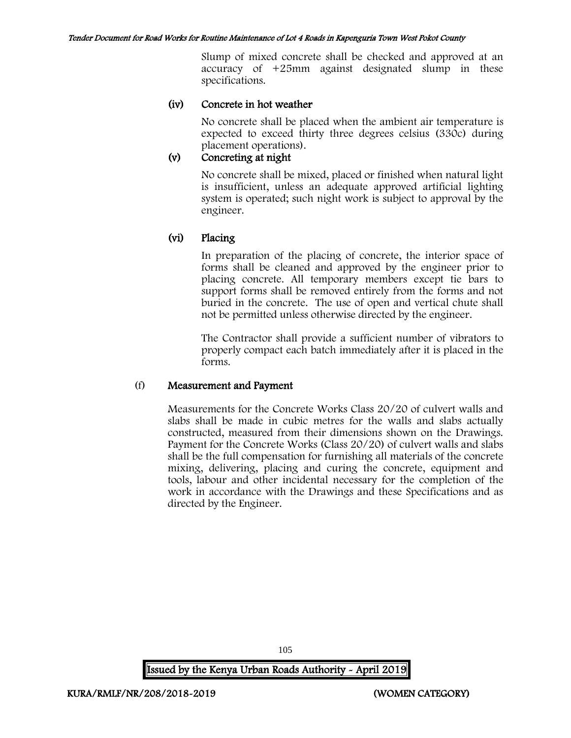Slump of mixed concrete shall be checked and approved at an accuracy of +25mm against designated slump in these specifications.

### (iv) Concrete in hot weather

No concrete shall be placed when the ambient air temperature is expected to exceed thirty three degrees celsius (330c) during placement operations).

### (v) Concreting at night

No concrete shall be mixed, placed or finished when natural light is insufficient, unless an adequate approved artificial lighting system is operated; such night work is subject to approval by the engineer.

## (vi) Placing

In preparation of the placing of concrete, the interior space of forms shall be cleaned and approved by the engineer prior to placing concrete. All temporary members except tie bars to support forms shall be removed entirely from the forms and not buried in the concrete. The use of open and vertical chute shall not be permitted unless otherwise directed by the engineer.

The Contractor shall provide a sufficient number of vibrators to properly compact each batch immediately after it is placed in the forms.

#### (f) Measurement and Payment

Measurements for the Concrete Works Class 20/20 of culvert walls and slabs shall be made in cubic metres for the walls and slabs actually constructed, measured from their dimensions shown on the Drawings. Payment for the Concrete Works (Class 20/20) of culvert walls and slabs shall be the full compensation for furnishing all materials of the concrete mixing, delivering, placing and curing the concrete, equipment and tools, labour and other incidental necessary for the completion of the work in accordance with the Drawings and these Specifications and as directed by the Engineer.

Issued by the Kenya Urban Roads Authority - April 2019

105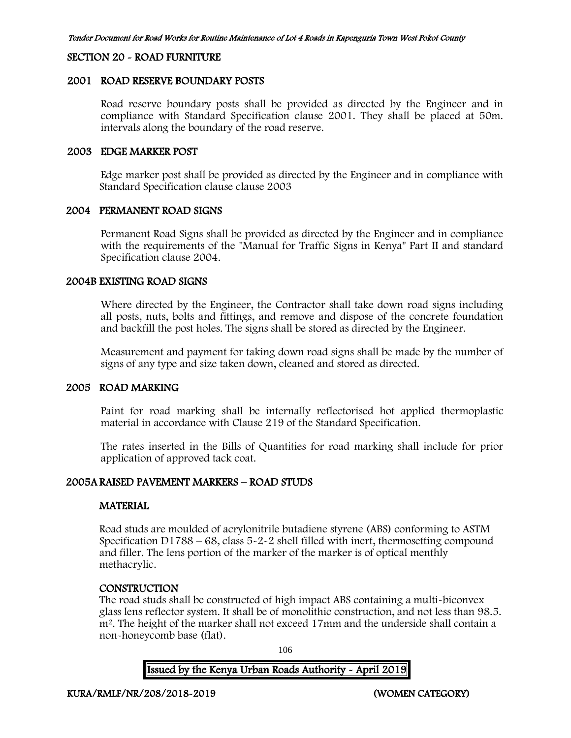#### SECTION 20 - ROAD FURNITURE

#### 2001 ROAD RESERVE BOUNDARY POSTS

Road reserve boundary posts shall be provided as directed by the Engineer and in compliance with Standard Specification clause 2001. They shall be placed at 50m. intervals along the boundary of the road reserve.

#### 2003 EDGE MARKER POST

Edge marker post shall be provided as directed by the Engineer and in compliance with Standard Specification clause clause 2003

### 2004 PERMANENT ROAD SIGNS

Permanent Road Signs shall be provided as directed by the Engineer and in compliance with the requirements of the "Manual for Traffic Signs in Kenya" Part II and standard Specification clause 2004.

#### 2004B EXISTING ROAD SIGNS

Where directed by the Engineer, the Contractor shall take down road signs including all posts, nuts, bolts and fittings, and remove and dispose of the concrete foundation and backfill the post holes. The signs shall be stored as directed by the Engineer.

Measurement and payment for taking down road signs shall be made by the number of signs of any type and size taken down, cleaned and stored as directed.

#### 2005 ROAD MARKING

Paint for road marking shall be internally reflectorised hot applied thermoplastic material in accordance with Clause 219 of the Standard Specification.

The rates inserted in the Bills of Quantities for road marking shall include for prior application of approved tack coat.

### 2005A RAISED PAVEMENT MARKERS – ROAD STUDS

#### **MATERIAL**

Road studs are moulded of acrylonitrile butadiene styrene (ABS) conforming to ASTM Specification D1788 – 68, class 5-2-2 shell filled with inert, thermosetting compound and filler. The lens portion of the marker of the marker is of optical menthly methacrylic.

#### **CONSTRUCTION**

The road studs shall be constructed of high impact ABS containing a multi-biconvex glass lens reflector system. It shall be of monolithic construction, and not less than 98.5. m<sup>2</sup>. The height of the marker shall not exceed 17mm and the underside shall contain a non-honeycomb base (flat).

106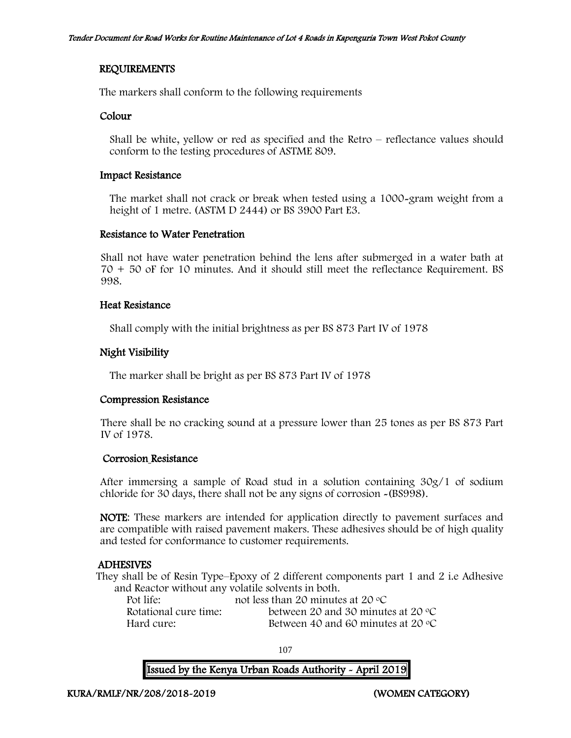### REQUIREMENTS

The markers shall conform to the following requirements

#### Colour

Shall be white, yellow or red as specified and the Retro – reflectance values should conform to the testing procedures of ASTME 809.

#### Impact Resistance

The market shall not crack or break when tested using a 1000-gram weight from a height of 1 metre. (ASTM D 2444) or BS 3900 Part E3.

### Resistance to Water Penetration

Shall not have water penetration behind the lens after submerged in a water bath at 70 + 50 oF for 10 minutes. And it should still meet the reflectance Requirement. BS 998.

### Heat Resistance

Shall comply with the initial brightness as per BS 873 Part IV of 1978

## Night Visibility

The marker shall be bright as per BS 873 Part IV of 1978

#### Compression Resistance

There shall be no cracking sound at a pressure lower than 25 tones as per BS 873 Part IV of 1978.

#### Corrosion Resistance

After immersing a sample of Road stud in a solution containing 30g/1 of sodium chloride for 30 days, there shall not be any signs of corrosion -(BS998).

NOTE: These markers are intended for application directly to pavement surfaces and are compatible with raised pavement makers. These adhesives should be of high quality and tested for conformance to customer requirements.

## ADHESIVES

They shall be of Resin Type–Epoxy of 2 different components part 1 and 2 i.e Adhesive and Reactor without any volatile solvents in both.

| Pot life:             | not less than 20 minutes at 20 $\degree$ C  |
|-----------------------|---------------------------------------------|
| Rotational cure time: | between 20 and 30 minutes at 20 $\degree$ C |
| Hard cure:            | Between 40 and 60 minutes at 20 $\degree$ C |

107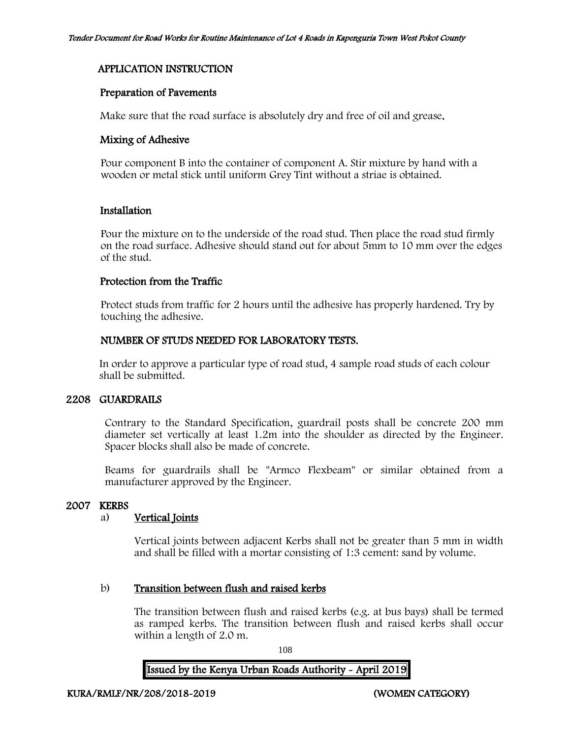# APPLICATION INSTRUCTION

#### Preparation of Pavements

Make sure that the road surface is absolutely dry and free of oil and grease.

#### Mixing of Adhesive

Pour component B into the container of component A. Stir mixture by hand with a wooden or metal stick until uniform Grey Tint without a striae is obtained.

### Installation

Pour the mixture on to the underside of the road stud. Then place the road stud firmly on the road surface. Adhesive should stand out for about 5mm to 10 mm over the edges of the stud.

### Protection from the Traffic

Protect studs from traffic for 2 hours until the adhesive has properly hardened. Try by touching the adhesive.

### NUMBER OF STUDS NEEDED FOR LABORATORY TESTS.

In order to approve a particular type of road stud, 4 sample road studs of each colour shall be submitted.

# 2208 GUARDRAILS

Contrary to the Standard Specification, guardrail posts shall be concrete 200 mm diameter set vertically at least 1.2m into the shoulder as directed by the Engineer. Spacer blocks shall also be made of concrete.

Beams for guardrails shall be "Armco Flexbeam" or similar obtained from a manufacturer approved by the Engineer.

#### 2007 KERBS

# a) Vertical Joints

Vertical joints between adjacent Kerbs shall not be greater than 5 mm in width and shall be filled with a mortar consisting of 1:3 cement: sand by volume.

#### b) Transition between flush and raised kerbs

The transition between flush and raised kerbs (e.g. at bus bays) shall be termed as ramped kerbs. The transition between flush and raised kerbs shall occur within a length of 2.0 m.

108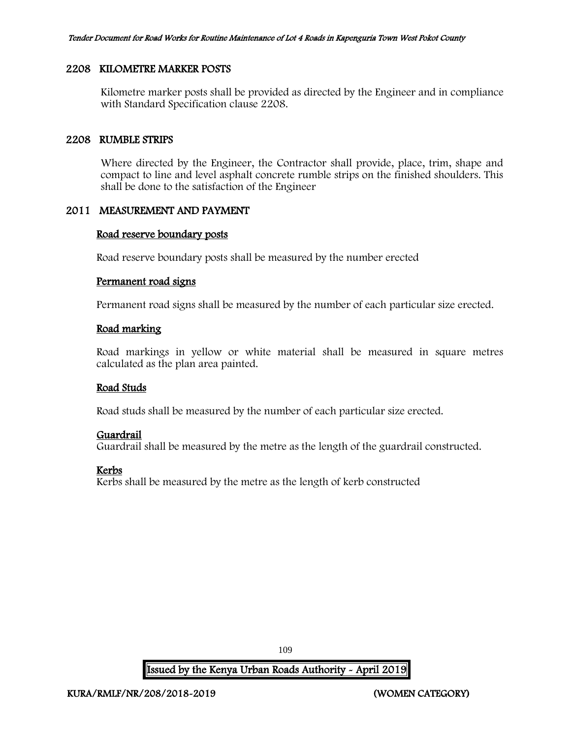#### 2208 KILOMETRE MARKER POSTS

Kilometre marker posts shall be provided as directed by the Engineer and in compliance with Standard Specification clause 2208.

#### 2208 RUMBLE STRIPS

Where directed by the Engineer, the Contractor shall provide, place, trim, shape and compact to line and level asphalt concrete rumble strips on the finished shoulders. This shall be done to the satisfaction of the Engineer

# 2011 MEASUREMENT AND PAYMENT

#### Road reserve boundary posts

Road reserve boundary posts shall be measured by the number erected

#### Permanent road signs

Permanent road signs shall be measured by the number of each particular size erected.

#### Road marking

Road markings in yellow or white material shall be measured in square metres calculated as the plan area painted.

#### Road Studs

Road studs shall be measured by the number of each particular size erected.

#### Guardrail

Guardrail shall be measured by the metre as the length of the guardrail constructed.

# Kerbs

Kerbs shall be measured by the metre as the length of kerb constructed

109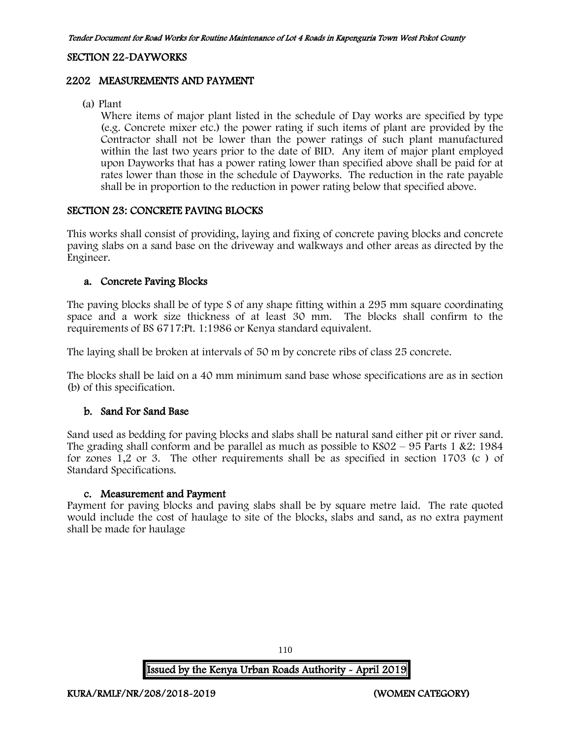#### SECTION 22-DAYWORKS

#### 2202 MEASUREMENTS AND PAYMENT

(a) Plant

Where items of major plant listed in the schedule of Day works are specified by type (e.g. Concrete mixer etc.) the power rating if such items of plant are provided by the Contractor shall not be lower than the power ratings of such plant manufactured within the last two years prior to the date of BID. Any item of major plant employed upon Dayworks that has a power rating lower than specified above shall be paid for at rates lower than those in the schedule of Dayworks. The reduction in the rate payable shall be in proportion to the reduction in power rating below that specified above.

#### SECTION 23: CONCRETE PAVING BLOCKS

This works shall consist of providing, laying and fixing of concrete paving blocks and concrete paving slabs on a sand base on the driveway and walkways and other areas as directed by the Engineer.

#### a. Concrete Paving Blocks

The paving blocks shall be of type S of any shape fitting within a 295 mm square coordinating space and a work size thickness of at least 30 mm. The blocks shall confirm to the requirements of BS 6717:Pt. 1:1986 or Kenya standard equivalent.

The laying shall be broken at intervals of 50 m by concrete ribs of class 25 concrete.

The blocks shall be laid on a 40 mm minimum sand base whose specifications are as in section (b) of this specification.

#### b. Sand For Sand Base

Sand used as bedding for paving blocks and slabs shall be natural sand either pit or river sand. The grading shall conform and be parallel as much as possible to  $KSO2 - 95$  Parts 1 &2: 1984 for zones 1,2 or 3. The other requirements shall be as specified in section 1703 (c ) of Standard Specifications.

#### c. Measurement and Payment

Payment for paving blocks and paving slabs shall be by square metre laid. The rate quoted would include the cost of haulage to site of the blocks, slabs and sand, as no extra payment shall be made for haulage

110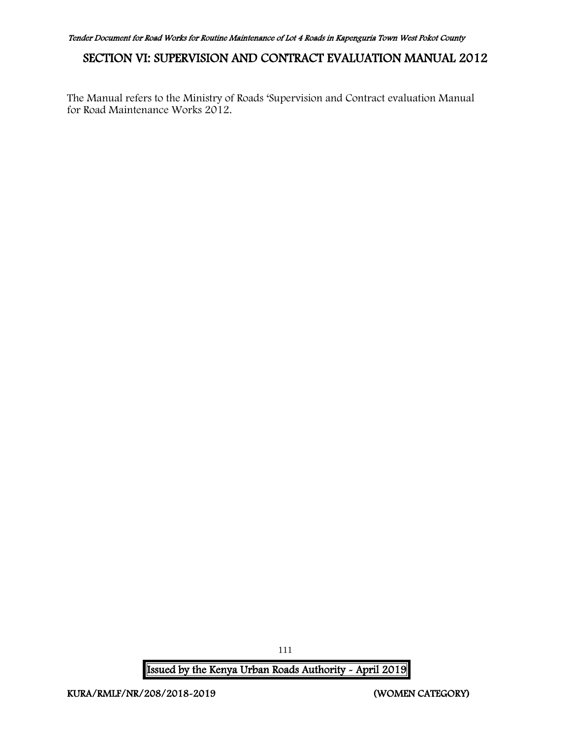# SECTION VI: SUPERVISION AND CONTRACT EVALUATION MANUAL 2012

The Manual refers to the Ministry of Roads 'Supervision and Contract evaluation Manual for Road Maintenance Works 2012.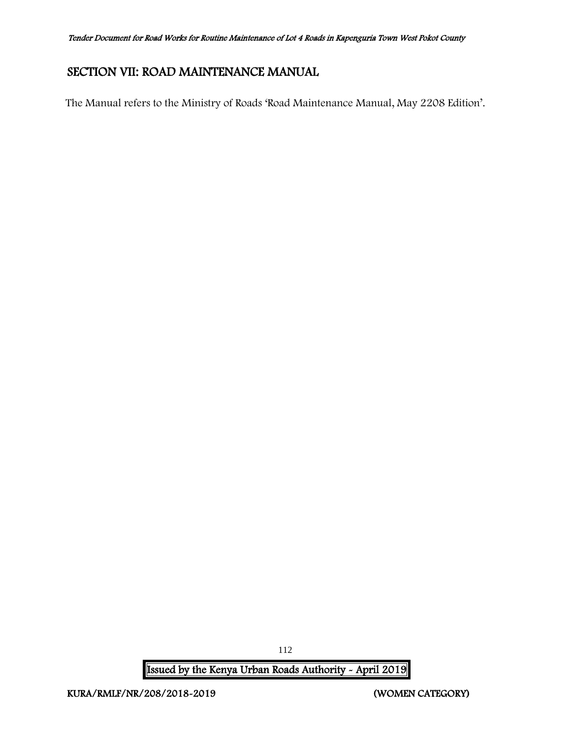# SECTION VII: ROAD MAINTENANCE MANUAL

The Manual refers to the Ministry of Roads 'Road Maintenance Manual, May 2208 Edition'.

Issued by the Kenya Urban Roads Authority - April 2019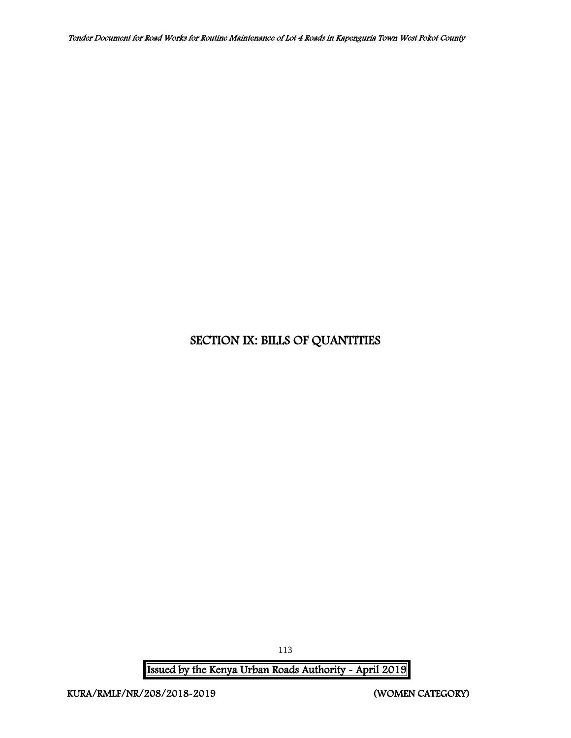# SECTION IX: BILLS OF QUANTITIES

Issued by the Kenya Urban Roads Authority - April 2019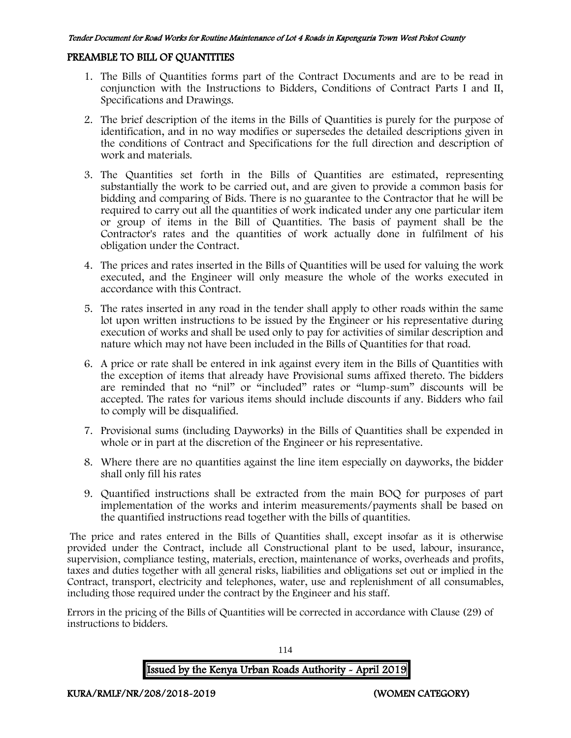#### PREAMBLE TO BILL OF QUANTITIES

- 1. The Bills of Quantities forms part of the Contract Documents and are to be read in conjunction with the Instructions to Bidders, Conditions of Contract Parts I and II, Specifications and Drawings.
- 2. The brief description of the items in the Bills of Quantities is purely for the purpose of identification, and in no way modifies or supersedes the detailed descriptions given in the conditions of Contract and Specifications for the full direction and description of work and materials.
- 3. The Quantities set forth in the Bills of Quantities are estimated, representing substantially the work to be carried out, and are given to provide a common basis for bidding and comparing of Bids. There is no guarantee to the Contractor that he will be required to carry out all the quantities of work indicated under any one particular item or group of items in the Bill of Quantities. The basis of payment shall be the Contractor's rates and the quantities of work actually done in fulfilment of his obligation under the Contract.
- 4. The prices and rates inserted in the Bills of Quantities will be used for valuing the work executed, and the Engineer will only measure the whole of the works executed in accordance with this Contract.
- 5. The rates inserted in any road in the tender shall apply to other roads within the same lot upon written instructions to be issued by the Engineer or his representative during execution of works and shall be used only to pay for activities of similar description and nature which may not have been included in the Bills of Quantities for that road.
- 6. A price or rate shall be entered in ink against every item in the Bills of Quantities with the exception of items that already have Provisional sums affixed thereto. The bidders are reminded that no "nil" or "included" rates or "lump-sum" discounts will be accepted. The rates for various items should include discounts if any. Bidders who fail to comply will be disqualified.
- 7. Provisional sums (including Dayworks) in the Bills of Quantities shall be expended in whole or in part at the discretion of the Engineer or his representative.
- 8. Where there are no quantities against the line item especially on dayworks, the bidder shall only fill his rates
- 9. Quantified instructions shall be extracted from the main BOQ for purposes of part implementation of the works and interim measurements/payments shall be based on the quantified instructions read together with the bills of quantities.

The price and rates entered in the Bills of Quantities shall, except insofar as it is otherwise provided under the Contract, include all Constructional plant to be used, labour, insurance, supervision, compliance testing, materials, erection, maintenance of works, overheads and profits, taxes and duties together with all general risks, liabilities and obligations set out or implied in the Contract, transport, electricity and telephones, water, use and replenishment of all consumables, including those required under the contract by the Engineer and his staff.

Errors in the pricing of the Bills of Quantities will be corrected in accordance with Clause (29) of instructions to bidders.

# Issued by the Kenya Urban Roads Authority - April 2019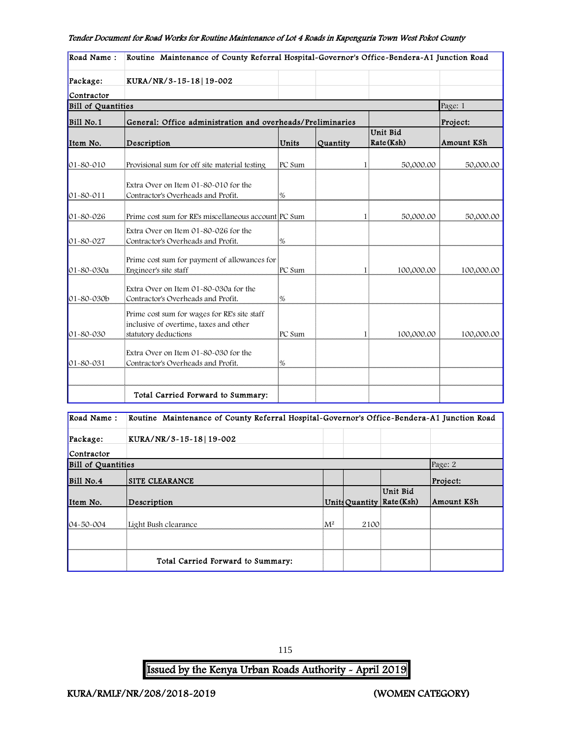| Road Name:         | Routine Maintenance of County Referral Hospital-Governor's Office-Bendera-A1 Junction Road                     |        |          |                        |            |
|--------------------|----------------------------------------------------------------------------------------------------------------|--------|----------|------------------------|------------|
| Package:           | KURA/NR/3-15-18 19-002                                                                                         |        |          |                        |            |
| Contractor         |                                                                                                                |        |          |                        |            |
| Bill of Quantities |                                                                                                                |        |          |                        | Page: 1    |
| Bill No.1          | General: Office administration and overheads/Preliminaries                                                     |        |          |                        | Project:   |
| Item No.           | Description                                                                                                    | Units  | Quantity | Unit Bid<br>Rate (Ksh) | Amount KSh |
| $01 - 80 - 010$    | Provisional sum for off site material testing                                                                  | PC Sum |          | 50,000.00              | 50,000.00  |
| $01 - 80 - 011$    | Extra Over on Item 01-80-010 for the<br>Contractor's Overheads and Profit.                                     | %      |          |                        |            |
| $01 - 80 - 026$    | Prime cost sum for RE's miscellaneous account PC Sum                                                           |        |          | 50,000.00              | 50,000.00  |
| 01-80-027          | Extra Over on Item 01-80-026 for the<br>Contractor's Overheads and Profit.                                     | %      |          |                        |            |
| 01-80-030a         | Prime cost sum for payment of allowances for<br>Engineer's site staff                                          | PC Sum |          | 100,000.00             | 100,000.00 |
| $01 - 80 - 030b$   | Extra Over on Item 01-80-030a for the<br>Contractor's Overheads and Profit.                                    | $\%$   |          |                        |            |
| 01-80-030          | Prime cost sum for wages for RE's site staff<br>inclusive of overtime, taxes and other<br>statutory deductions | PC Sum |          | 100,000.00             | 100,000.00 |
| 01-80-031          | Extra Over on Item 01-80-030 for the<br>Contractor's Overheads and Profit.                                     | %      |          |                        |            |
|                    |                                                                                                                |        |          |                        |            |
|                    | Total Carried Forward to Summary:                                                                              |        |          |                        |            |

Bill No.4 SITE CLEARANCE Project:

Routine Maintenance of County Referral Hospital-Governor's Office-Bendera-A1 Junction Road

Item No. Description Units Quantity Rate (Ksh)

04-50-004 Light Bush clearance M² 2100

Total Carried Forward to Summary:

115

Issued by the Kenya Urban Roads Authority - April 2019

Package: KURA/NR/3-15-18|19-002

Road Name :

Contractor

**Bill of Quantities** 

Page: 2

Amount KSh

Unit Bid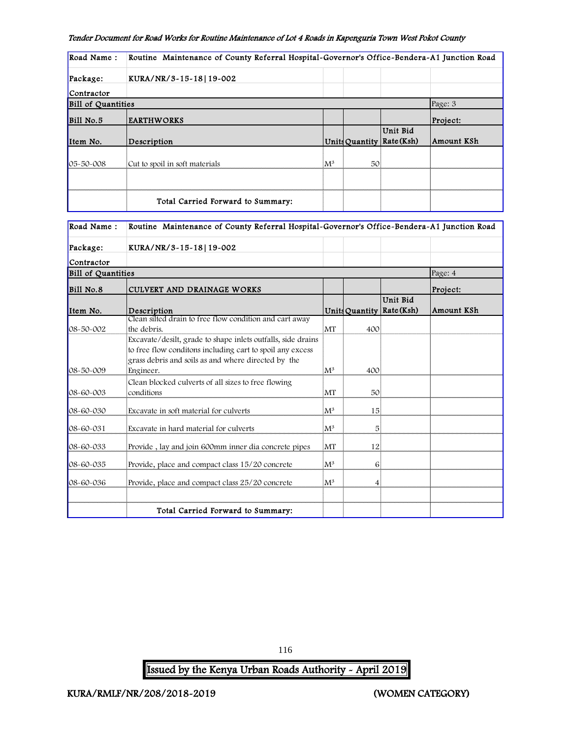| Road Name:                | Routine Maintenance of County Referral Hospital-Governor's Office-Bendera-A1 Junction Road |                 |    |                                       |            |
|---------------------------|--------------------------------------------------------------------------------------------|-----------------|----|---------------------------------------|------------|
| Package:                  | KURA/NR/3-15-18 19-002                                                                     |                 |    |                                       |            |
| Contractor                |                                                                                            |                 |    |                                       |            |
| <b>Bill of Quantities</b> |                                                                                            |                 |    |                                       | Page: 3    |
| Bill No.5                 | <b>EARTHWORKS</b>                                                                          |                 |    |                                       | Project:   |
| Item No.                  | Description                                                                                |                 |    | Unit Bid<br>Units Quantity Rate (Ksh) | Amount KSh |
| $105 - 50 - 008$          | Cut to spoil in soft materials                                                             | ÏМ <sup>3</sup> | 50 |                                       |            |
|                           |                                                                                            |                 |    |                                       |            |
|                           | Total Carried Forward to Summary:                                                          |                 |    |                                       |            |

| Road Name:                | Routine Maintenance of County Referral Hospital-Governor's Office-Bendera-A1 Junction Road                                                                                       |                 |     |                                       |            |
|---------------------------|----------------------------------------------------------------------------------------------------------------------------------------------------------------------------------|-----------------|-----|---------------------------------------|------------|
| Package:                  | KURA/NR/3-15-18 19-002                                                                                                                                                           |                 |     |                                       |            |
| Contractor                |                                                                                                                                                                                  |                 |     |                                       |            |
| <b>Bill of Quantities</b> |                                                                                                                                                                                  |                 |     |                                       | Page: 4    |
| Bill No.8                 | CULVERT AND DRAINAGE WORKS                                                                                                                                                       |                 |     |                                       | Project:   |
| Item No.                  | Description                                                                                                                                                                      |                 |     | Unit Bid<br>Units Quantity Rate (Ksh) | Amount KSh |
|                           | Clean silted drain to free flow condition and cart away                                                                                                                          |                 |     |                                       |            |
| 08-50-002                 | the debris.                                                                                                                                                                      | İMT             | 400 |                                       |            |
|                           | Excavate/desilt, grade to shape inlets outfalls, side drains<br>to free flow conditons including cart to spoil any excess<br>grass debris and soils as and where directed by the |                 |     |                                       |            |
| $08 - 50 - 009$           | Engineer.                                                                                                                                                                        | ${\rm M}^3$     | 400 |                                       |            |
| 08-60-003                 | Clean blocked culverts of all sizes to free flowing<br>conditions                                                                                                                | MT              | 50  |                                       |            |
| $08 - 60 - 030$           | Excavate in soft material for culverts                                                                                                                                           | ${}^{11}M^3$    | 15  |                                       |            |
| $08 - 60 - 031$           | Excavate in hard material for culverts                                                                                                                                           | $\mathrm{M}^3$  | 5   |                                       |            |
| 08-60-033                 | Provide, lay and join 600mm inner dia concrete pipes                                                                                                                             | İMT             | 12  |                                       |            |
| 08-60-035                 | Provide, place and compact class 15/20 concrete                                                                                                                                  | İМ <sup>3</sup> | 6   |                                       |            |
| 08-60-036                 | Provide, place and compact class 25/20 concrete                                                                                                                                  | ${\rm M}^3$     | 4   |                                       |            |
|                           |                                                                                                                                                                                  |                 |     |                                       |            |
|                           | Total Carried Forward to Summary:                                                                                                                                                |                 |     |                                       |            |

116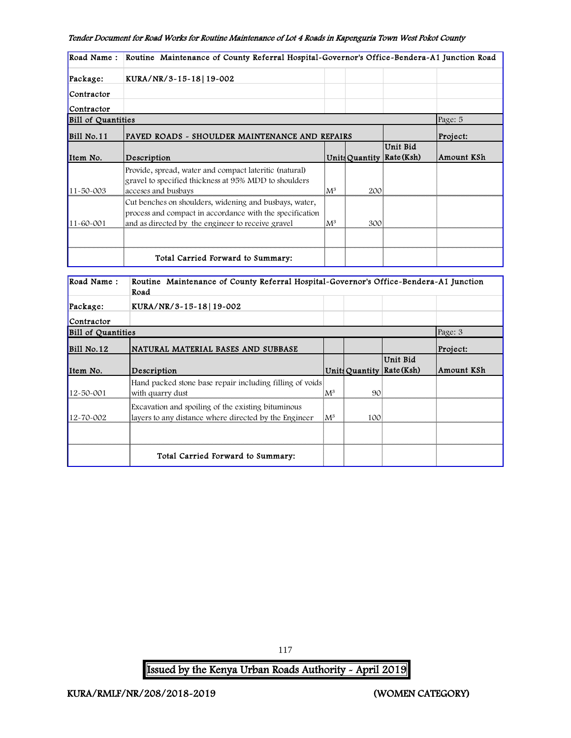| Road Name:                | Routine Maintenance of County Referral Hospital-Governor's Office-Bendera-A1 Junction Road                                                                              |       |     |                                       |            |
|---------------------------|-------------------------------------------------------------------------------------------------------------------------------------------------------------------------|-------|-----|---------------------------------------|------------|
| Package:                  | KURA/NR/3-15-18 19-002                                                                                                                                                  |       |     |                                       |            |
| Contractor                |                                                                                                                                                                         |       |     |                                       |            |
| Contractor                |                                                                                                                                                                         |       |     |                                       |            |
| <b>Bill of Quantities</b> |                                                                                                                                                                         |       |     |                                       | Page: 5    |
| Bill No.11                | PAVED ROADS - SHOULDER MAINTENANCE AND REPAIRS                                                                                                                          |       |     |                                       | Project:   |
| Item No.                  | Description                                                                                                                                                             |       |     | Unit Bid<br>Units Quantity Rate (Ksh) | Amount KSh |
| $11 - 50 - 003$           | Provide, spread, water and compact lateritic (natural)<br>gravel to specified thickness at 95% MDD to shoulders<br>acceses and busbays                                  | $M^3$ | 200 |                                       |            |
| $11 - 60 - 001$           | Cut benches on shoulders, widening and busbays, water,<br>process and compact in accordance with the specification<br>and as directed by the engineer to receive gravel | $M^3$ | 300 |                                       |            |
|                           |                                                                                                                                                                         |       |     |                                       |            |
|                           | Total Carried Forward to Summary:                                                                                                                                       |       |     |                                       |            |

| Road Name:                | Routine Maintenance of County Referral Hospital-Governor's Office-Bendera-A1 Junction<br>Road               |                |                |                          |            |
|---------------------------|-------------------------------------------------------------------------------------------------------------|----------------|----------------|--------------------------|------------|
| Package:                  | KURA/NR/3~15~18 19~002                                                                                      |                |                |                          |            |
| Contractor                |                                                                                                             |                |                |                          |            |
| <b>Bill of Quantities</b> |                                                                                                             |                |                |                          | Page: 3    |
| Bill No.12                | NATURAL MATERIAL BASES AND SUBBASE                                                                          |                |                |                          | Project:   |
| Item No.                  | Description                                                                                                 |                | Units Quantity | Unit Bid<br>  Rate (Ksh) | Amount KSh |
| 12-50-001                 | Hand packed stone base repair including filling of voids<br>with quarry dust                                | $\mathrm{M}^3$ | 90             |                          |            |
| 12-70-002                 | Excavation and spoiling of the existing bituminous<br>layers to any distance where directed by the Engineer | ${\rm M}^3$    | 100            |                          |            |
|                           |                                                                                                             |                |                |                          |            |
|                           | Total Carried Forward to Summary:                                                                           |                |                |                          |            |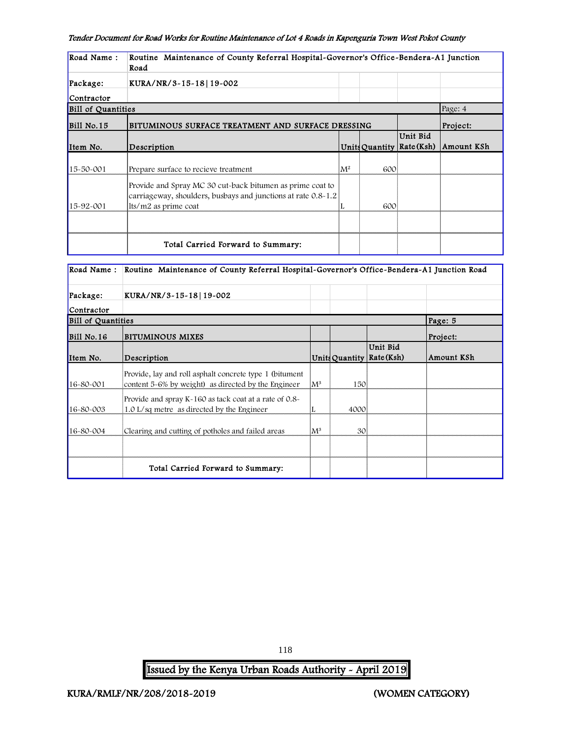| Road Name:                | Routine Maintenance of County Referral Hospital-Governor's Office-Bendera-A1 Junction<br>Road                                                      |       |                |                       |                 |
|---------------------------|----------------------------------------------------------------------------------------------------------------------------------------------------|-------|----------------|-----------------------|-----------------|
| Package:                  | KURA/NR/3-15-18 19-002                                                                                                                             |       |                |                       |                 |
| Contractor                |                                                                                                                                                    |       |                |                       |                 |
| <b>Bill of Quantities</b> |                                                                                                                                                    |       |                |                       | Page: 4         |
| Bill No.15                | BITUMINOUS SURFACE TREATMENT AND SURFACE DRESSING                                                                                                  |       |                |                       | <b>Project:</b> |
| Item No.                  | Description                                                                                                                                        |       | Units Quantity | Unit Bid<br>Rate(Ksh) | Amount KSh      |
| 15-50-001                 | Prepare surface to recieve treatment                                                                                                               | $M^2$ | 600            |                       |                 |
| $15 - 92 - 001$           | Provide and Spray MC 30 cut-back bitumen as prime coat to<br>carriageway, shoulders, busbays and junctions at rate 0.8-1.2<br>lts/m2 as prime coat |       | 600            |                       |                 |
|                           |                                                                                                                                                    |       |                |                       |                 |
|                           | Total Carried Forward to Summary:                                                                                                                  |       |                |                       |                 |

| Road Name:                | Routine Maintenance of County Referral Hospital-Governor's Office-Bendera-A1 Junction Road                      |                |      |                                         |            |
|---------------------------|-----------------------------------------------------------------------------------------------------------------|----------------|------|-----------------------------------------|------------|
| Package:                  | KURA/NR/3~15~18 19~002                                                                                          |                |      |                                         |            |
| Contractor                |                                                                                                                 |                |      |                                         |            |
| <b>Bill of Quantities</b> |                                                                                                                 |                |      |                                         | Page: 5    |
| Bill No.16                | BITUMINOUS MIXES                                                                                                |                |      |                                         | Project:   |
| Item No.                  | Description                                                                                                     |                |      | Unit Bid<br>Units Quantity   Rate (Ksh) | Amount KSh |
| 16-80-001                 | Provide, lay and roll asphalt concrete type 1 (bitument)<br>content 5-6% by weight) as directed by the Engineer | $\mathbb{M}^3$ | 150  |                                         |            |
| 16-80-003                 | Provide and spray K-160 as tack coat at a rate of 0.8-<br>1.0 L/sq metre as directed by the Engineer            |                | 4000 |                                         |            |
| 16-80-004                 | Clearing and cutting of potholes and failed areas                                                               | ${\rm M}^3$    | 30   |                                         |            |
|                           |                                                                                                                 |                |      |                                         |            |
|                           | Total Carried Forward to Summary:                                                                               |                |      |                                         |            |

118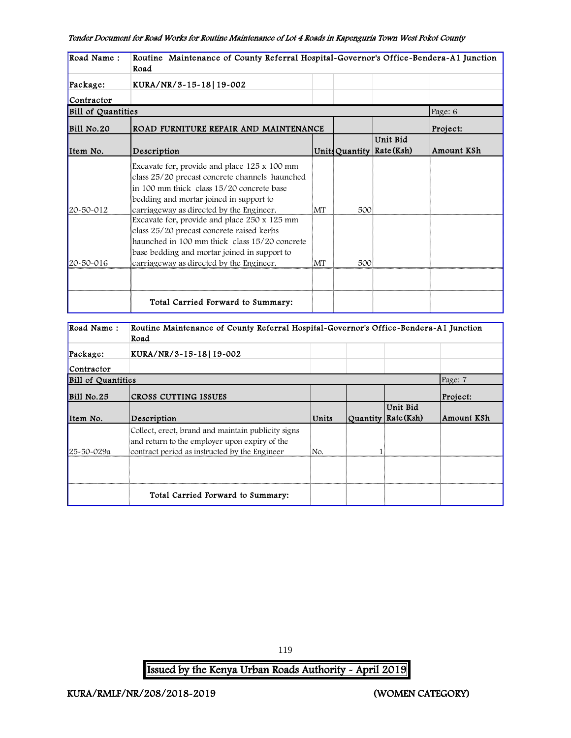| Road Name:                | Routine Maintenance of County Referral Hospital-Governor's Office-Bendera-A1 Junction<br>Road                                                                                                                                          |    |     |                                         |            |
|---------------------------|----------------------------------------------------------------------------------------------------------------------------------------------------------------------------------------------------------------------------------------|----|-----|-----------------------------------------|------------|
| Package:                  | KURA/NR/3~15~18 19~002                                                                                                                                                                                                                 |    |     |                                         |            |
| Contractor                |                                                                                                                                                                                                                                        |    |     |                                         |            |
| <b>Bill of Quantities</b> |                                                                                                                                                                                                                                        |    |     |                                         | Page: 6    |
| Bill No.20                | ROAD FURNITURE REPAIR AND MAINTENANCE                                                                                                                                                                                                  |    |     |                                         | Project:   |
| Item No.                  | Description                                                                                                                                                                                                                            |    |     | Unit Bid<br>Units Quantity   Rate (Ksh) | Amount KSh |
| 20-50-012                 | Excavate for, provide and place 125 x 100 mm<br>class 25/20 precast concrete channels haunched<br>in 100 mm thick class 15/20 concrete base<br>bedding and mortar joined in support to<br>carriageway as directed by the Engineer.     | MT | 500 |                                         |            |
| $20 - 50 - 016$           | Excavate for, provide and place 250 x 125 mm<br>class 25/20 precast concrete raised kerbs<br>haunched in 100 mm thick class 15/20 concrete<br>base bedding and mortar joined in support to<br>carriageway as directed by the Engineer. | MT | 500 |                                         |            |
|                           |                                                                                                                                                                                                                                        |    |     |                                         |            |
|                           | Total Carried Forward to Summary:                                                                                                                                                                                                      |    |     |                                         |            |

| Road Name:                | Routine Maintenance of County Referral Hospital-Governor's Office-Bendera-A1 Junction<br>Road                                                        |       |                                   |            |
|---------------------------|------------------------------------------------------------------------------------------------------------------------------------------------------|-------|-----------------------------------|------------|
| Package:                  | KURA/NR/3-15-18 19-002                                                                                                                               |       |                                   |            |
| Contractor                |                                                                                                                                                      |       |                                   |            |
| <b>Bill of Quantities</b> |                                                                                                                                                      |       |                                   | Page: 7    |
| Bill No.25                | CROSS CUTTING ISSUES                                                                                                                                 |       |                                   | Project:   |
| Item No.                  | Description                                                                                                                                          | Units | Unit Bid<br>Quantity   Rate (Ksh) | Amount KSh |
| 25-50-029a                | Collect, erect, brand and maintain publicity signs<br>and return to the employer upon expiry of the<br>contract period as instructed by the Engineer | No.   |                                   |            |
|                           |                                                                                                                                                      |       |                                   |            |
|                           | Total Carried Forward to Summary:                                                                                                                    |       |                                   |            |

119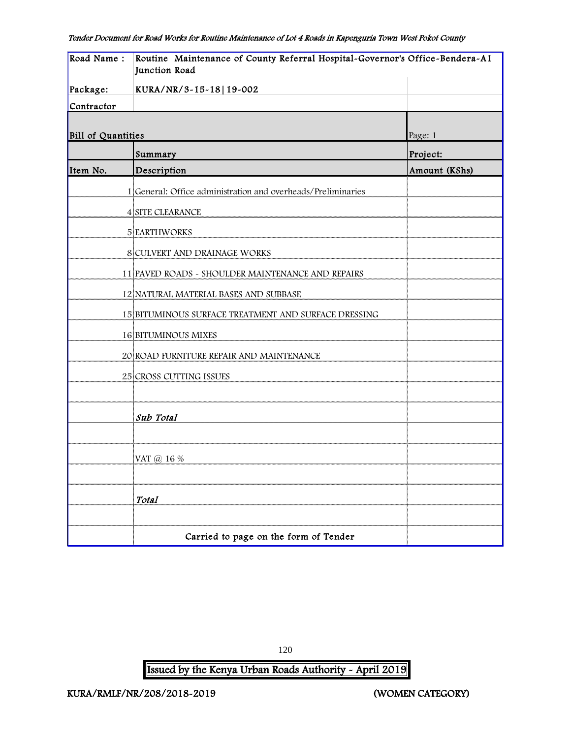| Road Name:         | Routine Maintenance of County Referral Hospital-Governor's Office-Bendera-A1<br>Junction Road |               |  |  |
|--------------------|-----------------------------------------------------------------------------------------------|---------------|--|--|
| Package:           | KURA/NR/3-15-18 19-002                                                                        |               |  |  |
| Contractor         |                                                                                               |               |  |  |
| Bill of Quantities |                                                                                               | Page: 1       |  |  |
|                    | Summary                                                                                       | Project:      |  |  |
| Item No.           | Description                                                                                   | Amount (KShs) |  |  |
|                    | 1 General: Office administration and overheads/Preliminaries                                  |               |  |  |
|                    | 4 SITE CLEARANCE                                                                              |               |  |  |
|                    | <b>5 EARTHWORKS</b>                                                                           |               |  |  |
|                    | 8 CULVERT AND DRAINAGE WORKS                                                                  |               |  |  |
|                    | 11 PAVED ROADS - SHOULDER MAINTENANCE AND REPAIRS                                             |               |  |  |
|                    | 12 NATURAL MATERIAL BASES AND SUBBASE                                                         |               |  |  |
|                    | 15 BITUMINOUS SURFACE TREATMENT AND SURFACE DRESSING                                          |               |  |  |
|                    | <b>16 BITUMINOUS MIXES</b>                                                                    |               |  |  |
|                    | 20 ROAD FURNITURE REPAIR AND MAINTENANCE                                                      |               |  |  |
|                    | 25 CROSS CUTTING ISSUES                                                                       |               |  |  |
|                    |                                                                                               |               |  |  |
|                    | Sub Total                                                                                     |               |  |  |
|                    |                                                                                               |               |  |  |
|                    | VAT @ 16 %                                                                                    |               |  |  |
|                    |                                                                                               |               |  |  |
|                    | <b>Total</b>                                                                                  |               |  |  |
|                    |                                                                                               |               |  |  |
|                    | Carried to page on the form of Tender                                                         |               |  |  |

Issued by the Kenya Urban Roads Authority - April 2019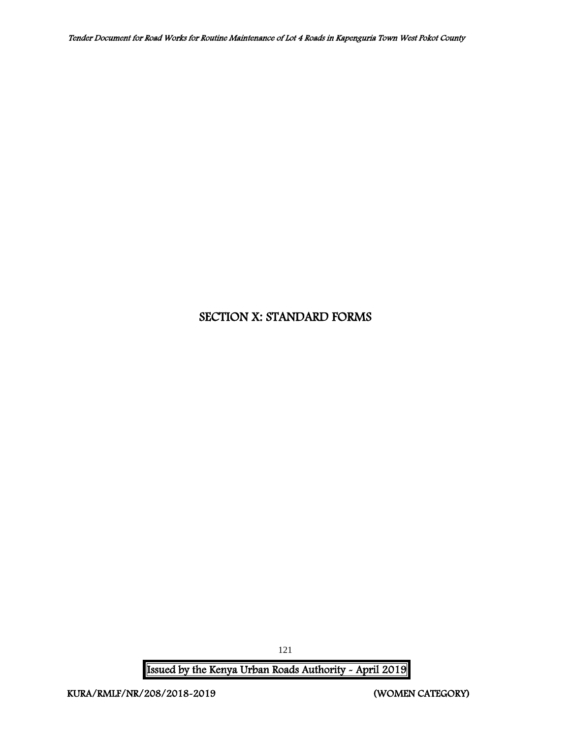# SECTION X: STANDARD FORMS

Issued by the Kenya Urban Roads Authority - April 2019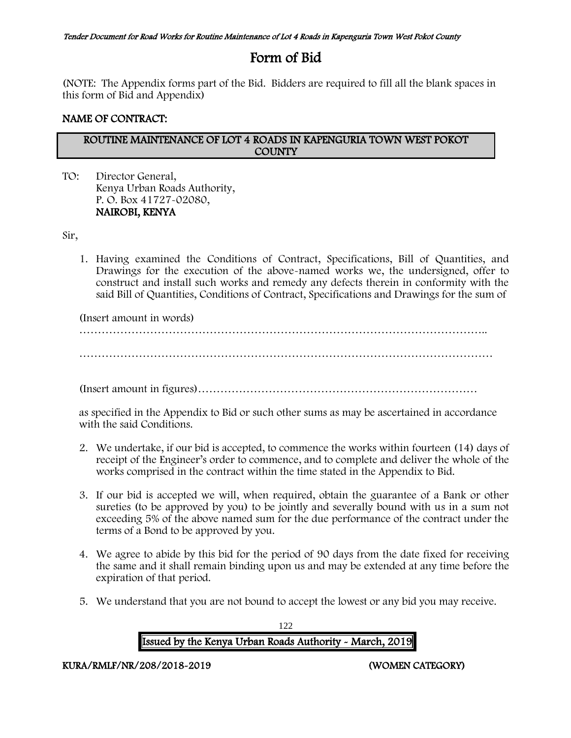# Form of Bid

(NOTE: The Appendix forms part of the Bid. Bidders are required to fill all the blank spaces in this form of Bid and Appendix)

# NAME OF CONTRACT:

### ROUTINE MAINTENANCE OF LOT 4 ROADS IN KAPENGURIA TOWN WEST POKOT **COUNTY**

TO: Director General, Kenya Urban Roads Authority, P. O. Box 41727-02080, NAIROBI, KENYA

Sir,

1. Having examined the Conditions of Contract, Specifications, Bill of Quantities, and Drawings for the execution of the above-named works we, the undersigned, offer to construct and install such works and remedy any defects therein in conformity with the said Bill of Quantities, Conditions of Contract, Specifications and Drawings for the sum of

(Insert amount in words)

………………………………………………………………………………………………..

…………………………………………………………………………………………………

(Insert amount in figures)…………………………………………………………………

as specified in the Appendix to Bid or such other sums as may be ascertained in accordance with the said Conditions.

- 2. We undertake, if our bid is accepted, to commence the works within fourteen (14) days of receipt of the Engineer's order to commence, and to complete and deliver the whole of the works comprised in the contract within the time stated in the Appendix to Bid.
- 3. If our bid is accepted we will, when required, obtain the guarantee of a Bank or other sureties (to be approved by you) to be jointly and severally bound with us in a sum not exceeding 5% of the above named sum for the due performance of the contract under the terms of a Bond to be approved by you.
- 4. We agree to abide by this bid for the period of 90 days from the date fixed for receiving the same and it shall remain binding upon us and may be extended at any time before the expiration of that period.
- 5. We understand that you are not bound to accept the lowest or any bid you may receive.

122 Issued by the Kenya Urban Roads Authority - March, 2019

KURA/RMLF/NR/208/2018-2019 (WOMEN CATEGORY)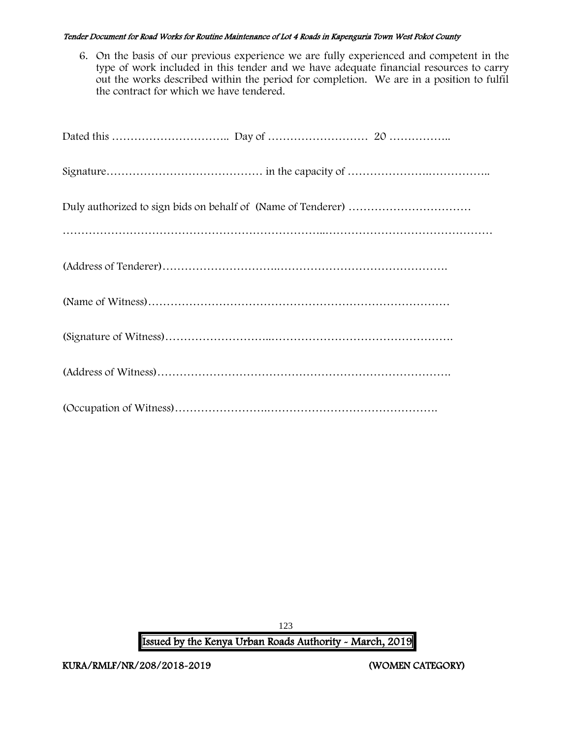6. On the basis of our previous experience we are fully experienced and competent in the type of work included in this tender and we have adequate financial resources to carry out the works described within the period for completion. We are in a position to fulfil the contract for which we have tendered.

123 Issued by the Kenya Urban Roads Authority - March, 2019

KURA/RMLF/NR/208/2018-2019 (WOMEN CATEGORY)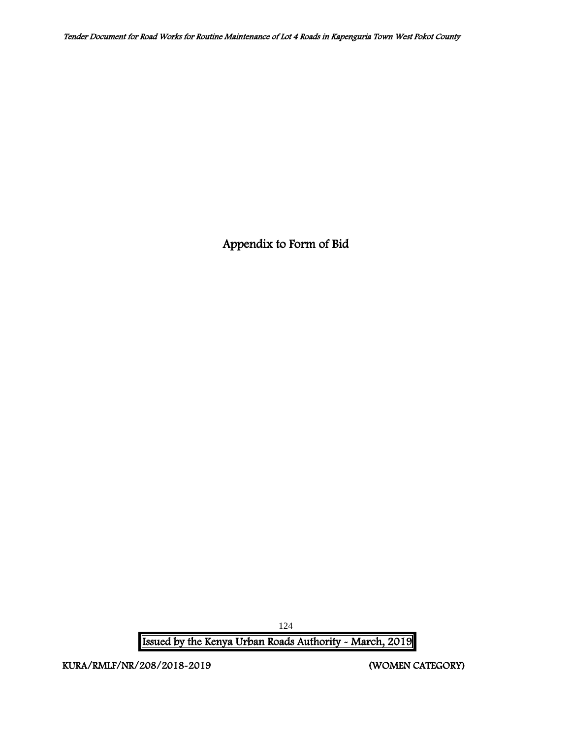Appendix to Form of Bid

Issued by the Kenya Urban Roads Authority - March, 2019

KURA/RMLF/NR/208/2018-2019 (WOMEN CATEGORY)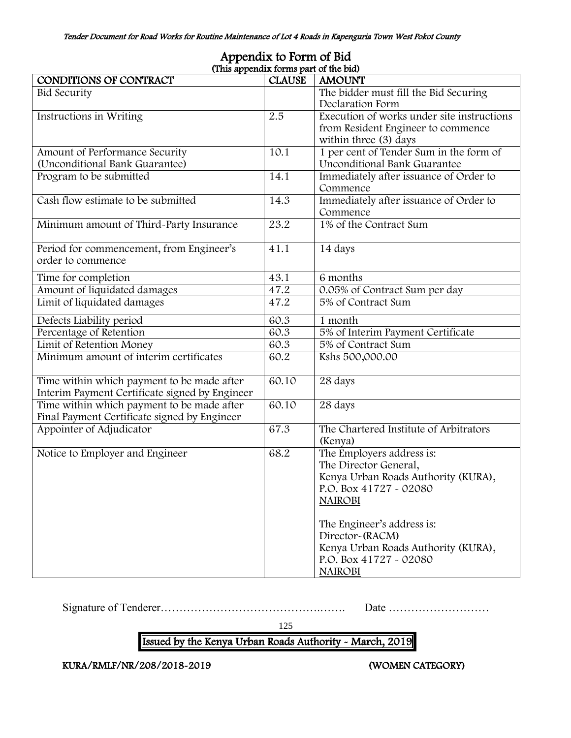| (This appendix forms part of the bid)          |               |                                            |  |  |  |  |  |
|------------------------------------------------|---------------|--------------------------------------------|--|--|--|--|--|
| CONDITIONS OF CONTRACT                         | <b>CLAUSE</b> | <b>AMOUNT</b>                              |  |  |  |  |  |
| <b>Bid Security</b>                            |               | The bidder must fill the Bid Securing      |  |  |  |  |  |
|                                                |               | Declaration Form                           |  |  |  |  |  |
| Instructions in Writing                        | 2.5           | Execution of works under site instructions |  |  |  |  |  |
|                                                |               | from Resident Engineer to commence         |  |  |  |  |  |
|                                                |               | within three (3) days                      |  |  |  |  |  |
| Amount of Performance Security                 | 10.1          | 1 per cent of Tender Sum in the form of    |  |  |  |  |  |
| (Unconditional Bank Guarantee)                 |               | Unconditional Bank Guarantee               |  |  |  |  |  |
| Program to be submitted                        | 14.1          | Immediately after issuance of Order to     |  |  |  |  |  |
|                                                |               | Commence                                   |  |  |  |  |  |
| Cash flow estimate to be submitted             | 14.3          | Immediately after issuance of Order to     |  |  |  |  |  |
|                                                |               | Commence                                   |  |  |  |  |  |
| Minimum amount of Third-Party Insurance        | 23.2          | 1% of the Contract Sum                     |  |  |  |  |  |
|                                                |               |                                            |  |  |  |  |  |
| Period for commencement, from Engineer's       | 41.1          | 14 days                                    |  |  |  |  |  |
| order to commence                              |               |                                            |  |  |  |  |  |
| Time for completion                            | 43.1          | 6 months                                   |  |  |  |  |  |
| Amount of liquidated damages                   | 47.2          | 0.05% of Contract Sum per day              |  |  |  |  |  |
| Limit of liquidated damages                    | 47.2          | 5% of Contract Sum                         |  |  |  |  |  |
|                                                |               |                                            |  |  |  |  |  |
| Defects Liability period                       | 60.3          | 1 month                                    |  |  |  |  |  |
| Percentage of Retention                        | 60.3          | 5% of Interim Payment Certificate          |  |  |  |  |  |
| Limit of Retention Money                       | 60.3          | 5% of Contract Sum                         |  |  |  |  |  |
| Minimum amount of interim certificates         | 60.2          | Kshs 500,000.00                            |  |  |  |  |  |
|                                                |               |                                            |  |  |  |  |  |
| Time within which payment to be made after     | 60.10         | 28 days                                    |  |  |  |  |  |
| Interim Payment Certificate signed by Engineer |               |                                            |  |  |  |  |  |
| Time within which payment to be made after     | 60.10         | 28 days                                    |  |  |  |  |  |
| Final Payment Certificate signed by Engineer   |               |                                            |  |  |  |  |  |
| Appointer of Adjudicator                       | 67.3          | The Chartered Institute of Arbitrators     |  |  |  |  |  |
|                                                |               | (Kenya)                                    |  |  |  |  |  |
| Notice to Employer and Engineer                | 68.2          | The Employers address is:                  |  |  |  |  |  |
|                                                |               | The Director General,                      |  |  |  |  |  |
|                                                |               | Kenya Urban Roads Authority (KURA),        |  |  |  |  |  |
|                                                |               | P.O. Box 41727 - 02080                     |  |  |  |  |  |
|                                                |               | <b>NAIROBI</b>                             |  |  |  |  |  |
|                                                |               |                                            |  |  |  |  |  |
|                                                |               | The Engineer's address is:                 |  |  |  |  |  |
|                                                |               | Director-(RACM)                            |  |  |  |  |  |
|                                                |               | Kenya Urban Roads Authority (KURA),        |  |  |  |  |  |
|                                                |               | P.O. Box 41727 - 02080                     |  |  |  |  |  |
|                                                |               | <b>NAIROBI</b>                             |  |  |  |  |  |

# Appendix to Form of Bid

Signature of Tenderer…………………………………….……. Date ………………………

125

# Issued by the Kenya Urban Roads Authority - March, 2019

KURA/RMLF/NR/208/2018-2019 (WOMEN CATEGORY)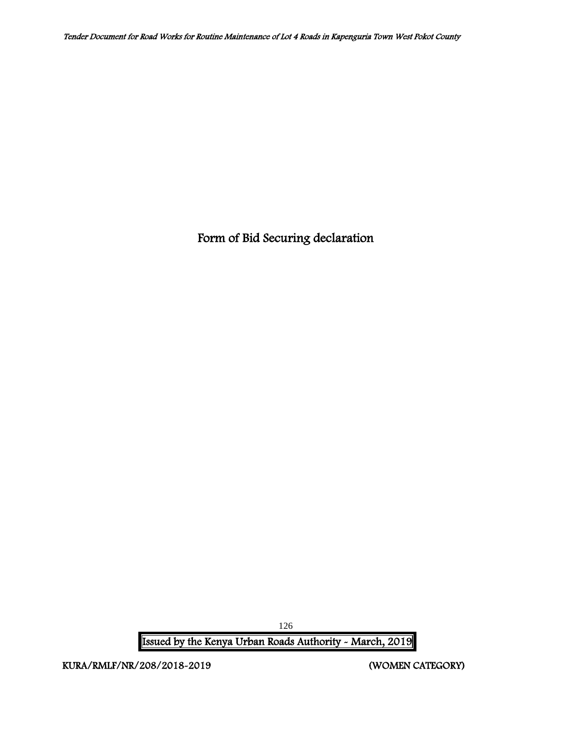Form of Bid Securing declaration

Issued by the Kenya Urban Roads Authority - March, 2019

KURA/RMLF/NR/208/2018-2019 (WOMEN CATEGORY)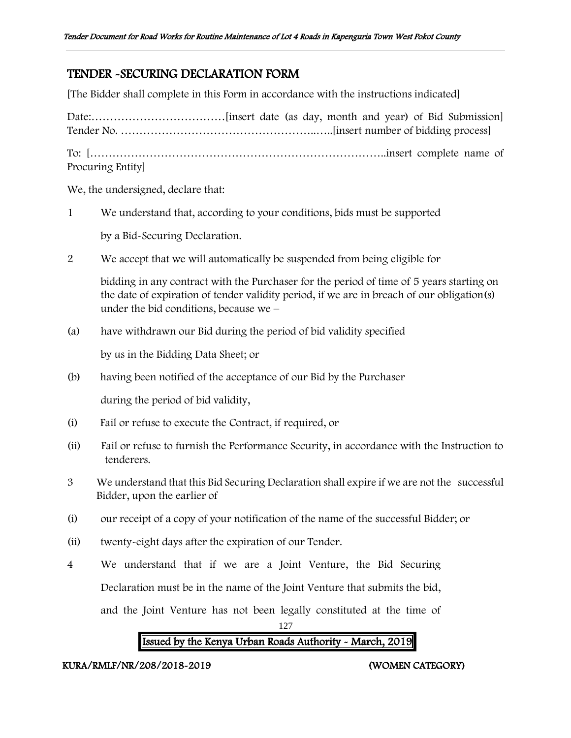# TENDER -SECURING DECLARATION FORM

[The Bidder shall complete in this Form in accordance with the instructions indicated]

Date:………………………………[insert date (as day, month and year) of Bid Submission] Tender No. ……………………………………………..…..[insert number of bidding process] To: [……………………………………………………………………..insert complete name of Procuring Entity]

٦

We, the undersigned, declare that:

1 We understand that, according to your conditions, bids must be supported

by a Bid-Securing Declaration.

2 We accept that we will automatically be suspended from being eligible for

bidding in any contract with the Purchaser for the period of time of 5 years starting on the date of expiration of tender validity period, if we are in breach of our obligation(s) under the bid conditions, because we –

(a) have withdrawn our Bid during the period of bid validity specified

by us in the Bidding Data Sheet; or

(b) having been notified of the acceptance of our Bid by the Purchaser

during the period of bid validity,

- (i) Fail or refuse to execute the Contract, if required, or
- (ii) Fail or refuse to furnish the Performance Security, in accordance with the Instruction to tenderers.
- 3 We understand that this Bid Securing Declaration shall expire if we are not the successful Bidder, upon the earlier of
- (i) our receipt of a copy of your notification of the name of the successful Bidder; or
- (ii) twenty-eight days after the expiration of our Tender.
- 4 We understand that if we are a Joint Venture, the Bid Securing

Declaration must be in the name of the Joint Venture that submits the bid,

and the Joint Venture has not been legally constituted at the time of

127

# Issued by the Kenya Urban Roads Authority - March, 2019

# KURA/RMLF/NR/208/2018-2019 (WOMEN CATEGORY)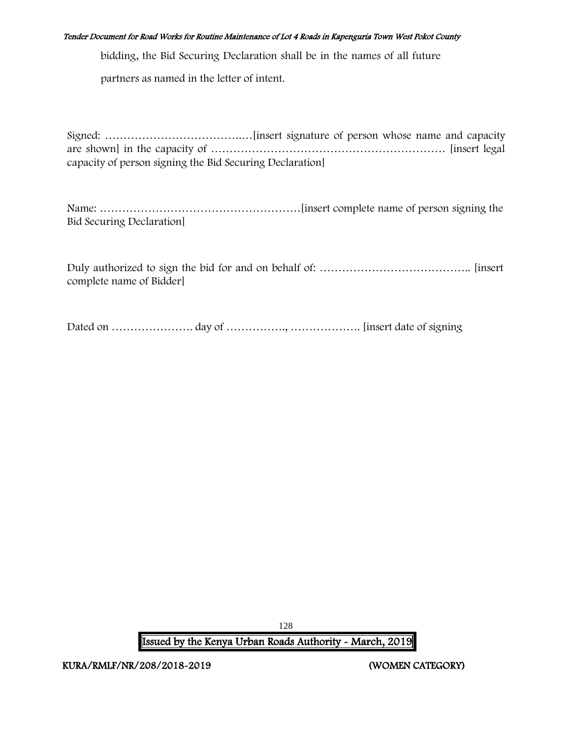bidding, the Bid Securing Declaration shall be in the names of all future

partners as named in the letter of intent.

Signed: ……………………………….…[insert signature of person whose name and capacity are shown] in the capacity of ……………………………………………………… [insert legal capacity of person signing the Bid Securing Declaration]

Name: ………………………………………………[insert complete name of person signing the Bid Securing Declaration]

Duly authorized to sign the bid for and on behalf of: ………………………………….. [insert complete name of Bidder]

Dated on …………………. day of ……………., ………………. [insert date of signing

128 Issued by the Kenya Urban Roads Authority - March, 2019

KURA/RMLF/NR/208/2018-2019 (WOMEN CATEGORY)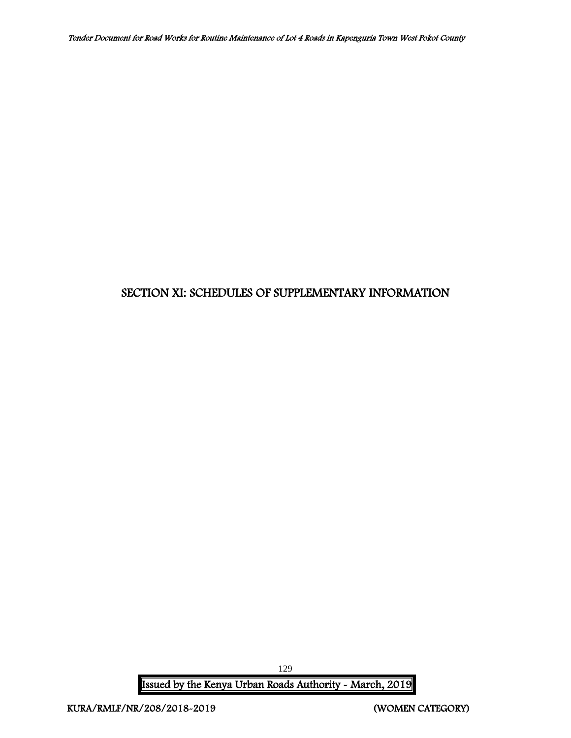# SECTION XI: SCHEDULES OF SUPPLEMENTARY INFORMATION

Issued by the Kenya Urban Roads Authority - March, 2019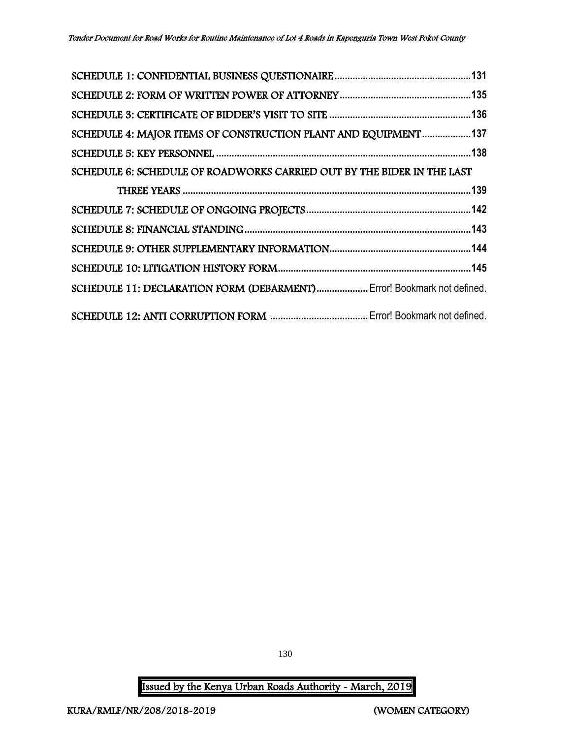| SCHEDULE 4: MAJOR ITEMS OF CONSTRUCTION PLANT AND EQUIPMENT137         |  |
|------------------------------------------------------------------------|--|
|                                                                        |  |
| SCHEDULE 6: SCHEDULE OF ROADWORKS CARRIED OUT BY THE BIDER IN THE LAST |  |
|                                                                        |  |
|                                                                        |  |
|                                                                        |  |
|                                                                        |  |
|                                                                        |  |
| SCHEDULE 11: DECLARATION FORM (DEBARMENT) Error! Bookmark not defined. |  |
|                                                                        |  |

130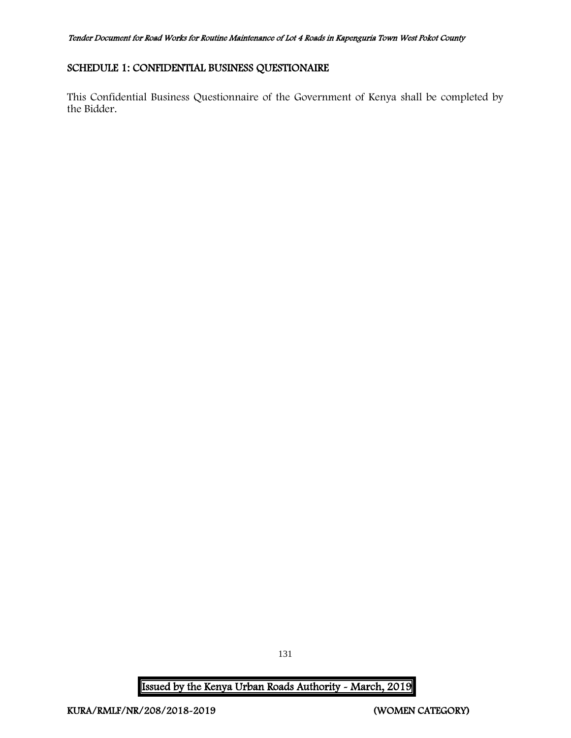# <span id="page-131-0"></span>SCHEDULE 1: CONFIDENTIAL BUSINESS QUESTIONAIRE

This Confidential Business Questionnaire of the Government of Kenya shall be completed by the Bidder.

131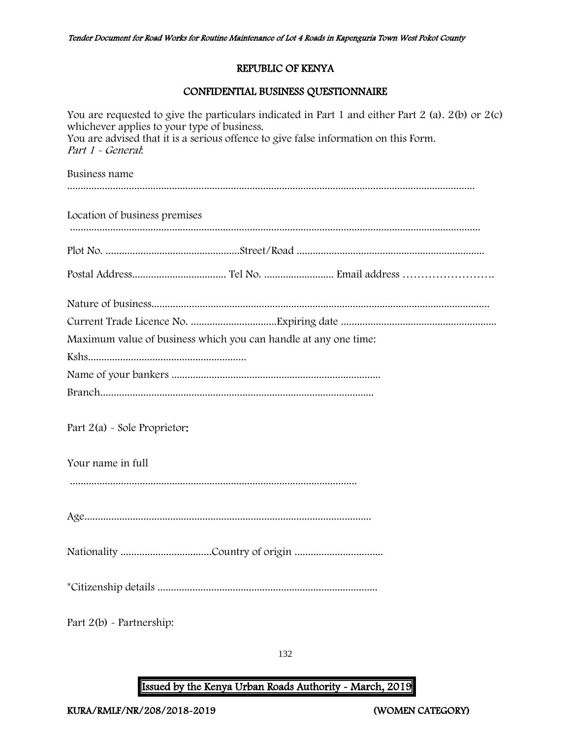# REPUBLIC OF KENYA

# CONFIDENTIAL BUSINESS QUESTIONNAIRE

| You are requested to give the particulars indicated in Part 1 and either Part 2 (a). $2(b)$ or $2(c)$<br>whichever applies to your type of business.<br>You are advised that it is a serious offence to give false information on this Form.<br>Part 1 - General: |
|-------------------------------------------------------------------------------------------------------------------------------------------------------------------------------------------------------------------------------------------------------------------|
| Business name                                                                                                                                                                                                                                                     |
| Location of business premises                                                                                                                                                                                                                                     |
|                                                                                                                                                                                                                                                                   |
|                                                                                                                                                                                                                                                                   |
|                                                                                                                                                                                                                                                                   |
|                                                                                                                                                                                                                                                                   |
| Maximum value of business which you can handle at any one time:                                                                                                                                                                                                   |
|                                                                                                                                                                                                                                                                   |
|                                                                                                                                                                                                                                                                   |
|                                                                                                                                                                                                                                                                   |
| Part $2(a)$ - Sole Proprietor:                                                                                                                                                                                                                                    |
| Your name in full                                                                                                                                                                                                                                                 |
|                                                                                                                                                                                                                                                                   |
|                                                                                                                                                                                                                                                                   |
|                                                                                                                                                                                                                                                                   |
|                                                                                                                                                                                                                                                                   |
| Part $2(b)$ - Partnership:                                                                                                                                                                                                                                        |

132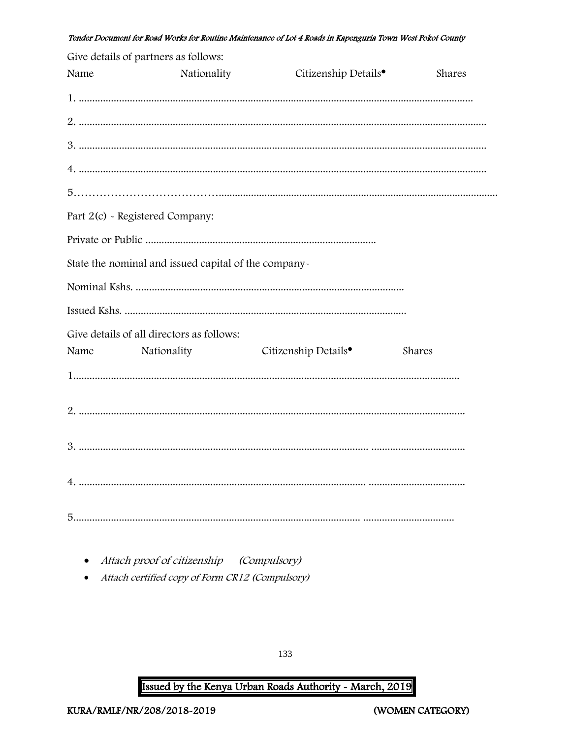|      | Give details of partners as follows:                 |                                  |        |
|------|------------------------------------------------------|----------------------------------|--------|
| Name | Nationality                                          | Citizenship Details <sup>•</sup> | Shares |
|      |                                                      |                                  |        |
|      |                                                      |                                  |        |
|      |                                                      |                                  |        |
|      |                                                      |                                  |        |
|      |                                                      |                                  |        |
|      | Part 2(c) - Registered Company:                      |                                  |        |
|      |                                                      |                                  |        |
|      | State the nominal and issued capital of the company- |                                  |        |
|      |                                                      |                                  |        |
|      |                                                      |                                  |        |
|      | Give details of all directors as follows:            |                                  |        |
| Name | Nationality                                          | Citizenship Details <sup>•</sup> | Shares |
|      |                                                      |                                  |        |
|      |                                                      |                                  |        |
|      |                                                      |                                  |        |
|      |                                                      |                                  |        |
|      |                                                      |                                  |        |
|      |                                                      |                                  |        |
|      |                                                      |                                  |        |

- Attach proof of citizenship (Compulsory)
- Attach certified copy of Form CR12 (Compulsory)

133

# Issued by the Kenya Urban Roads Authority - March, 2019

(WOMEN CATEGORY)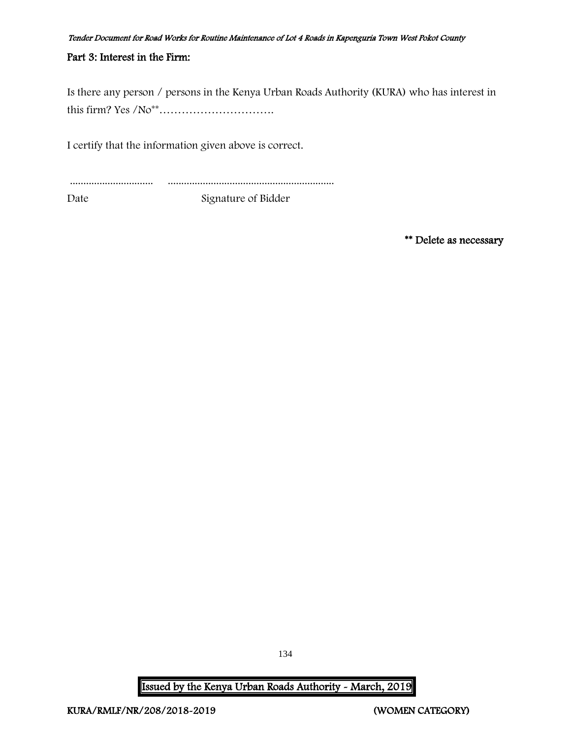### Part 3: Interest in the Firm:

Is there any person / persons in the Kenya Urban Roads Authority (KURA) who has interest in this firm? Yes /No\*\*………………………….

I certify that the information given above is correct.

............................... .............................................................. Date Signature of Bidder

\*\* Delete as necessary

134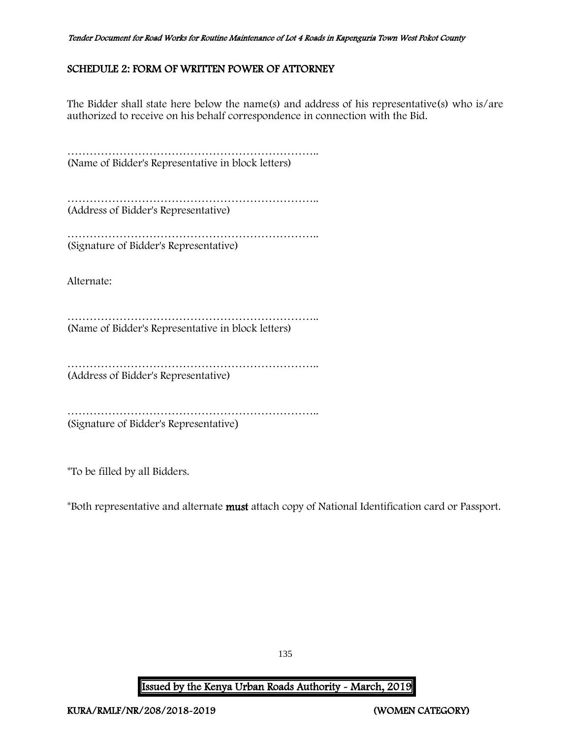# <span id="page-135-0"></span>SCHEDULE 2: FORM OF WRITTEN POWER OF ATTORNEY

The Bidder shall state here below the name(s) and address of his representative(s) who is/are authorized to receive on his behalf correspondence in connection with the Bid.

………………………………………………………….. (Name of Bidder's Representative in block letters)

………………………………………………………….. (Address of Bidder's Representative)

…………………………………………………………………… (Signature of Bidder's Representative)

Alternate:

………………………………………………………….. (Name of Bidder's Representative in block letters)

………………………………………………………………… (Address of Bidder's Representative)

………………………………………………………….. (Signature of Bidder's Representative)

\*To be filled by all Bidders.

\*Both representative and alternate must attach copy of National Identification card or Passport.

135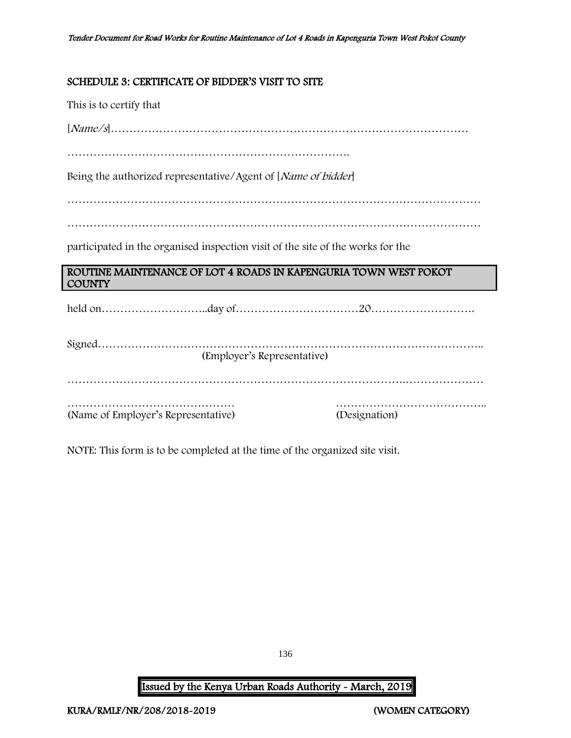# <span id="page-136-0"></span>SCHEDULE 3: CERTIFICATE OF BIDDER'S VISIT TO SITE

This is to certify that

[Name/s]……………………………………………………………………………………

………………………………………………………………….

Being the authorized representative/Agent of [Name of bidder]

…………………………………………………………………………………………………

…………………………………………………………………………………………………

participated in the organised inspection visit of the site of the works for the

# ROUTINE MAINTENANCE OF LOT 4 ROADS IN KAPENGURIA TOWN WEST POKOT **COUNTY**

held on………………………..day of……………………………20……………………….

| (Employer's Representative)         |               |
|-------------------------------------|---------------|
|                                     |               |
|                                     |               |
|                                     |               |
| (Name of Employer's Representative) | (Designation) |

NOTE: This form is to be completed at the time of the organized site visit.

136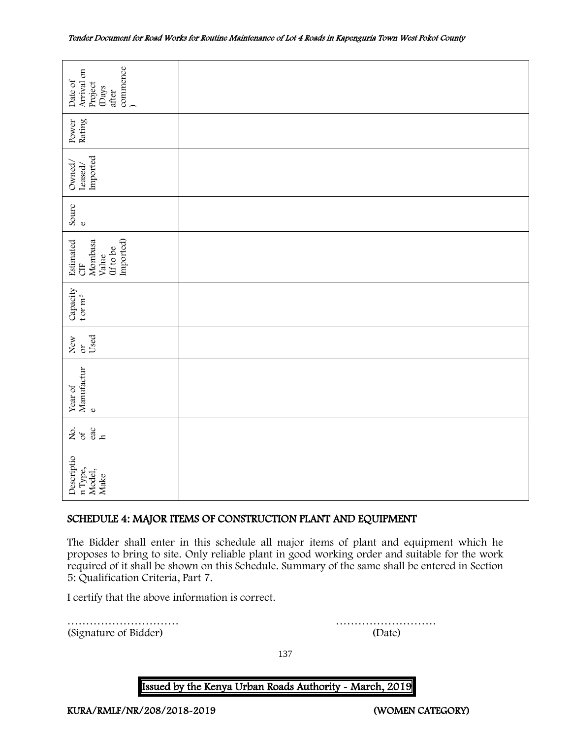| commence<br>Arrival on<br>Date of<br>Project<br>(Days<br>after                                                                                                                                                                                                                                                                     |                                                             |  |  |  |  |  |
|------------------------------------------------------------------------------------------------------------------------------------------------------------------------------------------------------------------------------------------------------------------------------------------------------------------------------------|-------------------------------------------------------------|--|--|--|--|--|
| Rating<br>Power                                                                                                                                                                                                                                                                                                                    |                                                             |  |  |  |  |  |
| Imported<br>Owned,<br>Leased/                                                                                                                                                                                                                                                                                                      |                                                             |  |  |  |  |  |
| Sourc<br>$\mathbf 0$                                                                                                                                                                                                                                                                                                               |                                                             |  |  |  |  |  |
| Imported)<br>Mombasa<br>Estimated<br>(If to be<br>Value<br>5H                                                                                                                                                                                                                                                                      |                                                             |  |  |  |  |  |
| Capacity<br>t or $m^3$                                                                                                                                                                                                                                                                                                             |                                                             |  |  |  |  |  |
| Used<br>New or                                                                                                                                                                                                                                                                                                                     |                                                             |  |  |  |  |  |
| Manufactur<br>Year of<br>$\mathbf{o}$                                                                                                                                                                                                                                                                                              |                                                             |  |  |  |  |  |
| $rac{ac}{h}$<br>ર્ષ્ટ જ                                                                                                                                                                                                                                                                                                            |                                                             |  |  |  |  |  |
| Descriptio<br>n Type,<br>Model,<br>Make                                                                                                                                                                                                                                                                                            |                                                             |  |  |  |  |  |
|                                                                                                                                                                                                                                                                                                                                    | SCHEDULE 4: MAJOR ITEMS OF CONSTRUCTION PLANT AND EQUIPMENT |  |  |  |  |  |
| The Bidder shall enter in this schedule all major items of plant and equipment which he<br>proposes to bring to site. Only reliable plant in good working order and suitable for the work<br>required of it shall be shown on this Schedule. Summary of the same shall be entered in Section<br>5: Qualification Criteria, Part 7. |                                                             |  |  |  |  |  |
| I certify that the above information is correct.                                                                                                                                                                                                                                                                                   |                                                             |  |  |  |  |  |
| (Signature of Bidder)                                                                                                                                                                                                                                                                                                              | (Date)                                                      |  |  |  |  |  |

# <span id="page-137-0"></span>SCHEDULE 4: MAJOR ITEMS OF CONSTRUCTION PLANT AND EQUIPMENT

137

### Issued by the Kenya Urban Roads Authority - March, 2019

KURA/RMLF/NR/208/2018-2019 (WOMEN CATEGORY)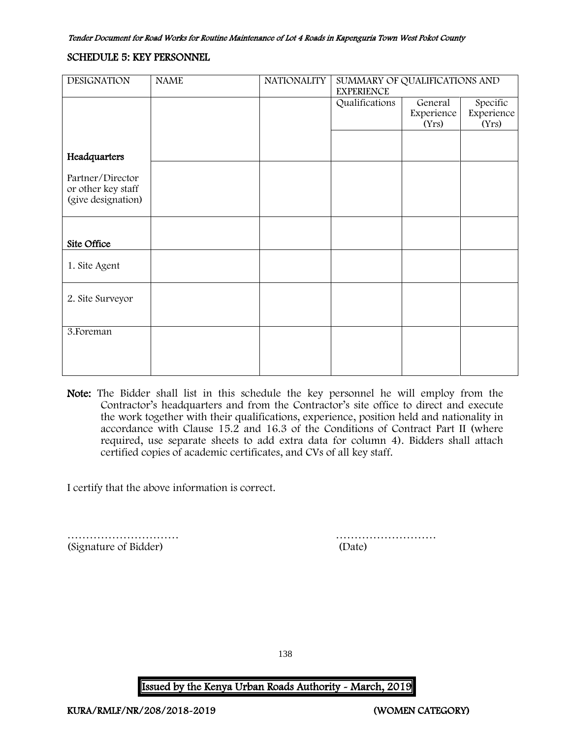#### <span id="page-138-0"></span>SCHEDULE 5: KEY PERSONNEL

| <b>DESIGNATION</b>                     | <b>NAME</b> | <b>NATIONALITY</b> | SUMMARY OF QUALIFICATIONS AND<br><b>EXPERIENCE</b> |            |            |
|----------------------------------------|-------------|--------------------|----------------------------------------------------|------------|------------|
|                                        |             |                    | Qualifications                                     | General    | Specific   |
|                                        |             |                    |                                                    | Experience | Experience |
|                                        |             |                    |                                                    | (Yrs)      | (Yrs)      |
|                                        |             |                    |                                                    |            |            |
| Headquarters                           |             |                    |                                                    |            |            |
| Partner/Director<br>or other key staff |             |                    |                                                    |            |            |
| (give designation)                     |             |                    |                                                    |            |            |
|                                        |             |                    |                                                    |            |            |
| Site Office                            |             |                    |                                                    |            |            |
| 1. Site Agent                          |             |                    |                                                    |            |            |
| 2. Site Surveyor                       |             |                    |                                                    |            |            |
|                                        |             |                    |                                                    |            |            |
| 3. Foreman                             |             |                    |                                                    |            |            |
|                                        |             |                    |                                                    |            |            |
|                                        |             |                    |                                                    |            |            |

Note: The Bidder shall list in this schedule the key personnel he will employ from the Contractor's headquarters and from the Contractor's site office to direct and execute the work together with their qualifications, experience, position held and nationality in accordance with Clause 15.2 and 16.3 of the Conditions of Contract Part II (where required, use separate sheets to add extra data for column 4). Bidders shall attach certified copies of academic certificates, and CVs of all key staff.

I certify that the above information is correct.

(Signature of Bidder) (Date)

………………………… ………………………

138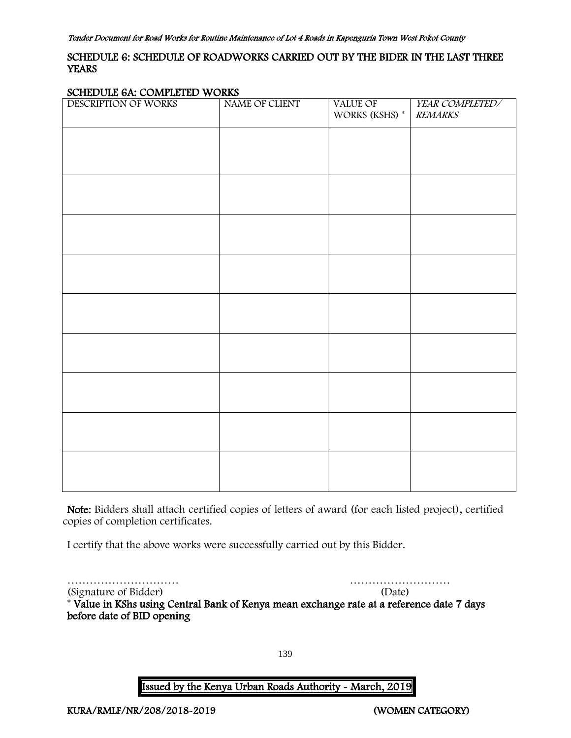# <span id="page-139-0"></span>SCHEDULE 6: SCHEDULE OF ROADWORKS CARRIED OUT BY THE BIDER IN THE LAST THREE **YEARS**

#### SCHEDULE 6A: COMPLETED WORKS

| ÷<br>------ ---- ---- -<br>.<br>DESCRIPTION OF WORKS | .<br>NAME OF CLIENT | VALUE OF<br>WORKS (KSHS) * | YEAR COMPLETED/<br><b>REMARKS</b> |
|------------------------------------------------------|---------------------|----------------------------|-----------------------------------|
|                                                      |                     |                            |                                   |
|                                                      |                     |                            |                                   |
|                                                      |                     |                            |                                   |
|                                                      |                     |                            |                                   |
|                                                      |                     |                            |                                   |
|                                                      |                     |                            |                                   |
|                                                      |                     |                            |                                   |
|                                                      |                     |                            |                                   |
|                                                      |                     |                            |                                   |
|                                                      |                     |                            |                                   |

Note: Bidders shall attach certified copies of letters of award (for each listed project), certified copies of completion certificates.

I certify that the above works were successfully carried out by this Bidder.

………………………… ………………………

(Signature of Bidder) (Date) \* Value in KShs using Central Bank of Kenya mean exchange rate at a reference date 7 days before date of BID opening

139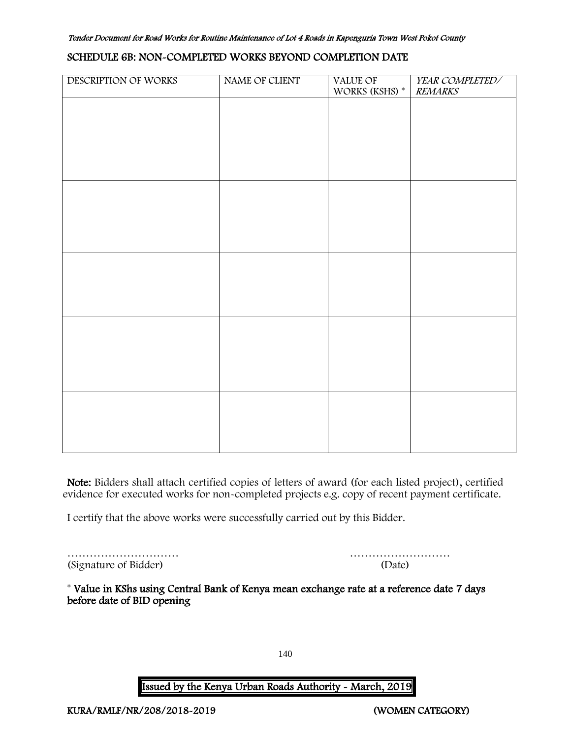#### SCHEDULE 6B: NON-COMPLETED WORKS BEYOND COMPLETION DATE

| DESCRIPTION OF WORKS | NAME OF CLIENT | VALUE OF       | YEAR COMPLETED/ |
|----------------------|----------------|----------------|-----------------|
|                      |                | WORKS (KSHS) * | <b>REMARKS</b>  |
|                      |                |                |                 |
|                      |                |                |                 |
|                      |                |                |                 |
|                      |                |                |                 |
|                      |                |                |                 |
|                      |                |                |                 |
|                      |                |                |                 |
|                      |                |                |                 |
|                      |                |                |                 |
|                      |                |                |                 |
|                      |                |                |                 |
|                      |                |                |                 |
|                      |                |                |                 |
|                      |                |                |                 |
|                      |                |                |                 |
|                      |                |                |                 |
|                      |                |                |                 |
|                      |                |                |                 |
|                      |                |                |                 |
|                      |                |                |                 |
|                      |                |                |                 |
|                      |                |                |                 |
|                      |                |                |                 |
|                      |                |                |                 |
|                      |                |                |                 |
|                      |                |                |                 |
|                      |                |                |                 |
|                      |                |                |                 |
|                      |                |                |                 |
|                      |                |                |                 |
|                      |                |                |                 |
|                      |                |                |                 |
|                      |                |                |                 |

Note: Bidders shall attach certified copies of letters of award (for each listed project), certified evidence for executed works for non-completed projects e.g. copy of recent payment certificate.

I certify that the above works were successfully carried out by this Bidder.

………………………… ……………………… (Signature of Bidder)

|  |  |  |  |  |  |  | (Date) |  |  |  |  |  |  |
|--|--|--|--|--|--|--|--------|--|--|--|--|--|--|

\* Value in KShs using Central Bank of Kenya mean exchange rate at a reference date 7 days before date of BID opening

140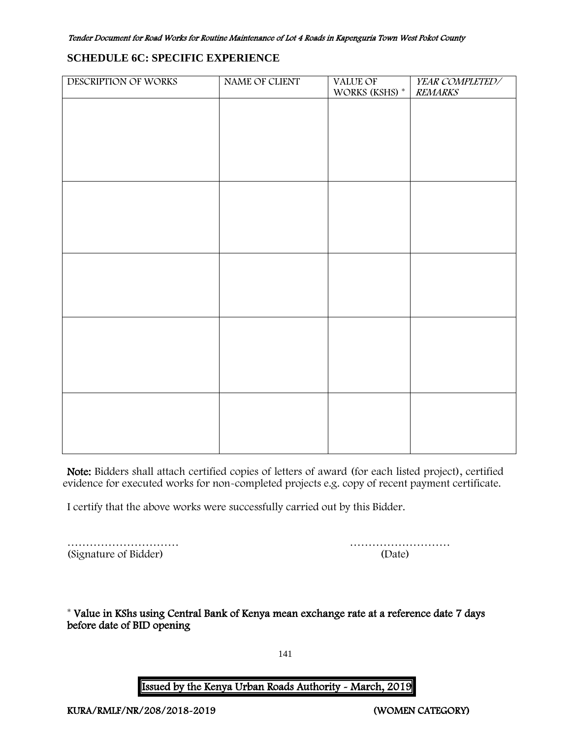# **SCHEDULE 6C: SPECIFIC EXPERIENCE**

| DESCRIPTION OF WORKS | NAME OF CLIENT | VALUE OF<br>WORKS (KSHS) $^\ast$ | YEAR COMPLETED/<br><b>REMARKS</b> |
|----------------------|----------------|----------------------------------|-----------------------------------|
|                      |                |                                  |                                   |
|                      |                |                                  |                                   |
|                      |                |                                  |                                   |
|                      |                |                                  |                                   |
|                      |                |                                  |                                   |
|                      |                |                                  |                                   |
|                      |                |                                  |                                   |
|                      |                |                                  |                                   |
|                      |                |                                  |                                   |
|                      |                |                                  |                                   |
|                      |                |                                  |                                   |
|                      |                |                                  |                                   |
|                      |                |                                  |                                   |
|                      |                |                                  |                                   |
|                      |                |                                  |                                   |
|                      |                |                                  |                                   |

Note: Bidders shall attach certified copies of letters of award (for each listed project), certified evidence for executed works for non-completed projects e.g. copy of recent payment certificate.

I certify that the above works were successfully carried out by this Bidder.

|                       | .      |
|-----------------------|--------|
| (Signature of Bidder) | (Date) |

 $\cdots$   $\cdots$   $\cdots$   $\cdots$   $\cdots$   $\cdots$   $\cdots$   $\cdots$ 

<span id="page-141-0"></span>\* Value in KShs using Central Bank of Kenya mean exchange rate at a reference date 7 days before date of BID opening

141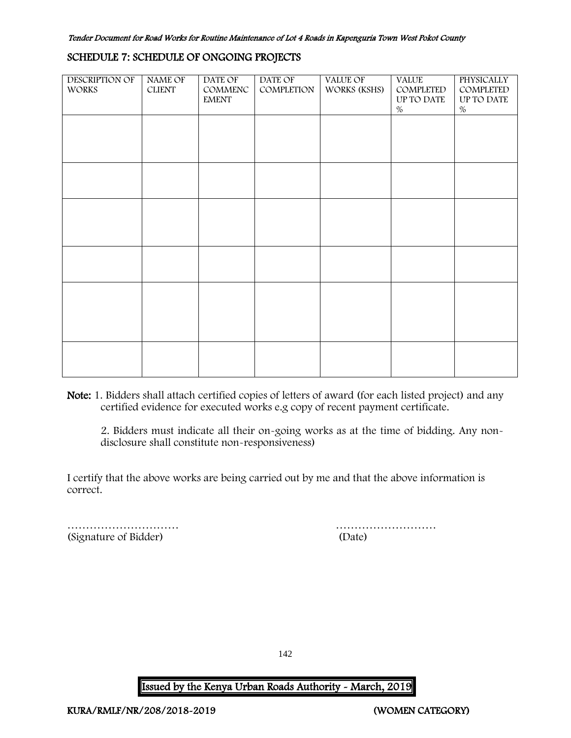#### SCHEDULE 7: SCHEDULE OF ONGOING PROJECTS

| <b>DESCRIPTION OF</b><br><b>WORKS</b> | NAME OF<br><b>CLIENT</b> | DATE OF<br>COMMENC<br><b>EMENT</b> | DATE OF<br>COMPLETION | VALUE OF<br>WORKS (KSHS) | <b>VALUE</b><br>COMPLETED<br>UP TO DATE<br>$\%$ | <b>PHYSICALLY</b><br>COMPLETED<br>UP TO DATE<br>$\%$ |
|---------------------------------------|--------------------------|------------------------------------|-----------------------|--------------------------|-------------------------------------------------|------------------------------------------------------|
|                                       |                          |                                    |                       |                          |                                                 |                                                      |
|                                       |                          |                                    |                       |                          |                                                 |                                                      |
|                                       |                          |                                    |                       |                          |                                                 |                                                      |
|                                       |                          |                                    |                       |                          |                                                 |                                                      |
|                                       |                          |                                    |                       |                          |                                                 |                                                      |
|                                       |                          |                                    |                       |                          |                                                 |                                                      |

Note: 1. Bidders shall attach certified copies of letters of award (for each listed project) and any certified evidence for executed works e.g copy of recent payment certificate.

2. Bidders must indicate all their on-going works as at the time of bidding. Any nondisclosure shall constitute non-responsiveness)

I certify that the above works are being carried out by me and that the above information is correct.

<span id="page-142-0"></span>(Signature of Bidder) (Date)

………………………… ………………………

142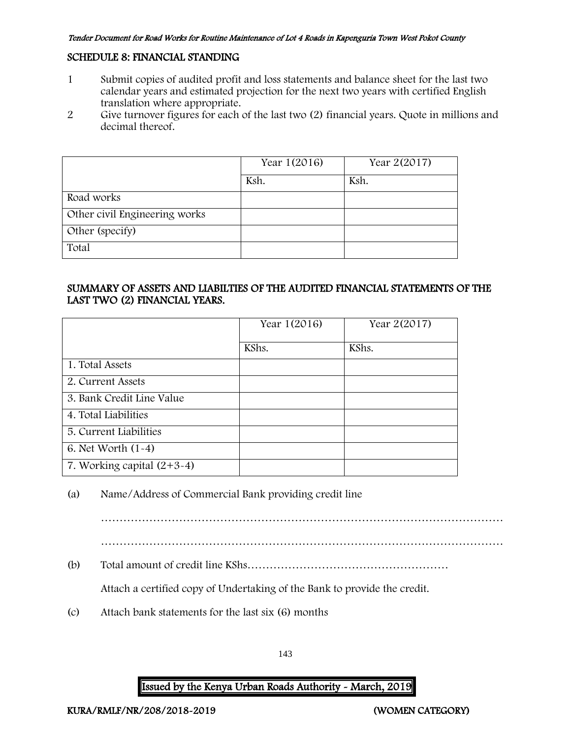### SCHEDULE 8: FINANCIAL STANDING

- 1 Submit copies of audited profit and loss statements and balance sheet for the last two calendar years and estimated projection for the next two years with certified English translation where appropriate.
- 2 Give turnover figures for each of the last two (2) financial years. Quote in millions and decimal thereof.

|                               | Year 1(2016) | Year 2(2017) |
|-------------------------------|--------------|--------------|
|                               | Ksh.         | Ksh.         |
| Road works                    |              |              |
| Other civil Engineering works |              |              |
| Other (specify)               |              |              |
| Total                         |              |              |

### SUMMARY OF ASSETS AND LIABILTIES OF THE AUDITED FINANCIAL STATEMENTS OF THE LAST TWO (2) FINANCIAL YEARS.

|                              | Year 1(2016) | Year 2(2017) |
|------------------------------|--------------|--------------|
|                              | KShs.        | KShs.        |
| 1. Total Assets              |              |              |
| 2. Current Assets            |              |              |
| 3. Bank Credit Line Value    |              |              |
| 4. Total Liabilities         |              |              |
| 5. Current Liabilities       |              |              |
| 6. Net Worth $(1-4)$         |              |              |
| 7. Working capital $(2+3-4)$ |              |              |

# (a) Name/Address of Commercial Bank providing credit line

………………………………………………………………………………………………

(b) Total amount of credit line KShs………………………………………………

Attach a certified copy of Undertaking of the Bank to provide the credit.

(c) Attach bank statements for the last six (6) months

143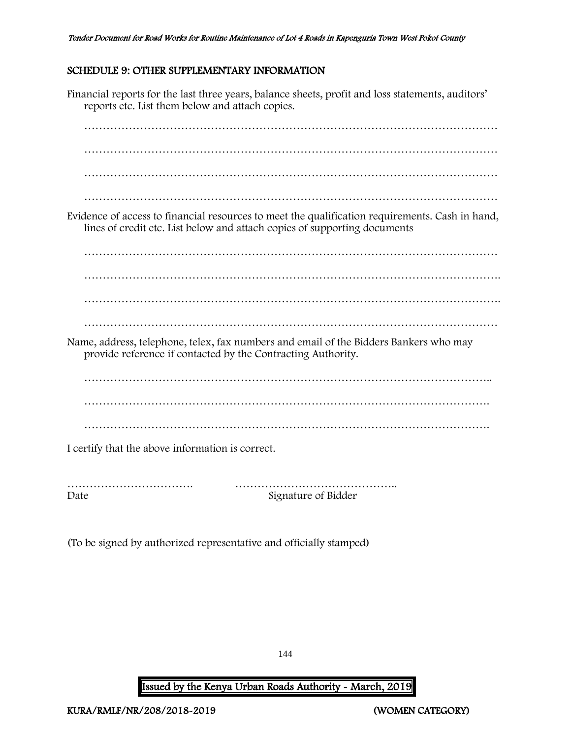### SCHEDULE 9: OTHER SUPPLEMENTARY INFORMATION

Financial reports for the last three years, balance sheets, profit and loss statements, auditors' reports etc. List them below and attach copies. ………………………………………………………………………………………………… ………………………………………………………………………………………………… ………………………………………………………………………………………………… ………………………………………………………………………………………………… Evidence of access to financial resources to meet the qualification requirements. Cash in hand, lines of credit etc. List below and attach copies of supporting documents ………………………………………………………………………………………………… …………………………………………………………………………………………………. …………………………………………………………………………………………………. ………………………………………………………………………………………………… Name, address, telephone, telex, fax numbers and email of the Bidders Bankers who may provide reference if contacted by the Contracting Authority. ……………………………………………………………………………………………….. ………………………………………………………………………………………………. ………………………………………………………………………………………………. I certify that the above information is correct. ……………………………. ……………………………………..

Date Signature of Bidder

(To be signed by authorized representative and officially stamped)

144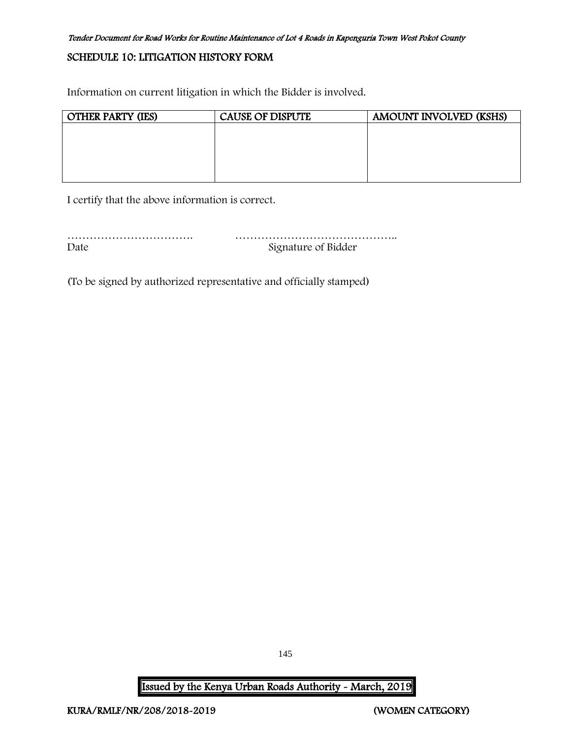#### Tender Document for Road Works for Routine Maintenance of Lot 4 Roads in Kapenguria Town West Pokot County

### SCHEDULE 10: LITIGATION HISTORY FORM

Information on current litigation in which the Bidder is involved.

| <b>OTHER PARTY (IES)</b> | <b>CAUSE OF DISPUTE</b> | AMOUNT INVOLVED (KSHS) |
|--------------------------|-------------------------|------------------------|
|                          |                         |                        |
|                          |                         |                        |
|                          |                         |                        |
|                          |                         |                        |
|                          |                         |                        |

I certify that the above information is correct.

……………………………. …………………………………….. Date Signature of Bidder

(To be signed by authorized representative and officially stamped)

Issued by the Kenya Urban Roads Authority - March, 2019

145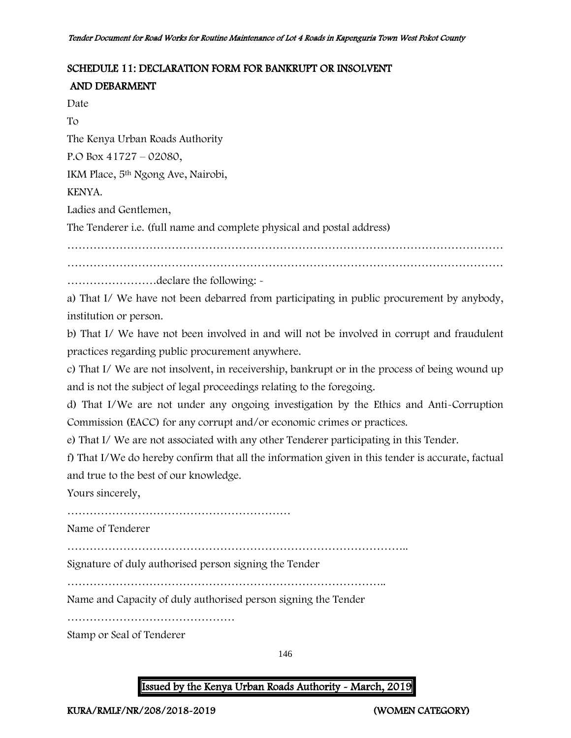### SCHEDULE 11: DECLARATION FORM FOR BANKRUPT OR INSOLVENT

## AND DEBARMENT

Date

To

The Kenya Urban Roads Authority

P.O Box 41727 – 02080,

IKM Place, 5th Ngong Ave, Nairobi,

KENYA.

Ladies and Gentlemen,

The Tenderer i.e. (full name and complete physical and postal address)

……………………………………………………………………………………………………… ………………………………………………………………………………………………………

……………………declare the following: -

a) That I/ We have not been debarred from participating in public procurement by anybody, institution or person.

b) That I/ We have not been involved in and will not be involved in corrupt and fraudulent practices regarding public procurement anywhere.

c) That I/ We are not insolvent, in receivership, bankrupt or in the process of being wound up and is not the subject of legal proceedings relating to the foregoing.

d) That I/We are not under any ongoing investigation by the Ethics and Anti-Corruption Commission (EACC) for any corrupt and/or economic crimes or practices.

e) That I/ We are not associated with any other Tenderer participating in this Tender.

f) That I/We do hereby confirm that all the information given in this tender is accurate, factual and true to the best of our knowledge.

Yours sincerely,

……………………………………………………

Name of Tenderer

………………………………………………………………………………..

Signature of duly authorised person signing the Tender

…………………………………………………………………………..

Name and Capacity of duly authorised person signing the Tender

………………………………………

Stamp or Seal of Tenderer

146

## Issued by the Kenya Urban Roads Authority - March, 2019

KURA/RMLF/NR/208/2018-2019 (WOMEN CATEGORY)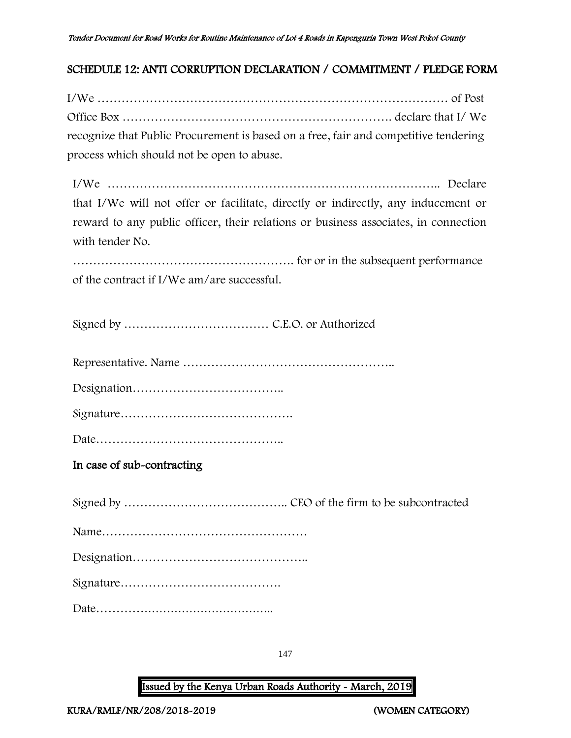## SCHEDULE 12: ANTI CORRUPTION DECLARATION / COMMITMENT / PLEDGE FORM

I/We …………………………………………………………………………… of Post Office Box …………………………………………………………. declare that I/ We recognize that Public Procurement is based on a free, fair and competitive tendering process which should not be open to abuse.

I/We ……………………………………………………………………….. Declare that I/We will not offer or facilitate, directly or indirectly, any inducement or reward to any public officer, their relations or business associates, in connection with tender No.

………………………………………………. for or in the subsequent performance of the contract if I/We am/are successful.

Signed by ……………………………… C.E.O. or Authorized

Representative. Name ……………………………………………..

Designation………………………………..

Signature…………………………………….

Date………………………………………..

In case of sub-contracting

Signed by ………………………………….. CEO of the firm to be subcontracted Name…………………………………………… Designation…………………………………….. Signature…………………………………. Date………………………………………..

147

Issued by the Kenya Urban Roads Authority - March, 2019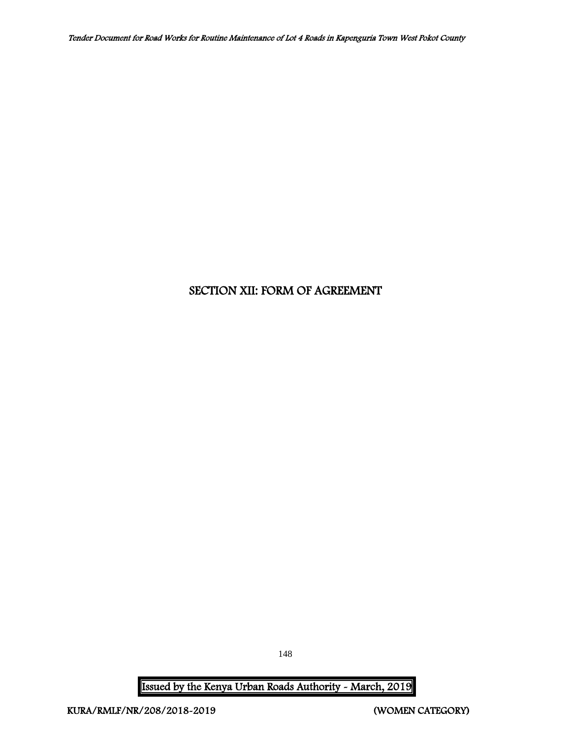# SECTION XII: FORM OF AGREEMENT

Issued by the Kenya Urban Roads Authority - March, 2019

148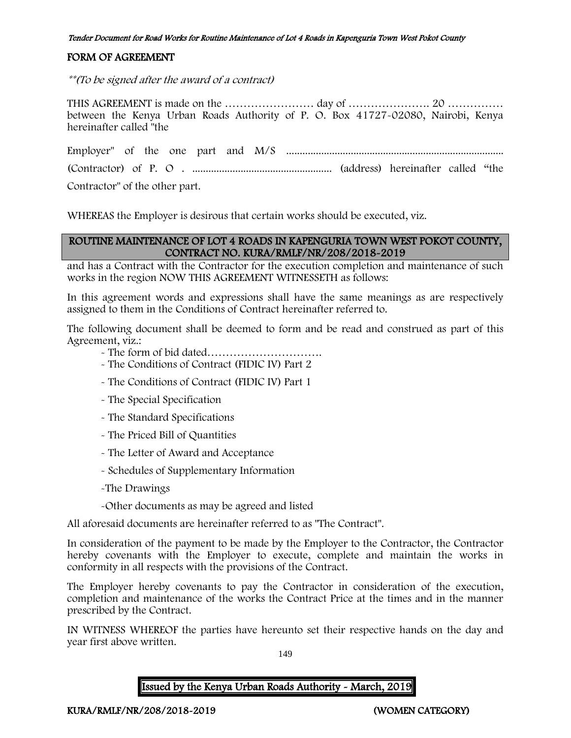#### Tender Document for Road Works for Routine Maintenance of Lot 4 Roads in Kapenguria Town West Pokot County

### FORM OF AGREEMENT

\*\*(To be signed after the award of a contract)

THIS AGREEMENT is made on the …………………… day of …………………. 20 …………… between the Kenya Urban Roads Authority of P. O. Box 41727-02080, Nairobi, Kenya hereinafter called "the

Employer" of the one part and M/S ................................................................................. (Contractor) of P. O . .................................................... (address) hereinafter called "the

Contractor" of the other part.

WHEREAS the Employer is desirous that certain works should be executed, viz.

### ROUTINE MAINTENANCE OF LOT 4 ROADS IN KAPENGURIA TOWN WEST POKOT COUNTY, CONTRACT NO. KURA/RMLF/NR/208/2018-2019

and has a Contract with the Contractor for the execution completion and maintenance of such works in the region NOW THIS AGREEMENT WITNESSETH as follows:

In this agreement words and expressions shall have the same meanings as are respectively assigned to them in the Conditions of Contract hereinafter referred to.

The following document shall be deemed to form and be read and construed as part of this Agreement, viz.:

- The form of bid dated………………………….
- The Conditions of Contract (FIDIC IV) Part 2
- The Conditions of Contract (FIDIC IV) Part 1
- The Special Specification
- The Standard Specifications
- The Priced Bill of Quantities
- The Letter of Award and Acceptance
- Schedules of Supplementary Information
- -The Drawings
- -Other documents as may be agreed and listed

All aforesaid documents are hereinafter referred to as "The Contract".

In consideration of the payment to be made by the Employer to the Contractor, the Contractor hereby covenants with the Employer to execute, complete and maintain the works in conformity in all respects with the provisions of the Contract.

The Employer hereby covenants to pay the Contractor in consideration of the execution, completion and maintenance of the works the Contract Price at the times and in the manner prescribed by the Contract.

IN WITNESS WHEREOF the parties have hereunto set their respective hands on the day and year first above written.

149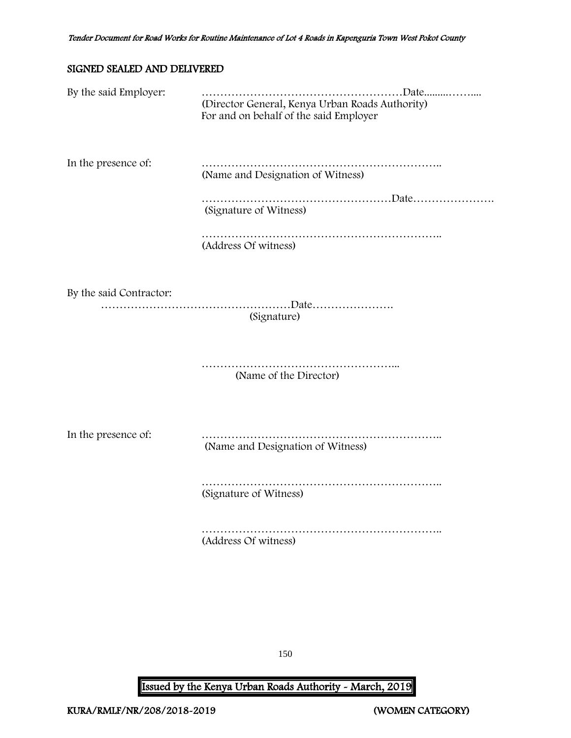### SIGNED SEALED AND DELIVERED

| By the said Employer:   | (Director General, Kenya Urban Roads Authority)<br>For and on behalf of the said Employer |
|-------------------------|-------------------------------------------------------------------------------------------|
| In the presence of:     | (Name and Designation of Witness)                                                         |
|                         | (Signature of Witness)                                                                    |
|                         | (Address Of witness)                                                                      |
| By the said Contractor: | (Signature)                                                                               |
|                         | .<br>(Name of the Director)                                                               |
| In the presence of:     | (Name and Designation of Witness)                                                         |
|                         | (Signature of Witness)                                                                    |
|                         | (Address Of witness)                                                                      |

150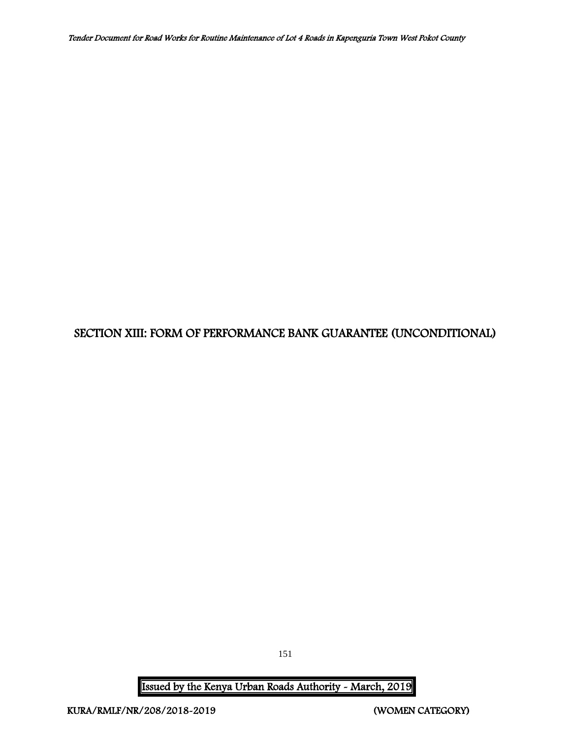# SECTION XIII: FORM OF PERFORMANCE BANK GUARANTEE (UNCONDITIONAL)

151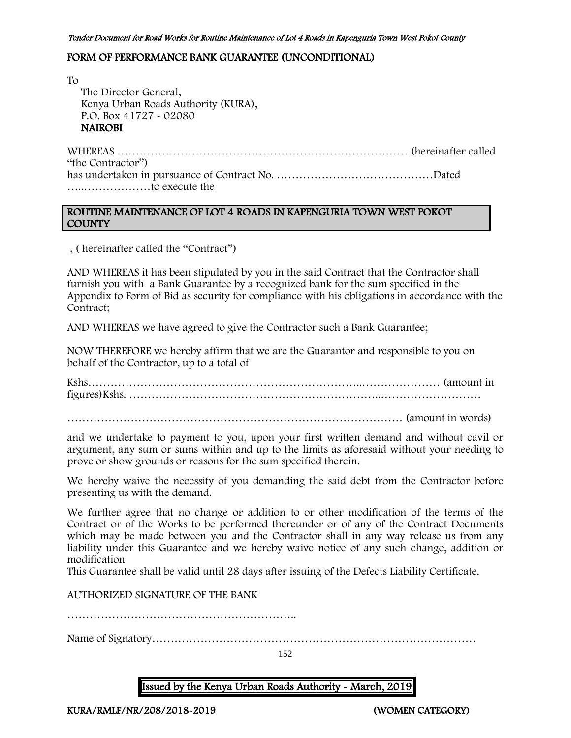#### FORM OF PERFORMANCE BANK GUARANTEE (UNCONDITIONAL)

To The Director General, Kenya Urban Roads Authority (KURA), P.O. Box 41727 - 02080 NAIROBI

WHEREAS …………………………………………………………………… (hereinafter called "the Contractor") has undertaken in pursuance of Contract No. ……………………………………Dated …..………………to execute the

### ROUTINE MAINTENANCE OF LOT 4 ROADS IN KAPENGURIA TOWN WEST POKOT COUNTY

, ( hereinafter called the "Contract")

AND WHEREAS it has been stipulated by you in the said Contract that the Contractor shall furnish you with a Bank Guarantee by a recognized bank for the sum specified in the Appendix to Form of Bid as security for compliance with his obligations in accordance with the Contract;

AND WHEREAS we have agreed to give the Contractor such a Bank Guarantee;

NOW THEREFORE we hereby affirm that we are the Guarantor and responsible to you on behalf of the Contractor, up to a total of

Kshs………………………………………………………………..………………… (amount in figures)Kshs. …………………………………………………………..………………………

……………………………………………………………………………… (amount in words)

and we undertake to payment to you, upon your first written demand and without cavil or argument, any sum or sums within and up to the limits as aforesaid without your needing to prove or show grounds or reasons for the sum specified therein.

We hereby waive the necessity of you demanding the said debt from the Contractor before presenting us with the demand.

We further agree that no change or addition to or other modification of the terms of the Contract or of the Works to be performed thereunder or of any of the Contract Documents which may be made between you and the Contractor shall in any way release us from any liability under this Guarantee and we hereby waive notice of any such change, addition or modification

This Guarantee shall be valid until 28 days after issuing of the Defects Liability Certificate.

AUTHORIZED SIGNATURE OF THE BANK

……………………………………………………..

Name of Signatory……………………………………………………………………………

152